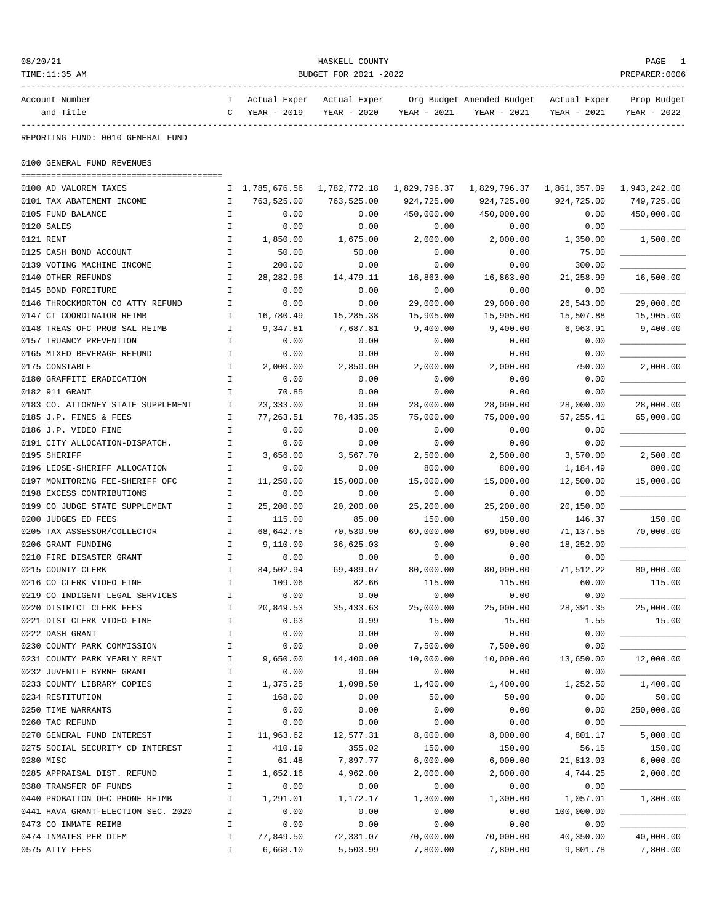| 08/20/21                                                 |                    |                    | HASKELL COUNTY        |                   |                                        |                        | PAGE           |
|----------------------------------------------------------|--------------------|--------------------|-----------------------|-------------------|----------------------------------------|------------------------|----------------|
| TIME:11:35 AM                                            |                    |                    | BUDGET FOR 2021 -2022 |                   |                                        |                        | PREPARER: 0006 |
| Account Number                                           |                    | Actual Exper       | Actual Exper          |                   | Org Budget Amended Budget Actual Exper |                        | Prop Budget    |
| and Title                                                | C                  | YEAR - 2019        | YEAR - 2020           | YEAR - 2021       | YEAR - 2021                            | YEAR - 2021            | YEAR - 2022    |
| ----------<br>REPORTING FUND: 0010 GENERAL FUND          |                    |                    |                       |                   |                                        |                        |                |
| 0100 GENERAL FUND REVENUES                               |                    |                    |                       |                   |                                        |                        |                |
| 0100 AD VALOREM TAXES                                    |                    | I 1,785,676.56     | 1,782,772.18          | 1,829,796.37      |                                        |                        |                |
| 0101 TAX ABATEMENT INCOME                                | Ι.                 | 763,525.00         | 763,525.00            | 924,725.00        | 924,725.00                             | 924,725.00             | 749,725.00     |
| 0105 FUND BALANCE                                        | I.                 | 0.00               | 0.00                  | 450,000.00        | 450,000.00                             | 0.00                   | 450,000.00     |
| 0120 SALES                                               | $\mathbf I$        | 0.00               | 0.00                  | 0.00              | 0.00                                   | 0.00                   |                |
| 0121 RENT                                                | $\mathbf{I}$       | 1,850.00           | 1,675.00              | 2,000.00          | 2,000.00                               | 1,350.00               | 1,500.00       |
| 0125 CASH BOND ACCOUNT                                   | Ι.                 | 50.00              | 50.00                 | 0.00              | 0.00                                   | 75.00                  |                |
| 0139 VOTING MACHINE INCOME                               | I.                 | 200.00             | 0.00                  | 0.00              | 0.00                                   | 300.00                 |                |
| 0140 OTHER REFUNDS                                       | I.                 | 28, 282.96         | 14,479.11             | 16,863.00         | 16,863.00                              | 21,258.99              | 16,500.00      |
| 0145 BOND FOREITURE                                      | I.                 | 0.00               | 0.00                  | 0.00              | 0.00                                   | 0.00                   |                |
| 0146 THROCKMORTON CO ATTY REFUND                         | Ι.                 | 0.00               | 0.00                  | 29,000.00         | 29,000.00                              | 26,543.00              | 29,000.00      |
| 0147 CT COORDINATOR REIMB                                | $\mathbf I$        | 16,780.49          | 15,285.38             | 15,905.00         | 15,905.00                              | 15,507.88              | 15,905.00      |
| 0148 TREAS OFC PROB SAL REIMB                            | $\mathbf{I}$       | 9,347.81           | 7,687.81              | 9,400.00          | 9,400.00                               | 6,963.91               | 9,400.00       |
| 0157 TRUANCY PREVENTION                                  | I.                 | 0.00               | 0.00                  | 0.00              | 0.00                                   | 0.00                   |                |
| 0165 MIXED BEVERAGE REFUND                               | Ι.                 | 0.00               | 0.00                  | 0.00              | 0.00                                   | 0.00                   |                |
| 0175 CONSTABLE                                           | Ι.                 | 2,000.00           | 2,850.00              | 2,000.00          | 2,000.00                               | 750.00                 | 2,000.00       |
| 0180 GRAFFITI ERADICATION                                | I.                 | 0.00               | 0.00                  | 0.00              | 0.00                                   | 0.00                   |                |
| 0182 911 GRANT<br>0183 CO. ATTORNEY STATE SUPPLEMENT     | I<br>I.            | 70.85<br>23,333.00 | 0.00<br>0.00          | 0.00<br>28,000.00 | 0.00<br>28,000.00                      | 0.00<br>28,000.00      | 28,000.00      |
| 0185 J.P. FINES & FEES                                   | Ι.                 | 77,263.51          | 78,435.35             | 75,000.00         | 75,000.00                              | 57,255.41              | 65,000.00      |
| 0186 J.P. VIDEO FINE                                     | I.                 | 0.00               | 0.00                  | 0.00              | 0.00                                   | 0.00                   |                |
| 0191 CITY ALLOCATION-DISPATCH.                           | $\mathbf{I}$       | 0.00               | 0.00                  | 0.00              | 0.00                                   | 0.00                   |                |
| 0195 SHERIFF                                             | $\mathbf I$        | 3,656.00           | 3,567.70              | 2,500.00          | 2,500.00                               | 3,570.00               | 2,500.00       |
| 0196 LEOSE-SHERIFF ALLOCATION                            | I.                 | 0.00               | 0.00                  | 800.00            | 800.00                                 | 1,184.49               | 800.00         |
| 0197 MONITORING FEE-SHERIFF OFC                          | Ι.                 | 11,250.00          | 15,000.00             | 15,000.00         | 15,000.00                              | 12,500.00              | 15,000.00      |
| 0198 EXCESS CONTRIBUTIONS                                | I.                 | 0.00               | 0.00                  | 0.00              | 0.00                                   | 0.00                   |                |
| 0199 CO JUDGE STATE SUPPLEMENT                           | I.                 | 25,200.00          | 20,200.00             | 25,200.00         | 25,200.00                              | 20,150.00              |                |
| 0200 JUDGES ED FEES                                      | Ι.                 | 115.00             | 85.00                 | 150.00            | 150.00                                 | 146.37                 | 150.00         |
| 0205 TAX ASSESSOR/COLLECTOR                              | I.                 | 68,642.75          | 70,530.90             | 69,000.00         | 69,000.00                              | 71,137.55              | 70,000.00      |
| 0206 GRANT FUNDING                                       | I.                 | 9,110.00           | 36,625.03             | 0.00              | 0.00                                   | 18,252.00              |                |
| 0210 FIRE DISASTER GRANT                                 | I.                 | 0.00               | 0.00                  | 0.00              | 0.00                                   | 0.00                   |                |
| 0215 COUNTY CLERK                                        | I.                 | 84,502.94          | 69,489.07             | 80,000.00         | 80,000.00                              | 71,512.22              | 80,000.00      |
| 0216 CO CLERK VIDEO FINE                                 |                    | 109.06             | 82.66                 | 115.00            | 115.00                                 | 60.00                  | 115.00         |
| 0219 CO INDIGENT LEGAL SERVICES                          | I                  | 0.00               | 0.00                  | 0.00              | 0.00                                   | 0.00                   |                |
| 0220 DISTRICT CLERK FEES                                 | I.                 | 20,849.53          | 35, 433.63            | 25,000.00         | 25,000.00                              | 28, 391.35             | 25,000.00      |
| 0221 DIST CLERK VIDEO FINE                               | I.                 | 0.63               | 0.99                  | 15.00             | 15.00                                  | 1.55                   | 15.00          |
| 0222 DASH GRANT                                          | I                  | 0.00               | 0.00                  | 0.00              | 0.00                                   | 0.00                   |                |
| 0230 COUNTY PARK COMMISSION                              | $\mathbbm{I}$      | 0.00               | 0.00                  | 7,500.00          | 7,500.00                               | 0.00                   |                |
| 0231 COUNTY PARK YEARLY RENT                             | $\mathbbm{I}$      | 9,650.00           | 14,400.00             | 10,000.00         | 10,000.00                              | 13,650.00              | 12,000.00      |
| 0232 JUVENILE BYRNE GRANT                                | $\mathbbm{I}$      | 0.00               | 0.00                  | 0.00              | 0.00                                   | 0.00                   |                |
| 0233 COUNTY LIBRARY COPIES                               | I                  | 1,375.25           | 1,098.50              | 1,400.00          | 1,400.00                               | 1,252.50               | 1,400.00       |
| 0234 RESTITUTION                                         | I                  | 168.00             | 0.00                  | 50.00             | 50.00                                  | 0.00                   | 50.00          |
| 0250 TIME WARRANTS                                       | I                  | 0.00               | 0.00                  | 0.00              | 0.00                                   | 0.00                   | 250,000.00     |
| 0260 TAC REFUND                                          | $\mathbbm{I}$      | 0.00               | 0.00                  | 0.00              | 0.00                                   | 0.00                   |                |
| 0270 GENERAL FUND INTEREST                               | $\mathbf I$        | 11,963.62          | 12,577.31             | 8,000.00          | 8,000.00                               | 4,801.17               | 5,000.00       |
| 0275 SOCIAL SECURITY CD INTEREST                         | I.                 | 410.19             | 355.02                | 150.00            | 150.00                                 | 56.15                  | 150.00         |
| 0280 MISC                                                | I                  | 61.48              | 7,897.77              | 6,000.00          | 6,000.00                               | 21,813.03              | 6,000.00       |
| 0285 APPRAISAL DIST. REFUND                              | I<br>$\mathbbm{I}$ | 1,652.16           | 4,962.00              | 2,000.00          | 2,000.00                               | 4,744.25               | 2,000.00       |
| 0380 TRANSFER OF FUNDS<br>0440 PROBATION OFC PHONE REIMB | $\mathbf I$        | 0.00               | 0.00<br>1,172.17      | 0.00<br>1,300.00  | 0.00<br>1,300.00                       | 0.00                   | 1,300.00       |
| 0441 HAVA GRANT-ELECTION SEC. 2020                       | I                  | 1,291.01<br>0.00   | 0.00                  | 0.00              | 0.00                                   | 1,057.01<br>100,000.00 |                |
| 0473 CO INMATE REIMB                                     | I                  | 0.00               | 0.00                  | 0.00              | 0.00                                   | 0.00                   |                |
| 0474 INMATES PER DIEM                                    | I.                 | 77,849.50          | 72,331.07             | 70,000.00         | 70,000.00                              | 40,350.00              | 40,000.00      |
| 0575 ATTY FEES                                           | I.                 | 6,668.10           | 5,503.99              | 7,800.00          | 7,800.00                               | 9,801.78               | 7,800.00       |
|                                                          |                    |                    |                       |                   |                                        |                        |                |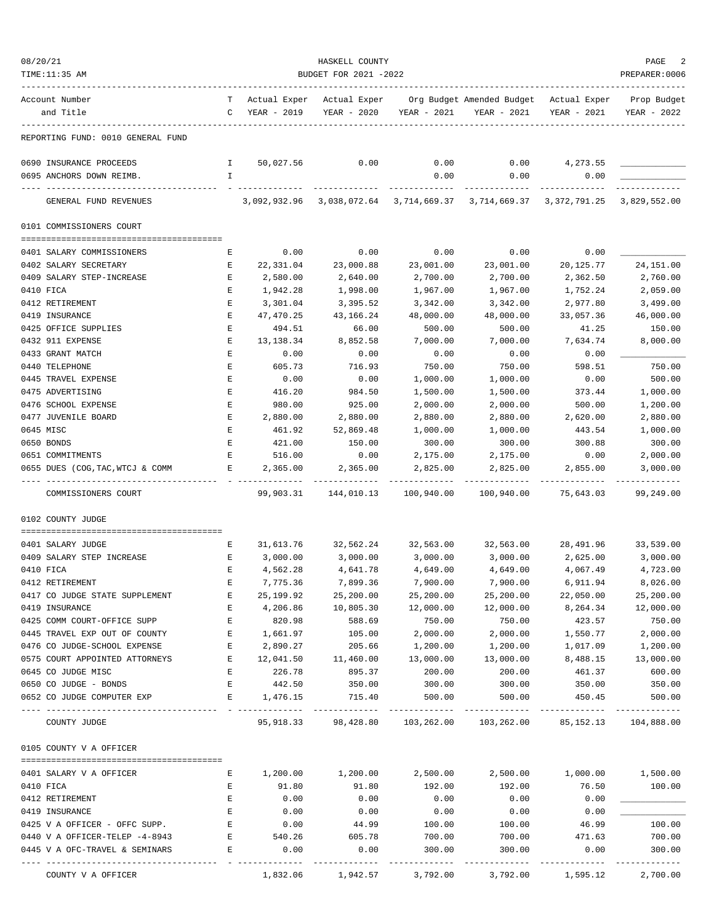| 08/20/21                                                             |                            |                   | HASKELL COUNTY                             |                         |                                                                               |                                          | PAGE                       |
|----------------------------------------------------------------------|----------------------------|-------------------|--------------------------------------------|-------------------------|-------------------------------------------------------------------------------|------------------------------------------|----------------------------|
| TIME:11:35 AM                                                        |                            |                   | BUDGET FOR 2021 -2022                      |                         |                                                                               |                                          | PREPARER: 0006             |
| Account Number<br>and Title                                          |                            | C YEAR - 2019     | T Actual Exper Actual Exper<br>YEAR - 2020 | YEAR - 2021             | Org Budget Amended Budget - Actual Exper<br>YEAR - 2021                       | YEAR - 2021                              | Prop Budget<br>YEAR - 2022 |
|                                                                      |                            |                   |                                            |                         |                                                                               |                                          |                            |
| REPORTING FUND: 0010 GENERAL FUND                                    |                            |                   |                                            |                         |                                                                               |                                          |                            |
| 0690 INSURANCE PROCEEDS                                              | $\mathbb{I}$               | 50,027.56         | 0.00                                       | 0.00                    | 0.00                                                                          | 4,273.55                                 |                            |
| 0695 ANCHORS DOWN REIMB.                                             | I.                         |                   |                                            | 0.00                    | 0.00                                                                          | 0.00                                     |                            |
| GENERAL FUND REVENUES                                                |                            |                   |                                            |                         | 3,092,932.96 3,038,072.64 3,714,669.37 3,714,669.37 3,372,791.25 3,829,552.00 |                                          |                            |
| 0101 COMMISSIONERS COURT                                             |                            |                   |                                            |                         |                                                                               |                                          |                            |
|                                                                      |                            |                   |                                            | 0.00                    | 0.00                                                                          |                                          |                            |
| 0401 SALARY COMMISSIONERS<br>0402 SALARY SECRETARY                   | Е<br>Е                     | 0.00<br>22,331.04 | 0.00<br>23,000.88                          | 23,001.00               | 23,001.00                                                                     | 0.00<br>20,125.77                        | 24, 151.00                 |
| 0409 SALARY STEP-INCREASE                                            | E                          | 2,580.00          | 2,640.00                                   | 2,700.00                | 2,700.00                                                                      | 2,362.50                                 | 2,760.00                   |
| 0410 FICA                                                            | Е                          | 1,942.28          | 1,998.00                                   | 1,967.00                | 1,967.00                                                                      | 1,752.24                                 | 2,059.00                   |
| 0412 RETIREMENT                                                      | Е                          | 3,301.04          | 3,395.52                                   | 3,342.00                | 3,342.00                                                                      | 2,977.80                                 | 3,499.00                   |
| 0419 INSURANCE                                                       | Е                          | 47,470.25         | 43,166.24                                  | 48,000.00               | 48,000.00                                                                     | 33,057.36                                | 46,000.00                  |
| 0425 OFFICE SUPPLIES                                                 | $\mathbf E$                | 494.51            | 66.00                                      | 500.00                  | 500.00                                                                        | 41.25                                    | 150.00                     |
| 0432 911 EXPENSE                                                     | Е                          | 13,138.34         | 8,852.58                                   | 7,000.00                | 7,000.00                                                                      | 7,634.74                                 | 8,000.00                   |
| 0433 GRANT MATCH                                                     | Е                          | 0.00              | 0.00                                       | 0.00                    | 0.00                                                                          | 0.00                                     |                            |
| 0440 TELEPHONE                                                       | Е                          | 605.73            | 716.93                                     | 750.00                  | 750.00                                                                        | 598.51                                   | 750.00                     |
| 0445 TRAVEL EXPENSE                                                  | Е                          | 0.00              | 0.00                                       | 1,000.00                | 1,000.00                                                                      | 0.00                                     | 500.00                     |
| 0475 ADVERTISING                                                     | Е                          | 416.20            | 984.50                                     | 1,500.00                | 1,500.00                                                                      | 373.44                                   | 1,000.00                   |
| 0476 SCHOOL EXPENSE                                                  | Е                          | 980.00            | 925.00                                     | 2,000.00                | 2,000.00                                                                      | 500.00                                   | 1,200.00                   |
| 0477 JUVENILE BOARD                                                  | Е                          | 2,880.00          | 2,880.00                                   | 2,880.00                | 2,880.00                                                                      | 2,620.00                                 | 2,880.00                   |
| 0645 MISC                                                            | Е                          | 461.92            | 52,869.48                                  | 1,000.00                | 1,000.00                                                                      | 443.54                                   | 1,000.00                   |
| 0650 BONDS                                                           | E                          | 421.00            | 150.00                                     | 300.00                  | 300.00                                                                        | 300.88                                   | 300.00                     |
| 0651 COMMITMENTS                                                     | Е                          | 516.00            | 0.00                                       | 2,175.00                | 2,175.00                                                                      | 0.00                                     | 2,000.00                   |
| 0655 DUES (COG, TAC, WTCJ & COMM                                     | Е                          | 2,365.00          | 2,365.00                                   | 2,825.00                | 2,825.00                                                                      | 2,855.00                                 | 3,000.00                   |
| COMMISSIONERS COURT                                                  |                            | 99,903.31         | 144,010.13                                 | 100,940.00              | 100,940.00                                                                    | 75,643.03                                | 99,249.00                  |
| 0102 COUNTY JUDGE                                                    |                            |                   |                                            |                         |                                                                               |                                          |                            |
| 0401 SALARY JUDGE                                                    | E                          | 31,613.76         | 32,562.24                                  | 32,563.00               | 32,563.00                                                                     | 28,491.96                                | 33,539.00                  |
| 0409 SALARY STEP INCREASE                                            | E                          | 3,000.00          | 3,000.00                                   | 3,000.00                | 3,000.00                                                                      | 2,625.00                                 | 3,000.00                   |
| 0410 FICA                                                            | E                          | 4,562.28          | 4,641.78                                   | 4,649.00                | 4,649.00                                                                      | 4,067.49                                 | 4,723.00                   |
| 0412 RETIREMENT                                                      | Ε                          | 7,775.36          | 7,899.36                                   | 7,900.00                | 7,900.00                                                                      | 6,911.94                                 | 8,026.00                   |
| 0417 CO JUDGE STATE SUPPLEMENT                                       | Е                          | 25,199.92         | 25,200.00                                  | 25,200.00               | 25,200.00                                                                     | 22,050.00                                | 25,200.00                  |
| 0419 INSURANCE                                                       | $\mathbf E$                | 4,206.86          | 10,805.30                                  | 12,000.00               | 12,000.00                                                                     | 8,264.34                                 | 12,000.00                  |
| 0425 COMM COURT-OFFICE SUPP                                          | E                          | 820.98            | 588.69                                     | 750.00                  | 750.00                                                                        | 423.57                                   | 750.00                     |
| 0445 TRAVEL EXP OUT OF COUNTY                                        | E                          | 1,661.97          | 105.00                                     | 2,000.00                | 2,000.00                                                                      | 1,550.77                                 | 2,000.00                   |
| 0476 CO JUDGE-SCHOOL EXPENSE                                         | Е                          | 2,890.27          | 205.66                                     | 1,200.00                | 1,200.00                                                                      | 1,017.09                                 | 1,200.00                   |
| 0575 COURT APPOINTED ATTORNEYS                                       | E                          | 12,041.50         | 11,460.00                                  | 13,000.00               | 13,000.00                                                                     | 8,488.15                                 | 13,000.00                  |
| 0645 CO JUDGE MISC                                                   | $\mathbf{E}$               | 226.78            | 895.37                                     | 200.00                  | 200.00                                                                        | 461.37                                   | 600.00                     |
| 0650 CO JUDGE - BONDS                                                | E                          | 442.50            | 350.00                                     | 300.00                  | 300.00                                                                        | 350.00                                   | 350.00                     |
| 0652 CO JUDGE COMPUTER EXP                                           | $E = 1$                    | 1,476.15          | 715.40<br>--------------                   | 500.00<br>------------- | 500.00<br>-------------                                                       | 450.45<br>------------------------------ | 500.00                     |
| COUNTY JUDGE                                                         |                            |                   |                                            |                         | 95,918.33 98,428.80 103,262.00 103,262.00                                     |                                          | 85, 152. 13 104, 888. 00   |
| 0105 COUNTY V A OFFICER                                              |                            |                   |                                            |                         |                                                                               |                                          |                            |
| 0401 SALARY V A OFFICER                                              | Е                          |                   | 1,200.00 1,200.00                          |                         | $2,500.00$ $2,500.00$ $1,000.00$ $1,500.00$                                   |                                          |                            |
| 0410 FICA                                                            | Е                          | 91.80             | 91.80                                      | 192.00                  | 192.00                                                                        | 76.50                                    | 100.00                     |
| 0412 RETIREMENT                                                      | $\mathbf{E}$               | 0.00              | 0.00                                       | 0.00                    | 0.00                                                                          | 0.00                                     |                            |
| 0419 INSURANCE                                                       | E                          | 0.00              | 0.00                                       | 0.00                    | 0.00                                                                          | 0.00                                     |                            |
| 0425 V A OFFICER - OFFC SUPP.                                        | E                          | 0.00              | 44.99                                      | 100.00                  | 100.00                                                                        | 46.99                                    | 100.00                     |
| 0440 V A OFFICER-TELEP -4-8943                                       |                            | E 540.26          | 605.78                                     | 700.00                  | 700.00                                                                        | 471.63                                   | 700.00                     |
| 0445 V A OFC-TRAVEL & SEMINARS<br>---------------------------------- | <b>Experience Research</b> | 0.00              | 0.00                                       | 300.00                  | 300.00<br>--------------                                                      | 0.00<br>--------------                   | 300.00                     |
| COUNTY V A OFFICER                                                   |                            |                   |                                            |                         | $1,832.06$ $1,942.57$ $3,792.00$ $3,792.00$ $1,595.12$ $2,700.00$             |                                          |                            |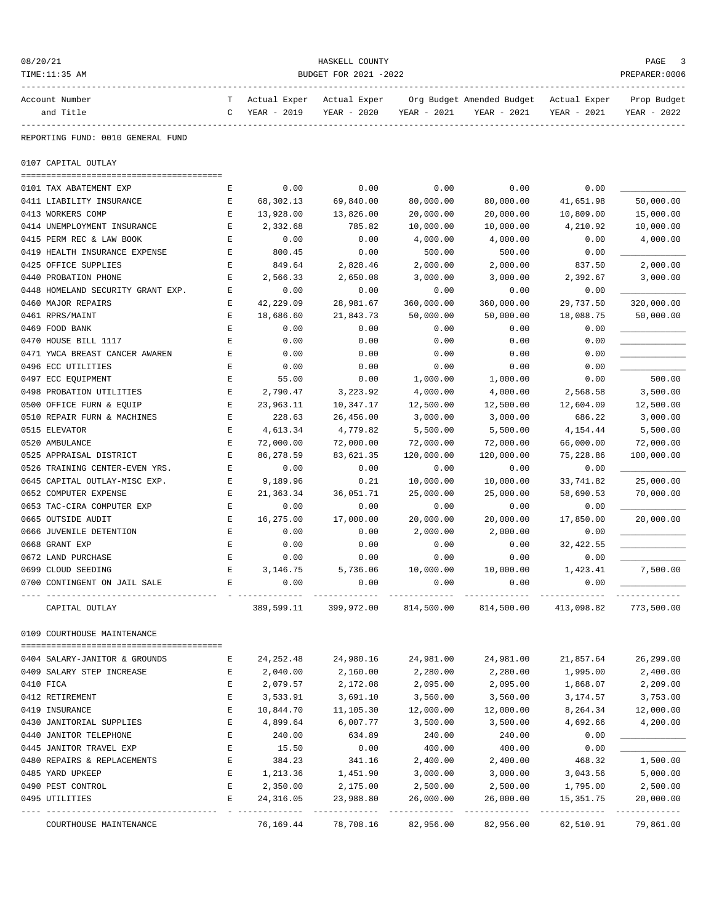| 08/20/21                                  |             |                        | HASKELL COUNTY         |                         |                           |                        | PAGE                    |
|-------------------------------------------|-------------|------------------------|------------------------|-------------------------|---------------------------|------------------------|-------------------------|
| TIME:11:35 AM                             |             |                        | BUDGET FOR 2021 -2022  |                         |                           |                        | PREPARER:0006           |
| Account Number                            | т           | Actual Exper           | Actual Exper           |                         | Org Budget Amended Budget | Actual Exper           | Prop Budget             |
| and Title                                 | C           | YEAR - 2019            | YEAR - 2020            | YEAR - 2021             | YEAR - 2021               | YEAR - 2021            | YEAR - 2022             |
| REPORTING FUND: 0010 GENERAL FUND         |             |                        |                        |                         |                           |                        |                         |
| 0107 CAPITAL OUTLAY                       |             |                        |                        |                         |                           |                        |                         |
| 0101 TAX ABATEMENT EXP                    | Е           | 0.00                   | 0.00                   | 0.00                    | 0.00                      | 0.00                   |                         |
| 0411 LIABILITY INSURANCE                  | Е           | 68,302.13              | 69,840.00              | 80,000.00               | 80,000.00                 | 41,651.98              | 50,000.00               |
| 0413 WORKERS COMP                         | Е           | 13,928.00              | 13,826.00              | 20,000.00               | 20,000.00                 | 10,809.00              | 15,000.00               |
| 0414 UNEMPLOYMENT INSURANCE               | Ε           | 2,332.68               | 785.82                 | 10,000.00               | 10,000.00                 | 4,210.92               | 10,000.00               |
| 0415 PERM REC & LAW BOOK                  | Е           | 0.00                   | 0.00                   | 4,000.00                | 4,000.00                  | 0.00                   | 4,000.00                |
| 0419 HEALTH INSURANCE EXPENSE             | Е           | 800.45                 | 0.00                   | 500.00                  | 500.00                    | 0.00                   |                         |
| 0425 OFFICE SUPPLIES                      | Е           | 849.64                 | 2,828.46               | 2,000.00                | 2,000.00                  | 837.50                 | 2,000.00                |
| 0440 PROBATION PHONE                      | Е           | 2,566.33               | 2,650.08               | 3,000.00                | 3,000.00                  | 2,392.67               | 3,000.00                |
| 0448 HOMELAND SECURITY GRANT EXP.         | Е           | 0.00                   | 0.00                   | 0.00                    | 0.00                      | 0.00                   |                         |
| 0460 MAJOR REPAIRS                        | Е           | 42,229.09              | 28,981.67              | 360,000.00              | 360,000.00                | 29,737.50              | 320,000.00              |
| 0461 RPRS/MAINT                           | Е           | 18,686.60              | 21,843.73              | 50,000.00               | 50,000.00                 | 18,088.75              | 50,000.00               |
| 0469 FOOD BANK                            | Ε           | 0.00                   | 0.00                   | 0.00                    | 0.00                      | 0.00                   |                         |
| 0470 HOUSE BILL 1117                      | $\mathbf E$ | 0.00                   | 0.00                   | 0.00                    | 0.00                      | 0.00                   |                         |
| 0471 YWCA BREAST CANCER AWAREN            | Ε           | 0.00                   | 0.00                   | 0.00                    | 0.00                      | 0.00                   |                         |
| 0496 ECC UTILITIES                        | Е           | 0.00                   | 0.00                   | 0.00                    | 0.00                      | 0.00                   |                         |
| 0497 ECC EQUIPMENT                        | Е           | 55.00                  | 0.00                   | 1,000.00                | 1,000.00                  | 0.00                   | 500.00                  |
| 0498 PROBATION UTILITIES                  | Е           | 2,790.47               | 3,223.92               | 4,000.00                | 4,000.00                  | 2,568.58               | 3,500.00                |
| 0500 OFFICE FURN & EQUIP                  | Е           | 23,963.11              | 10,347.17              | 12,500.00               | 12,500.00                 | 12,604.09              | 12,500.00               |
| 0510 REPAIR FURN & MACHINES               | Ε           | 228.63                 | 26,456.00              | 3,000.00                | 3,000.00                  | 686.22                 | 3,000.00                |
| 0515 ELEVATOR                             | Ε           | 4,613.34               | 4,779.82               | 5,500.00                | 5,500.00                  | 4,154.44               | 5,500.00                |
| 0520 AMBULANCE<br>0525 APPRAISAL DISTRICT | Ε<br>Е      | 72,000.00<br>86,278.59 | 72,000.00<br>83,621.35 | 72,000.00<br>120,000.00 | 72,000.00<br>120,000.00   | 66,000.00<br>75,228.86 | 72,000.00<br>100,000.00 |
| 0526 TRAINING CENTER-EVEN YRS.            | Е           | 0.00                   | 0.00                   | 0.00                    | 0.00                      | 0.00                   |                         |
| 0645 CAPITAL OUTLAY-MISC EXP.             | Ε           | 9,189.96               | 0.21                   | 10,000.00               | 10,000.00                 | 33,741.82              | 25,000.00               |
| 0652 COMPUTER EXPENSE                     | Е           | 21,363.34              | 36,051.71              | 25,000.00               | 25,000.00                 | 58,690.53              | 70,000.00               |
| 0653 TAC-CIRA COMPUTER EXP                | Е           | 0.00                   | 0.00                   | 0.00                    | 0.00                      | 0.00                   |                         |
| 0665 OUTSIDE AUDIT                        | Е           | 16,275.00              | 17,000.00              | 20,000.00               | 20,000.00                 | 17,850.00              | 20,000.00               |
| 0666 JUVENILE DETENTION                   | Е           | 0.00                   | 0.00                   | 2,000.00                | 2,000.00                  | 0.00                   |                         |
| 0668 GRANT EXP                            | Ε           | 0.00                   | 0.00                   | 0.00                    | 0.00                      | 32,422.55              |                         |
| 0672 LAND PURCHASE                        | Е           | 0.00                   | 0.00                   | 0.00                    | 0.00                      | 0.00                   |                         |
| 0699 CLOUD SEEDING                        | E           | 3,146.75               | 5,736.06               | 10,000.00               | 10,000.00                 | 1,423.41               | 7,500.00                |
| 0700 CONTINGENT ON JAIL SALE              | Е           | 0.00                   | 0.00                   | 0.00                    | 0.00                      | 0.00                   |                         |
| CAPITAL OUTLAY                            |             | 389,599.11             | 399,972.00             | 814,500.00              | 814,500.00                | 413,098.82             | 773,500.00              |
| 0109 COURTHOUSE MAINTENANCE               |             |                        |                        |                         |                           |                        |                         |
| 0404 SALARY-JANITOR & GROUNDS             | Е           | 24, 252.48             | 24,980.16              | 24,981.00               | 24,981.00                 | 21,857.64              | 26,299.00               |
| 0409 SALARY STEP INCREASE                 | E           | 2,040.00               | 2,160.00               | 2,280.00                | 2,280.00                  | 1,995.00               | 2,400.00                |
| 0410 FICA                                 | Е           | 2,079.57               | 2,172.08               | 2,095.00                | 2,095.00                  | 1,868.07               | 2,209.00                |
| 0412 RETIREMENT                           | Ε           | 3,533.91               | 3,691.10               | 3,560.00                | 3,560.00                  | 3,174.57               | 3,753.00                |
| 0419 INSURANCE                            | Ε           | 10,844.70              | 11,105.30              | 12,000.00               | 12,000.00                 | 8,264.34               | 12,000.00               |
| 0430 JANITORIAL SUPPLIES                  | Ε           | 4,899.64               | 6,007.77               | 3,500.00                | 3,500.00                  | 4,692.66               | 4,200.00                |
| 0440 JANITOR TELEPHONE                    | Е           | 240.00                 | 634.89                 | 240.00                  | 240.00                    | 0.00                   |                         |
| 0445 JANITOR TRAVEL EXP                   | Ε           | 15.50                  | 0.00                   | 400.00                  | 400.00                    | 0.00                   |                         |
| 0480 REPAIRS & REPLACEMENTS               | Ε           | 384.23                 | 341.16                 | 2,400.00                | 2,400.00                  | 468.32                 | 1,500.00                |
| 0485 YARD UPKEEP                          | Е           | 1,213.36               | 1,451.90               | 3,000.00                | 3,000.00                  | 3,043.56               | 5,000.00                |
| 0490 PEST CONTROL                         | Е           | 2,350.00               | 2,175.00               | 2,500.00                | 2,500.00                  | 1,795.00               | 2,500.00                |
| 0495 UTILITIES                            | Е           | 24, 316.05             | 23,988.80              | 26,000.00               | 26,000.00                 | 15,351.75              | 20,000.00               |
| COURTHOUSE MAINTENANCE                    |             | 76,169.44              | 78,708.16              | 82,956.00               | 82,956.00                 | 62,510.91              | 79,861.00               |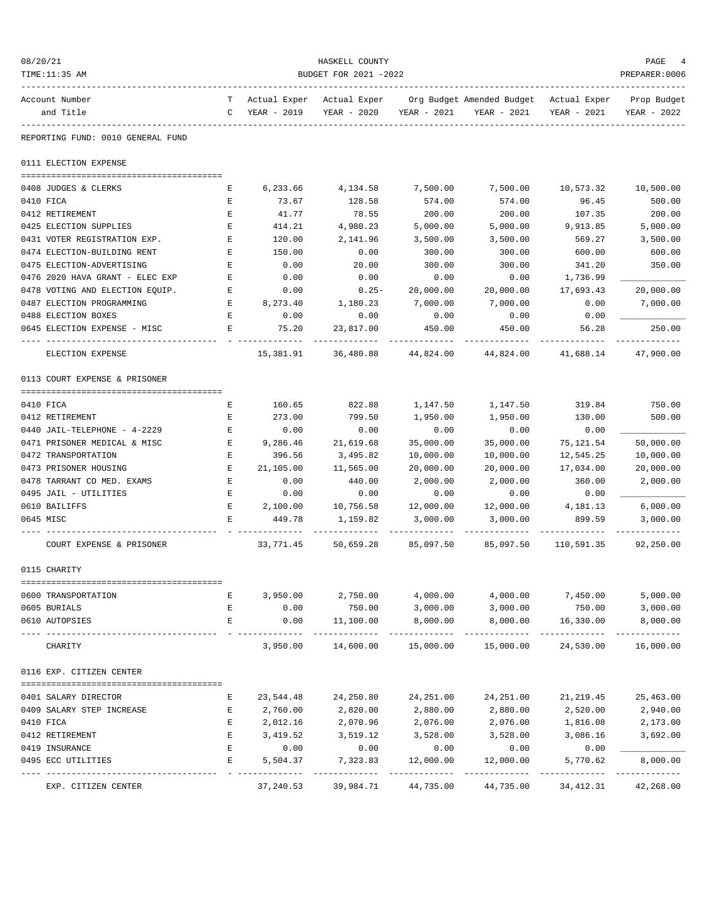| 08/20/21<br>TIME:11:35 AM                                    |              |                  | HASKELL COUNTY<br>BUDGET FOR 2021 -2022 |                   |                                                                                   |                          | PAGE<br>PREPARER:0006      |
|--------------------------------------------------------------|--------------|------------------|-----------------------------------------|-------------------|-----------------------------------------------------------------------------------|--------------------------|----------------------------|
| Account Number<br>and Title                                  | $\mathbb{C}$ | YEAR - 2019      | YEAR - 2020                             | YEAR - 2021       | T Actual Exper Actual Exper Org Budget Amended Budget Actual Exper<br>YEAR - 2021 | YEAR - 2021              | Prop Budget<br>YEAR - 2022 |
| REPORTING FUND: 0010 GENERAL FUND                            |              |                  |                                         |                   |                                                                                   |                          |                            |
| 0111 ELECTION EXPENSE                                        |              |                  |                                         |                   |                                                                                   |                          |                            |
|                                                              |              |                  |                                         |                   |                                                                                   |                          |                            |
| 0408 JUDGES & CLERKS<br>0410 FICA                            | Е            | 6,233.66         | 4,134.58                                | 7,500.00          | 7,500.00                                                                          | 10,573.32                | 10,500.00                  |
| 0412 RETIREMENT                                              | Е<br>Е       | 73.67<br>41.77   | 128.58<br>78.55                         | 574.00<br>200.00  | 574.00<br>200.00                                                                  | 96.45<br>107.35          | 500.00<br>200.00           |
| 0425 ELECTION SUPPLIES                                       | E            | 414.21           | 4,980.23                                | 5,000.00          | 5,000.00                                                                          | 9,913.85                 | 5,000.00                   |
| 0431 VOTER REGISTRATION EXP.                                 | E            | 120.00           | 2,141.96                                | 3,500.00          | 3,500.00                                                                          | 569.27                   | 3,500.00                   |
| 0474 ELECTION-BUILDING RENT                                  | Е            | 150.00           | 0.00                                    | 300.00            | 300.00                                                                            | 600.00                   | 600.00                     |
| 0475 ELECTION-ADVERTISING                                    | Ε            | 0.00             | 20.00                                   | 300.00            | 300.00                                                                            | 341.20                   | 350.00                     |
| 0476 2020 HAVA GRANT - ELEC EXP                              | Е            | 0.00             | 0.00                                    | 0.00              | 0.00                                                                              | 1,736.99                 |                            |
| 0478 VOTING AND ELECTION EQUIP.                              | Е            | 0.00             | $0.25 -$                                | 20,000.00         | 20,000.00                                                                         | 17,693.43                | 20,000.00                  |
| 0487 ELECTION PROGRAMMING                                    | Е            | 8,273.40         | 1,180.23                                | 7,000.00          | 7,000.00                                                                          | 0.00                     | 7,000.00                   |
| 0488 ELECTION BOXES                                          | Е            | 0.00             | 0.00                                    | 0.00              | 0.00                                                                              | 0.00                     |                            |
| 0645 ELECTION EXPENSE - MISC                                 | Е            | 75.20            | 23,817.00                               | 450.00            | 450.00                                                                            | 56.28                    | 250.00                     |
| ELECTION EXPENSE                                             |              | 15,381.91        | 36,480.88                               | 44,824.00         | 44,824.00                                                                         | 41,688.14                | 47,900.00                  |
| 0113 COURT EXPENSE & PRISONER                                |              |                  |                                         |                   |                                                                                   |                          |                            |
|                                                              |              |                  |                                         |                   |                                                                                   |                          |                            |
| 0410 FICA                                                    | Е            | 160.65           | 822.88                                  | 1,147.50          | 1,147.50                                                                          | 319.84                   | 750.00                     |
| 0412 RETIREMENT                                              | Е            | 273.00           | 799.50                                  | 1,950.00          | 1,950.00                                                                          | 130.00                   | 500.00                     |
| 0440 JAIL-TELEPHONE - 4-2229<br>0471 PRISONER MEDICAL & MISC | Е<br>Ε       | 0.00<br>9,286.46 | 0.00                                    | 0.00<br>35,000.00 | 0.00<br>35,000.00                                                                 | 0.00                     | 50,000.00                  |
| 0472 TRANSPORTATION                                          | Е            | 396.56           | 21,619.68<br>3,495.82                   | 10,000.00         | 10,000.00                                                                         | 75,121.54<br>12,545.25   | 10,000.00                  |
| 0473 PRISONER HOUSING                                        | Е            | 21,105.00        | 11,565.00                               | 20,000.00         | 20,000.00                                                                         | 17,034.00                | 20,000.00                  |
| 0478 TARRANT CO MED. EXAMS                                   | Е            | 0.00             | 440.00                                  | 2,000.00          | 2,000.00                                                                          | 360.00                   | 2,000.00                   |
| 0495 JAIL - UTILITIES                                        | Е            | 0.00             | 0.00                                    | 0.00              | 0.00                                                                              | 0.00                     |                            |
| 0610 BAILIFFS                                                | E            | 2,100.00         | 10,756.58                               | 12,000.00         | 12,000.00                                                                         | 4,181.13                 | 6,000.00                   |
| 0645 MISC                                                    | E            | 449.78           | 1,159.82                                | 3,000.00          | 3,000.00                                                                          | 899.59                   | 3,000.00                   |
| COURT EXPENSE & PRISONER                                     |              | 33,771.45        | 50,659.28                               | 85,097.50         | 85,097.50                                                                         | 110,591.35               | 92,250.00                  |
|                                                              |              |                  |                                         |                   |                                                                                   |                          |                            |
| 0115 CHARITY                                                 |              |                  |                                         |                   |                                                                                   |                          |                            |
| 0600 TRANSPORTATION                                          | Е            |                  | 3,950.00 2,750.00                       | 4,000.00          |                                                                                   | 4,000.00 7,450.00        | 5,000.00                   |
| 0605 BURIALS                                                 | Е            | 0.00             | 750.00                                  | 3,000.00          | 3,000.00                                                                          | 750.00                   | 3,000.00                   |
| 0610 AUTOPSIES                                               | Е            | 0.00             | 11,100.00                               | 8,000.00          | 8,000.00                                                                          | 16,330.00                | 8,000.00                   |
| CHARITY                                                      |              | 3,950.00         | 14,600.00                               | 15,000.00         | 15,000.00                                                                         | -----------<br>24,530.00 | 16,000.00                  |
| 0116 EXP. CITIZEN CENTER                                     |              |                  |                                         |                   |                                                                                   |                          |                            |
| 0401 SALARY DIRECTOR                                         | Е            | 23,544.48        | 24,250.80                               | 24,251.00         | 24,251.00                                                                         | 21,219.45                | 25,463.00                  |
| 0409 SALARY STEP INCREASE                                    | Е            | 2,760.00         | 2,820.00                                | 2,880.00          | 2,880.00                                                                          | 2,520.00                 | 2,940.00                   |
| 0410 FICA                                                    | E            | 2,012.16         | 2,070.96                                | 2,076.00          | 2,076.00                                                                          | 1,816.08                 | 2,173.00                   |
| 0412 RETIREMENT                                              | Е            | 3,419.52         | 3,519.12                                | 3,528.00          | 3,528.00                                                                          | 3,086.16                 | 3,692.00                   |
| 0419 INSURANCE                                               | Е            | 0.00             | 0.00                                    | 0.00              | 0.00                                                                              | 0.00                     |                            |
| 0495 ECC UTILITIES                                           | Е            | 5,504.37         | 7,323.83                                | 12,000.00         | 12,000.00                                                                         | 5,770.62                 | 8,000.00                   |
| EXP. CITIZEN CENTER                                          |              | 37,240.53        | 39,984.71                               | 44,735.00         | 44,735.00                                                                         | 34,412.31                | 42,268.00                  |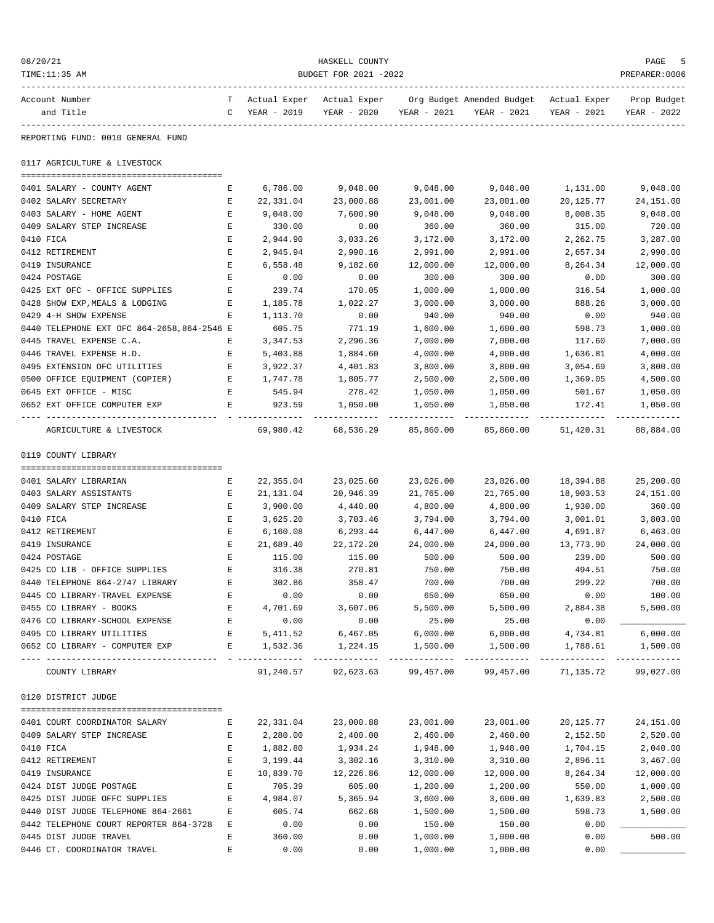| 08/20/21<br>TIME:11:35 AM                                | HASKELL COUNTY<br>BUDGET FOR 2021 -2022 |                    |                                         |                      |                                                                                                                         |                    |                            |  |
|----------------------------------------------------------|-----------------------------------------|--------------------|-----------------------------------------|----------------------|-------------------------------------------------------------------------------------------------------------------------|--------------------|----------------------------|--|
| Account Number<br>and Title                              |                                         |                    |                                         |                      | T Actual Exper Actual Exper Org Budget Amended Budget Actual Exper<br>C YEAR - 2019 YEAR - 2020 YEAR - 2021 YEAR - 2021 | YEAR - 2021        | Prop Budget<br>YEAR - 2022 |  |
| REPORTING FUND: 0010 GENERAL FUND                        |                                         |                    |                                         |                      |                                                                                                                         |                    |                            |  |
| 0117 AGRICULTURE & LIVESTOCK                             |                                         |                    |                                         |                      |                                                                                                                         |                    |                            |  |
| 0401 SALARY - COUNTY AGENT                               | Е                                       | 6,786.00           | 9,048.00                                | 9,048.00             | 9,048.00                                                                                                                | 1,131.00           | 9,048.00                   |  |
| 0402 SALARY SECRETARY                                    | E                                       | 22,331.04          | 23,000.88                               | 23,001.00            | 23,001.00                                                                                                               | 20,125.77          | 24,151.00                  |  |
| 0403 SALARY - HOME AGENT                                 | E                                       | 9,048.00           | 7,600.90                                | 9,048.00             | 9,048.00                                                                                                                | 8,008.35           | 9,048.00                   |  |
| 0409 SALARY STEP INCREASE                                | E                                       | 330.00             | 0.00                                    | 360.00               | 360.00                                                                                                                  | 315.00             | 720.00                     |  |
| 0410 FICA                                                | E                                       | 2,944.90           | 3,033.26                                | 3,172.00             | 3,172.00                                                                                                                | 2,262.75           | 3,287.00                   |  |
| 0412 RETIREMENT                                          | Е                                       | 2,945.94           | 2,990.16                                | 2,991.00             | 2,991.00                                                                                                                | 2,657.34           | 2,990.00                   |  |
| 0419 INSURANCE                                           | Е                                       | 6,558.48           | 9,182.60                                | 12,000.00            | 12,000.00                                                                                                               | 8,264.34           | 12,000.00                  |  |
| 0424 POSTAGE                                             | E                                       | 0.00               | 0.00                                    | 300.00               | 300.00                                                                                                                  | 0.00               | 300.00                     |  |
| 0425 EXT OFC - OFFICE SUPPLIES                           | E                                       | 239.74             | 170.05                                  | 1,000.00             | 1,000.00                                                                                                                | 316.54             | 1,000.00                   |  |
| 0428 SHOW EXP, MEALS & LODGING                           | Е                                       | 1,185.78           | 1,022.27                                | 3,000.00             | 3,000.00                                                                                                                | 888.26             | 3,000.00                   |  |
| 0429 4-H SHOW EXPENSE                                    | Е                                       | 1,113.70           | 0.00                                    | 940.00               | 940.00                                                                                                                  | 0.00               | 940.00                     |  |
| 0440 TELEPHONE EXT OFC 864-2658,864-2546 E               |                                         | 605.75             | 771.19                                  | 1,600.00             | 1,600.00                                                                                                                | 598.73             | 1,000.00                   |  |
| 0445 TRAVEL EXPENSE C.A.                                 | Е                                       | 3,347.53           | 2,296.36                                | 7,000.00             | 7,000.00                                                                                                                | 117.60             | 7,000.00                   |  |
| 0446 TRAVEL EXPENSE H.D.                                 | Е                                       | 5,403.88           | 1,884.60                                | 4,000.00             | 4,000.00                                                                                                                | 1,636.81           | 4,000.00                   |  |
| 0495 EXTENSION OFC UTILITIES                             | E                                       | 3,922.37           | 4,401.83                                | 3,800.00             | 3,800.00                                                                                                                | 3,054.69           | 3,800.00                   |  |
| 0500 OFFICE EQUIPMENT (COPIER)                           | E                                       | 1,747.78<br>545.94 | 1,805.77<br>278.42                      | 2,500.00             | 2,500.00                                                                                                                | 1,369.05           | 4,500.00                   |  |
| 0645 EXT OFFICE - MISC<br>0652 EXT OFFICE COMPUTER EXP   | E<br>$\mathbf{E}$                       | 923.59             | 1,050.00                                | 1,050.00<br>1,050.00 | 1,050.00<br>1,050.00                                                                                                    | 501.67<br>172.41   | 1,050.00<br>1,050.00       |  |
| ---------------------------------                        |                                         |                    | -------------                           | --------------       | ------------                                                                                                            |                    |                            |  |
| AGRICULTURE & LIVESTOCK                                  |                                         |                    | 69,980.42 68,536.29 85,860.00 85,860.00 |                      |                                                                                                                         | 51,420.31          | 88,884.00                  |  |
| 0119 COUNTY LIBRARY                                      |                                         |                    |                                         |                      |                                                                                                                         |                    |                            |  |
| 0401 SALARY LIBRARIAN                                    | Е                                       |                    | 22,355.04 23,025.60                     | 23,026.00            | 23,026.00                                                                                                               | 18,394.88          | 25,200.00                  |  |
| 0403 SALARY ASSISTANTS                                   | Е                                       | 21,131.04          | 20,946.39                               | 21,765.00            | 21,765.00                                                                                                               | 18,903.53          | 24,151.00                  |  |
| 0409 SALARY STEP INCREASE                                | E                                       | 3,900.00           | 4,440.00                                | 4,800.00             | 4,800.00                                                                                                                | 1,930.00           | 360.00                     |  |
| 0410 FICA                                                | E                                       | 3,625.20           | 3,703.46                                | 3,794.00             | 3,794.00                                                                                                                | 3,001.01           | 3,803.00                   |  |
| 0412 RETIREMENT                                          | E                                       | 6,160.08           | 6,293.44                                | 6,447.00             | 6,447.00                                                                                                                | 4,691.87           | 6,463.00                   |  |
| 0419 INSURANCE                                           | E                                       | 21,689.40          | 22,172.20                               | 24,000.00            | 24,000.00                                                                                                               | 13,773.90          | 24,000.00                  |  |
| 0424 POSTAGE                                             | E                                       | 115.00             | 115.00                                  | 500.00               | 500.00                                                                                                                  | 239.00             | 500.00                     |  |
| 0425 CO LIB - OFFICE SUPPLIES                            | Е                                       | 316.38             | 270.81                                  | 750.00               | 750.00                                                                                                                  | 494.51             | 750.00                     |  |
| 0440 TELEPHONE 864-2747 LIBRARY                          | Е                                       | 302.86             | 358.47                                  | 700.00               | 700.00                                                                                                                  | 299.22             | 700.00                     |  |
| 0445 CO LIBRARY-TRAVEL EXPENSE                           | Е                                       | 0.00               | 0.00                                    | 650.00               | 650.00                                                                                                                  | 0.00               | 100.00                     |  |
| 0455 CO LIBRARY - BOOKS                                  | Е                                       | 4,701.69           | 3,607.06                                | 5,500.00             | 5,500.00                                                                                                                | 2,884.38           | 5,500.00                   |  |
| 0476 CO LIBRARY-SCHOOL EXPENSE                           | Е                                       | 0.00               | 0.00                                    | 25.00                | 25.00                                                                                                                   | 0.00               |                            |  |
| 0495 CO LIBRARY UTILITIES                                | Е                                       | 5,411.52           | 6,467.05                                | 6,000.00             | 6,000.00                                                                                                                | 4,734.81           | 6,000.00                   |  |
| 0652 CO LIBRARY - COMPUTER EXP                           | E                                       | 1,532.36           | 1,224.15<br>--------------              | 1,500.00             | 1,500.00                                                                                                                | 1,788.61<br>.      | 1,500.00                   |  |
| COUNTY LIBRARY                                           |                                         | 91,240.57          | 92,623.63                               | 99,457.00            | 99,457.00                                                                                                               | 71,135.72          | 99,027.00                  |  |
| 0120 DISTRICT JUDGE                                      |                                         |                    |                                         |                      |                                                                                                                         |                    |                            |  |
|                                                          |                                         |                    |                                         |                      |                                                                                                                         |                    |                            |  |
| 0401 COURT COORDINATOR SALARY                            | Е                                       | 22,331.04          | 23,000.88                               | 23,001.00            | 23,001.00                                                                                                               | 20,125.77          | 24,151.00                  |  |
| 0409 SALARY STEP INCREASE                                | E                                       | 2,280.00           | 2,400.00                                | 2,460.00             | 2,460.00                                                                                                                | 2,152.50           | 2,520.00                   |  |
| 0410 FICA                                                | Е                                       | 1,882.80           | 1,934.24                                | 1,948.00             | 1,948.00                                                                                                                | 1,704.15           | 2,040.00                   |  |
| 0412 RETIREMENT                                          | Е                                       | 3,199.44           | 3,302.16                                | 3,310.00             | 3,310.00                                                                                                                | 2,896.11           | 3,467.00                   |  |
| 0419 INSURANCE                                           | Е<br>E                                  | 10,839.70          | 12,226.86                               | 12,000.00            | 12,000.00                                                                                                               | 8,264.34           | 12,000.00                  |  |
| 0424 DIST JUDGE POSTAGE<br>0425 DIST JUDGE OFFC SUPPLIES | E                                       | 705.39<br>4,984.07 | 605.00<br>5,365.94                      | 1,200.00<br>3,600.00 | 1,200.00                                                                                                                | 550.00<br>1,639.83 | 1,000.00                   |  |
| 0440 DIST JUDGE TELEPHONE 864-2661                       | Е                                       | 605.74             | 662.68                                  | 1,500.00             | 3,600.00<br>1,500.00                                                                                                    | 598.73             | 2,500.00<br>1,500.00       |  |
| 0442 TELEPHONE COURT REPORTER 864-3728 E                 |                                         | 0.00               | 0.00                                    | 150.00               | 150.00                                                                                                                  | 0.00               |                            |  |
| 0445 DIST JUDGE TRAVEL                                   | Е                                       | 360.00             | 0.00                                    | 1,000.00             | 1,000.00                                                                                                                | 0.00               | 500.00                     |  |
| 0446 CT. COORDINATOR TRAVEL                              | E                                       | 0.00               | 0.00                                    | 1,000.00             | 1,000.00                                                                                                                | 0.00               |                            |  |
|                                                          |                                         |                    |                                         |                      |                                                                                                                         |                    |                            |  |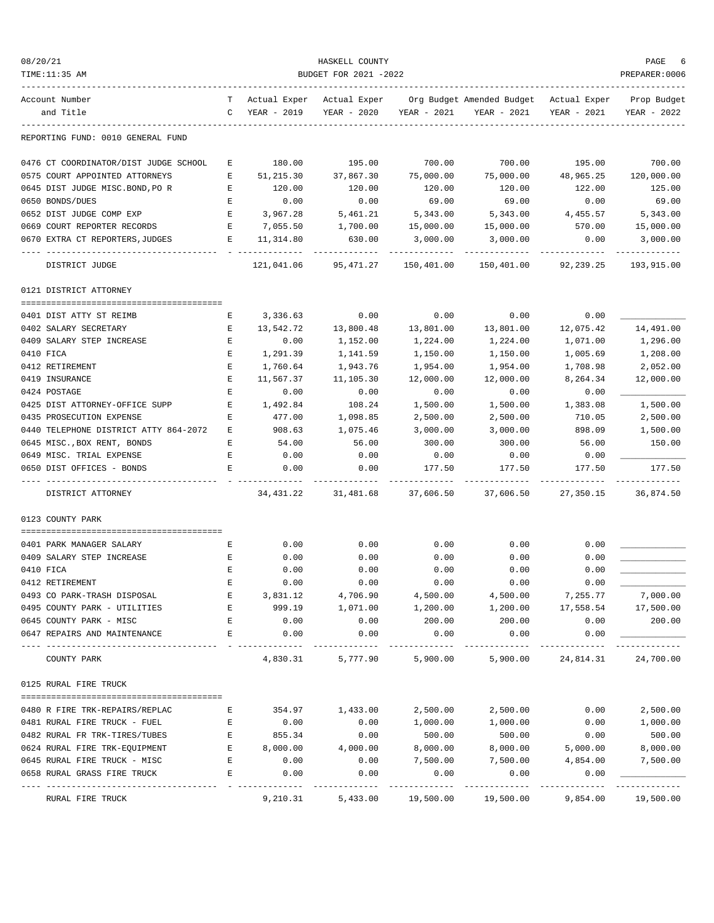| 08/20/21                              |                                                                                                |             | HASKELL COUNTY        |             |                                                                                |             | PAGE                    |
|---------------------------------------|------------------------------------------------------------------------------------------------|-------------|-----------------------|-------------|--------------------------------------------------------------------------------|-------------|-------------------------|
| TIME:11:35 AM                         |                                                                                                |             | BUDGET FOR 2021 -2022 |             |                                                                                |             | PREPARER:0006           |
| Account Number                        |                                                                                                |             |                       |             | T Actual Exper Actual Exper Org Budget Amended Budget Actual Exper Prop Budget |             |                         |
| and Title                             | $\mathbb{C}$                                                                                   | YEAR - 2019 | YEAR - 2020           | YEAR - 2021 | YEAR - 2021                                                                    | YEAR - 2021 | YEAR - 2022             |
| REPORTING FUND: 0010 GENERAL FUND     |                                                                                                |             |                       |             |                                                                                |             |                         |
| 0476 CT COORDINATOR/DIST JUDGE SCHOOL | E                                                                                              | 180.00      | 195.00                | 700.00      | 700.00                                                                         | 195.00      | 700.00                  |
| 0575 COURT APPOINTED ATTORNEYS        | E                                                                                              | 51,215.30   | 37,867.30             | 75,000.00   | 75,000.00                                                                      | 48,965.25   | 120,000.00              |
| 0645 DIST JUDGE MISC.BOND, PO R       | E                                                                                              | 120.00      | 120.00                | 120.00      | 120.00                                                                         | 122.00      | 125.00                  |
| 0650 BONDS/DUES                       | Е                                                                                              | 0.00        | 0.00                  | 69.00       | 69.00                                                                          | 0.00        | 69.00                   |
| 0652 DIST JUDGE COMP EXP              | E                                                                                              | 3,967.28    | 5,461.21              | 5,343.00    | 5,343.00                                                                       | 4,455.57    | 5,343.00                |
| 0669 COURT REPORTER RECORDS           | E                                                                                              | 7,055.50    | 1,700.00              | 15,000.00   | 15,000.00                                                                      | 570.00      | 15,000.00               |
| 0670 EXTRA CT REPORTERS, JUDGES       | E                                                                                              | 11,314.80   | 630.00                | 3,000.00    | 3,000.00                                                                       | 0.00        | 3,000.00                |
| DISTRICT JUDGE                        |                                                                                                |             | 121,041.06 95,471.27  |             | 150,401.00  150,401.00  92,239.25                                              |             | 193,915.00              |
| 0121 DISTRICT ATTORNEY                |                                                                                                |             |                       |             |                                                                                |             |                         |
| 0401 DIST ATTY ST REIMB               | Е                                                                                              | 3,336.63    | 0.00                  | 0.00        | 0.00                                                                           | 0.00        |                         |
| 0402 SALARY SECRETARY                 | Е                                                                                              | 13,542.72   | 13,800.48             | 13,801.00   | 13,801.00                                                                      | 12,075.42   | 14,491.00               |
| 0409 SALARY STEP INCREASE             | Е                                                                                              | 0.00        | 1,152.00              | 1,224.00    | 1,224.00                                                                       | 1,071.00    | 1,296.00                |
| 0410 FICA                             | Е                                                                                              | 1,291.39    | 1,141.59              | 1,150.00    | 1,150.00                                                                       | 1,005.69    | 1,208.00                |
| 0412 RETIREMENT                       | $\mathbf E$                                                                                    | 1,760.64    | 1,943.76              | 1,954.00    | 1,954.00                                                                       | 1,708.98    | 2,052.00                |
| 0419 INSURANCE                        | $\mathbf{E}% _{t}\left  \mathbf{1}\right\rangle =\mathbf{1}_{t}\left  \mathbf{1}\right\rangle$ | 11,567.37   | 11,105.30             | 12,000.00   | 12,000.00                                                                      | 8,264.34    | 12,000.00               |
| 0424 POSTAGE                          | Е                                                                                              | 0.00        | 0.00                  | 0.00        | 0.00                                                                           | 0.00        |                         |
| 0425 DIST ATTORNEY-OFFICE SUPP        | E                                                                                              | 1,492.84    | 108.24                | 1,500.00    | 1,500.00                                                                       | 1,383.08    | 1,500.00                |
| 0435 PROSECUTION EXPENSE              | Е                                                                                              | 477.00      | 1,098.85              | 2,500.00    | 2,500.00                                                                       | 710.05      | 2,500.00                |
| 0440 TELEPHONE DISTRICT ATTY 864-2072 | Е                                                                                              | 908.63      | 1,075.46              | 3,000.00    | 3,000.00                                                                       | 898.09      | 1,500.00                |
| 0645 MISC., BOX RENT, BONDS           | Е                                                                                              | 54.00       | 56.00                 | 300.00      | 300.00                                                                         | 56.00       | 150.00                  |
| 0649 MISC. TRIAL EXPENSE              | Е                                                                                              | 0.00        | 0.00                  | 0.00        | 0.00                                                                           | 0.00        |                         |
| 0650 DIST OFFICES - BONDS             | Е                                                                                              | 0.00        | 0.00                  | 177.50      | 177.50                                                                         | 177.50      | 177.50<br>------------- |
| DISTRICT ATTORNEY                     |                                                                                                | 34,431.22   | 31,481.68             | 37,606.50   | 37,606.50                                                                      | 27,350.15   | 36,874.50               |
| 0123 COUNTY PARK                      |                                                                                                |             |                       |             |                                                                                |             |                         |
| 0401 PARK MANAGER SALARY              | E                                                                                              | 0.00        | 0.00                  | 0.00        | 0.00                                                                           | 0.00        |                         |
| 0409 SALARY STEP INCREASE             | Е                                                                                              | 0.00        | 0.00                  | 0.00        | 0.00                                                                           | 0.00        |                         |
| 0410 FICA                             | E                                                                                              | 0.00        | 0.00                  | 0.00        | 0.00                                                                           | 0.00        |                         |
| 0412 RETIREMENT                       | Ε                                                                                              | 0.00        | 0.00                  | 0.00        | 0.00                                                                           | 0.00        |                         |
| 0493 CO PARK-TRASH DISPOSAL           | Ε                                                                                              | 3,831.12    | 4,706.90              | 4,500.00    | 4,500.00                                                                       | 7,255.77    | 7,000.00                |
| 0495 COUNTY PARK - UTILITIES          | Ε                                                                                              | 999.19      | 1,071.00              | 1,200.00    | 1,200.00                                                                       | 17,558.54   | 17,500.00               |
| 0645 COUNTY PARK - MISC               | Ε                                                                                              | 0.00        | 0.00                  | 200.00      | 200.00                                                                         | 0.00        | 200.00                  |
| 0647 REPAIRS AND MAINTENANCE          | E                                                                                              | 0.00        | 0.00                  | 0.00        | 0.00                                                                           | 0.00        |                         |
| COUNTY PARK                           |                                                                                                | 4,830.31    | 5,777.90              | 5,900.00    | 5,900.00                                                                       | 24,814.31   | 24,700.00               |
| 0125 RURAL FIRE TRUCK                 |                                                                                                |             |                       |             |                                                                                |             |                         |
| 0480 R FIRE TRK-REPAIRS/REPLAC        | Е                                                                                              | 354.97      | 1,433.00              | 2,500.00    | 2,500.00                                                                       | 0.00        | 2,500.00                |
| 0481 RURAL FIRE TRUCK - FUEL          | Е                                                                                              | 0.00        | 0.00                  | 1,000.00    | 1,000.00                                                                       | 0.00        | 1,000.00                |
| 0482 RURAL FR TRK-TIRES/TUBES         | Ε                                                                                              | 855.34      | 0.00                  | 500.00      | 500.00                                                                         | 0.00        | 500.00                  |
| 0624 RURAL FIRE TRK-EQUIPMENT         | Е                                                                                              | 8,000.00    | 4,000.00              | 8,000.00    | 8,000.00                                                                       | 5,000.00    | 8,000.00                |
| 0645 RURAL FIRE TRUCK - MISC          | Е                                                                                              | 0.00        | 0.00                  | 7,500.00    | 7,500.00                                                                       | 4,854.00    | 7,500.00                |
| 0658 RURAL GRASS FIRE TRUCK           | E                                                                                              | 0.00        | 0.00                  | 0.00        | 0.00                                                                           | 0.00        | --------                |
| RURAL FIRE TRUCK                      |                                                                                                | 9,210.31    | 5,433.00              | 19,500.00   | 19,500.00                                                                      | 9,854.00    | 19,500.00               |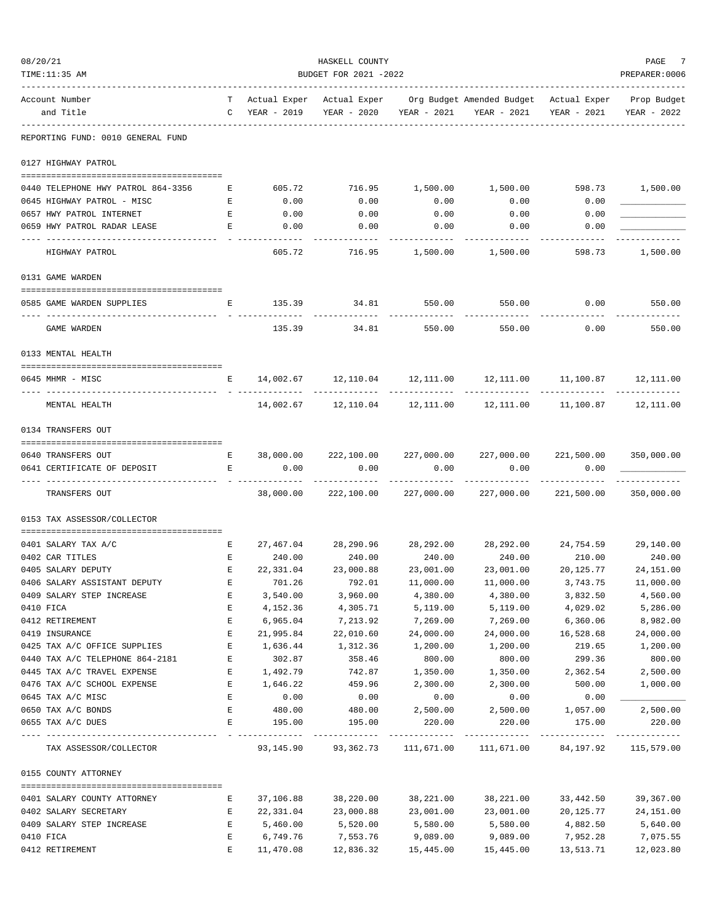| 08/20/21 |                                    |                    |                 | HASKELL COUNTY                           |               |                                                                                               |                            | PAGE<br>7      |
|----------|------------------------------------|--------------------|-----------------|------------------------------------------|---------------|-----------------------------------------------------------------------------------------------|----------------------------|----------------|
|          | TIME:11:35 AM                      |                    |                 | BUDGET FOR 2021 -2022                    |               |                                                                                               |                            | PREPARER: 0006 |
|          | Account Number<br>and Title        | $\mathbb{C}$       | YEAR - 2019     | YEAR - 2020                              | YEAR - 2021   | T Actual Exper Actual Exper Org Budget Amended Budget Actual Exper Prop Budget<br>YEAR - 2021 | YEAR - 2021                | YEAR - 2022    |
|          | REPORTING FUND: 0010 GENERAL FUND  |                    |                 |                                          |               |                                                                                               |                            |                |
|          | 0127 HIGHWAY PATROL                |                    |                 |                                          |               |                                                                                               |                            |                |
|          | 0440 TELEPHONE HWY PATROL 864-3356 | Е                  | 605.72          | 716.95                                   | 1,500.00      | 1,500.00                                                                                      | 598.73 1,500.00            |                |
|          | 0645 HIGHWAY PATROL - MISC         | Е                  | 0.00            | 0.00                                     | 0.00          | 0.00                                                                                          | 0.00                       |                |
|          | 0657 HWY PATROL INTERNET           | $\mathbf{E}% _{0}$ | 0.00            | 0.00                                     | 0.00          | 0.00                                                                                          | 0.00                       |                |
|          | 0659 HWY PATROL RADAR LEASE        | E                  | 0.00            | 0.00                                     | 0.00          | 0.00                                                                                          | 0.00                       |                |
|          | HIGHWAY PATROL                     |                    | 605.72          | 716.95                                   | 1,500.00      | 1,500.00                                                                                      | 598.73                     | 1,500.00       |
|          | 0131 GAME WARDEN                   |                    |                 |                                          |               |                                                                                               |                            |                |
|          |                                    |                    |                 |                                          |               |                                                                                               |                            |                |
|          | 0585 GAME WARDEN SUPPLIES          | Е                  | 135.39          | 34.81                                    | 550.00        | 550.00                                                                                        | 0.00                       | 550.00         |
|          | GAME WARDEN                        |                    | 135.39          | 34.81                                    | 550.00        | 550.00                                                                                        | 0.00                       | 550.00         |
|          | 0133 MENTAL HEALTH                 |                    |                 |                                          |               |                                                                                               |                            |                |
|          | 0645 MHMR - MISC                   | E                  |                 |                                          |               | $14,002.67$ $12,110.04$ $12,111.00$ $12,111.00$ $11,100.87$ $12,111.00$                       |                            |                |
|          | MENTAL HEALTH                      |                    |                 |                                          |               | $14,002.67$ $12,110.04$ $12,111.00$ $12,111.00$ $11,100.87$ $12,111.00$                       |                            |                |
|          | 0134 TRANSFERS OUT                 |                    |                 |                                          |               |                                                                                               |                            |                |
|          | 0640 TRANSFERS OUT                 | E                  | 38,000.00       |                                          |               | 222,100.00  227,000.00  227,000.00  221,500.00                                                |                            | 350,000.00     |
|          | 0641 CERTIFICATE OF DEPOSIT        | E                  | 0.00            | 0.00                                     | 0.00          | 0.00                                                                                          | 0.00                       |                |
|          | TRANSFERS OUT                      |                    | .<br>38,000.00  | ------------<br>222,100.00 227,000.00    | ------------- | ------------<br>227,000.00                                                                    | -----------<br>221,500.00  | 350,000.00     |
|          | 0153 TAX ASSESSOR/COLLECTOR        |                    |                 |                                          |               |                                                                                               |                            |                |
|          | 0401 SALARY TAX A/C                | E                  |                 |                                          |               | $27,467.04$ $28,290.96$ $28,292.00$ $28,292.00$ $24,754.59$ $29,140.00$                       |                            |                |
|          | 0402 CAR TITLES                    | $\mathbf{E}$       | 240.00          | 240.00                                   | 240.00        | 240.00                                                                                        | 210.00                     | 240.00         |
|          | 0405 SALARY DEPUTY                 | $\mathbf{E}$       | 22,331.04       | 23,000.88                                | 23,001.00     | 23,001.00                                                                                     | 20,125.77                  | 24, 151.00     |
|          | 0406 SALARY ASSISTANT DEPUTY       | Е                  | 701.26          | 792.01                                   | 11,000.00     | 11,000.00                                                                                     | 3,743.75                   | 11,000.00      |
|          | 0409 SALARY STEP INCREASE          | E                  | 3,540.00        | 3,960.00                                 | 4,380.00      | 4,380.00                                                                                      | 3,832.50                   | 4,560.00       |
|          | 0410 FICA                          | Ε                  | 4,152.36        | 4,305.71                                 | 5,119.00      | 5,119.00                                                                                      | 4,029.02                   | 5,286.00       |
|          | 0412 RETIREMENT                    | E                  | 6,965.04        | 7,213.92                                 | 7,269.00      | 7,269.00                                                                                      | 6,360.06                   | 8,982.00       |
|          | 0419 INSURANCE                     | E                  | 21,995.84       | 22,010.60                                | 24,000.00     | 24,000.00                                                                                     | 16,528.68                  | 24,000.00      |
|          | 0425 TAX A/C OFFICE SUPPLIES       | E                  | 1,636.44        | 1,312.36                                 | 1,200.00      | 1,200.00                                                                                      | 219.65                     | 1,200.00       |
|          | 0440 TAX A/C TELEPHONE 864-2181    | Е                  | 302.87          | 358.46                                   | 800.00        | 800.00                                                                                        | 299.36                     | 800.00         |
|          | 0445 TAX A/C TRAVEL EXPENSE        | Е                  | 1,492.79        | 742.87                                   | 1,350.00      | 1,350.00                                                                                      | 2,362.54                   | 2,500.00       |
|          | 0476 TAX A/C SCHOOL EXPENSE        | Е                  | 1,646.22        | 459.96                                   | 2,300.00      | 2,300.00                                                                                      | 500.00                     | 1,000.00       |
|          | 0645 TAX A/C MISC                  | E                  | 0.00            | 0.00                                     | 0.00          | 0.00                                                                                          | 0.00                       |                |
|          | 0650 TAX A/C BONDS                 | Ε                  | 480.00          | 480.00                                   | 2,500.00      | 2,500.00                                                                                      | 1,057.00                   | 2,500.00       |
|          | 0655 TAX A/C DUES                  | $\mathbf E$        | 195.00          | 195.00                                   | 220.00        | 220.00                                                                                        | 175.00                     | 220.00         |
|          | TAX ASSESSOR/COLLECTOR             |                    | - ------------- | -------------<br>93, 145. 90 93, 362. 73 | 111,671.00    | -------------<br>111,671.00                                                                   | -------------<br>84,197.92 | 115,579.00     |
|          | 0155 COUNTY ATTORNEY               |                    |                 |                                          |               |                                                                                               |                            |                |
|          | 0401 SALARY COUNTY ATTORNEY        | Е                  | 37,106.88       | 38,220.00                                | 38,221.00     | 38,221.00                                                                                     | 33,442.50                  | 39,367.00      |
|          | 0402 SALARY SECRETARY              | Е                  | 22,331.04       | 23,000.88                                | 23,001.00     | 23,001.00                                                                                     | 20,125.77                  | 24,151.00      |
|          | 0409 SALARY STEP INCREASE          | Е                  | 5,460.00        | 5,520.00                                 | 5,580.00      | 5,580.00                                                                                      | 4,882.50                   | 5,640.00       |
|          | 0410 FICA                          | E                  | 6,749.76        | 7,553.76                                 | 9,089.00      | 9,089.00                                                                                      | 7,952.28                   | 7,075.55       |
|          | 0412 RETIREMENT                    | E                  | 11,470.08       | 12,836.32                                | 15,445.00     | 15,445.00                                                                                     | 13,513.71                  | 12,023.80      |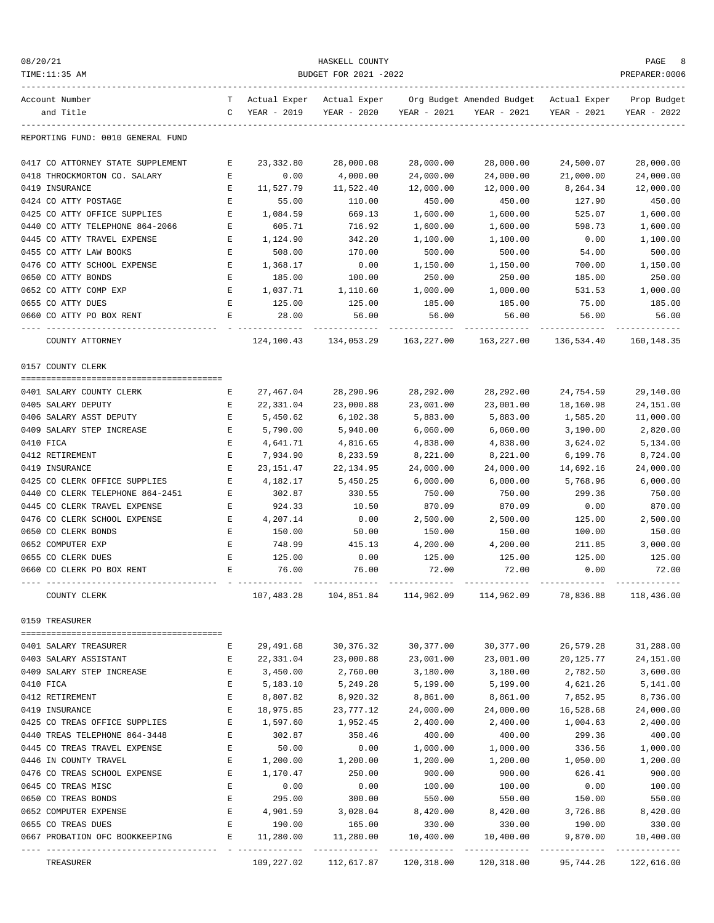| 08/20/21                                             |              |                     | HASKELL COUNTY                                 |                     |                                                                                   |                    | PAGE                       |
|------------------------------------------------------|--------------|---------------------|------------------------------------------------|---------------------|-----------------------------------------------------------------------------------|--------------------|----------------------------|
| TIME:11:35 AM                                        |              |                     | BUDGET FOR 2021 -2022                          |                     |                                                                                   |                    | PREPARER: 0006             |
| Account Number<br>and Title                          | $\mathsf{C}$ | YEAR - 2019         | YEAR - 2020                                    | YEAR - 2021         | T Actual Exper Actual Exper Org Budget Amended Budget Actual Exper<br>YEAR - 2021 | YEAR - 2021        | Prop Budget<br>YEAR - 2022 |
| REPORTING FUND: 0010 GENERAL FUND                    |              |                     |                                                |                     |                                                                                   |                    |                            |
| 0417 CO ATTORNEY STATE SUPPLEMENT                    | Е            | 23,332.80           | 28,000.08                                      | 28,000.00           | 28,000.00                                                                         | 24,500.07          | 28,000.00                  |
| 0418 THROCKMORTON CO. SALARY                         | Е            | 0.00                | 4,000.00                                       | 24,000.00           | 24,000.00                                                                         | 21,000.00          | 24,000.00                  |
| 0419 INSURANCE                                       | E            | 11,527.79           | 11,522.40                                      | 12,000.00           | 12,000.00                                                                         | 8,264.34           | 12,000.00                  |
| 0424 CO ATTY POSTAGE                                 | Е            | 55.00               | 110.00                                         | 450.00              | 450.00                                                                            | 127.90             | 450.00                     |
| 0425 CO ATTY OFFICE SUPPLIES                         | Е            | 1,084.59            | 669.13                                         | 1,600.00            | 1,600.00                                                                          | 525.07             | 1,600.00                   |
| 0440 CO ATTY TELEPHONE 864-2066                      | E            | 605.71              | 716.92                                         | 1,600.00            | 1,600.00                                                                          | 598.73             | 1,600.00                   |
| 0445 CO ATTY TRAVEL EXPENSE                          | E            | 1,124.90            | 342.20                                         | 1,100.00            | 1,100.00                                                                          | 0.00               | 1,100.00                   |
| 0455 CO ATTY LAW BOOKS                               | E            | 508.00              | 170.00                                         | 500.00              | 500.00                                                                            | 54.00              | 500.00                     |
| 0476 CO ATTY SCHOOL EXPENSE                          | Е            | 1,368.17            | 0.00                                           | 1,150.00            | 1,150.00                                                                          | 700.00             | 1,150.00                   |
| 0650 CO ATTY BONDS                                   | E            | 185.00              | 100.00                                         | 250.00              | 250.00                                                                            | 185.00             | 250.00                     |
| 0652 CO ATTY COMP EXP                                | E            | 1,037.71            | 1,110.60                                       | 1,000.00            | 1,000.00                                                                          | 531.53             | 1,000.00                   |
| 0655 CO ATTY DUES                                    | E            | 125.00              | 125.00                                         | 185.00              | 185.00                                                                            | 75.00              | 185.00                     |
| 0660 CO ATTY PO BOX RENT                             | Е            | 28.00               | 56.00                                          | 56.00               | 56.00                                                                             | 56.00              | 56.00                      |
| COUNTY ATTORNEY                                      |              |                     | 124, 100. 43 134, 053. 29                      | 163,227.00          | 163,227.00                                                                        | 136,534.40         | 160,148.35                 |
| 0157 COUNTY CLERK                                    |              |                     |                                                |                     |                                                                                   |                    |                            |
| 0401 SALARY COUNTY CLERK                             | Е            | 27,467.04           | 28,290.96                                      | 28,292.00           | 28,292.00                                                                         | 24,754.59          | 29,140.00                  |
| 0405 SALARY DEPUTY                                   | Е            | 22,331.04           | 23,000.88                                      | 23,001.00           | 23,001.00                                                                         | 18,160.98          | 24,151.00                  |
| 0406 SALARY ASST DEPUTY                              | E            | 5,450.62            | 6,102.38                                       | 5,883.00            | 5,883.00                                                                          | 1,585.20           | 11,000.00                  |
| 0409 SALARY STEP INCREASE                            | Е            | 5,790.00            | 5,940.00                                       | 6,060.00            | 6,060.00                                                                          | 3,190.00           | 2,820.00                   |
| 0410 FICA                                            | E            | 4,641.71            | 4,816.65                                       | 4,838.00            | 4,838.00                                                                          | 3,624.02           | 5,134.00                   |
| 0412 RETIREMENT                                      | Ε            | 7,934.90            | 8,233.59                                       | 8,221.00            | 8,221.00                                                                          | 6,199.76           | 8,724.00                   |
| 0419 INSURANCE                                       | E            | 23,151.47           | 22,134.95                                      | 24,000.00           | 24,000.00                                                                         | 14,692.16          | 24,000.00                  |
| 0425 CO CLERK OFFICE SUPPLIES                        | Е            | 4,182.17            | 5,450.25                                       | 6,000.00            | 6,000.00                                                                          | 5,768.96           | 6,000.00                   |
| 0440 CO CLERK TELEPHONE 864-2451                     | Е            | 302.87              | 330.55                                         | 750.00              | 750.00                                                                            | 299.36             | 750.00                     |
| 0445 CO CLERK TRAVEL EXPENSE                         | Е            | 924.33              | 10.50                                          | 870.09              | 870.09                                                                            | 0.00               | 870.00                     |
| 0476 CO CLERK SCHOOL EXPENSE                         | E            | 4,207.14            | 0.00                                           | 2,500.00            | 2,500.00                                                                          | 125.00             | 2,500.00                   |
| 0650 CO CLERK BONDS                                  | E            | 150.00              | 50.00                                          | 150.00              | 150.00                                                                            | 100.00             | 150.00                     |
| 0652 COMPUTER EXP                                    | Е            | 748.99              | 415.13                                         | 4,200.00            | 4,200.00                                                                          | 211.85             | 3,000.00                   |
| 0655 CO CLERK DUES                                   | E            | 125.00              | 0.00                                           | 125.00              | 125.00                                                                            | 125.00             | 125.00                     |
| 0660 CO CLERK PO BOX RENT                            | E            | 76.00               | 76.00                                          | 72.00               | 72.00                                                                             | 0.00               | 72.00                      |
| COUNTY CLERK                                         |              |                     |                                                |                     | 107,483.28 104,851.84 114,962.09 114,962.09 78,836.88 118,436.00                  |                    |                            |
| 0159 TREASURER                                       |              |                     |                                                |                     |                                                                                   |                    |                            |
| 0401 SALARY TREASURER                                | Е            | 29,491.68           | 30,376.32                                      | 30,377.00           | 30,377.00                                                                         | 26,579.28          | 31,288.00                  |
| 0403 SALARY ASSISTANT                                | E            | 22,331.04           | 23,000.88                                      | 23,001.00           | 23,001.00                                                                         | 20,125.77          | 24,151.00                  |
| 0409 SALARY STEP INCREASE                            | Е            | 3,450.00            | 2,760.00                                       | 3,180.00            | 3,180.00                                                                          | 2,782.50           | 3,600.00                   |
| 0410 FICA                                            | Е            | 5,183.10            | 5,249.28                                       | 5,199.00            | 5,199.00                                                                          | 4,621.26           | 5,141.00                   |
| 0412 RETIREMENT                                      | E            | 8,807.82            | 8,920.32                                       | 8,861.00            | 8,861.00                                                                          | 7,852.95           | 8,736.00                   |
| 0419 INSURANCE                                       | $\mathbf E$  | 18,975.85           | 23,777.12                                      | 24,000.00           | 24,000.00                                                                         | 16,528.68          | 24,000.00                  |
| 0425 CO TREAS OFFICE SUPPLIES                        | $\mathbf E$  | 1,597.60            | 1,952.45                                       | 2,400.00            | 2,400.00                                                                          | 1,004.63           | 2,400.00                   |
| 0440 TREAS TELEPHONE 864-3448                        | $\mathbf E$  | 302.87              | 358.46                                         | 400.00              | 400.00                                                                            | 299.36             | 400.00                     |
| 0445 CO TREAS TRAVEL EXPENSE                         | E            | 50.00               | 0.00                                           | 1,000.00            | 1,000.00                                                                          | 336.56             | 1,000.00                   |
| 0446 IN COUNTY TRAVEL                                | Е            | 1,200.00            | 1,200.00                                       | 1,200.00            | 1,200.00                                                                          | 1,050.00           | 1,200.00                   |
| 0476 CO TREAS SCHOOL EXPENSE                         | Е            | 1,170.47            | 250.00                                         | 900.00              | 900.00                                                                            | 626.41             | 900.00                     |
| 0645 CO TREAS MISC                                   | E            | 0.00                | 0.00                                           | 100.00              | 100.00                                                                            | 0.00               | 100.00                     |
| 0650 CO TREAS BONDS                                  | E            | 295.00              | 300.00                                         | 550.00              | 550.00                                                                            | 150.00             | 550.00                     |
| 0652 COMPUTER EXPENSE                                | E            | 4,901.59            | 3,028.04                                       | 8,420.00            | 8,420.00                                                                          | 3,726.86           | 8,420.00                   |
| 0655 CO TREAS DUES<br>0667 PROBATION OFC BOOKKEEPING | Е<br>Е       | 190.00<br>11,280.00 | 165.00<br>11,280.00                            | 330.00<br>10,400.00 | 330.00<br>10,400.00                                                               | 190.00<br>9,870.00 | 330.00<br>10,400.00        |
|                                                      |              |                     |                                                |                     |                                                                                   |                    |                            |
| TREASURER                                            |              |                     | 109,227.02  112,617.87  120,318.00  120,318.00 |                     |                                                                                   | 95,744.26          | 122,616.00                 |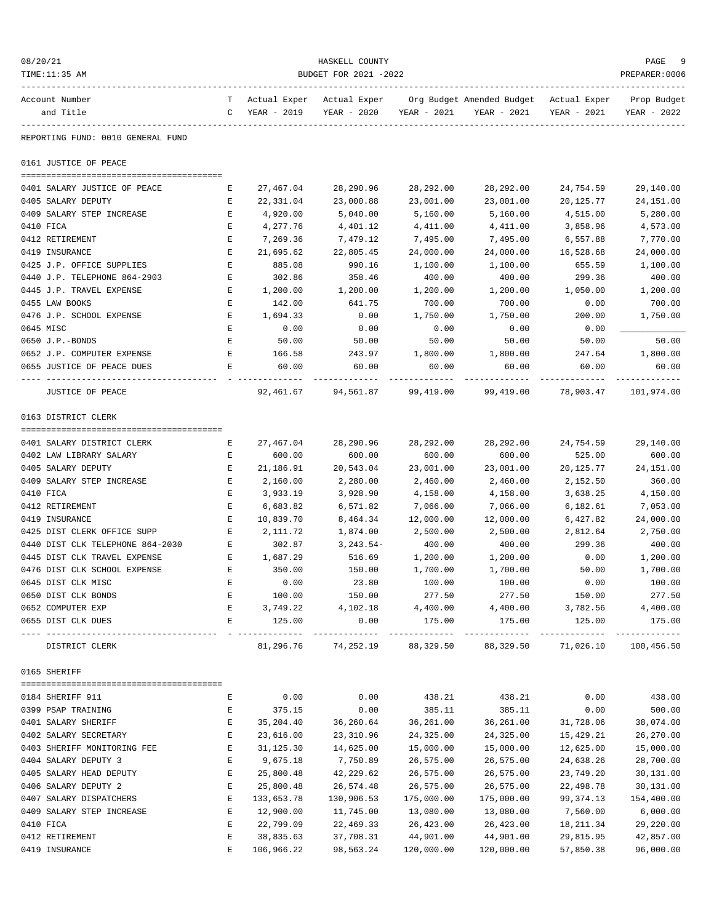| 08/20/21<br>TIME:11:35 AM                     | HASKELL COUNTY<br>BUDGET FOR 2021 -2022 |                               |                     |                     |                                                                                   |                            |                            |  |
|-----------------------------------------------|-----------------------------------------|-------------------------------|---------------------|---------------------|-----------------------------------------------------------------------------------|----------------------------|----------------------------|--|
| Account Number<br>and Title                   | $\mathbf C$                             | YEAR - 2019                   | YEAR - 2020         | YEAR - 2021         | T Actual Exper Actual Exper Org Budget Amended Budget Actual Exper<br>YEAR - 2021 | YEAR - 2021                | Prop Budget<br>YEAR - 2022 |  |
| REPORTING FUND: 0010 GENERAL FUND             |                                         |                               |                     |                     |                                                                                   |                            |                            |  |
| 0161 JUSTICE OF PEACE                         |                                         |                               |                     |                     |                                                                                   |                            |                            |  |
| 0401 SALARY JUSTICE OF PEACE                  | Е                                       | 27,467.04                     | 28,290.96           | 28,292.00           | 28,292.00                                                                         | 24,754.59                  | 29,140.00                  |  |
| 0405 SALARY DEPUTY                            | Е                                       | 22,331.04                     | 23,000.88           | 23,001.00           | 23,001.00                                                                         | 20,125.77                  | 24, 151.00                 |  |
| 0409 SALARY STEP INCREASE                     | Е                                       | 4,920.00                      | 5,040.00            | 5,160.00            | 5,160.00                                                                          | 4,515.00                   | 5,280.00                   |  |
| 0410 FICA                                     | Ε                                       | 4,277.76                      | 4,401.12            | 4,411.00            | 4,411.00                                                                          | 3,858.96                   | 4,573.00                   |  |
| 0412 RETIREMENT                               | Ε                                       | 7,269.36                      | 7,479.12            | 7,495.00            | 7,495.00                                                                          | 6,557.88                   | 7,770.00                   |  |
| 0419 INSURANCE                                | Ε                                       | 21,695.62                     | 22,805.45           | 24,000.00           | 24,000.00                                                                         | 16,528.68                  | 24,000.00                  |  |
| 0425 J.P. OFFICE SUPPLIES                     | Ε                                       | 885.08                        | 990.16              | 1,100.00            | 1,100.00                                                                          | 655.59                     | 1,100.00                   |  |
| 0440 J.P. TELEPHONE 864-2903                  | Е                                       | 302.86                        | 358.46              | 400.00              | 400.00                                                                            | 299.36                     | 400.00                     |  |
| 0445 J.P. TRAVEL EXPENSE                      | Е                                       | 1,200.00                      | 1,200.00            | 1,200.00            | 1,200.00                                                                          | 1,050.00                   | 1,200.00                   |  |
| 0455 LAW BOOKS                                | E                                       | 142.00                        | 641.75              | 700.00              | 700.00                                                                            | 0.00                       | 700.00                     |  |
| 0476 J.P. SCHOOL EXPENSE                      | Е                                       | 1,694.33                      | 0.00                | 1,750.00            | 1,750.00                                                                          | 200.00                     | 1,750.00                   |  |
| 0645 MISC                                     | Е                                       | 0.00                          | 0.00                | 0.00                | 0.00                                                                              | 0.00                       |                            |  |
| 0650 J.P.-BONDS                               | Е                                       | 50.00                         | 50.00               | 50.00               | 50.00                                                                             | 50.00                      | 50.00                      |  |
| 0652 J.P. COMPUTER EXPENSE                    | Е                                       | 166.58                        | 243.97              | 1,800.00            | 1,800.00                                                                          | 247.64                     | 1,800.00                   |  |
| 0655 JUSTICE OF PEACE DUES                    | E                                       | 60.00                         | 60.00               | 60.00               | 60.00                                                                             | 60.00                      | 60.00                      |  |
| JUSTICE OF PEACE                              |                                         | 92,461.67                     | 94,561.87           | 99,419.00           | 99,419.00                                                                         | 78,903.47                  | 101,974.00                 |  |
| 0163 DISTRICT CLERK                           |                                         |                               |                     |                     |                                                                                   |                            |                            |  |
|                                               |                                         |                               |                     |                     |                                                                                   |                            |                            |  |
| 0401 SALARY DISTRICT CLERK                    | Е                                       | 27,467.04                     | 28,290.96           | 28,292.00           | 28,292.00                                                                         | 24,754.59                  | 29,140.00                  |  |
| 0402 LAW LIBRARY SALARY<br>0405 SALARY DEPUTY | Е<br>Е                                  | 600.00<br>21,186.91           | 600.00<br>20,543.04 | 600.00<br>23,001.00 | 600.00<br>23,001.00                                                               | 525.00<br>20,125.77        | 600.00<br>24, 151.00       |  |
| 0409 SALARY STEP INCREASE                     | Ε                                       | 2,160.00                      | 2,280.00            | 2,460.00            | 2,460.00                                                                          | 2,152.50                   | 360.00                     |  |
| 0410 FICA                                     | Ε                                       | 3,933.19                      | 3,928.90            | 4,158.00            | 4,158.00                                                                          | 3,638.25                   | 4,150.00                   |  |
| 0412 RETIREMENT                               | Ε                                       | 6,683.82                      | 6,571.82            | 7,066.00            | 7,066.00                                                                          | 6,182.61                   | 7,053.00                   |  |
| 0419 INSURANCE                                | Ε                                       | 10,839.70                     | 8,464.34            | 12,000.00           | 12,000.00                                                                         | 6,427.82                   | 24,000.00                  |  |
| 0425 DIST CLERK OFFICE SUPP                   | Е                                       | 2,111.72                      | 1,874.00            | 2,500.00            | 2,500.00                                                                          | 2,812.64                   | 2,750.00                   |  |
| 0440 DIST CLK TELEPHONE 864-2030              | E                                       | 302.87                        | $3, 243.54 -$       | 400.00              | 400.00                                                                            | 299.36                     | 400.00                     |  |
| 0445 DIST CLK TRAVEL EXPENSE                  | Е                                       | 1,687.29                      | 516.69              | 1,200.00            | 1,200.00                                                                          | 0.00                       | 1,200.00                   |  |
| 0476 DIST CLK SCHOOL EXPENSE                  | Е                                       | 350.00                        | 150.00              | 1,700.00            | 1,700.00                                                                          | 50.00                      | 1,700.00                   |  |
| 0645 DIST CLK MISC                            | Ε                                       | 0.00                          | 23.80               | 100.00              | 100.00                                                                            | 0.00                       | 100.00                     |  |
| 0650 DIST CLK BONDS                           | Ε                                       | 100.00                        | 150.00              | 277.50              | 277.50                                                                            | 150.00                     | 277.50                     |  |
| 0652 COMPUTER EXP                             | $\mathbf{E}$                            | 3,749.22                      | 4,102.18            | 4,400.00            | 4,400.00                                                                          | 3,782.56                   | 4,400.00                   |  |
| 0655 DIST CLK DUES                            | $\mathbf{E}$                            | 125.00                        | 0.00                | 175.00              | 175.00                                                                            | 125.00                     | 175.00                     |  |
| DISTRICT CLERK                                |                                         | $- - - - - - - - - - - - - -$ | 81,296.76 74,252.19 | 88,329.50           | -------------<br>88,329.50                                                        | -------------<br>71,026.10 | 100,456.50                 |  |
| 0165 SHERIFF                                  |                                         |                               |                     |                     |                                                                                   |                            |                            |  |
| 0184 SHERIFF 911                              | Е                                       | 0.00                          | 0.00                | 438.21              | 438.21                                                                            | 0.00                       | 438.00                     |  |
| 0399 PSAP TRAINING                            | Е                                       | 375.15                        | 0.00                | 385.11              | 385.11                                                                            | 0.00                       | 500.00                     |  |
| 0401 SALARY SHERIFF                           | Ε                                       | 35, 204.40                    | 36,260.64           | 36,261.00           | 36,261.00                                                                         | 31,728.06                  | 38,074.00                  |  |
| 0402 SALARY SECRETARY                         | $\mathbf{E}% _{0}$                      | 23,616.00                     | 23,310.96           | 24,325.00           | 24,325.00                                                                         | 15,429.21                  | 26,270.00                  |  |
| 0403 SHERIFF MONITORING FEE                   | $\mathbf{E}% _{0}$                      | 31, 125.30                    | 14,625.00           | 15,000.00           | 15,000.00                                                                         | 12,625.00                  | 15,000.00                  |  |
| 0404 SALARY DEPUTY 3                          | Ε                                       | 9,675.18                      | 7,750.89            | 26,575.00           | 26,575.00                                                                         | 24,638.26                  | 28,700.00                  |  |
| 0405 SALARY HEAD DEPUTY                       | Ε                                       | 25,800.48                     | 42,229.62           | 26,575.00           | 26,575.00                                                                         | 23,749.20                  | 30,131.00                  |  |
| 0406 SALARY DEPUTY 2                          | E                                       | 25,800.48                     | 26,574.48           | 26,575.00           | 26,575.00                                                                         | 22,498.78                  | 30,131.00                  |  |
| 0407 SALARY DISPATCHERS                       | E                                       | 133,653.78                    | 130,906.53          | 175,000.00          | 175,000.00                                                                        | 99, 374.13                 | 154,400.00                 |  |
| 0409 SALARY STEP INCREASE                     | Ε                                       | 12,900.00                     | 11,745.00           | 13,080.00           | 13,080.00                                                                         | 7,560.00                   | 6,000.00                   |  |
| 0410 FICA                                     | Ε                                       | 22,799.09                     | 22,469.33           | 26,423.00           | 26,423.00                                                                         | 18,211.34                  | 29,220.00                  |  |
| 0412 RETIREMENT                               | Ε                                       | 38,835.63                     | 37,708.31           | 44,901.00           | 44,901.00                                                                         | 29,815.95                  | 42,857.00                  |  |
| 0419 INSURANCE                                | E                                       | 106,966.22                    | 98,563.24           | 120,000.00          | 120,000.00                                                                        | 57,850.38                  | 96,000.00                  |  |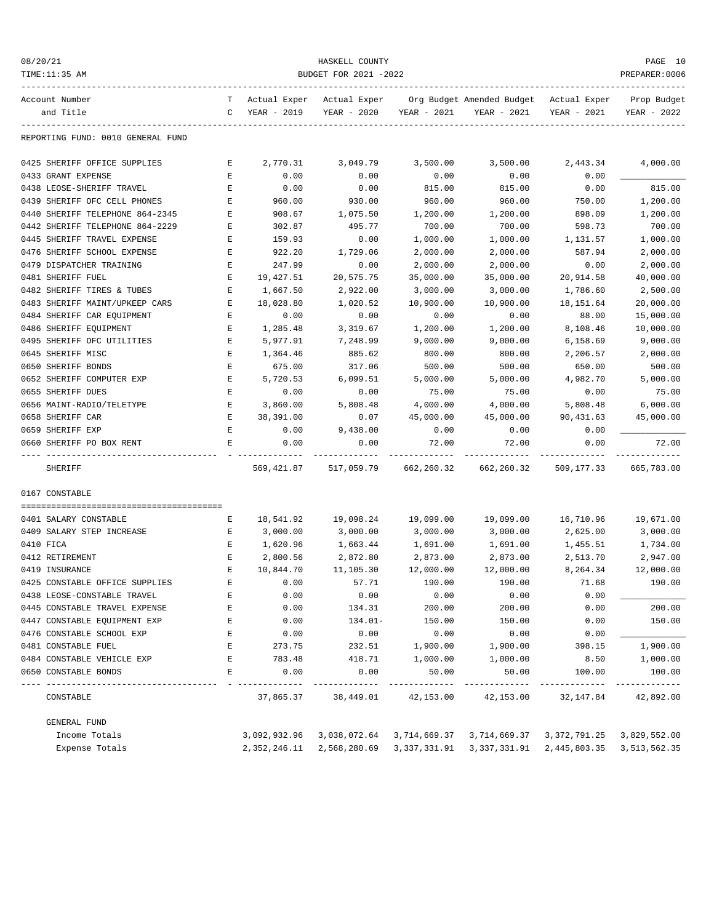| 08/20/21<br>TIME:11:35 AM         | HASKELL COUNTY<br>BUDGET FOR 2021 -2022 |                             |                             |              |                                                       |              |                            |  |
|-----------------------------------|-----------------------------------------|-----------------------------|-----------------------------|--------------|-------------------------------------------------------|--------------|----------------------------|--|
| Account Number<br>and Title       | T.<br>C                                 | Actual Exper<br>YEAR - 2019 | Actual Exper<br>YEAR - 2020 | YEAR - 2021  | Org Budget Amended Budget Actual Exper<br>YEAR - 2021 | YEAR - 2021  | Prop Budget<br>YEAR - 2022 |  |
| REPORTING FUND: 0010 GENERAL FUND |                                         |                             |                             |              |                                                       |              |                            |  |
| 0425 SHERIFF OFFICE SUPPLIES      | Е                                       | 2,770.31                    | 3,049.79                    | 3,500.00     | 3,500.00                                              | 2,443.34     | 4,000.00                   |  |
| 0433 GRANT EXPENSE                | Е                                       | 0.00                        | 0.00                        | 0.00         | 0.00                                                  | 0.00         |                            |  |
| 0438 LEOSE-SHERIFF TRAVEL         | Е                                       | 0.00                        | 0.00                        | 815.00       | 815.00                                                | 0.00         | 815.00                     |  |
| 0439 SHERIFF OFC CELL PHONES      | Ε                                       | 960.00                      | 930.00                      | 960.00       | 960.00                                                | 750.00       | 1,200.00                   |  |
| 0440 SHERIFF TELEPHONE 864-2345   | E                                       | 908.67                      | 1,075.50                    | 1,200.00     | 1,200.00                                              | 898.09       | 1,200.00                   |  |
| 0442 SHERIFF TELEPHONE 864-2229   | Е                                       | 302.87                      | 495.77                      | 700.00       | 700.00                                                | 598.73       | 700.00                     |  |
| 0445 SHERIFF TRAVEL EXPENSE       | Е                                       | 159.93                      | 0.00                        | 1,000.00     | 1,000.00                                              | 1,131.57     | 1,000.00                   |  |
| 0476 SHERIFF SCHOOL EXPENSE       | Ε                                       | 922.20                      | 1,729.06                    | 2,000.00     | 2,000.00                                              | 587.94       | 2,000.00                   |  |
| 0479 DISPATCHER TRAINING          | Ε                                       | 247.99                      | 0.00                        | 2,000.00     | 2,000.00                                              | 0.00         | 2,000.00                   |  |
| 0481 SHERIFF FUEL                 | Ε                                       | 19,427.51                   | 20,575.75                   | 35,000.00    | 35,000.00                                             | 20,914.58    | 40,000.00                  |  |
| 0482 SHERIFF TIRES & TUBES        | E                                       | 1,667.50                    | 2,922.00                    | 3,000.00     | 3,000.00                                              | 1,786.60     | 2,500.00                   |  |
| 0483 SHERIFF MAINT/UPKEEP CARS    | Е                                       | 18,028.80                   | 1,020.52                    | 10,900.00    | 10,900.00                                             | 18,151.64    | 20,000.00                  |  |
| 0484 SHERIFF CAR EOUIPMENT        | Е                                       | 0.00                        | 0.00                        | 0.00         | 0.00                                                  | 88.00        | 15,000.00                  |  |
| 0486 SHERIFF EQUIPMENT            | Е                                       | 1,285.48                    | 3,319.67                    | 1,200.00     | 1,200.00                                              | 8,108.46     | 10,000.00                  |  |
| 0495 SHERIFF OFC UTILITIES        | Е                                       | 5,977.91                    | 7,248.99                    | 9,000.00     | 9,000.00                                              | 6,158.69     | 9,000.00                   |  |
| 0645 SHERIFF MISC                 | E                                       | 1,364.46                    | 885.62                      | 800.00       | 800.00                                                | 2,206.57     | 2,000.00                   |  |
| 0650 SHERIFF BONDS                | E                                       | 675.00                      | 317.06                      | 500.00       | 500.00                                                | 650.00       | 500.00                     |  |
| 0652 SHERIFF COMPUTER EXP         | Е                                       | 5,720.53                    | 6,099.51                    | 5,000.00     | 5,000.00                                              | 4,982.70     | 5,000.00                   |  |
| 0655 SHERIFF DUES                 | Е                                       | 0.00                        | 0.00                        | 75.00        | 75.00                                                 | 0.00         | 75.00                      |  |
| 0656 MAINT-RADIO/TELETYPE         | Е                                       | 3,860.00                    | 5,808.48                    | 4,000.00     | 4,000.00                                              | 5,808.48     | 6,000.00                   |  |
| 0658 SHERIFF CAR                  | $\mathbf E$                             | 38,391.00                   | 0.07                        | 45,000.00    | 45,000.00                                             | 90,431.63    | 45,000.00                  |  |
| 0659 SHERIFF EXP                  | E                                       | 0.00                        | 9,438.00                    | 0.00         | 0.00                                                  | 0.00         |                            |  |
| 0660 SHERIFF PO BOX RENT          | Е                                       | 0.00                        | 0.00                        | 72.00        | 72.00                                                 | 0.00         | 72.00                      |  |
| SHERIFF                           |                                         | 569,421.87                  | 517,059.79                  | 662,260.32   | 662,260.32                                            | 509,177.33   | 665,783.00                 |  |
| 0167 CONSTABLE                    |                                         |                             |                             |              |                                                       |              |                            |  |
| 0401 SALARY CONSTABLE             | Е                                       | 18,541.92                   | 19,098.24                   | 19,099.00    | 19,099.00                                             | 16,710.96    | 19,671.00                  |  |
| 0409 SALARY STEP INCREASE         | Е                                       | 3,000.00                    | 3,000.00                    | 3,000.00     | 3,000.00                                              | 2,625.00     | 3,000.00                   |  |
| 0410 FICA                         | Е                                       | 1,620.96                    | 1,663.44                    | 1,691.00     | 1,691.00                                              | 1,455.51     | 1,734.00                   |  |
| 0412 RETIREMENT                   | E                                       | 2,800.56                    | 2,872.80                    | 2,873.00     | 2,873.00                                              | 2,513.70     | 2,947.00                   |  |
| 0419 INSURANCE                    | E                                       | 10,844.70                   | 11,105.30                   | 12,000.00    | 12,000.00                                             | 8,264.34     | 12,000.00                  |  |
| 0425 CONSTABLE OFFICE SUPPLIES    | Ε                                       | 0.00                        | 57.71                       | 190.00       | 190.00                                                | 71.68        | 190.00                     |  |
| 0438 LEOSE-CONSTABLE TRAVEL       | E                                       | 0.00                        | 0.00                        | 0.00         | 0.00                                                  | 0.00         |                            |  |
| 0445 CONSTABLE TRAVEL EXPENSE     | E                                       | 0.00                        | 134.31                      | 200.00       | 200.00                                                | 0.00         | 200.00                     |  |
| 0447 CONSTABLE EQUIPMENT EXP      | Ε                                       | 0.00                        | $134.01-$                   | 150.00       | 150.00                                                | 0.00         | 150.00                     |  |
| 0476 CONSTABLE SCHOOL EXP         | E                                       | 0.00                        | 0.00                        | 0.00         | 0.00                                                  | 0.00         |                            |  |
| 0481 CONSTABLE FUEL               | E                                       | 273.75                      | 232.51                      | 1,900.00     | 1,900.00                                              | 398.15       | 1,900.00                   |  |
| 0484 CONSTABLE VEHICLE EXP        | E                                       | 783.48                      | 418.71                      | 1,000.00     | 1,000.00                                              | 8.50         | 1,000.00                   |  |
| 0650 CONSTABLE BONDS              | E                                       | 0.00                        | 0.00                        | 50.00        | 50.00                                                 | 100.00       | 100.00                     |  |
| CONSTABLE                         |                                         | 37,865.37                   | 38,449.01                   | 42,153.00    | 42,153.00                                             | 32,147.84    | 42,892.00                  |  |
| GENERAL FUND                      |                                         |                             |                             |              |                                                       |              |                            |  |
| Income Totals                     |                                         | 3,092,932.96                | 3,038,072.64                | 3,714,669.37 | 3,714,669.37                                          | 3,372,791.25 | 3,829,552.00               |  |
| Expense Totals                    |                                         | 2,352,246.11                | 2,568,280.69                | 3,337,331.91 | 3,337,331.91                                          | 2,445,803.35 | 3,513,562.35               |  |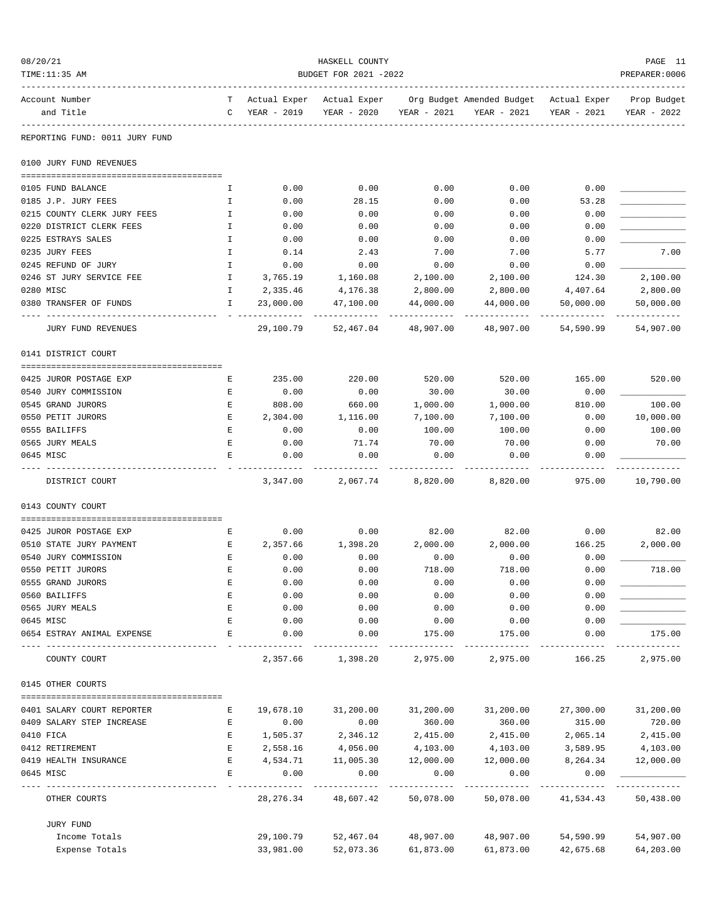| 08/20/21<br>TIME:11:35 AM      |               |                   | HASKELL COUNTY<br>BUDGET FOR 2021 -2022 |             |                           |              | PAGE 11<br>PREPARER: 0006 |
|--------------------------------|---------------|-------------------|-----------------------------------------|-------------|---------------------------|--------------|---------------------------|
| Account Number                 | T             | Actual Exper      | Actual Exper                            |             | Org Budget Amended Budget | Actual Exper | Prop Budget               |
| and Title                      | C             | YEAR - 2019       | YEAR - 2020                             | YEAR - 2021 | YEAR - 2021               | YEAR - 2021  | YEAR - 2022               |
| REPORTING FUND: 0011 JURY FUND |               |                   |                                         |             |                           |              |                           |
| 0100 JURY FUND REVENUES        |               |                   |                                         |             |                           |              |                           |
| 0105 FUND BALANCE              | I.            | 0.00              | 0.00                                    | 0.00        | 0.00                      | 0.00         |                           |
| 0185 J.P. JURY FEES            | I             | 0.00              | 28.15                                   | 0.00        | 0.00                      | 53.28        |                           |
| 0215 COUNTY CLERK JURY FEES    | $\mathbbm{I}$ | 0.00              | 0.00                                    | 0.00        | 0.00                      | 0.00         |                           |
| 0220 DISTRICT CLERK FEES       | I             | 0.00              | 0.00                                    | 0.00        | 0.00                      | 0.00         |                           |
| 0225 ESTRAYS SALES             | I             | 0.00              | 0.00                                    | 0.00        | 0.00                      | 0.00         |                           |
| 0235 JURY FEES                 | I             | 0.14              | 2.43                                    | 7.00        | 7.00                      | 5.77         | 7.00                      |
| 0245 REFUND OF JURY            | I             | 0.00              | 0.00                                    | 0.00        | 0.00                      | 0.00         |                           |
| 0246 ST JURY SERVICE FEE       | I             | 3,765.19          | 1,160.08                                | 2,100.00    | 2,100.00                  | 124.30       | 2,100.00                  |
| 0280 MISC                      | I.            | 2,335.46          | 4,176.38                                | 2,800.00    | 2,800.00                  | 4,407.64     | 2,800.00                  |
| 0380 TRANSFER OF FUNDS         | I.            | 23,000.00         | 47,100.00                               | 44,000.00   | 44,000.00                 | 50,000.00    | 50,000.00<br>----------   |
| <b>JURY FUND REVENUES</b>      |               | 29,100.79         | 52,467.04                               | 48,907.00   | 48,907.00                 | 54,590.99    | 54,907.00                 |
| 0141 DISTRICT COURT            |               |                   |                                         |             |                           |              |                           |
| 0425 JUROR POSTAGE EXP         | E             | 235.00            | 220.00                                  | 520.00      | 520.00                    | 165.00       | 520.00                    |
| 0540 JURY COMMISSION           | Е             | 0.00              | 0.00                                    | 30.00       | 30.00                     | 0.00         |                           |
| 0545 GRAND JURORS              | Е             | 808.00            | 660.00                                  | 1,000.00    | 1,000.00                  | 810.00       | 100.00                    |
| 0550 PETIT JURORS              | E             | 2,304.00          | 1,116.00                                | 7,100.00    | 7,100.00                  | 0.00         | 10,000.00                 |
| 0555 BAILIFFS                  | E             | 0.00              | 0.00                                    | 100.00      | 100.00                    | 0.00         | 100.00                    |
| 0565 JURY MEALS                | E             | 0.00              | 71.74                                   | 70.00       | 70.00                     | 0.00         | 70.00                     |
| 0645 MISC                      | E             | 0.00              | 0.00                                    | 0.00        | 0.00                      | 0.00         |                           |
| DISTRICT COURT                 |               | 3,347.00          | 2,067.74                                | 8,820.00    | 8,820.00                  | 975.00       | 10,790.00                 |
| 0143 COUNTY COURT              |               |                   |                                         |             |                           |              |                           |
| 0425 JUROR POSTAGE EXP         | Е             | 0.00              | 0.00                                    | 82.00       | 82.00                     | 0.00         | 82.00                     |
| 0510 STATE JURY PAYMENT        | Е             | 2,357.66          | 1,398.20                                | 2,000.00    | 2,000.00                  | 166.25       | 2,000.00                  |
| 0540 JURY COMMISSION           | E             | 0.00              | 0.00                                    | 0.00        | 0.00                      | 0.00         |                           |
| 0550 PETIT JURORS              | E             | 0.00              | 0.00                                    | 718.00      | 718.00                    | 0.00         | 718.00                    |
| 0555 GRAND JURORS              | Е             | 0.00              | 0.00                                    | 0.00        | 0.00                      | 0.00         |                           |
| 0560 BAILIFFS                  | E             | 0.00              | 0.00                                    | 0.00        | 0.00                      | 0.00         |                           |
| 0565 JURY MEALS                | E             | 0.00              | 0.00                                    | 0.00        | 0.00                      | 0.00         |                           |
| 0645 MISC                      | E             | 0.00              | 0.00                                    | 0.00        | 0.00                      | 0.00         |                           |
| 0654 ESTRAY ANIMAL EXPENSE     | E             | 0.00              | 0.00                                    | 175.00      | 175.00                    | 0.00         | 175.00                    |
| COUNTY COURT                   |               | 2,357.66          | 1,398.20                                | 2,975.00    | 2,975.00                  | 166.25       | 2,975.00                  |
| 0145 OTHER COURTS              |               |                   |                                         |             |                           |              |                           |
| 0401 SALARY COURT REPORTER     | Ε             | 19,678.10         | 31,200.00                               | 31,200.00   | 31,200.00                 | 27,300.00    | 31,200.00                 |
| 0409 SALARY STEP INCREASE      | E             | 0.00              | 0.00                                    | 360.00      | 360.00                    | 315.00       | 720.00                    |
| 0410 FICA                      | E             | 1,505.37          | 2,346.12                                | 2,415.00    | 2,415.00                  | 2,065.14     | 2,415.00                  |
| 0412 RETIREMENT                | Е             | 2,558.16          | 4,056.00                                | 4,103.00    | 4,103.00                  | 3,589.95     | 4,103.00                  |
| 0419 HEALTH INSURANCE          | E             | 4,534.71          | 11,005.30                               | 12,000.00   | 12,000.00                 | 8,264.34     | 12,000.00                 |
| 0645 MISC                      | E             | 0.00<br>--------- | 0.00                                    | 0.00        | 0.00                      | 0.00         |                           |
| OTHER COURTS                   |               | 28, 276.34        | 48,607.42                               | 50,078.00   | 50,078.00                 | 41,534.43    | 50,438.00                 |
| JURY FUND                      |               |                   |                                         |             |                           |              |                           |
| Income Totals                  |               | 29,100.79         | 52,467.04                               | 48,907.00   | 48,907.00                 | 54,590.99    | 54,907.00                 |
| Expense Totals                 |               | 33,981.00         | 52,073.36                               | 61,873.00   | 61,873.00                 | 42,675.68    | 64,203.00                 |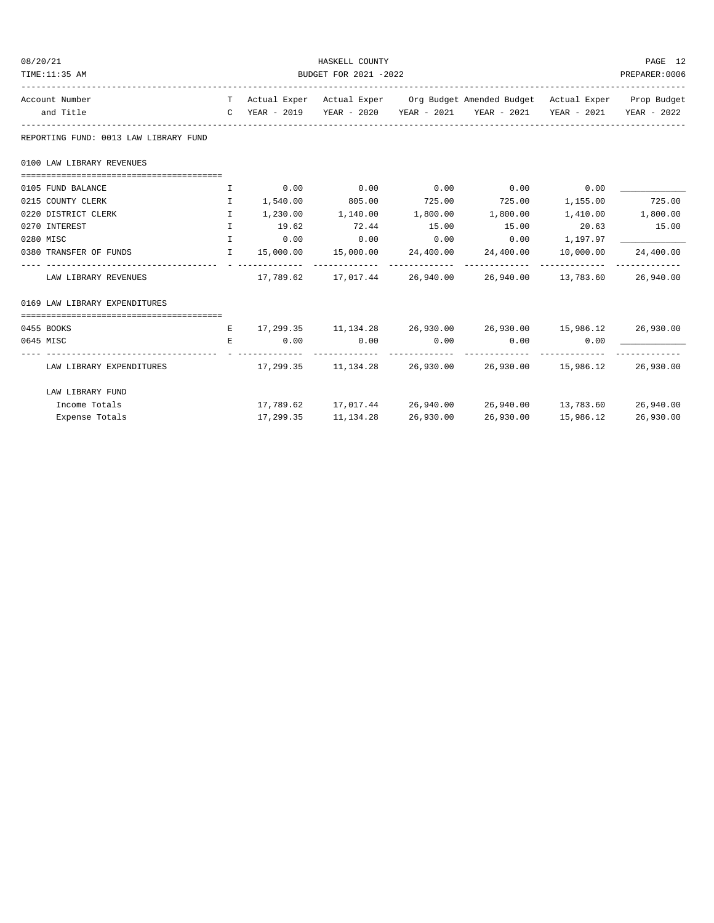| 08/20/21                              |                       |                 | HASKELL COUNTY              |           |                                                                                |           | PAGE 12   |  |
|---------------------------------------|-----------------------|-----------------|-----------------------------|-----------|--------------------------------------------------------------------------------|-----------|-----------|--|
| TIME:11:35 AM                         | BUDGET FOR 2021 -2022 |                 |                             |           |                                                                                |           |           |  |
| Account Number                        |                       |                 |                             |           | T Actual Exper Actual Exper Org Budget Amended Budget Actual Exper Prop Budget |           |           |  |
| and Title                             |                       |                 |                             |           | C YEAR - 2019 YEAR - 2020 YEAR - 2021 YEAR - 2021 YEAR - 2021 YEAR - 2022      |           |           |  |
| REPORTING FUND: 0013 LAW LIBRARY FUND |                       |                 |                             |           |                                                                                |           |           |  |
| 0100 LAW LIBRARY REVENUES             |                       |                 |                             |           |                                                                                |           |           |  |
|                                       |                       |                 |                             |           |                                                                                |           |           |  |
| 0105 FUND BALANCE                     | $\mathbf{I}$          | 0.00            | 0.00                        | 0.00      | $0.00$ 0.00                                                                    |           |           |  |
| 0215 COUNTY CLERK                     | $\mathbf{I}$          | 1,540.00        |                             |           | 805.00 725.00 725.00 1,155.00                                                  |           | 725.00    |  |
| 0220 DISTRICT CLERK                   | $\mathbf{I}$          |                 |                             |           | $1,230.00$ $1,140.00$ $1,800.00$ $1,800.00$ $1,410.00$ $1,800.00$              |           |           |  |
| 0270 INTEREST                         | $\mathbf{I}$          | 19.62           | 72.44                       | 15.00     | 15.00                                                                          | 20.63     | 15.00     |  |
| 0280 MISC                             | $\mathbf{I}$          | 0.00            | 0.00                        | 0.00      | 0.00                                                                           | 1,197.97  |           |  |
| 0380 TRANSFER OF FUNDS                | $\mathbf{I}$          |                 |                             |           | $15,000.00$ $15,000.00$ $24,400.00$ $24,400.00$                                | 10,000.00 | 24,400.00 |  |
| LAW LIBRARY REVENUES                  |                       | _ _____________ |                             |           | $17,789.62$ $17,017.44$ $26,940.00$ $26,940.00$ $13,783.60$ $26,940.00$        |           |           |  |
| 0169 LAW LIBRARY EXPENDITURES         |                       |                 |                             |           |                                                                                |           |           |  |
|                                       |                       |                 |                             |           |                                                                                |           |           |  |
| 0455 BOOKS                            |                       |                 |                             |           | E 17,299.35 11,134.28 26,930.00 26,930.00 15,986.12 26,930.00                  |           |           |  |
| 0645 MISC                             | E.                    |                 | $0.00$ $0.00$ $0.00$ $0.00$ |           | $0.00$ 0.00                                                                    |           |           |  |
| LAW LIBRARY EXPENDITURES              |                       |                 |                             |           | $17,299.35$ $11,134.28$ $26,930.00$ $26,930.00$ $15,986.12$ $26,930.00$        |           |           |  |
| LAW LIBRARY FUND                      |                       |                 |                             |           |                                                                                |           |           |  |
| Income Totals                         |                       |                 |                             |           | $17,789.62$ $17,017.44$ $26,940.00$ $26,940.00$ $13,783.60$ $26,940.00$        |           |           |  |
| Expense Totals                        |                       | 17,299.35       | 11,134.28                   | 26,930.00 | 26,930.00                                                                      | 15,986.12 | 26,930.00 |  |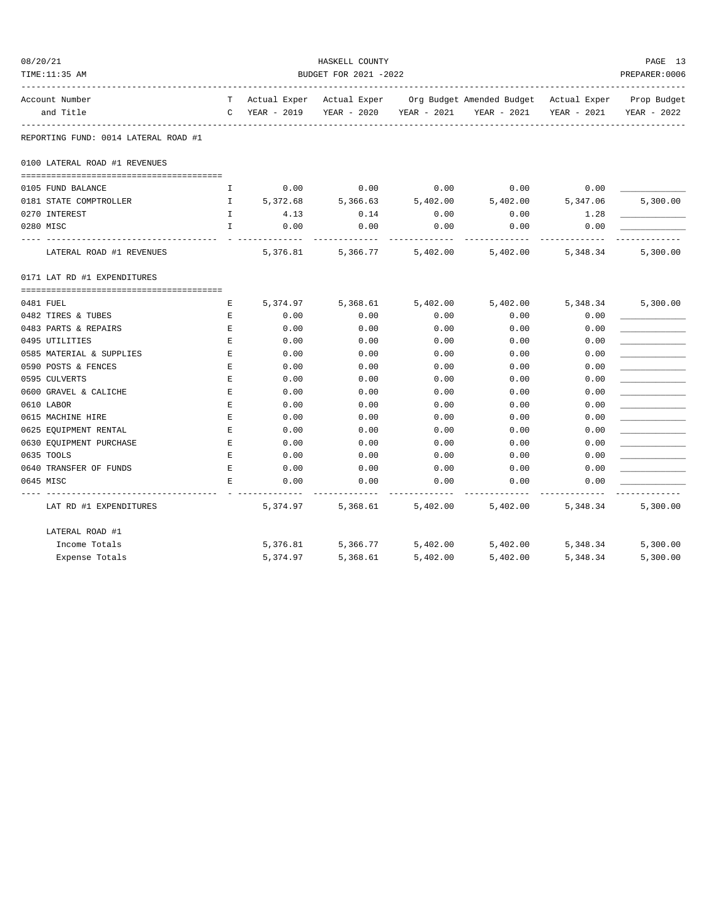| 08/20/21<br>TIME:11:35 AM              |                                      |                             |               | HASKELL COUNTY<br>BUDGET FOR 2021 -2022 |                   |                                                                                |                   | PAGE 13<br>PREPARER: 0006 |
|----------------------------------------|--------------------------------------|-----------------------------|---------------|-----------------------------------------|-------------------|--------------------------------------------------------------------------------|-------------------|---------------------------|
| Account Number                         |                                      |                             |               |                                         |                   | T Actual Exper Actual Exper Org Budget Amended Budget Actual Exper Prop Budget |                   |                           |
| and Title                              |                                      |                             | C YEAR - 2019 |                                         |                   | YEAR - 2020 YEAR - 2021 YEAR - 2021                                            | YEAR - 2021       | YEAR - 2022               |
|                                        | REPORTING FUND: 0014 LATERAL ROAD #1 |                             |               |                                         |                   |                                                                                |                   |                           |
|                                        | 0100 LATERAL ROAD #1 REVENUES        |                             |               |                                         |                   |                                                                                |                   |                           |
| 0105 FUND BALANCE                      |                                      | I.                          | 0.00          | 0.00                                    | 0.00              | 0.00                                                                           | 0.00              |                           |
|                                        | 0181 STATE COMPTROLLER               | $\mathbf{I}$                | 5,372.68      | 5,366.63                                | 5,402.00          | 5,402.00 5,347.06                                                              |                   | 5,300.00                  |
| 0270 INTEREST                          |                                      | $\mathbf{I}$                | 4.13          | 0.14                                    | 0.00              | 0.00                                                                           | 1.28              |                           |
| 0280 MISC                              |                                      | $\mathbf{I}$                | 0.00          | 0.00                                    | 0.00              | 0.00                                                                           | 0.00              |                           |
|                                        | LATERAL ROAD #1 REVENUES             |                             | 5,376.81      |                                         |                   | 5, 366.77 5, 402.00 5, 402.00 5, 348.34                                        |                   | 5,300.00                  |
|                                        | 0171 LAT RD #1 EXPENDITURES          |                             |               |                                         |                   |                                                                                |                   |                           |
|                                        |                                      |                             |               |                                         |                   |                                                                                |                   |                           |
| 0481 FUEL                              |                                      | Е                           | 5,374.97      |                                         | 5,368.61 5,402.00 |                                                                                | 5,402.00 5,348.34 | 5,300.00                  |
| 0482 TIRES & TUBES                     |                                      | Е                           | 0.00          | 0.00<br>0.00                            | 0.00<br>0.00      | 0.00                                                                           | 0.00              |                           |
| 0483 PARTS & REPAIRS<br>0495 UTILITIES |                                      | $\mathbf{E}$<br>$\mathbf E$ | 0.00<br>0.00  | 0.00                                    | 0.00              | 0.00<br>0.00                                                                   | 0.00<br>0.00      |                           |
|                                        | 0585 MATERIAL & SUPPLIES             | E                           | 0.00          | 0.00                                    | 0.00              | 0.00                                                                           | 0.00              |                           |
| 0590 POSTS & FENCES                    |                                      | Е                           | 0.00          | 0.00                                    | 0.00              | 0.00                                                                           | 0.00              |                           |
| 0595 CULVERTS                          |                                      | E                           | 0.00          | 0.00                                    | 0.00              | 0.00                                                                           | 0.00              |                           |
| 0600 GRAVEL & CALICHE                  |                                      | Е                           | 0.00          | 0.00                                    | 0.00              | 0.00                                                                           | 0.00              |                           |
| 0610 LABOR                             |                                      | Е                           | 0.00          | 0.00                                    | 0.00              | 0.00                                                                           | 0.00              |                           |
| 0615 MACHINE HIRE                      |                                      | E                           | 0.00          | 0.00                                    | 0.00              | 0.00                                                                           | 0.00              |                           |
| 0625 EQUIPMENT RENTAL                  |                                      | $\mathbf{E}$                | 0.00          | 0.00                                    | 0.00              | 0.00                                                                           | 0.00              |                           |
|                                        | 0630 EQUIPMENT PURCHASE              | $\mathbf{E}$                | 0.00          | 0.00                                    | 0.00              | 0.00                                                                           | 0.00              |                           |
| 0635 TOOLS                             |                                      | E                           | 0.00          | 0.00                                    | 0.00              | 0.00                                                                           | 0.00              |                           |
| 0640 TRANSFER OF FUNDS                 |                                      | E                           | 0.00          | 0.00                                    | 0.00              | 0.00                                                                           | 0.00              |                           |
| 0645 MISC                              |                                      | E                           | 0.00          | 0.00                                    | 0.00              | 0.00                                                                           | 0.00              |                           |
|                                        | LAT RD #1 EXPENDITURES               |                             | 5,374.97      |                                         | 5,368.61 5,402.00 | 5,402.00                                                                       | 5,348.34          | 5,300.00                  |
|                                        | LATERAL ROAD #1                      |                             |               |                                         |                   |                                                                                |                   |                           |
|                                        | Income Totals                        |                             |               | 5,376.81 5,366.77                       | 5,402.00          | 5,402.00                                                                       | 5,348.34          | 5,300.00                  |
|                                        | Expense Totals                       |                             | 5,374.97      | 5,368.61                                | 5,402.00          | 5,402.00                                                                       | 5,348.34          | 5,300.00                  |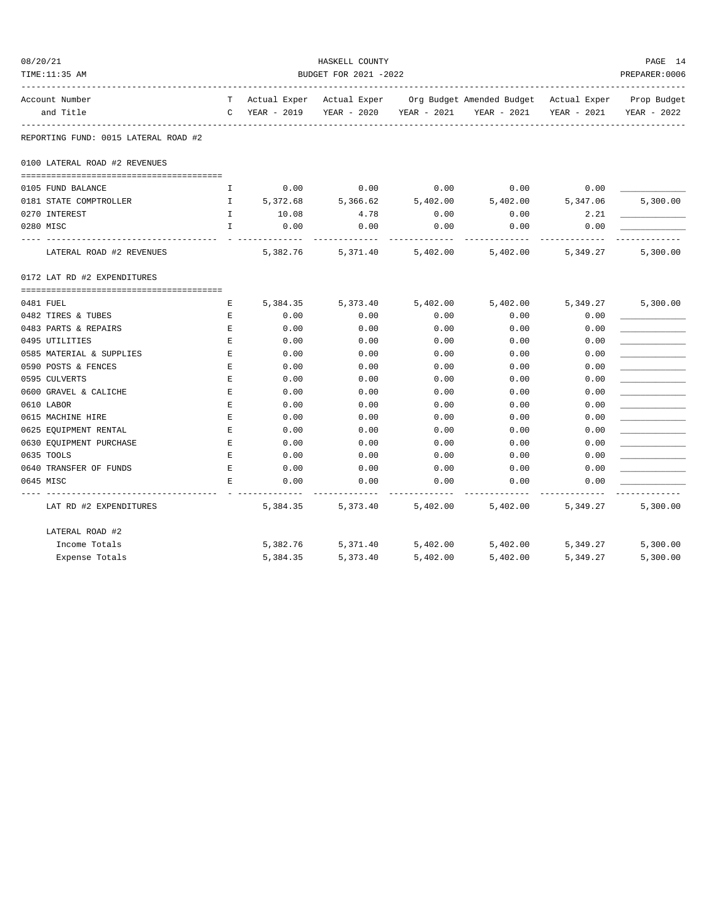| 08/20/21 | TIME:11:35 AM                        |              |                  | HASKELL COUNTY<br>BUDGET FOR 2021 -2022 |                   |                                                                                |                           | PAGE 14<br>PREPARER: 0006 |
|----------|--------------------------------------|--------------|------------------|-----------------------------------------|-------------------|--------------------------------------------------------------------------------|---------------------------|---------------------------|
|          | Account Number                       |              |                  |                                         |                   | T Actual Exper Actual Exper Org Budget Amended Budget Actual Exper Prop Budget |                           |                           |
|          | and Title                            |              | C YEAR - 2019    |                                         |                   | YEAR - 2020 YEAR - 2021 YEAR - 2021                                            | YEAR - 2021               | YEAR - 2022               |
|          | REPORTING FUND: 0015 LATERAL ROAD #2 |              |                  |                                         |                   |                                                                                |                           |                           |
|          | 0100 LATERAL ROAD #2 REVENUES        |              |                  |                                         |                   |                                                                                |                           |                           |
|          | 0105 FUND BALANCE                    | I.           | 0.00             | 0.00                                    | 0.00              | 0.00                                                                           | 0.00                      |                           |
|          | 0181 STATE COMPTROLLER               | $\mathbf{I}$ | 5,372.68         | 5,366.62                                | 5,402.00          | 5,402.00 5,347.06                                                              |                           | 5,300.00                  |
|          | 0270 INTEREST                        | $\mathbb{I}$ | 10.08            | 4.78                                    | 0.00              | 0.00                                                                           | 2.21                      |                           |
|          | 0280 MISC                            | $\mathbf{I}$ | 0.00             | 0.00                                    | 0.00              | 0.00                                                                           | 0.00                      |                           |
|          | LATERAL ROAD #2 REVENUES             |              | 5,382.76         |                                         |                   | 5, 371.40 5, 402.00 5, 402.00 5, 349.27                                        |                           | 5,300.00                  |
|          | 0172 LAT RD #2 EXPENDITURES          |              |                  |                                         |                   |                                                                                |                           |                           |
|          |                                      |              |                  |                                         |                   |                                                                                |                           |                           |
|          | 0481 FUEL<br>0482 TIRES & TUBES      | Е<br>Е       | 5,384.35<br>0.00 | 5,373.40<br>0.00                        | 5,402.00<br>0.00  | 0.00                                                                           | 5,402.00 5,349.27<br>0.00 | 5,300.00                  |
|          | 0483 PARTS & REPAIRS                 | $\mathbf{E}$ | 0.00             | 0.00                                    | 0.00              | 0.00                                                                           | 0.00                      |                           |
|          | 0495 UTILITIES                       | $\mathbf E$  | 0.00             | 0.00                                    | 0.00              | 0.00                                                                           | 0.00                      |                           |
|          | 0585 MATERIAL & SUPPLIES             | E            | 0.00             | 0.00                                    | 0.00              | 0.00                                                                           | 0.00                      |                           |
|          | 0590 POSTS & FENCES                  | Е            | 0.00             | 0.00                                    | 0.00              | 0.00                                                                           | 0.00                      |                           |
|          | 0595 CULVERTS                        | E            | 0.00             | 0.00                                    | 0.00              | 0.00                                                                           | 0.00                      |                           |
|          | 0600 GRAVEL & CALICHE                | Е            | 0.00             | 0.00                                    | 0.00              | 0.00                                                                           | 0.00                      |                           |
|          | 0610 LABOR                           | Е            | 0.00             | 0.00                                    | 0.00              | 0.00                                                                           | 0.00                      |                           |
|          | 0615 MACHINE HIRE                    | E            | 0.00             | 0.00                                    | 0.00              | 0.00                                                                           | 0.00                      |                           |
|          | 0625 EQUIPMENT RENTAL                | $\mathbf{E}$ | 0.00             | 0.00                                    | 0.00              | 0.00                                                                           | 0.00                      |                           |
|          | 0630 EQUIPMENT PURCHASE              | $\mathbf{E}$ | 0.00             | 0.00                                    | 0.00              | 0.00                                                                           | 0.00                      |                           |
|          | 0635 TOOLS                           | E            | 0.00             | 0.00                                    | 0.00              | 0.00                                                                           | 0.00                      |                           |
|          | 0640 TRANSFER OF FUNDS               | E            | 0.00             | 0.00                                    | 0.00              | 0.00                                                                           | 0.00                      |                           |
|          | 0645 MISC                            | E            | 0.00             | 0.00                                    | 0.00              | 0.00                                                                           | 0.00                      |                           |
|          | LAT RD #2 EXPENDITURES               |              | 5,384.35         |                                         | 5,373.40 5,402.00 | 5,402.00                                                                       | 5,349.27                  | 5,300.00                  |
|          | LATERAL ROAD #2                      |              |                  |                                         |                   |                                                                                |                           |                           |
|          | Income Totals                        |              | 5,382.76         | 5,371.40                                | 5,402.00          | 5,402.00                                                                       | 5,349.27                  | 5,300.00                  |
|          | Expense Totals                       |              | 5,384.35         | 5,373.40                                | 5,402.00          | 5,402.00                                                                       | 5,349.27                  | 5,300.00                  |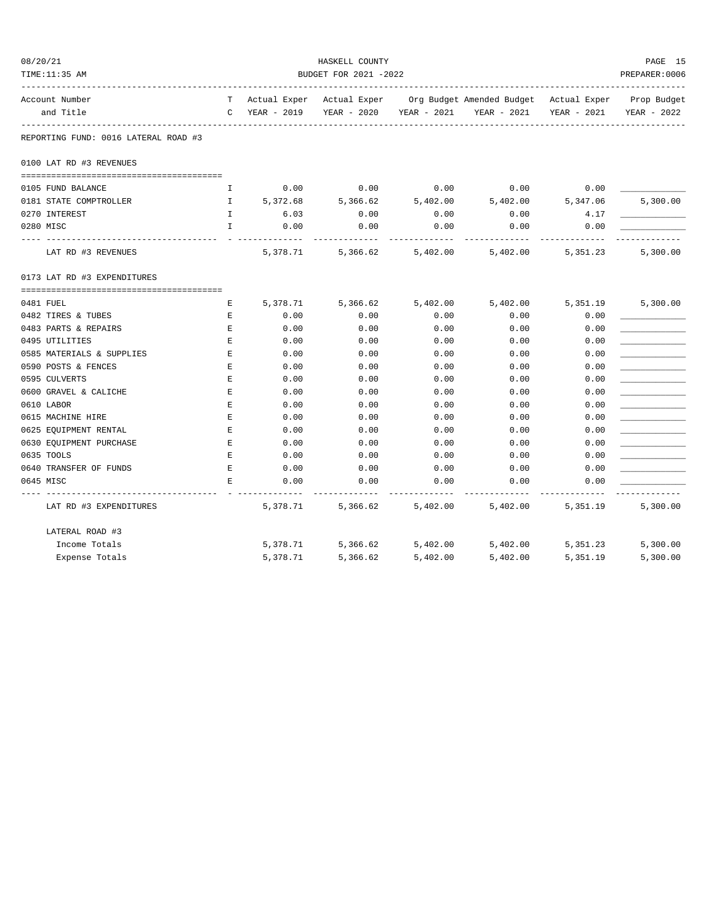| 08/20/21 |                                      |              |             | HASKELL COUNTY            |             |                                                    |             | PAGE 15        |
|----------|--------------------------------------|--------------|-------------|---------------------------|-------------|----------------------------------------------------|-------------|----------------|
|          | TIME: 11:35 AM                       |              |             | BUDGET FOR 2021 -2022     |             |                                                    |             | PREPARER: 0006 |
|          | Account Number                       | T.           |             | Actual Exper Actual Exper |             | Org Budget Amended Budget Actual Exper Prop Budget |             |                |
|          | and Title                            | $\mathbb{C}$ | YEAR - 2019 | YEAR - 2020               | YEAR - 2021 | YEAR - 2021                                        | YEAR - 2021 | YEAR - 2022    |
|          | REPORTING FUND: 0016 LATERAL ROAD #3 |              |             |                           |             |                                                    |             |                |
|          | 0100 LAT RD #3 REVENUES              |              |             |                           |             |                                                    |             |                |
|          |                                      |              |             |                           |             |                                                    |             |                |
|          | 0105 FUND BALANCE                    | I.           | 0.00        | 0.00                      | 0.00        | 0.00                                               | 0.00        |                |
|          | 0181 STATE COMPTROLLER               | $\mathbb{I}$ | 5,372.68    | 5,366.62                  | 5,402.00    | 5,402.00                                           | 5,347.06    | 5,300.00       |
|          | 0270 INTEREST                        | $\mathbf{I}$ | 6.03        | 0.00                      | 0.00        | 0.00                                               | 4.17        |                |
|          | 0280 MISC                            | $\mathbf{I}$ | 0.00        | 0.00                      | 0.00        | 0.00                                               | 0.00        |                |
|          | LAT RD #3 REVENUES                   |              | 5,378.71    | 5,366.62                  | 5,402.00    | 5,402.00                                           | 5,351.23    | 5,300.00       |
|          | 0173 LAT RD #3 EXPENDITURES          |              |             |                           |             |                                                    |             |                |
|          |                                      |              |             |                           |             |                                                    |             |                |
|          | 0481 FUEL                            | Е            | 5,378.71    | 5,366.62                  | 5,402.00    | 5,402.00                                           | 5,351.19    | 5,300.00       |
|          | 0482 TIRES & TUBES                   | E            | 0.00        | 0.00                      | 0.00        | 0.00                                               | 0.00        |                |
|          | 0483 PARTS & REPAIRS                 | E            | 0.00        | 0.00                      | 0.00        | 0.00                                               | 0.00        |                |
|          | 0495 UTILITIES                       | Ε            | 0.00        | 0.00                      | 0.00        | 0.00                                               | 0.00        |                |
|          | 0585 MATERIALS & SUPPLIES            | Ε            | 0.00        | 0.00                      | 0.00        | 0.00                                               | 0.00        |                |
|          | 0590 POSTS & FENCES                  | E            | 0.00        | 0.00                      | 0.00        | 0.00                                               | 0.00        |                |
|          | 0595 CULVERTS                        | E            | 0.00        | 0.00                      | 0.00        | 0.00                                               | 0.00        |                |
|          | 0600 GRAVEL & CALICHE                | E            | 0.00        | 0.00                      | 0.00        | 0.00                                               | 0.00        |                |
|          | 0610 LABOR                           | Е            | 0.00        | 0.00                      | 0.00        | 0.00                                               | 0.00        |                |
|          | 0615 MACHINE HIRE                    | Е            | 0.00        | 0.00                      | 0.00        | 0.00                                               | 0.00        |                |
|          | 0625 EQUIPMENT RENTAL                | Ε            | 0.00        | 0.00                      | 0.00        | 0.00                                               | 0.00        |                |
|          | 0630 EQUIPMENT PURCHASE              | Ε            | 0.00        | 0.00                      | 0.00        | 0.00                                               | 0.00        |                |
|          | 0635 TOOLS                           | Е            | 0.00        | 0.00                      | 0.00        | 0.00                                               | 0.00        |                |
|          | 0640 TRANSFER OF FUNDS               | E            | 0.00        | 0.00                      | 0.00        | 0.00                                               | 0.00        |                |
|          | 0645 MISC                            | Е.           | 0.00        | 0.00                      | 0.00        | 0.00                                               | 0.00        |                |
|          | LAT RD #3 EXPENDITURES               |              | 5,378.71    | 5,366.62                  | 5,402.00    | 5,402.00                                           | 5,351.19    | 5,300.00       |
|          | LATERAL ROAD #3                      |              |             |                           |             |                                                    |             |                |
|          | Income Totals                        |              | 5,378.71    | 5,366.62                  | 5,402.00    | 5,402.00                                           | 5,351.23    | 5,300.00       |
|          | Expense Totals                       |              | 5,378.71    | 5,366.62                  | 5,402.00    | 5,402.00                                           | 5,351.19    | 5,300.00       |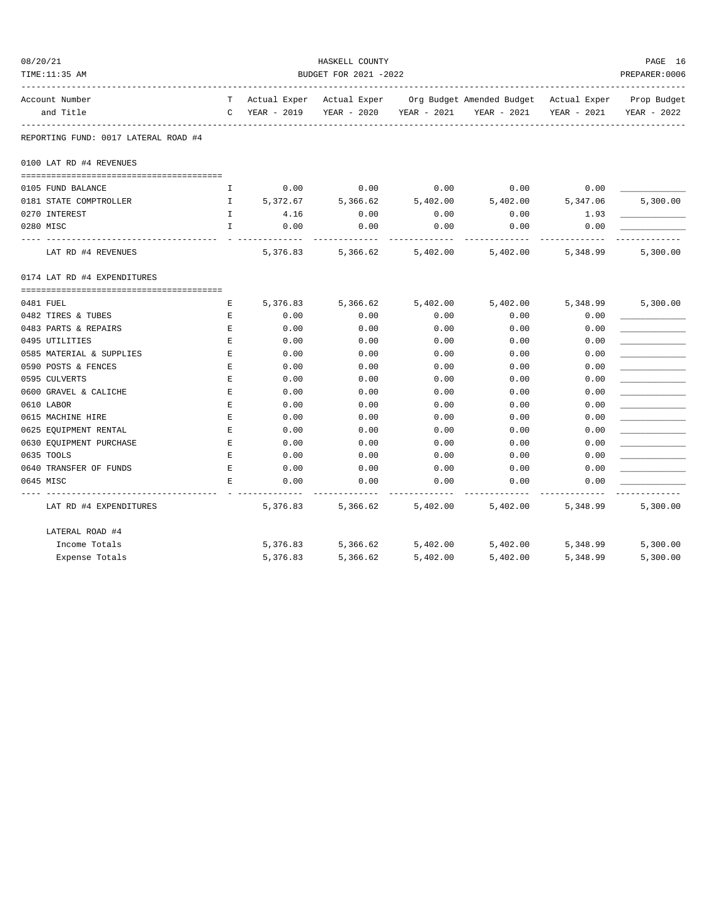| 08/20/21 |                                      |              |             | HASKELL COUNTY            |             |                                        |             | PAGE 16        |
|----------|--------------------------------------|--------------|-------------|---------------------------|-------------|----------------------------------------|-------------|----------------|
|          | TIME:11:35 AM                        |              |             | BUDGET FOR 2021 -2022     |             |                                        |             | PREPARER: 0006 |
|          | Account Number                       | T.           |             | Actual Exper Actual Exper |             | Org Budget Amended Budget Actual Exper |             | Prop Budget    |
|          | and Title                            | C            | YEAR - 2019 | YEAR - 2020               | YEAR - 2021 | YEAR - 2021                            | YEAR - 2021 | YEAR - 2022    |
|          | REPORTING FUND: 0017 LATERAL ROAD #4 |              |             |                           |             |                                        |             |                |
|          | 0100 LAT RD #4 REVENUES              |              |             |                           |             |                                        |             |                |
|          |                                      |              |             |                           |             |                                        |             |                |
|          | 0105 FUND BALANCE                    | I.           | 0.00        | 0.00                      | 0.00        | 0.00                                   | 0.00        |                |
|          | 0181 STATE COMPTROLLER               | $\mathbb{I}$ | 5,372.67    | 5,366.62                  | 5,402.00    | 5,402.00                               | 5,347.06    | 5,300.00       |
|          | 0270 INTEREST                        | $\mathbf{I}$ | 4.16        | 0.00                      | 0.00        | 0.00                                   | 1.93        |                |
|          | 0280 MISC                            | $\mathbf{I}$ | 0.00        | 0.00                      | 0.00        | 0.00                                   | 0.00        |                |
|          | LAT RD #4 REVENUES                   |              | 5,376.83    | 5,366.62                  | 5,402.00    | 5,402.00                               | 5,348.99    | 5,300.00       |
|          | 0174 LAT RD #4 EXPENDITURES          |              |             |                           |             |                                        |             |                |
|          |                                      |              |             |                           |             |                                        |             |                |
|          | 0481 FUEL                            | Е            | 5,376.83    | 5,366.62                  | 5,402.00    | 5,402.00                               | 5,348.99    | 5,300.00       |
|          | 0482 TIRES & TUBES                   | Е            | 0.00        | 0.00                      | 0.00        | 0.00                                   | 0.00        |                |
|          | 0483 PARTS & REPAIRS                 | E            | 0.00        | 0.00                      | 0.00        | 0.00                                   | 0.00        |                |
|          | 0495 UTILITIES                       | Ε            | 0.00        | 0.00                      | 0.00        | 0.00                                   | 0.00        |                |
|          | 0585 MATERIAL & SUPPLIES             | Ε            | 0.00        | 0.00                      | 0.00        | 0.00                                   | 0.00        |                |
|          | 0590 POSTS & FENCES                  | E            | 0.00        | 0.00                      | 0.00        | 0.00                                   | 0.00        |                |
|          | 0595 CULVERTS                        | E            | 0.00        | 0.00                      | 0.00        | 0.00                                   | 0.00        |                |
|          | 0600 GRAVEL & CALICHE                | E            | 0.00        | 0.00                      | 0.00        | 0.00                                   | 0.00        |                |
|          | 0610 LABOR                           | Е            | 0.00        | 0.00                      | 0.00        | 0.00                                   | 0.00        |                |
|          | 0615 MACHINE HIRE                    | Е            | 0.00        | 0.00                      | 0.00        | 0.00                                   | 0.00        |                |
|          | 0625 EQUIPMENT RENTAL                | Ε            | 0.00        | 0.00                      | 0.00        | 0.00                                   | 0.00        |                |
|          | 0630 EQUIPMENT PURCHASE              | Ε            | 0.00        | 0.00                      | 0.00        | 0.00                                   | 0.00        |                |
|          | 0635 TOOLS                           | Е            | 0.00        | 0.00                      | 0.00        | 0.00                                   | 0.00        |                |
|          | 0640 TRANSFER OF FUNDS               | E            | 0.00        | 0.00                      | 0.00        | 0.00                                   | 0.00        |                |
|          | 0645 MISC                            | F.           | 0.00        | 0.00                      | 0.00        | 0.00                                   | 0.00        |                |
|          | LAT RD #4 EXPENDITURES               |              | 5,376.83    | 5,366.62                  | 5,402.00    | 5,402.00                               | 5,348.99    | 5,300.00       |
|          | LATERAL ROAD #4                      |              |             |                           |             |                                        |             |                |
|          | Income Totals                        |              | 5,376.83    | 5,366.62                  | 5,402.00    | 5,402.00                               | 5,348.99    | 5,300.00       |
|          | Expense Totals                       |              | 5,376.83    | 5,366.62                  | 5,402.00    | 5,402.00                               | 5,348.99    | 5,300.00       |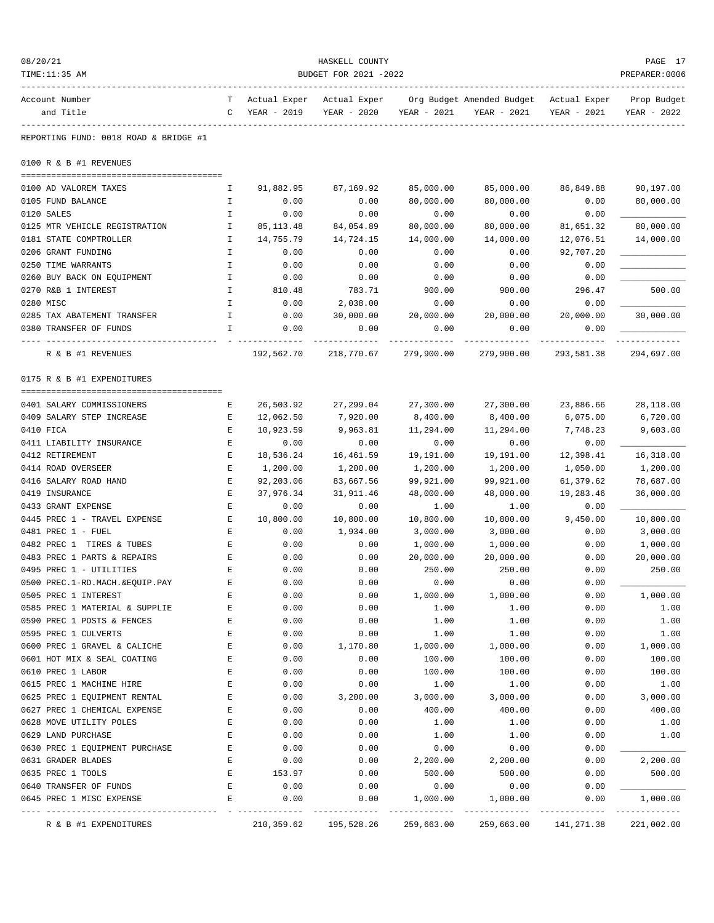| 08/20/21<br>TIME:11:35 AM                            | HASKELL COUNTY<br>BUDGET FOR 2021 -2022<br>PREPARER: 0006                                                                           |                     |                     |                            |                   |                   |                         |  |
|------------------------------------------------------|-------------------------------------------------------------------------------------------------------------------------------------|---------------------|---------------------|----------------------------|-------------------|-------------------|-------------------------|--|
| Account Number<br>and Title                          | T Actual Exper Actual Exper Org Budget Amended Budget Actual Exper<br>YEAR - 2019<br>YEAR - 2020<br>YEAR - 2021<br>YEAR - 2021<br>C |                     | YEAR - 2021         | Prop Budget<br>YEAR - 2022 |                   |                   |                         |  |
| REPORTING FUND: 0018 ROAD & BRIDGE #1                |                                                                                                                                     |                     |                     |                            |                   |                   |                         |  |
| 0100 R & B #1 REVENUES                               |                                                                                                                                     |                     |                     |                            |                   |                   |                         |  |
|                                                      |                                                                                                                                     |                     |                     |                            |                   |                   |                         |  |
| 0100 AD VALOREM TAXES                                | Ι.                                                                                                                                  | 91,882.95           | 87,169.92           | 85,000.00                  | 85,000.00         | 86,849.88         | 90,197.00               |  |
| 0105 FUND BALANCE                                    | Ι.                                                                                                                                  | 0.00                | 0.00                | 80,000.00                  | 80,000.00         | 0.00              | 80,000.00               |  |
| 0120 SALES<br>0125 MTR VEHICLE REGISTRATION          | I<br>Ι.                                                                                                                             | 0.00<br>85, 113.48  | 0.00<br>84,054.89   | 0.00<br>80,000.00          | 0.00<br>80,000.00 | 0.00<br>81,651.32 | 80,000.00               |  |
| 0181 STATE COMPTROLLER                               | Ι.                                                                                                                                  | 14,755.79           | 14,724.15           | 14,000.00                  | 14,000.00         | 12,076.51         | 14,000.00               |  |
| 0206 GRANT FUNDING                                   | Ι.                                                                                                                                  | 0.00                | 0.00                | 0.00                       | 0.00              | 92,707.20         |                         |  |
| 0250 TIME WARRANTS                                   | I                                                                                                                                   | 0.00                | 0.00                | 0.00                       | 0.00              | 0.00              |                         |  |
| 0260 BUY BACK ON EQUIPMENT                           | I                                                                                                                                   | 0.00                | 0.00                | 0.00                       | 0.00              | 0.00              |                         |  |
| 0270 R&B 1 INTEREST                                  | Ι.                                                                                                                                  | 810.48              | 783.71              | 900.00                     | 900.00            | 296.47            | 500.00                  |  |
| 0280 MISC                                            | I.                                                                                                                                  | 0.00                | 2,038.00            | 0.00                       | 0.00              | 0.00              |                         |  |
| 0285 TAX ABATEMENT TRANSFER                          | Ι.                                                                                                                                  | 0.00                | 30,000.00           | 20,000.00                  | 20,000.00         | 20,000.00         | 30,000.00               |  |
| 0380 TRANSFER OF FUNDS<br>---- --------------        | I.                                                                                                                                  | 0.00<br>----------- | 0.00<br>----------- | 0.00                       | 0.00              | 0.00              |                         |  |
| R & B #1 REVENUES                                    |                                                                                                                                     | 192,562.70          | 218,770.67          | 279,900.00                 | 279,900.00        | 293,581.38        | 294,697.00              |  |
| 0175 R & B #1 EXPENDITURES                           |                                                                                                                                     |                     |                     |                            |                   |                   |                         |  |
| 0401 SALARY COMMISSIONERS                            | Е                                                                                                                                   | 26,503.92           | 27,299.04           | 27,300.00                  | 27,300.00         | 23,886.66         | 28,118.00               |  |
| 0409 SALARY STEP INCREASE                            | Е                                                                                                                                   | 12,062.50           | 7,920.00            | 8,400.00                   | 8,400.00          | 6,075.00          | 6,720.00                |  |
| 0410 FICA                                            | Е                                                                                                                                   | 10,923.59           | 9,963.81            | 11,294.00                  | 11,294.00         | 7,748.23          | 9,603.00                |  |
| 0411 LIABILITY INSURANCE                             | Е                                                                                                                                   | 0.00                | 0.00                | 0.00                       | 0.00              | 0.00              |                         |  |
| 0412 RETIREMENT                                      | Е                                                                                                                                   | 18,536.24           | 16,461.59           | 19,191.00                  | 19,191.00         | 12,398.41         | 16,318.00               |  |
| 0414 ROAD OVERSEER                                   | Е                                                                                                                                   | 1,200.00            | 1,200.00            | 1,200.00                   | 1,200.00          | 1,050.00          | 1,200.00                |  |
| 0416 SALARY ROAD HAND                                | Е                                                                                                                                   | 92,203.06           | 83,667.56           | 99,921.00                  | 99,921.00         | 61,379.62         | 78,687.00               |  |
| 0419 INSURANCE                                       | Е                                                                                                                                   | 37,976.34           | 31,911.46           | 48,000.00                  | 48,000.00         | 19,283.46         | 36,000.00               |  |
| 0433 GRANT EXPENSE                                   | E                                                                                                                                   | 0.00                | 0.00                | 1.00                       | 1.00              | 0.00              |                         |  |
| 0445 PREC 1 - TRAVEL EXPENSE                         | Е                                                                                                                                   | 10,800.00           | 10,800.00           | 10,800.00                  | 10,800.00         | 9,450.00          | 10,800.00               |  |
| 0481 PREC 1 - FUEL                                   | Е                                                                                                                                   | 0.00                | 1,934.00            | 3,000.00                   | 3,000.00          | 0.00              | 3,000.00                |  |
| 0482 PREC 1 TIRES & TUBES                            | Е                                                                                                                                   | 0.00                | 0.00                | 1,000.00                   | 1,000.00          | 0.00              | 1,000.00                |  |
| 0483 PREC 1 PARTS & REPAIRS                          | Е                                                                                                                                   | 0.00                | 0.00                | 20,000.00                  | 20,000.00         | 0.00              | 20,000.00               |  |
| 0495 PREC 1 - UTILITIES                              | E                                                                                                                                   | 0.00                | 0.00                | 250.00                     | 250.00            | 0.00              | 250.00                  |  |
| 0500 PREC.1-RD.MACH.&EQUIP.PAY                       | Е                                                                                                                                   | 0.00                | 0.00                | 0.00                       | 0.00              | 0.00              |                         |  |
| 0505 PREC 1 INTEREST                                 | Е                                                                                                                                   | 0.00                | 0.00                | 1,000.00                   | 1,000.00          | 0.00              | 1,000.00                |  |
| 0585 PREC 1 MATERIAL & SUPPLIE                       | E                                                                                                                                   | 0.00                | 0.00                | 1.00                       | 1.00              | 0.00              | 1.00                    |  |
| 0590 PREC 1 POSTS & FENCES                           | Ε                                                                                                                                   | 0.00                | 0.00                | 1.00                       | 1.00              | 0.00              | 1.00                    |  |
| 0595 PREC 1 CULVERTS<br>0600 PREC 1 GRAVEL & CALICHE | Ε<br>E                                                                                                                              | 0.00<br>0.00        | 0.00<br>1,170.80    | 1.00<br>1,000.00           | 1.00<br>1,000.00  | 0.00<br>0.00      | 1.00<br>1,000.00        |  |
| 0601 HOT MIX & SEAL COATING                          | E                                                                                                                                   | 0.00                | 0.00                | 100.00                     | 100.00            | 0.00              | 100.00                  |  |
| 0610 PREC 1 LABOR                                    | Ε                                                                                                                                   | 0.00                | 0.00                | 100.00                     | 100.00            | 0.00              | 100.00                  |  |
| 0615 PREC 1 MACHINE HIRE                             | Ε                                                                                                                                   | 0.00                | 0.00                | 1.00                       | 1.00              | 0.00              | 1.00                    |  |
| 0625 PREC 1 EQUIPMENT RENTAL                         | Ε                                                                                                                                   | 0.00                | 3,200.00            | 3,000.00                   | 3,000.00          | 0.00              | 3,000.00                |  |
| 0627 PREC 1 CHEMICAL EXPENSE                         | Ε                                                                                                                                   | 0.00                | 0.00                | 400.00                     | 400.00            | 0.00              | 400.00                  |  |
| 0628 MOVE UTILITY POLES                              | E                                                                                                                                   | 0.00                | 0.00                | 1.00                       | 1.00              | 0.00              | 1.00                    |  |
| 0629 LAND PURCHASE                                   | E                                                                                                                                   | 0.00                | 0.00                | 1.00                       | 1.00              | 0.00              | 1.00                    |  |
| 0630 PREC 1 EQUIPMENT PURCHASE                       | E                                                                                                                                   | 0.00                | 0.00                | 0.00                       | 0.00              | 0.00              |                         |  |
| 0631 GRADER BLADES                                   | Ε                                                                                                                                   | 0.00                | 0.00                | 2,200.00                   | 2,200.00          | 0.00              | 2,200.00                |  |
| 0635 PREC 1 TOOLS                                    | Ε                                                                                                                                   | 153.97              | 0.00                | 500.00                     | 500.00            | 0.00              | 500.00                  |  |
| 0640 TRANSFER OF FUNDS                               | Ε                                                                                                                                   | 0.00                | 0.00                | 0.00                       | 0.00              | 0.00              |                         |  |
| 0645 PREC 1 MISC EXPENSE                             | E                                                                                                                                   | 0.00                | 0.00                | 1,000.00                   | 1,000.00          | 0.00              | 1,000.00<br>----------- |  |
| R & B #1 EXPENDITURES                                |                                                                                                                                     | 210,359.62          | 195,528.26          | 259,663.00                 | 259,663.00        | 141,271.38        | 221,002.00              |  |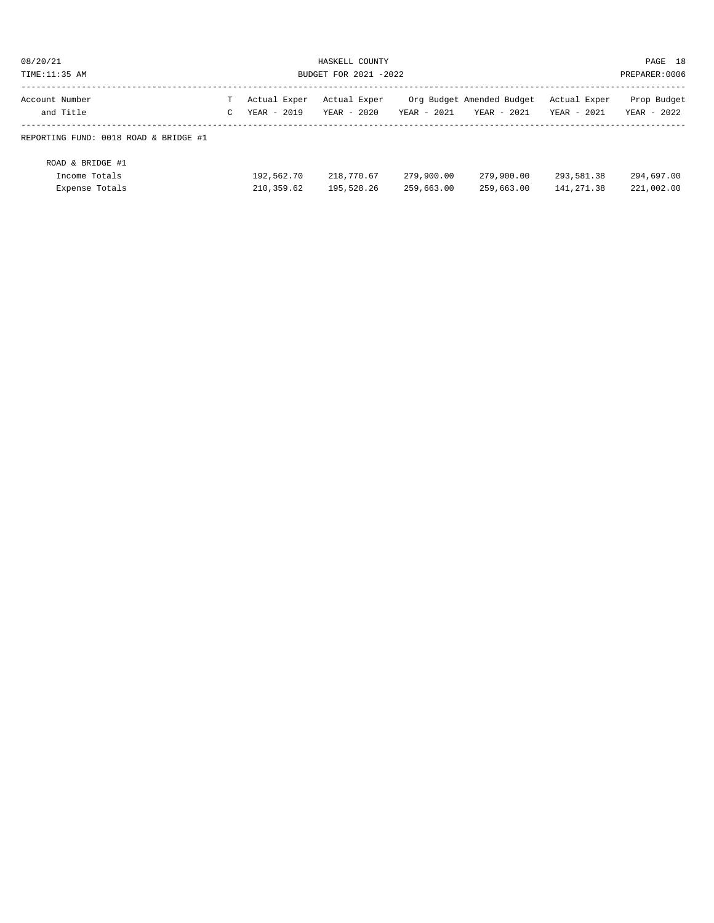| 08/20/21                                            | HASKELL COUNTY        |                          |                          |                          |                           |                            | PAGE 18                  |
|-----------------------------------------------------|-----------------------|--------------------------|--------------------------|--------------------------|---------------------------|----------------------------|--------------------------|
| TIME:11:35 AM                                       | BUDGET FOR 2021 -2022 |                          |                          |                          |                           |                            | PREPARER: 0006           |
| Account Number                                      | т                     | Actual Exper             | Actual Exper             | $YEAR - 2021$            | Org Budget Amended Budget | Actual Exper               | Prop Budget              |
| and Title                                           | $\mathsf{C}$          | $YEAR - 2019$            | YEAR - 2020              |                          | YEAR - 2021               | YEAR - 2021                | YEAR - 2022              |
| REPORTING FUND: 0018 ROAD & BRIDGE #1               |                       |                          |                          |                          |                           |                            |                          |
| ROAD & BRIDGE #1<br>Income Totals<br>Expense Totals |                       | 192,562.70<br>210,359.62 | 218,770.67<br>195,528.26 | 279,900.00<br>259,663.00 | 279,900.00<br>259,663.00  | 293,581.38<br>141, 271, 38 | 294,697.00<br>221,002.00 |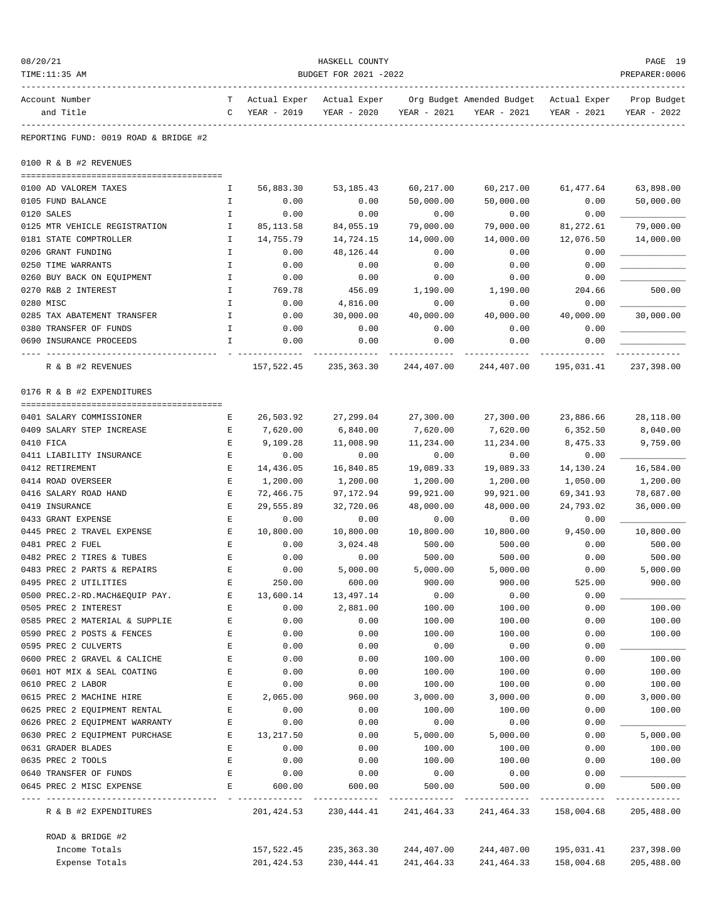| 08/20/21                                              |                       |                             | HASKELL COUNTY              |                   |                                          |                             | PAGE 19                     |
|-------------------------------------------------------|-----------------------|-----------------------------|-----------------------------|-------------------|------------------------------------------|-----------------------------|-----------------------------|
| TIME:11:35 AM                                         | BUDGET FOR 2021 -2022 |                             |                             |                   |                                          |                             |                             |
| Account Number<br>and Title                           | T.<br>C               | Actual Exper<br>YEAR - 2019 | Actual Exper<br>YEAR - 2020 | YEAR - 2021       | Org Budget Amended Budget<br>YEAR - 2021 | Actual Exper<br>YEAR - 2021 | Prop Budget<br>YEAR - 2022  |
| REPORTING FUND: 0019 ROAD & BRIDGE #2                 |                       |                             |                             |                   |                                          |                             |                             |
| 0100 R & B #2 REVENUES                                |                       |                             |                             |                   |                                          |                             |                             |
| 0100 AD VALOREM TAXES                                 | I.                    | 56,883.30                   | 53, 185. 43                 | 60,217.00         | 60,217.00                                | 61,477.64                   | 63,898.00                   |
| 0105 FUND BALANCE                                     | Ι.                    | 0.00                        | 0.00                        | 50,000.00         | 50,000.00                                | 0.00                        | 50,000.00                   |
| 0120 SALES                                            | $\mathbf I$           | 0.00                        | 0.00                        | 0.00              | 0.00                                     | 0.00                        |                             |
| 0125 MTR VEHICLE REGISTRATION                         | $\mathbf I$           | 85, 113.58                  | 84,055.19                   | 79,000.00         | 79,000.00                                | 81,272.61                   | 79,000.00                   |
| 0181 STATE COMPTROLLER                                | Ι.                    | 14,755.79                   | 14,724.15                   | 14,000.00         | 14,000.00                                | 12,076.50                   | 14,000.00                   |
| 0206 GRANT FUNDING                                    | Ι.                    | 0.00                        | 48,126.44                   | 0.00              | 0.00                                     | 0.00                        |                             |
| 0250 TIME WARRANTS                                    | Ι.                    | 0.00                        | 0.00                        | 0.00              | 0.00                                     | 0.00                        |                             |
| 0260 BUY BACK ON EQUIPMENT                            | Ι.                    | 0.00                        | 0.00                        | 0.00              | 0.00                                     | 0.00                        |                             |
| 0270 R&B 2 INTEREST                                   | I                     | 769.78                      | 456.09                      | 1,190.00          | 1,190.00                                 | 204.66                      | 500.00                      |
| 0280 MISC                                             | $\mathbf I$           | 0.00                        | 4,816.00                    | 0.00              | 0.00                                     | 0.00                        |                             |
| 0285 TAX ABATEMENT TRANSFER<br>0380 TRANSFER OF FUNDS | $\mathbf I$           | 0.00                        | 30,000.00                   | 40,000.00         | 40,000.00                                | 40,000.00                   | 30,000.00                   |
| 0690 INSURANCE PROCEEDS                               | I.<br>I               | 0.00<br>0.00                | 0.00<br>0.00                | 0.00<br>0.00      | 0.00<br>0.00                             | 0.00<br>0.00                |                             |
| R & B #2 REVENUES                                     |                       | 157,522.45                  | 235,363.30                  | 244,407.00        | 244,407.00                               | 195,031.41                  | 237,398.00                  |
|                                                       |                       |                             |                             |                   |                                          |                             |                             |
| 0176 R & B #2 EXPENDITURES                            |                       |                             |                             |                   |                                          |                             |                             |
| 0401 SALARY COMMISSIONER                              | Е                     | 26,503.92                   | 27,299.04                   | 27,300.00         | 27,300.00                                | 23,886.66                   | 28,118.00                   |
| 0409 SALARY STEP INCREASE                             | Е                     | 7,620.00                    | 6,840.00                    | 7,620.00          | 7,620.00                                 | 6,352.50                    | 8,040.00                    |
| 0410 FICA                                             | Ε                     | 9,109.28                    | 11,008.90                   | 11,234.00         | 11,234.00                                | 8,475.33                    | 9,759.00                    |
| 0411 LIABILITY INSURANCE                              | Е                     | 0.00                        | 0.00                        | 0.00              | 0.00                                     | 0.00                        |                             |
| 0412 RETIREMENT                                       | Ε                     | 14,436.05                   | 16,840.85                   | 19,089.33         | 19,089.33                                | 14,130.24                   | 16,584.00                   |
| 0414 ROAD OVERSEER                                    | Ε                     | 1,200.00                    | 1,200.00                    | 1,200.00          | 1,200.00                                 | 1,050.00                    | 1,200.00                    |
| 0416 SALARY ROAD HAND                                 | Ε                     | 72,466.75                   | 97,172.94                   | 99,921.00         | 99,921.00                                | 69, 341.93                  | 78,687.00                   |
| 0419 INSURANCE                                        | $\mathbf E$           | 29,555.89                   | 32,720.06                   | 48,000.00         | 48,000.00                                | 24,793.02                   | 36,000.00                   |
| 0433 GRANT EXPENSE<br>0445 PREC 2 TRAVEL EXPENSE      | Ε<br>Е                | 0.00<br>10,800.00           | 0.00                        | 0.00<br>10,800.00 | 0.00<br>10,800.00                        | 0.00<br>9,450.00            | 10,800.00                   |
| 0481 PREC 2 FUEL                                      | Е                     | 0.00                        | 10,800.00<br>3,024.48       | 500.00            | 500.00                                   | 0.00                        | 500.00                      |
| 0482 PREC 2 TIRES & TUBES                             | E                     | 0.00                        | 0.00                        | 500.00            | 500.00                                   | 0.00                        | 500.00                      |
| 0483 PREC 2 PARTS & REPAIRS                           | E                     | 0.00                        | 5.000.00                    | 5,000.00          | 5,000.00                                 | 0.00                        | 5,000.00                    |
| 0495 PREC 2 UTILITIES                                 | Ε                     | 250.00                      | 600.00                      | 900.00            | 900.00                                   | 525.00                      | 900.00                      |
| 0500 PREC.2-RD.MACH&EQUIP PAY.                        | E                     | 13,600.14                   | 13,497.14                   | 0.00              | 0.00                                     | 0.00                        |                             |
| 0505 PREC 2 INTEREST                                  | Ε                     | 0.00                        | 2,881.00                    | 100.00            | 100.00                                   | 0.00                        | 100.00                      |
| 0585 PREC 2 MATERIAL & SUPPLIE                        | E                     | 0.00                        | 0.00                        | 100.00            | 100.00                                   | 0.00                        | 100.00                      |
| 0590 PREC 2 POSTS & FENCES                            | Ε                     | 0.00                        | 0.00                        | 100.00            | 100.00                                   | 0.00                        | 100.00                      |
| 0595 PREC 2 CULVERTS                                  | E                     | 0.00                        | 0.00                        | 0.00              | 0.00                                     | 0.00                        |                             |
| 0600 PREC 2 GRAVEL & CALICHE                          | E                     | 0.00                        | 0.00                        | 100.00            | 100.00                                   | 0.00                        | 100.00                      |
| 0601 HOT MIX & SEAL COATING                           | E                     | 0.00                        | 0.00                        | 100.00            | 100.00                                   | 0.00                        | 100.00                      |
| 0610 PREC 2 LABOR                                     | Ε                     | 0.00                        | 0.00                        | 100.00            | 100.00                                   | 0.00                        | 100.00                      |
| 0615 PREC 2 MACHINE HIRE                              | Ε                     | 2,065.00                    | 960.00                      | 3,000.00          | 3,000.00                                 | 0.00                        | 3,000.00                    |
| 0625 PREC 2 EQUIPMENT RENTAL                          | $\mathbf E$           | 0.00                        | 0.00                        | 100.00            | 100.00                                   | 0.00                        | 100.00                      |
| 0626 PREC 2 EQUIPMENT WARRANTY                        | Е                     | 0.00                        | 0.00                        | 0.00              | 0.00                                     | 0.00                        |                             |
| 0630 PREC 2 EQUIPMENT PURCHASE                        | Е                     | 13,217.50                   | 0.00                        | 5,000.00          | 5,000.00                                 | 0.00                        | 5,000.00                    |
| 0631 GRADER BLADES                                    | Е                     | 0.00                        | 0.00                        | 100.00            | 100.00                                   | 0.00                        | 100.00                      |
| 0635 PREC 2 TOOLS<br>0640 TRANSFER OF FUNDS           | E<br>Ε                | 0.00<br>0.00                | 0.00<br>0.00                | 100.00<br>0.00    | 100.00<br>0.00                           | 0.00<br>0.00                | 100.00                      |
| 0645 PREC 2 MISC EXPENSE                              | Ε                     | 600.00                      | 600.00                      | 500.00            | 500.00                                   | 0.00                        | 500.00                      |
| ---------------<br>R & B #2 EXPENDITURES              |                       | -----------<br>201,424.53   | ---------<br>230,444.41     | 241,464.33        | 241,464.33                               | 158,004.68                  | -------------<br>205,488.00 |
| ROAD & BRIDGE #2                                      |                       |                             |                             |                   |                                          |                             |                             |
| Income Totals                                         |                       | 157,522.45                  | 235,363.30                  | 244,407.00        | 244,407.00                               | 195,031.41                  | 237,398.00                  |
| Expense Totals                                        |                       | 201, 424.53                 | 230,444.41                  | 241,464.33        | 241,464.33                               | 158,004.68                  | 205,488.00                  |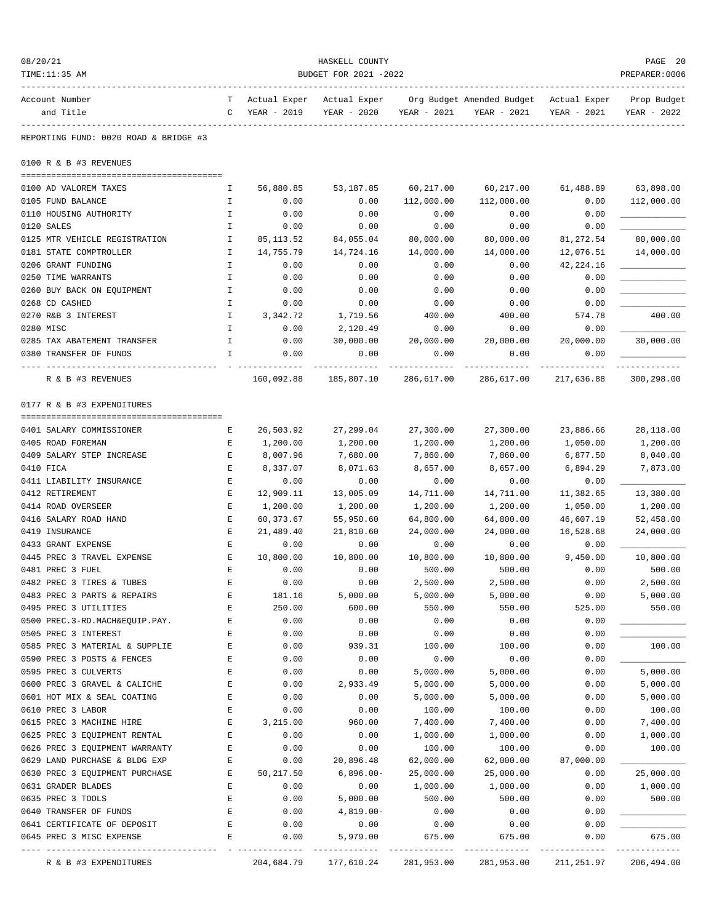| 08/20/21<br>TIME:11:35 AM                      | HASKELL COUNTY<br>PREPARER: 0006<br>BUDGET FOR 2021 -2022 |                      |                      |                      |                                        |                      |                      |  |
|------------------------------------------------|-----------------------------------------------------------|----------------------|----------------------|----------------------|----------------------------------------|----------------------|----------------------|--|
| Account Number                                 | Т                                                         | Actual Exper         | Actual Exper         |                      | Org Budget Amended Budget Actual Exper |                      | Prop Budget          |  |
| and Title                                      | C                                                         | YEAR - 2019          | YEAR - 2020          | YEAR - 2021          | YEAR - 2021                            | YEAR - 2021          | YEAR - 2022          |  |
| REPORTING FUND: 0020 ROAD & BRIDGE #3          |                                                           |                      |                      |                      |                                        |                      |                      |  |
| 0100 R & B #3 REVENUES                         |                                                           |                      |                      |                      |                                        |                      |                      |  |
| 0100 AD VALOREM TAXES                          | Ι.                                                        | 56,880.85            | 53,187.85            | 60,217.00            | 60,217.00                              | 61,488.89            | 63,898.00            |  |
| 0105 FUND BALANCE                              | I                                                         | 0.00                 | 0.00                 | 112,000.00           | 112,000.00                             | 0.00                 | 112,000.00           |  |
| 0110 HOUSING AUTHORITY                         | I.                                                        | 0.00                 | 0.00                 | 0.00                 | 0.00                                   | 0.00                 |                      |  |
| 0120 SALES                                     | Ι.                                                        | 0.00                 | 0.00                 | 0.00                 | 0.00                                   | 0.00                 |                      |  |
| 0125 MTR VEHICLE REGISTRATION                  | Ι.                                                        | 85, 113.52           | 84,055.04            | 80,000.00            | 80,000.00                              | 81,272.54            | 80,000.00            |  |
| 0181 STATE COMPTROLLER                         | I.                                                        | 14,755.79            | 14,724.16            | 14,000.00            | 14,000.00                              | 12,076.51            | 14,000.00            |  |
| 0206 GRANT FUNDING                             | I                                                         | 0.00                 | 0.00                 | 0.00                 | 0.00                                   | 42,224.16            |                      |  |
| 0250 TIME WARRANTS                             | I                                                         | 0.00                 | 0.00                 | 0.00                 | 0.00                                   | 0.00                 |                      |  |
| 0260 BUY BACK ON EOUIPMENT                     | I                                                         | 0.00                 | 0.00                 | 0.00                 | 0.00                                   | 0.00                 |                      |  |
| 0268 CD CASHED                                 | I.                                                        | 0.00                 | 0.00                 | 0.00                 | 0.00                                   | 0.00                 |                      |  |
| 0270 R&B 3 INTEREST                            | I.                                                        | 3,342.72             | 1,719.56             | 400.00               | 400.00                                 | 574.78               | 400.00               |  |
| 0280 MISC                                      | $\mathbf{I}$                                              | 0.00                 | 2,120.49             | 0.00                 | 0.00                                   | 0.00                 |                      |  |
| 0285 TAX ABATEMENT TRANSFER                    | Ι.                                                        | 0.00                 | 30,000.00            | 20,000.00            | 20,000.00                              | 20,000.00            | 30,000.00            |  |
| 0380 TRANSFER OF FUNDS                         | I.                                                        | 0.00                 | 0.00                 | 0.00                 | 0.00                                   | 0.00                 |                      |  |
| ---- -------------<br>R & B #3 REVENUES        |                                                           | 160,092.88           | 185,807.10           | 286,617.00           | 286,617.00                             | 217,636.88           | 300,298.00           |  |
| 0177 R & B #3 EXPENDITURES                     |                                                           |                      |                      |                      |                                        |                      |                      |  |
|                                                |                                                           |                      |                      |                      |                                        |                      |                      |  |
| 0401 SALARY COMMISSIONER                       | Е                                                         | 26,503.92            | 27,299.04            | 27,300.00            | 27,300.00                              | 23,886.66            | 28,118.00            |  |
| 0405 ROAD FOREMAN<br>0409 SALARY STEP INCREASE | Е<br>Е                                                    | 1,200.00<br>8,007.96 | 1,200.00<br>7,680.00 | 1,200.00<br>7,860.00 | 1,200.00<br>7,860.00                   | 1,050.00<br>6,877.50 | 1,200.00<br>8,040.00 |  |
| 0410 FICA                                      | $\mathbf E$                                               | 8,337.07             | 8,071.63             | 8,657.00             | 8,657.00                               | 6,894.29             | 7,873.00             |  |
| 0411 LIABILITY INSURANCE                       | Е                                                         | 0.00                 | 0.00                 | 0.00                 | 0.00                                   | 0.00                 |                      |  |
| 0412 RETIREMENT                                | Е                                                         | 12,909.11            | 13,005.09            | 14,711.00            | 14,711.00                              | 11,382.65            | 13,380.00            |  |
| 0414 ROAD OVERSEER                             | Е                                                         | 1,200.00             | 1,200.00             | 1,200.00             | 1,200.00                               | 1,050.00             | 1,200.00             |  |
| 0416 SALARY ROAD HAND                          | E                                                         | 60, 373.67           | 55,950.60            | 64,800.00            | 64,800.00                              | 46,607.19            | 52,458.00            |  |
| 0419 INSURANCE                                 | E                                                         | 21,489.40            | 21,810.60            | 24,000.00            | 24,000.00                              | 16,528.68            | 24,000.00            |  |
| 0433 GRANT EXPENSE                             | Е                                                         | 0.00                 | 0.00                 | 0.00                 | 0.00                                   | 0.00                 |                      |  |
| 0445 PREC 3 TRAVEL EXPENSE                     | E                                                         | 10,800.00            | 10,800.00            | 10,800.00            | 10,800.00                              | 9,450.00             | 10,800.00            |  |
| 0481 PREC 3 FUEL                               | E                                                         | 0.00                 | 0.00                 | 500.00               | 500.00                                 | 0.00                 | 500.00               |  |
| 0482 PREC 3 TIRES & TUBES                      | Е                                                         | 0.00                 | 0.00                 | 2,500.00             | 2,500.00                               | 0.00                 | 2,500.00             |  |
| 0483 PREC 3 PARTS & REPAIRS                    | E                                                         | 181.16               | 5,000.00             | 5,000.00             | 5,000.00                               | 0.00                 | 5,000.00             |  |
| 0495 PREC 3 UTILITIES                          | E                                                         | 250.00               | 600.00               | 550.00               | 550.00                                 | 525.00               | 550.00               |  |
| 0500 PREC.3-RD.MACH&EQUIP.PAY.                 | E                                                         | 0.00                 | 0.00                 | 0.00                 | 0.00                                   | 0.00                 |                      |  |
| 0505 PREC 3 INTEREST                           | Е                                                         | 0.00                 | 0.00                 | 0.00                 | 0.00                                   | 0.00                 |                      |  |
| 0585 PREC 3 MATERIAL & SUPPLIE                 | Е                                                         | 0.00                 | 939.31               | 100.00               | 100.00                                 | 0.00                 | 100.00               |  |
| 0590 PREC 3 POSTS & FENCES                     | Ε                                                         | 0.00                 | 0.00                 | 0.00                 | 0.00                                   | 0.00                 |                      |  |
| 0595 PREC 3 CULVERTS                           | E                                                         | 0.00                 | 0.00                 | 5,000.00             | 5,000.00                               | 0.00                 | 5,000.00             |  |
| 0600 PREC 3 GRAVEL & CALICHE                   | Е                                                         | 0.00                 | 2,933.49             | 5,000.00             | 5,000.00                               | 0.00                 | 5,000.00             |  |
| 0601 HOT MIX & SEAL COATING                    | Е                                                         | 0.00                 | 0.00                 | 5,000.00             | 5,000.00                               | 0.00                 | 5,000.00             |  |
| 0610 PREC 3 LABOR                              | E                                                         | 0.00                 | 0.00                 | 100.00               | 100.00                                 | 0.00                 | 100.00               |  |
| 0615 PREC 3 MACHINE HIRE                       | Ε                                                         | 3,215.00             | 960.00               | 7,400.00             | 7,400.00                               | 0.00                 | 7,400.00             |  |
| 0625 PREC 3 EQUIPMENT RENTAL                   | E                                                         | 0.00                 | 0.00                 | 1,000.00             | 1,000.00                               | 0.00                 | 1,000.00             |  |
| 0626 PREC 3 EQUIPMENT WARRANTY                 | E                                                         | 0.00                 | 0.00                 | 100.00               | 100.00                                 | 0.00                 | 100.00               |  |
| 0629 LAND PURCHASE & BLDG EXP                  | Ε                                                         | 0.00                 | 20,896.48            | 62,000.00            | 62,000.00                              | 87,000.00            |                      |  |
| 0630 PREC 3 EQUIPMENT PURCHASE                 | Ε                                                         | 50,217.50            | $6,896.00-$          | 25,000.00            | 25,000.00                              | 0.00                 | 25,000.00            |  |
| 0631 GRADER BLADES                             | Ε                                                         | 0.00                 | 0.00                 | 1,000.00             | 1,000.00                               | 0.00                 | 1,000.00             |  |
| 0635 PREC 3 TOOLS                              | E                                                         | 0.00                 | 5,000.00             | 500.00               | 500.00                                 | 0.00                 | 500.00               |  |
| 0640 TRANSFER OF FUNDS                         | E                                                         | 0.00                 | $4,819.00-$          | 0.00                 | 0.00                                   | 0.00                 |                      |  |
| 0641 CERTIFICATE OF DEPOSIT                    | E                                                         | 0.00                 | 0.00                 | 0.00                 | 0.00                                   | 0.00                 |                      |  |
| 0645 PREC 3 MISC EXPENSE                       | Ε                                                         | 0.00                 | 5,979.00             | 675.00               | 675.00                                 | 0.00                 | 675.00               |  |
| R & B #3 EXPENDITURES                          |                                                           | 204,684.79           | 177,610.24           | 281,953.00           | 281,953.00                             | 211,251.97           | 206,494.00           |  |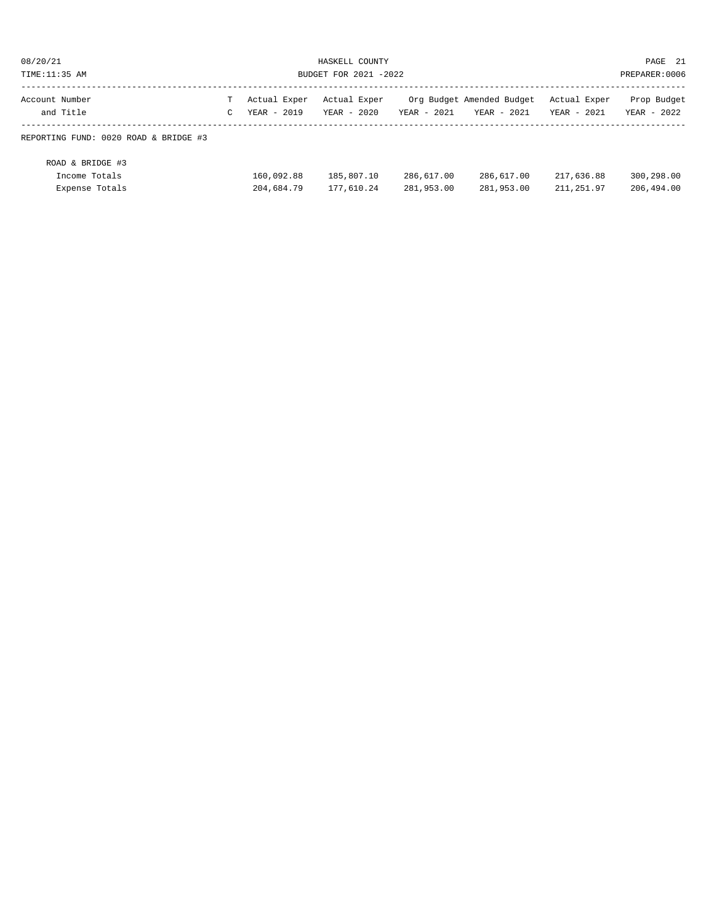| 08/20/21                                            | HASKELL COUNTY        |                          |                          |                          |                           |                            | PAGE 21                  |
|-----------------------------------------------------|-----------------------|--------------------------|--------------------------|--------------------------|---------------------------|----------------------------|--------------------------|
| TIME:11:35 AM                                       | BUDGET FOR 2021 -2022 |                          |                          |                          |                           |                            | PREPARER: 0006           |
| Account Number                                      | т                     | Actual Exper             | Actual Exper             | $YEAR - 2021$            | Org Budget Amended Budget | Actual Exper               | Prop Budget              |
| and Title                                           | $\mathsf{C}$          | $YEAR - 2019$            | YEAR - 2020              |                          | YEAR - 2021               | YEAR - 2021                | YEAR - 2022              |
| REPORTING FUND: 0020 ROAD & BRIDGE #3               |                       |                          |                          |                          |                           |                            |                          |
| ROAD & BRIDGE #3<br>Income Totals<br>Expense Totals |                       | 160,092.88<br>204,684.79 | 185,807.10<br>177,610.24 | 286,617.00<br>281,953.00 | 286,617.00<br>281,953.00  | 217,636.88<br>211, 251, 97 | 300,298.00<br>206,494.00 |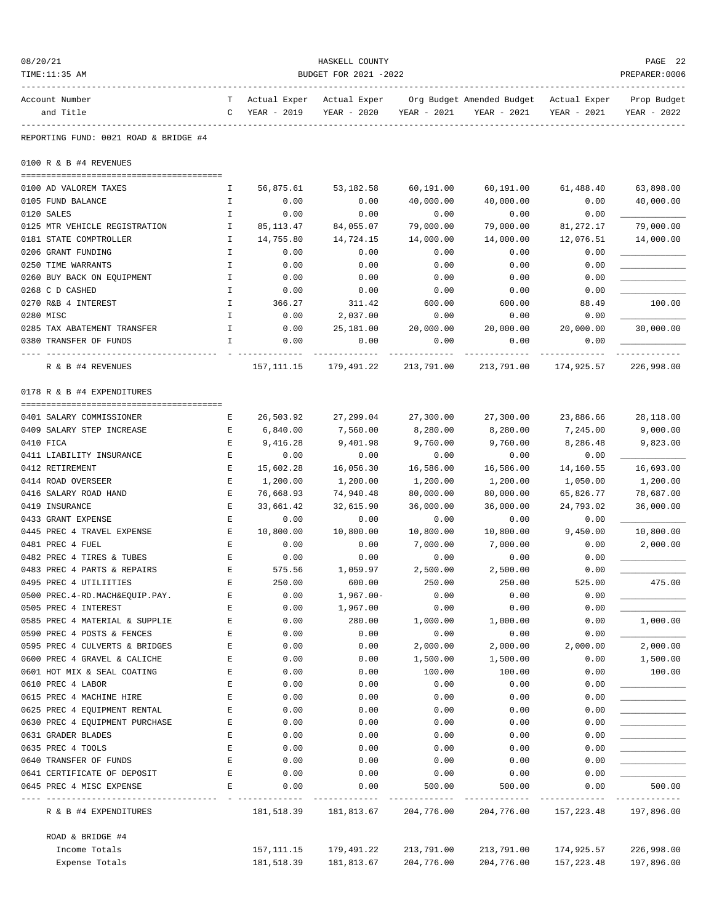| 08/20/21                                              |                       |                          | HASKELL COUNTY           |                          |                                                                                               |                           | PAGE 22<br>PREPARER: 0006 |
|-------------------------------------------------------|-----------------------|--------------------------|--------------------------|--------------------------|-----------------------------------------------------------------------------------------------|---------------------------|---------------------------|
| TIME:11:35 AM                                         | BUDGET FOR 2021 -2022 |                          |                          |                          |                                                                                               |                           |                           |
| Account Number<br>and Title                           | C                     | YEAR - 2019              | YEAR - 2020              | YEAR - 2021              | T Actual Exper Actual Exper Org Budget Amended Budget Actual Exper Prop Budget<br>YEAR - 2021 | YEAR - 2021               | YEAR - 2022               |
| REPORTING FUND: 0021 ROAD & BRIDGE #4                 |                       |                          |                          |                          |                                                                                               |                           |                           |
| 0100 R & B #4 REVENUES                                |                       |                          |                          |                          |                                                                                               |                           |                           |
| 0100 AD VALOREM TAXES                                 | Ι.                    | 56,875.61                | 53,182.58                | 60,191.00                | 60,191.00                                                                                     | 61,488.40                 | 63,898.00                 |
| 0105 FUND BALANCE                                     | Ι.                    | 0.00                     | 0.00                     | 40,000.00                | 40,000.00                                                                                     | 0.00                      | 40,000.00                 |
| 0120 SALES                                            | $\mathbf I$           | 0.00                     | 0.00                     | 0.00                     | 0.00                                                                                          | 0.00                      |                           |
| 0125 MTR VEHICLE REGISTRATION                         | Ι.                    | 85,113.47                | 84,055.07                | 79,000.00                | 79,000.00                                                                                     | 81,272.17                 | 79,000.00                 |
| 0181 STATE COMPTROLLER                                | Ι.                    | 14,755.80                | 14,724.15                | 14,000.00                | 14,000.00                                                                                     | 12,076.51                 | 14,000.00                 |
| 0206 GRANT FUNDING                                    | Ι.                    | 0.00                     | 0.00                     | 0.00                     | 0.00                                                                                          | 0.00                      |                           |
| 0250 TIME WARRANTS                                    | Ι.                    | 0.00                     | 0.00                     | 0.00                     | 0.00                                                                                          | 0.00                      |                           |
| 0260 BUY BACK ON EQUIPMENT                            | Ι.                    | 0.00                     | 0.00                     | 0.00                     | 0.00                                                                                          | 0.00                      |                           |
| 0268 C D CASHED                                       | $\mathbf{I}$          | 0.00                     | 0.00                     | 0.00                     | 0.00                                                                                          | 0.00                      |                           |
| 0270 R&B 4 INTEREST                                   | $\mathbf{I}$          | 366.27                   | 311.42                   | 600.00                   | 600.00                                                                                        | 88.49                     | 100.00                    |
| 0280 MISC                                             | Ι.<br>Ι.              | 0.00<br>0.00             | 2,037.00                 | 0.00                     | 0.00                                                                                          | 0.00<br>20,000.00         | 30,000.00                 |
| 0285 TAX ABATEMENT TRANSFER<br>0380 TRANSFER OF FUNDS | I                     | 0.00                     | 25,181.00<br>0.00        | 20,000.00<br>0.00        | 20,000.00<br>0.00                                                                             | 0.00                      |                           |
| -- ------------<br>R & B #4 REVENUES                  |                       | 157, 111.15              | 179,491.22               | 213,791.00               | 213,791.00                                                                                    | 174,925.57                | 226,998.00                |
| 0178 R & B #4 EXPENDITURES                            |                       |                          |                          |                          |                                                                                               |                           |                           |
|                                                       |                       |                          |                          |                          |                                                                                               |                           |                           |
| 0401 SALARY COMMISSIONER                              | Е                     | 26,503.92                | 27,299.04                | 27,300.00                | 27,300.00                                                                                     | 23,886.66                 | 28,118.00                 |
| 0409 SALARY STEP INCREASE                             | Е<br>Е                | 6,840.00                 | 7,560.00                 | 8,280.00                 | 8,280.00                                                                                      | 7,245.00                  | 9,000.00                  |
| 0410 FICA<br>0411 LIABILITY INSURANCE                 | Е                     | 9,416.28<br>0.00         | 9,401.98<br>0.00         | 9,760.00<br>0.00         | 9,760.00<br>0.00                                                                              | 8,286.48<br>0.00          | 9,823.00                  |
| 0412 RETIREMENT                                       | E                     | 15,602.28                | 16,056.30                | 16,586.00                | 16,586.00                                                                                     | 14,160.55                 | 16,693.00                 |
| 0414 ROAD OVERSEER                                    | Е                     | 1,200.00                 | 1,200.00                 | 1,200.00                 | 1,200.00                                                                                      | 1,050.00                  | 1,200.00                  |
| 0416 SALARY ROAD HAND                                 | Е                     | 76,668.93                | 74,940.48                | 80,000.00                | 80,000.00                                                                                     | 65,826.77                 | 78,687.00                 |
| 0419 INSURANCE                                        | $\mathbf E$           | 33,661.42                | 32,615.90                | 36,000.00                | 36,000.00                                                                                     | 24,793.02                 | 36,000.00                 |
| 0433 GRANT EXPENSE                                    | Е                     | 0.00                     | 0.00                     | 0.00                     | 0.00                                                                                          | 0.00                      |                           |
| 0445 PREC 4 TRAVEL EXPENSE                            | Е                     | 10,800.00                | 10,800.00                | 10,800.00                | 10,800.00                                                                                     | 9,450.00                  | 10,800.00                 |
| 0481 PREC 4 FUEL                                      | Е                     | 0.00                     | 0.00                     | 7,000.00                 | 7,000.00                                                                                      | 0.00                      | 2,000.00                  |
| 0482 PREC 4 TIRES & TUBES                             | Е                     | 0.00                     | 0.00                     | 0.00                     | 0.00                                                                                          | 0.00                      |                           |
| 0483 PREC 4 PARTS & REPAIRS                           | E                     | 575.56                   | 1,059.97                 | 2,500.00                 | 2,500.00                                                                                      | 0.00                      |                           |
| 0495 PREC 4 UTILIITIES                                | E                     | 250.00                   | 600.00                   | 250.00                   | 250.00                                                                                        | 525.00                    | 475.00                    |
| 0500 PREC.4-RD.MACH&EQUIP.PAY.                        | E                     | 0.00                     | $1,967.00 -$             | 0.00                     | 0.00                                                                                          | 0.00                      |                           |
| 0505 PREC 4 INTEREST                                  | E                     | 0.00                     | 1,967.00                 | 0.00                     | 0.00                                                                                          | 0.00                      |                           |
| 0585 PREC 4 MATERIAL & SUPPLIE                        | Ε                     | 0.00                     | 280.00                   | 1,000.00                 | 1,000.00                                                                                      | 0.00                      | 1,000.00                  |
| 0590 PREC 4 POSTS & FENCES                            | E                     | 0.00                     | 0.00                     | 0.00                     | 0.00                                                                                          | 0.00                      |                           |
| 0595 PREC 4 CULVERTS & BRIDGES                        | E                     | 0.00                     | 0.00                     | 2,000.00                 | 2,000.00                                                                                      | 2,000.00                  | 2,000.00                  |
| 0600 PREC 4 GRAVEL & CALICHE                          | Е                     | 0.00                     | 0.00                     | 1,500.00                 | 1,500.00                                                                                      | 0.00                      | 1,500.00                  |
| 0601 HOT MIX & SEAL COATING                           | Е                     | 0.00                     | 0.00                     | 100.00                   | 100.00                                                                                        | 0.00                      | 100.00                    |
| 0610 PREC 4 LABOR<br>0615 PREC 4 MACHINE HIRE         | Е<br>E                | 0.00<br>0.00             | 0.00<br>0.00             | 0.00<br>0.00             | 0.00<br>0.00                                                                                  | 0.00<br>0.00              |                           |
| 0625 PREC 4 EQUIPMENT RENTAL                          | E                     | 0.00                     | 0.00                     | 0.00                     | 0.00                                                                                          | 0.00                      |                           |
| 0630 PREC 4 EQUIPMENT PURCHASE                        | E                     | 0.00                     | 0.00                     | 0.00                     | 0.00                                                                                          | 0.00                      |                           |
| 0631 GRADER BLADES                                    | Ε                     | 0.00                     | 0.00                     | 0.00                     | 0.00                                                                                          | 0.00                      |                           |
| 0635 PREC 4 TOOLS                                     | E                     | 0.00                     | 0.00                     | 0.00                     | 0.00                                                                                          | 0.00                      |                           |
| 0640 TRANSFER OF FUNDS                                | Ε                     | 0.00                     | 0.00                     | 0.00                     | 0.00                                                                                          | 0.00                      |                           |
| 0641 CERTIFICATE OF DEPOSIT                           | E                     | 0.00                     | 0.00                     | 0.00                     | 0.00                                                                                          | 0.00                      |                           |
| 0645 PREC 4 MISC EXPENSE                              | E                     | 0.00<br>_______________  | 0.00                     | 500.00                   | 500.00                                                                                        | 0.00                      | 500.00<br>.               |
| R & B #4 EXPENDITURES                                 |                       | 181,518.39               | 181,813.67               | 204,776.00               | 204,776.00                                                                                    | 157, 223.48               | 197,896.00                |
| ROAD & BRIDGE #4                                      |                       |                          |                          |                          |                                                                                               |                           |                           |
| Income Totals<br>Expense Totals                       |                       | 157,111.15<br>181,518.39 | 179,491.22<br>181,813.67 | 213,791.00<br>204,776.00 | 213,791.00<br>204,776.00                                                                      | 174,925.57<br>157, 223.48 | 226,998.00<br>197,896.00  |
|                                                       |                       |                          |                          |                          |                                                                                               |                           |                           |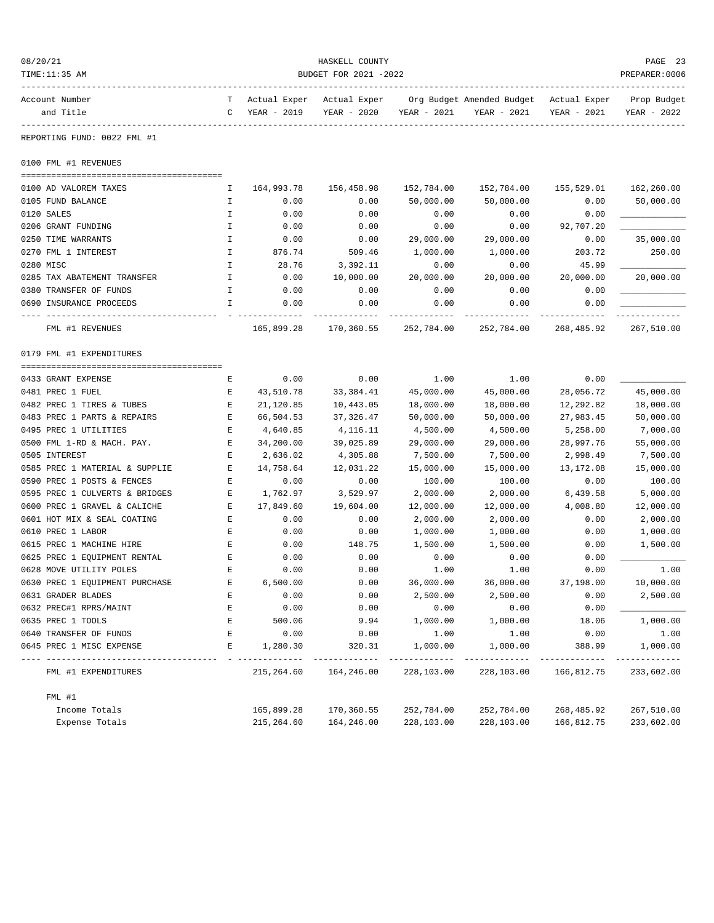| 08/20/21<br>HASKELL COUNTY     |              |                |                       |             |                                        | PAGE 23     |                |
|--------------------------------|--------------|----------------|-----------------------|-------------|----------------------------------------|-------------|----------------|
| TIME:11:35 AM                  |              |                | BUDGET FOR 2021 -2022 |             |                                        |             | PREPARER: 0006 |
| Account Number                 |              | T Actual Exper | Actual Exper          |             | Org Budget Amended Budget Actual Exper |             | Prop Budget    |
| and Title                      | C            | YEAR - 2019    | YEAR - 2020           | YEAR - 2021 | YEAR - 2021                            | YEAR - 2021 | YEAR - 2022    |
| REPORTING FUND: 0022 FML #1    |              |                |                       |             |                                        |             |                |
| 0100 FML #1 REVENUES           |              |                |                       |             |                                        |             |                |
|                                |              |                |                       |             |                                        |             |                |
| 0100 AD VALOREM TAXES          | Ι.           | 164,993.78     | 156,458.98            | 152,784.00  | 152,784.00                             | 155,529.01  | 162,260.00     |
| 0105 FUND BALANCE              | Ι.           | 0.00           | 0.00                  | 50,000.00   | 50,000.00                              | 0.00        | 50,000.00      |
| 0120 SALES                     | Ι.           | 0.00           | 0.00                  | 0.00        | 0.00                                   | 0.00        |                |
| 0206 GRANT FUNDING             | Ι.           | 0.00           | 0.00                  | 0.00        | 0.00                                   | 92,707.20   |                |
| 0250 TIME WARRANTS             | $\mathbf{I}$ | 0.00           | 0.00                  | 29,000.00   | 29,000.00                              | 0.00        | 35,000.00      |
| 0270 FML 1 INTEREST            | $\mathbf{I}$ | 876.74         | 509.46                | 1,000.00    | 1,000.00                               | 203.72      | 250.00         |
| 0280 MISC                      | $\mathbf I$  | 28.76          | 3,392.11              | 0.00        | 0.00                                   | 45.99       |                |
| 0285 TAX ABATEMENT TRANSFER    | $\mathbf I$  | 0.00           | 10,000.00             | 20,000.00   | 20,000.00                              | 20,000.00   | 20,000.00      |
| 0380 TRANSFER OF FUNDS         | I.           | 0.00           | 0.00                  | 0.00        | 0.00                                   | 0.00        |                |
| 0690 INSURANCE PROCEEDS        | I.           | 0.00           | 0.00                  | 0.00        | 0.00                                   | 0.00        |                |
| FML #1 REVENUES                |              | 165,899.28     | 170,360.55            | 252,784.00  | 252,784.00                             | 268,485.92  | 267,510.00     |
| 0179 FML #1 EXPENDITURES       |              |                |                       |             |                                        |             |                |
|                                |              |                |                       |             |                                        |             |                |
| 0433 GRANT EXPENSE             | Ε            | 0.00           | 0.00                  | 1.00        | 1.00                                   | 0.00        |                |
| 0481 PREC 1 FUEL               | Е            | 43,510.78      | 33,384.41             | 45,000.00   | 45,000.00                              | 28,056.72   | 45,000.00      |
| 0482 PREC 1 TIRES & TUBES      | Е            | 21,120.85      | 10,443.05             | 18,000.00   | 18,000.00                              | 12,292.82   | 18,000.00      |
| 0483 PREC 1 PARTS & REPAIRS    | E            | 66,504.53      | 37,326.47             | 50,000.00   | 50,000.00                              | 27,983.45   | 50,000.00      |
| 0495 PREC 1 UTILITIES          | Е            | 4,640.85       | 4,116.11              | 4,500.00    | 4,500.00                               | 5,258.00    | 7,000.00       |
| 0500 FML 1-RD & MACH. PAY.     | Е            | 34,200.00      | 39,025.89             | 29,000.00   | 29,000.00                              | 28,997.76   | 55,000.00      |
| 0505 INTEREST                  | Ε            | 2,636.02       | 4,305.88              | 7,500.00    | 7,500.00                               | 2,998.49    | 7,500.00       |
| 0585 PREC 1 MATERIAL & SUPPLIE | Е            | 14,758.64      | 12,031.22             | 15,000.00   | 15,000.00                              | 13,172.08   | 15,000.00      |
| 0590 PREC 1 POSTS & FENCES     | Е            | 0.00           | 0.00                  | 100.00      | 100.00                                 | 0.00        | 100.00         |
| 0595 PREC 1 CULVERTS & BRIDGES | Е            | 1,762.97       | 3,529.97              | 2,000.00    | 2,000.00                               | 6,439.58    | 5,000.00       |
| 0600 PREC 1 GRAVEL & CALICHE   | Е            | 17,849.60      | 19,604.00             | 12,000.00   | 12,000.00                              | 4,008.80    | 12,000.00      |
| 0601 HOT MIX & SEAL COATING    | $\mathbf E$  | 0.00           | 0.00                  | 2,000.00    | 2,000.00                               | 0.00        | 2,000.00       |
| 0610 PREC 1 LABOR              | E            | 0.00           | 0.00                  | 1,000.00    | 1,000.00                               | 0.00        | 1,000.00       |
| 0615 PREC 1 MACHINE HIRE       | Е            | 0.00           | 148.75                | 1,500.00    | 1,500.00                               | 0.00        | 1,500.00       |
| 0625 PREC 1 EQUIPMENT RENTAL   | Ε            | 0.00           | 0.00                  | 0.00        | 0.00                                   | 0.00        |                |
| 0628 MOVE UTILITY POLES        | E.           | 0.00           | 0.00                  | 1.00        | 1.00                                   | 0.00        | 1.00           |
| 0630 PREC 1 EQUIPMENT PURCHASE | Е            | 6,500.00       | 0.00                  | 36,000.00   | 36,000.00                              | 37,198.00   | 10,000.00      |
| 0631 GRADER BLADES             | E            | 0.00           | 0.00                  | 2,500.00    | 2,500.00                               | 0.00        | 2,500.00       |
| 0632 PREC#1 RPRS/MAINT         | Е            | 0.00           | 0.00                  | 0.00        | 0.00                                   | 0.00        |                |
| 0635 PREC 1 TOOLS              | E            | 500.06         | 9.94                  | 1,000.00    | 1,000.00                               | 18.06       | 1,000.00       |
| 0640 TRANSFER OF FUNDS         | E            | 0.00           | 0.00                  | 1.00        | 1.00                                   | 0.00        | 1.00           |
| 0645 PREC 1 MISC EXPENSE       | Е            | 1,280.30       | 320.31                | 1,000.00    | 1,000.00                               | 388.99      | 1,000.00       |
| FML #1 EXPENDITURES            |              | 215,264.60     | 164,246.00            | 228,103.00  | 228,103.00                             | 166,812.75  | 233,602.00     |
| FML #1                         |              |                |                       |             |                                        |             |                |
| Income Totals                  |              | 165,899.28     | 170,360.55            | 252,784.00  | 252,784.00                             | 268,485.92  | 267,510.00     |
| Expense Totals                 |              | 215,264.60     | 164,246.00            | 228,103.00  | 228,103.00                             | 166,812.75  | 233,602.00     |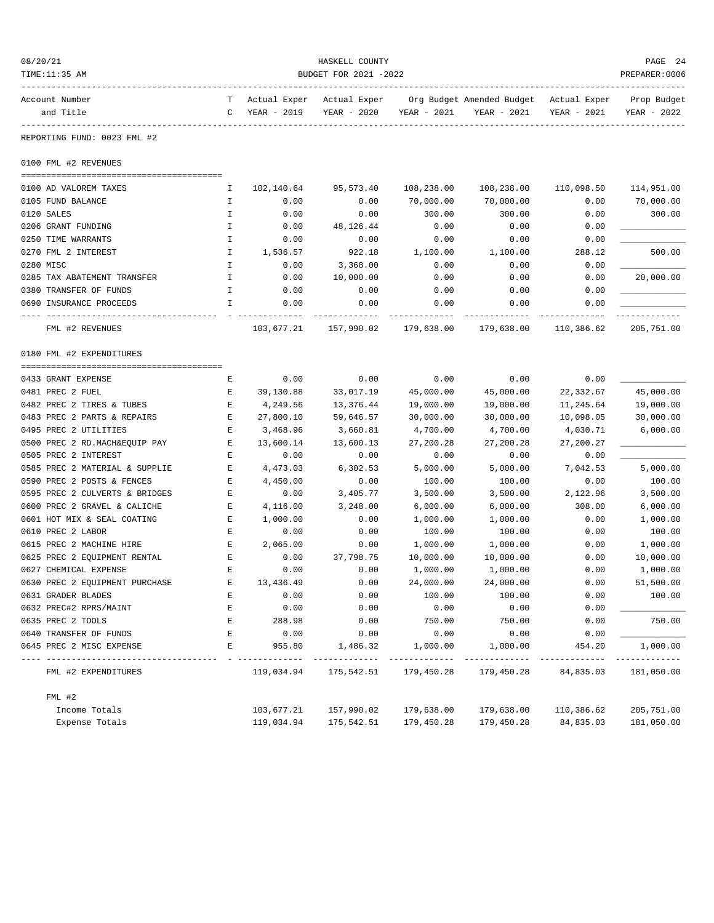| 08/20/21<br>TIME:11:35 AM               | HASKELL COUNTY<br>BUDGET FOR 2021 -2022 |                             |                             |                             |                                                       |             |                            |  |
|-----------------------------------------|-----------------------------------------|-----------------------------|-----------------------------|-----------------------------|-------------------------------------------------------|-------------|----------------------------|--|
| Account Number<br>and Title             | T –<br>C                                | Actual Exper<br>YEAR - 2019 | Actual Exper<br>YEAR - 2020 | YEAR - 2021                 | Org Budget Amended Budget Actual Exper<br>YEAR - 2021 | YEAR - 2021 | Prop Budget<br>YEAR - 2022 |  |
| REPORTING FUND: 0023 FML #2             |                                         |                             |                             |                             |                                                       |             |                            |  |
| 0100 FML #2 REVENUES                    |                                         |                             |                             |                             |                                                       |             |                            |  |
| 0100 AD VALOREM TAXES                   | I.                                      | 102,140.64                  | 95,573.40                   | 108,238.00                  | 108,238.00                                            | 110,098.50  | 114,951.00                 |  |
| 0105 FUND BALANCE                       | Ι.                                      | 0.00                        | 0.00                        | 70,000.00                   | 70,000.00                                             | 0.00        | 70,000.00                  |  |
| 0120 SALES                              | I                                       | 0.00                        | 0.00                        | 300.00                      | 300.00                                                | 0.00        | 300.00                     |  |
| 0206 GRANT FUNDING                      | Ι.                                      | 0.00                        | 48, 126. 44                 | 0.00                        | 0.00                                                  | 0.00        |                            |  |
| 0250 TIME WARRANTS                      | $\mathbf I$                             | 0.00                        | 0.00                        | 0.00                        | 0.00                                                  | 0.00        |                            |  |
| 0270 FML 2 INTEREST                     | I.                                      | 1,536.57                    | 922.18                      | 1,100.00                    | 1,100.00                                              | 288.12      | 500.00                     |  |
| 0280 MISC                               | I.                                      | 0.00                        | 3,368.00                    | 0.00                        | 0.00                                                  | 0.00        |                            |  |
| 0285 TAX ABATEMENT TRANSFER             | $\mathbf I$                             | 0.00                        | 10,000.00                   | 0.00                        | 0.00                                                  | 0.00        | 20,000.00                  |  |
| 0380 TRANSFER OF FUNDS                  | Ι.                                      | 0.00                        | 0.00                        | 0.00                        | 0.00                                                  | 0.00        |                            |  |
| 0690 INSURANCE PROCEEDS                 | I                                       | 0.00                        | 0.00                        | 0.00                        | 0.00                                                  | 0.00        |                            |  |
|                                         |                                         |                             |                             |                             |                                                       |             |                            |  |
| FML #2 REVENUES                         |                                         | 103,677.21                  | 157,990.02                  | 179,638.00                  | 179,638.00                                            | 110,386.62  | 205,751.00                 |  |
| 0180 FML #2 EXPENDITURES                |                                         |                             |                             |                             |                                                       |             |                            |  |
|                                         |                                         |                             |                             |                             |                                                       |             |                            |  |
| 0433 GRANT EXPENSE                      | Ε                                       | 0.00                        | 0.00                        | 0.00                        | 0.00                                                  | 0.00        |                            |  |
| 0481 PREC 2 FUEL                        | Ε                                       | 39,130.88                   | 33,017.19                   | 45,000.00                   | 45,000.00                                             | 22, 332.67  | 45,000.00                  |  |
| 0482 PREC 2 TIRES & TUBES               | E                                       | 4,249.56                    | 13,376.44                   | 19,000.00                   | 19,000.00                                             | 11,245.64   | 19,000.00                  |  |
| 0483 PREC 2 PARTS & REPAIRS             | Е                                       | 27,800.10                   | 59,646.57                   | 30,000.00                   | 30,000.00                                             | 10,098.05   | 30,000.00                  |  |
| 0495 PREC 2 UTILITIES                   | Ε                                       | 3,468.96                    | 3,660.81                    | 4,700.00                    | 4,700.00                                              | 4,030.71    | 6,000.00                   |  |
| 0500 PREC 2 RD. MACH&EQUIP PAY          | E                                       | 13,600.14                   | 13,600.13                   | 27,200.28                   | 27,200.28                                             | 27,200.27   |                            |  |
| 0505 PREC 2 INTEREST                    | Ε                                       | 0.00                        | 0.00                        | 0.00                        | 0.00                                                  | 0.00        |                            |  |
| 0585 PREC 2 MATERIAL & SUPPLIE          | Ε                                       | 4,473.03                    | 6,302.53                    | 5,000.00                    | 5,000.00                                              | 7,042.53    | 5,000.00                   |  |
| 0590 PREC 2 POSTS & FENCES              | Е                                       | 4,450.00                    | 0.00                        | 100.00                      | 100.00                                                | 0.00        | 100.00                     |  |
| 0595 PREC 2 CULVERTS & BRIDGES          | Ε                                       | 0.00                        | 3,405.77                    | 3,500.00                    | 3,500.00                                              | 2,122.96    | 3,500.00                   |  |
| 0600 PREC 2 GRAVEL & CALICHE            | Е                                       | 4,116.00                    | 3,248.00                    | 6,000.00                    | 6,000.00                                              | 308.00      | 6,000.00                   |  |
| 0601 HOT MIX & SEAL COATING             | Е                                       | 1,000.00                    | 0.00                        | 1,000.00                    | 1,000.00                                              | 0.00        | 1,000.00                   |  |
| 0610 PREC 2 LABOR                       | Ε                                       | 0.00                        | 0.00                        | 100.00                      | 100.00                                                | 0.00        | 100.00                     |  |
| 0615 PREC 2 MACHINE HIRE                | Е                                       | 2,065.00                    | 0.00                        | 1,000.00                    | 1,000.00                                              | 0.00        | 1,000.00                   |  |
| 0625 PREC 2 EQUIPMENT RENTAL            | $\mathbf E$                             | 0.00                        | 37,798.75                   | 10,000.00                   | 10,000.00                                             | 0.00        | 10,000.00                  |  |
| 0627 CHEMICAL EXPENSE                   | E                                       | 0.00                        | 0.00                        | 1,000.00                    | 1,000.00                                              | 0.00        | 1,000.00                   |  |
| 0630 PREC 2 EQUIPMENT PURCHASE          | Е                                       | 13,436.49                   | 0.00                        | 24,000.00                   | 24,000.00                                             | 0.00        | 51,500.00                  |  |
| 0631 GRADER BLADES                      | E                                       | 0.00                        | 0.00                        | 100.00                      | 100.00                                                | 0.00        | 100.00                     |  |
| 0632 PREC#2 RPRS/MAINT                  | E                                       | 0.00                        | 0.00                        | 0.00                        | 0.00                                                  | 0.00        |                            |  |
| 0635 PREC 2 TOOLS                       | Ε                                       | 288.98                      | 0.00                        | 750.00                      | 750.00                                                | 0.00        | 750.00                     |  |
| 0640 TRANSFER OF FUNDS                  | E                                       | 0.00                        | 0.00                        | 0.00                        | 0.00                                                  | 0.00        |                            |  |
| 0645 PREC 2 MISC EXPENSE                | E                                       | 955.80                      | 1,486.32                    | 1,000.00                    | 1,000.00                                              | 454.20      | 1,000.00                   |  |
| ----------------<br>FML #2 EXPENDITURES |                                         | 119,034.94                  | ------------<br>175,542.51  | -------------<br>179,450.28 | 179,450.28                                            | 84,835.03   | 181,050.00                 |  |
| FML #2                                  |                                         |                             |                             |                             |                                                       |             |                            |  |
| Income Totals                           |                                         | 103,677.21                  | 157,990.02                  | 179,638.00                  | 179,638.00                                            | 110,386.62  | 205,751.00                 |  |
| Expense Totals                          |                                         | 119,034.94                  | 175,542.51                  | 179,450.28                  | 179,450.28                                            | 84,835.03   | 181,050.00                 |  |
|                                         |                                         |                             |                             |                             |                                                       |             |                            |  |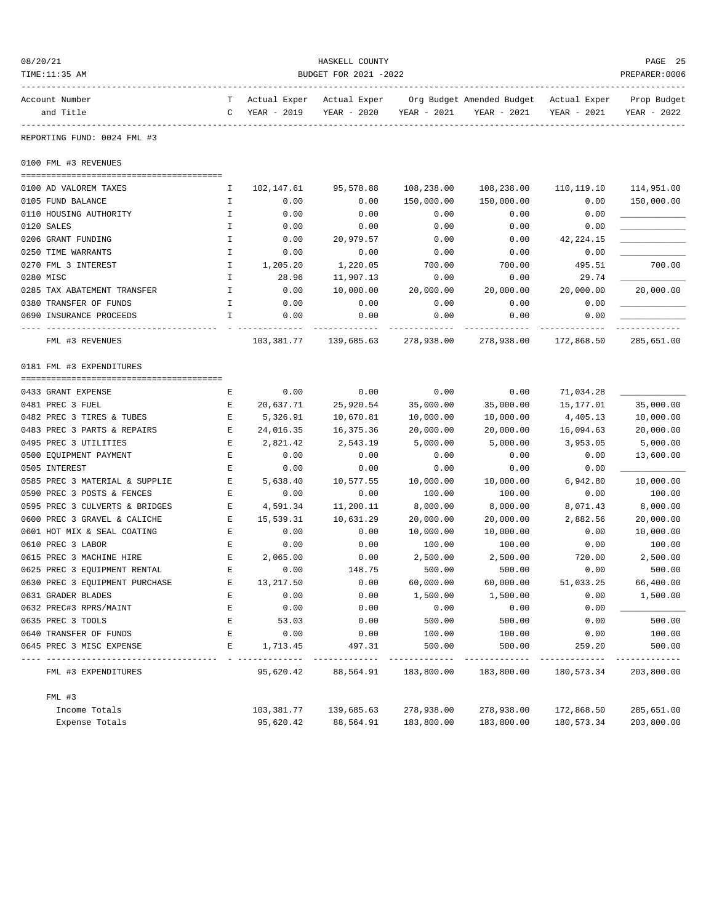| 08/20/21<br>TIME:11:35 AM              | HASKELL COUNTY<br>BUDGET FOR 2021 -2022 |                             |                             |                           |                                                       |             |                            |
|----------------------------------------|-----------------------------------------|-----------------------------|-----------------------------|---------------------------|-------------------------------------------------------|-------------|----------------------------|
| Account Number<br>and Title            | T –<br>$\mathbf{C}$                     | Actual Exper<br>YEAR - 2019 | Actual Exper<br>YEAR - 2020 | YEAR - 2021               | Org Budget Amended Budget Actual Exper<br>YEAR - 2021 | YEAR - 2021 | Prop Budget<br>YEAR - 2022 |
| REPORTING FUND: 0024 FML #3            |                                         |                             |                             |                           |                                                       |             |                            |
| 0100 FML #3 REVENUES                   |                                         |                             |                             |                           |                                                       |             |                            |
| 0100 AD VALOREM TAXES                  | I.                                      | 102,147.61                  | 95,578.88                   | 108,238.00                | 108,238.00                                            | 110,119.10  | 114,951.00                 |
| 0105 FUND BALANCE                      | I.                                      | 0.00                        | 0.00                        | 150,000.00                | 150,000.00                                            | 0.00        | 150,000.00                 |
| 0110 HOUSING AUTHORITY                 | I.                                      | 0.00                        | 0.00                        | 0.00                      | 0.00                                                  | 0.00        |                            |
| 0120 SALES                             | $\mathbf{I}$                            | 0.00                        | 0.00                        | 0.00                      | 0.00                                                  | 0.00        |                            |
| 0206 GRANT FUNDING                     | I                                       | 0.00                        | 20,979.57                   | 0.00                      | 0.00                                                  | 42, 224. 15 |                            |
| 0250 TIME WARRANTS                     | I.                                      | 0.00                        | 0.00                        | 0.00                      | 0.00                                                  | 0.00        |                            |
| 0270 FML 3 INTEREST                    | I.                                      | 1,205.20                    | 1,220.05                    | 700.00                    | 700.00                                                | 495.51      | 700.00                     |
| 0280 MISC                              | I.                                      | 28.96                       | 11,907.13                   | 0.00                      | 0.00                                                  | 29.74       |                            |
| 0285 TAX ABATEMENT TRANSFER            | I.                                      | 0.00                        | 10,000.00                   | 20,000.00                 | 20,000.00                                             | 20,000.00   | 20,000.00                  |
| 0380 TRANSFER OF FUNDS                 | I.                                      | 0.00                        | 0.00                        | 0.00                      | 0.00                                                  | 0.00        |                            |
| 0690 INSURANCE PROCEEDS                | I.                                      | 0.00                        | 0.00                        | 0.00                      | 0.00                                                  | 0.00        |                            |
| FML #3 REVENUES                        |                                         | 103,381.77                  | 139,685.63                  | --------<br>278,938.00    | 278,938.00                                            | 172,868.50  | .<br>285,651.00            |
| 0181 FML #3 EXPENDITURES               |                                         |                             |                             |                           |                                                       |             |                            |
|                                        |                                         |                             |                             |                           |                                                       |             |                            |
| 0433 GRANT EXPENSE                     | Е                                       | 0.00                        | 0.00                        | 0.00                      | 0.00                                                  | 71,034.28   |                            |
| 0481 PREC 3 FUEL                       | Е                                       | 20,637.71                   | 25,920.54                   | 35,000.00                 | 35,000.00                                             | 15,177.01   | 35,000.00                  |
| 0482 PREC 3 TIRES & TUBES              | Е                                       | 5,326.91                    | 10,670.81                   | 10,000.00                 | 10,000.00                                             | 4,405.13    | 10,000.00                  |
| 0483 PREC 3 PARTS & REPAIRS            | Е                                       | 24,016.35                   | 16,375.36                   | 20,000.00                 | 20,000.00                                             | 16,094.63   | 20,000.00                  |
| 0495 PREC 3 UTILITIES                  | Ε                                       | 2,821.42                    | 2,543.19                    | 5,000.00                  | 5,000.00                                              | 3,953.05    | 5,000.00                   |
| 0500 EQUIPMENT PAYMENT                 | Ε                                       | 0.00                        | 0.00                        | 0.00                      | 0.00                                                  | 0.00        | 13,600.00                  |
| 0505 INTEREST                          | Е                                       | 0.00                        | 0.00                        | 0.00                      | 0.00                                                  | 0.00        |                            |
| 0585 PREC 3 MATERIAL & SUPPLIE         | Е                                       | 5,638.40                    | 10,577.55                   | 10,000.00                 | 10,000.00                                             | 6,942.80    | 10,000.00                  |
| 0590 PREC 3 POSTS & FENCES             | Е                                       | 0.00                        | 0.00                        | 100.00                    | 100.00                                                | 0.00        | 100.00                     |
| 0595 PREC 3 CULVERTS & BRIDGES         | Е                                       | 4,591.34                    | 11,200.11                   | 8,000.00                  | 8,000.00                                              | 8,071.43    | 8,000.00                   |
| 0600 PREC 3 GRAVEL & CALICHE           | Е                                       | 15,539.31                   | 10,631.29                   | 20,000.00                 | 20,000.00                                             | 2,882.56    | 20,000.00                  |
| 0601 HOT MIX & SEAL COATING            | Е                                       | 0.00                        | 0.00                        | 10,000.00                 | 10,000.00                                             | 0.00        | 10,000.00                  |
| 0610 PREC 3 LABOR                      | Е                                       | 0.00                        | 0.00                        | 100.00                    | 100.00                                                | 0.00        | 100.00                     |
| 0615 PREC 3 MACHINE HIRE               | E                                       | 2,065.00                    | 0.00                        | 2,500.00                  | 2,500.00                                              | 720.00      | 2,500.00                   |
| 0625 PREC 3 EQUIPMENT RENTAL           | Ε                                       | 0.00                        | 148.75                      | 500.00                    | 500.00                                                | 0.00        | 500.00                     |
| 0630 PREC 3 EQUIPMENT PURCHASE         | Е                                       | 13,217.50                   | 0.00                        | 60,000.00                 | 60,000.00                                             | 51,033.25   | 66,400.00                  |
| 0631 GRADER BLADES                     | E                                       | 0.00                        | 0.00                        | 1,500.00                  | 1,500.00                                              | 0.00        | 1,500.00                   |
| 0632 PREC#3 RPRS/MAINT                 | E                                       | 0.00                        | 0.00                        | 0.00                      | 0.00                                                  | 0.00        |                            |
| 0635 PREC 3 TOOLS                      | Е                                       | 53.03                       | 0.00                        | 500.00                    | 500.00                                                | 0.00        | 500.00                     |
| 0640 TRANSFER OF FUNDS                 | Е                                       | 0.00                        | 0.00                        | 100.00                    | 100.00                                                | 0.00        | 100.00                     |
| 0645 PREC 3 MISC EXPENSE               | E                                       | 1,713.45                    | 497.31                      | 500.00                    | 500.00                                                | 259.20      | 500.00                     |
| ---------------<br>FML #3 EXPENDITURES |                                         | 95,620.42                   | 88,564.91                   | -----------<br>183,800.00 | ----------<br>183,800.00                              | 180,573.34  | 203,800.00                 |
| FML #3                                 |                                         |                             |                             |                           |                                                       |             |                            |
| Income Totals                          |                                         | 103,381.77                  | 139,685.63                  | 278,938.00                | 278,938.00                                            | 172,868.50  | 285,651.00                 |
| Expense Totals                         |                                         | 95,620.42                   | 88,564.91                   | 183,800.00                | 183,800.00                                            | 180,573.34  | 203,800.00                 |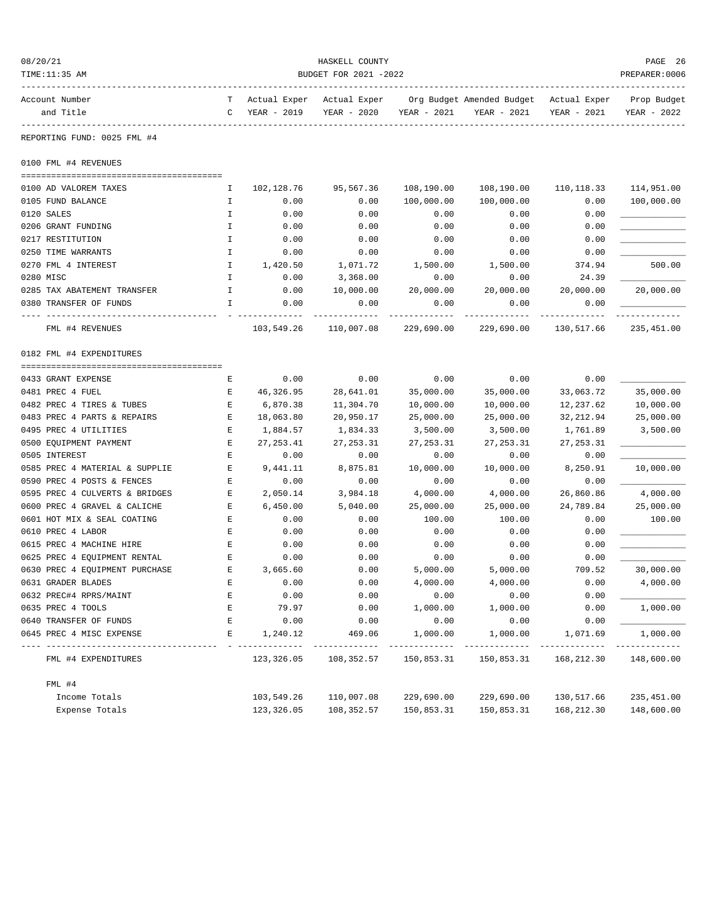| 08/20/21                                   |                       |                             | HASKELL COUNTY              |             |                                          |                             |                            |  |  |  |
|--------------------------------------------|-----------------------|-----------------------------|-----------------------------|-------------|------------------------------------------|-----------------------------|----------------------------|--|--|--|
| TIME:11:35 AM                              | BUDGET FOR 2021 -2022 |                             |                             |             |                                          |                             |                            |  |  |  |
| Account Number<br>and Title                | T<br>C                | Actual Exper<br>YEAR - 2019 | Actual Exper<br>YEAR - 2020 | YEAR - 2021 | Org Budget Amended Budget<br>YEAR - 2021 | Actual Exper<br>YEAR - 2021 | Prop Budget<br>YEAR - 2022 |  |  |  |
| REPORTING FUND: 0025 FML #4                |                       |                             |                             |             |                                          |                             |                            |  |  |  |
| 0100 FML #4 REVENUES                       |                       |                             |                             |             |                                          |                             |                            |  |  |  |
|                                            |                       |                             |                             |             |                                          |                             |                            |  |  |  |
| 0100 AD VALOREM TAXES                      | I.                    | 102,128.76                  | 95,567.36                   | 108,190.00  | 108,190.00                               | 110, 118.33                 | 114,951.00                 |  |  |  |
| 0105 FUND BALANCE                          | Ι.                    | 0.00                        | 0.00                        | 100,000.00  | 100,000.00                               | 0.00                        | 100,000.00                 |  |  |  |
| 0120 SALES                                 | I                     | 0.00                        | 0.00                        | 0.00        | 0.00                                     | 0.00                        |                            |  |  |  |
| 0206 GRANT FUNDING                         | $\mathbbm{I}$         | 0.00                        | 0.00                        | 0.00        | 0.00                                     | 0.00                        |                            |  |  |  |
| 0217 RESTITUTION                           | I                     | 0.00                        | 0.00                        | 0.00        | 0.00                                     | 0.00                        |                            |  |  |  |
| 0250 TIME WARRANTS                         | I                     | 0.00                        | 0.00                        | 0.00        | 0.00                                     | 0.00                        |                            |  |  |  |
| 0270 FML 4 INTEREST                        | Ι.                    | 1,420.50                    | 1,071.72                    | 1,500.00    | 1,500.00                                 | 374.94                      | 500.00                     |  |  |  |
| 0280 MISC                                  | $\mathbf I$           | 0.00                        | 3,368.00                    | 0.00        | 0.00                                     | 24.39                       |                            |  |  |  |
| 0285 TAX ABATEMENT TRANSFER                | I                     | 0.00                        | 10,000.00                   | 20,000.00   | 20,000.00                                | 20,000.00                   | 20,000.00                  |  |  |  |
| 0380 TRANSFER OF FUNDS                     | I                     | 0.00                        | 0.00                        | 0.00        | 0.00                                     | 0.00                        |                            |  |  |  |
| FML #4 REVENUES                            |                       | 103,549.26                  | 110,007.08                  | 229,690.00  | 229,690.00                               | 130,517.66                  | 235,451.00                 |  |  |  |
| 0182 FML #4 EXPENDITURES                   |                       |                             |                             |             |                                          |                             |                            |  |  |  |
| 0433 GRANT EXPENSE                         | Е                     | 0.00                        | 0.00                        | 0.00        | 0.00                                     | 0.00                        |                            |  |  |  |
| 0481 PREC 4 FUEL                           | Е                     | 46,326.95                   | 28,641.01                   | 35,000.00   | 35,000.00                                | 33,063.72                   | 35,000.00                  |  |  |  |
| 0482 PREC 4 TIRES & TUBES                  | Е                     | 6,870.38                    | 11,304.70                   | 10,000.00   | 10,000.00                                | 12,237.62                   | 10,000.00                  |  |  |  |
| 0483 PREC 4 PARTS & REPAIRS                | Е                     | 18,063.80                   | 20,950.17                   | 25,000.00   | 25,000.00                                | 32, 212.94                  | 25,000.00                  |  |  |  |
| 0495 PREC 4 UTILITIES                      | Ε                     | 1,884.57                    | 1,834.33                    | 3,500.00    | 3,500.00                                 | 1,761.89                    | 3,500.00                   |  |  |  |
| 0500 EQUIPMENT PAYMENT                     | Ε                     | 27, 253.41                  | 27, 253.31                  | 27, 253.31  | 27, 253.31                               | 27, 253.31                  |                            |  |  |  |
| 0505 INTEREST                              | Е                     | 0.00                        | 0.00                        | 0.00        | 0.00                                     | 0.00                        |                            |  |  |  |
| 0585 PREC 4 MATERIAL & SUPPLIE             | Е                     | 9,441.11                    | 8,875.81                    | 10,000.00   | 10,000.00                                | 8,250.91                    | 10,000.00                  |  |  |  |
| 0590 PREC 4 POSTS & FENCES                 | Е                     | 0.00                        | 0.00                        | 0.00        | 0.00                                     | 0.00                        |                            |  |  |  |
| 0595 PREC 4 CULVERTS & BRIDGES             | Ε                     | 2,050.14                    | 3,984.18                    | 4,000.00    | 4,000.00                                 | 26,860.86                   | 4,000.00                   |  |  |  |
| 0600 PREC 4 GRAVEL & CALICHE               | Ε                     | 6,450.00                    | 5,040.00                    | 25,000.00   | 25,000.00                                | 24,789.84                   | 25,000.00                  |  |  |  |
| 0601 HOT MIX & SEAL COATING                | E                     | 0.00                        | 0.00                        | 100.00      | 100.00                                   | 0.00                        | 100.00                     |  |  |  |
| 0610 PREC 4 LABOR                          | Е                     | 0.00                        | 0.00                        | 0.00        | 0.00                                     | 0.00                        |                            |  |  |  |
| 0615 PREC 4 MACHINE HIRE                   | Ε                     | 0.00                        | 0.00                        | 0.00        | 0.00                                     | 0.00                        |                            |  |  |  |
| 0625 PREC 4 EQUIPMENT RENTAL               | Ε                     | 0.00                        | 0.00                        | 0.00        | 0.00                                     | 0.00                        |                            |  |  |  |
| 0630 PREC 4 EQUIPMENT PURCHASE             | E                     | 3,665.60                    | 0.00                        | 5,000.00    | 5,000.00                                 | 709.52                      | 30,000.00                  |  |  |  |
| 0631 GRADER BLADES                         | Ε                     | 0.00                        | 0.00                        | 4,000.00    | 4,000.00                                 | 0.00                        | 4,000.00                   |  |  |  |
| 0632 PREC#4 RPRS/MAINT                     | Ε                     | 0.00                        | 0.00                        | 0.00        | 0.00                                     | 0.00                        |                            |  |  |  |
| 0635 PREC 4 TOOLS                          | Е                     | 79.97                       | 0.00                        | 1,000.00    | 1,000.00                                 | 0.00                        | 1,000.00                   |  |  |  |
| 0640 TRANSFER OF FUNDS                     | Е                     | 0.00                        | 0.00                        | 0.00        | 0.00                                     | 0.00                        |                            |  |  |  |
| 0645 PREC 4 MISC EXPENSE<br>-------------- | E                     | 1,240.12                    | 469.06                      | 1,000.00    | 1,000.00                                 | 1,071.69                    | 1,000.00                   |  |  |  |
| FML #4 EXPENDITURES                        |                       | 123,326.05                  | 108,352.57                  | 150,853.31  | 150,853.31                               | 168,212.30                  | 148,600.00                 |  |  |  |
| FML #4                                     |                       |                             |                             |             |                                          |                             |                            |  |  |  |
| Income Totals                              |                       | 103,549.26                  | 110,007.08                  | 229,690.00  | 229,690.00                               | 130,517.66                  | 235,451.00                 |  |  |  |
| Expense Totals                             |                       | 123, 326.05                 | 108,352.57                  | 150,853.31  | 150,853.31                               | 168,212.30                  | 148,600.00                 |  |  |  |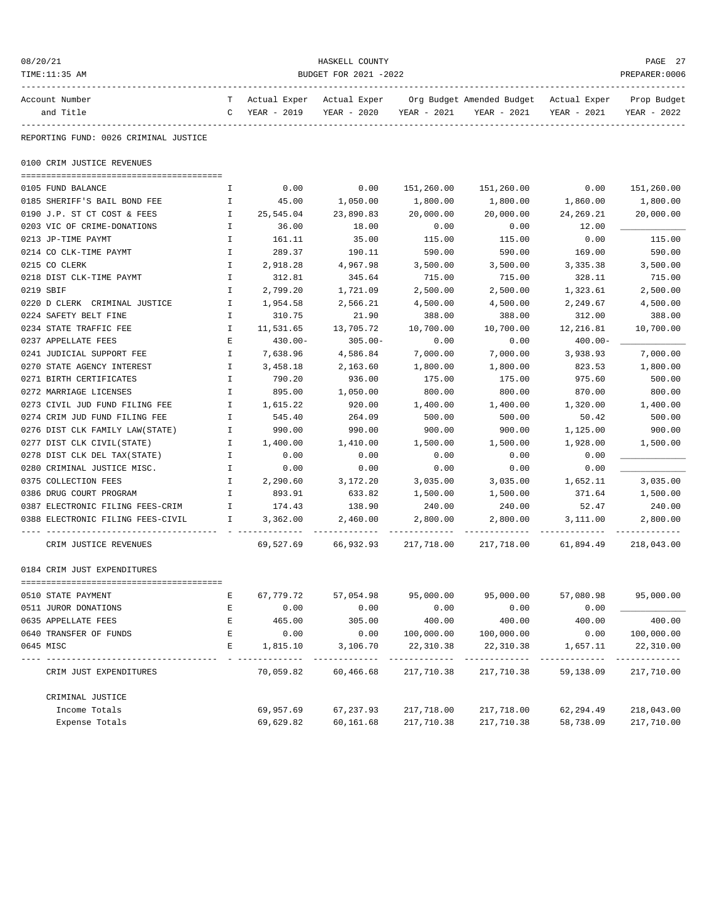| 08/20/21<br>TIME:11:35 AM                                         | HASKELL COUNTY<br>PREPARER: 0006<br>BUDGET FOR 2021 -2022 |                                              |                     |                           |                                                         |             |                            |  |
|-------------------------------------------------------------------|-----------------------------------------------------------|----------------------------------------------|---------------------|---------------------------|---------------------------------------------------------|-------------|----------------------------|--|
| Account Number<br>and Title                                       |                                                           | T Actual Exper Actual Exper<br>C YEAR - 2019 | YEAR - 2020         | YEAR - 2021               | Org Budget Amended Budget - Actual Exper<br>YEAR - 2021 | YEAR - 2021 | Prop Budget<br>YEAR - 2022 |  |
| REPORTING FUND: 0026 CRIMINAL JUSTICE                             |                                                           |                                              |                     |                           |                                                         |             |                            |  |
| 0100 CRIM JUSTICE REVENUES                                        |                                                           |                                              |                     |                           |                                                         |             |                            |  |
| 0105 FUND BALANCE                                                 | Ι.                                                        | 0.00                                         | 0.00                | 151,260.00                | 151,260.00                                              | 0.00        | 151,260.00                 |  |
| 0185 SHERIFF'S BAIL BOND FEE                                      | I.                                                        | 45.00                                        | 1,050.00            | 1,800.00                  | 1,800.00                                                | 1,860.00    | 1,800.00                   |  |
| 0190 J.P. ST CT COST & FEES                                       | $\mathbf{I}$                                              | 25,545.04                                    | 23,890.83           | 20,000.00                 | 20,000.00                                               | 24,269.21   | 20,000.00                  |  |
| 0203 VIC OF CRIME-DONATIONS                                       | Ι.                                                        | 36.00                                        | 18.00               | 0.00                      | 0.00                                                    | 12.00       |                            |  |
| 0213 JP-TIME PAYMT                                                | I.                                                        | 161.11                                       | 35.00               | 115.00                    | 115.00                                                  | 0.00        | 115.00                     |  |
| 0214 CO CLK-TIME PAYMT                                            | $\mathbf I$                                               | 289.37                                       | 190.11              | 590.00                    | 590.00                                                  | 169.00      | 590.00                     |  |
| 0215 CO CLERK                                                     | Ι.                                                        | 2,918.28                                     | 4,967.98            | 3,500.00                  | 3,500.00                                                | 3,335.38    | 3,500.00                   |  |
| 0218 DIST CLK-TIME PAYMT                                          | $\mathbf I$                                               | 312.81                                       | 345.64              | 715.00                    | 715.00                                                  | 328.11      | 715.00                     |  |
| 0219 SBIF                                                         | $\mathbf I$                                               | 2,799.20                                     | 1,721.09            | 2,500.00                  | 2,500.00                                                | 1,323.61    | 2,500.00                   |  |
| 0220 D CLERK CRIMINAL JUSTICE                                     | $\mathbf{I}$                                              | 1,954.58                                     | 2,566.21            | 4,500.00                  | 4,500.00                                                | 2,249.67    | 4,500.00                   |  |
| 0224 SAFETY BELT FINE                                             | Ι.                                                        | 310.75                                       | 21.90               | 388.00                    | 388.00                                                  | 312.00      | 388.00                     |  |
| 0234 STATE TRAFFIC FEE                                            | Ι.                                                        | 11,531.65                                    | 13,705.72           | 10,700.00                 | 10,700.00                                               | 12,216.81   | 10,700.00                  |  |
| 0237 APPELLATE FEES                                               | E                                                         | 430.00-                                      | $305.00 -$          | 0.00                      | 0.00                                                    | 400.00-     |                            |  |
| 0241 JUDICIAL SUPPORT FEE                                         | I.                                                        | 7,638.96                                     | 4,586.84            | 7,000.00                  | 7,000.00                                                | 3,938.93    | 7,000.00                   |  |
| 0270 STATE AGENCY INTEREST                                        | Ι.                                                        | 3,458.18                                     | 2,163.60            | 1,800.00                  | 1,800.00                                                | 823.53      | 1,800.00                   |  |
| 0271 BIRTH CERTIFICATES                                           | Ι.                                                        | 790.20                                       | 936.00              | 175.00                    | 175.00                                                  | 975.60      | 500.00                     |  |
| 0272 MARRIAGE LICENSES                                            | I.                                                        | 895.00                                       | 1,050.00            | 800.00                    | 800.00                                                  | 870.00      | 800.00                     |  |
| 0273 CIVIL JUD FUND FILING FEE                                    | Ι.                                                        | 1,615.22                                     | 920.00              | 1,400.00                  | 1,400.00                                                | 1,320.00    | 1,400.00                   |  |
| 0274 CRIM JUD FUND FILING FEE                                     | I.                                                        | 545.40                                       | 264.09              | 500.00                    | 500.00                                                  | 50.42       | 500.00                     |  |
| 0276 DIST CLK FAMILY LAW(STATE)                                   | $\mathbf{I}$                                              | 990.00                                       | 990.00              | 900.00                    | 900.00                                                  | 1,125.00    | 900.00                     |  |
| 0277 DIST CLK CIVIL(STATE)                                        | $\mathbf{I}$                                              | 1,400.00                                     | 1,410.00            | 1,500.00                  | 1,500.00                                                | 1,928.00    | 1,500.00                   |  |
| 0278 DIST CLK DEL TAX(STATE)                                      | Ι.                                                        | 0.00                                         | 0.00                | 0.00                      | 0.00                                                    | 0.00        |                            |  |
| 0280 CRIMINAL JUSTICE MISC.                                       | Ι.                                                        | 0.00                                         | 0.00                | 0.00                      | 0.00                                                    | 0.00        |                            |  |
| 0375 COLLECTION FEES                                              | I.                                                        | 2,290.60                                     | 3,172.20            | 3,035.00                  | 3,035.00                                                | 1,652.11    | 3,035.00                   |  |
| 0386 DRUG COURT PROGRAM                                           | $\mathbf{I}$                                              | 893.91                                       | 633.82              | 1,500.00                  | 1,500.00                                                | 371.64      | 1,500.00                   |  |
| 0387 ELECTRONIC FILING FEES-CRIM<br>$\mathbf{I}$ and $\mathbf{I}$ |                                                           | 174.43                                       | 138.90              | 240.00                    | 240.00                                                  | 52.47       | 240.00                     |  |
| 0388 ELECTRONIC FILING FEES-CIVIL                                 | I.                                                        | 3,362.00                                     | 2,460.00            | 2,800.00                  | 2,800.00                                                | 3,111.00    | 2,800.00                   |  |
| CRIM JUSTICE REVENUES                                             |                                                           |                                              | 69,527.69 66,932.93 | -----------<br>217,718.00 | 217,718.00                                              | 61,894.49   | 218,043.00                 |  |
| 0184 CRIM JUST EXPENDITURES                                       |                                                           |                                              |                     |                           |                                                         |             |                            |  |
| 0510 STATE PAYMENT                                                | Ε                                                         | 67,779.72                                    | 57,054.98           | 95,000.00                 | 95,000.00                                               | 57,080.98   | 95,000.00                  |  |
| 0511 JUROR DONATIONS                                              | E                                                         | 0.00                                         | 0.00                | 0.00                      | 0.00                                                    | 0.00        |                            |  |
| 0635 APPELLATE FEES                                               | $\mathbf E$                                               | 465.00                                       | 305.00              | 400.00                    | 400.00                                                  | 400.00      | 400.00                     |  |
| 0640 TRANSFER OF FUNDS                                            | E                                                         | 0.00                                         | 0.00                | 100,000.00                | 100,000.00                                              | 0.00        | 100,000.00                 |  |
| 0645 MISC                                                         | E                                                         | 1,815.10                                     | 3,106.70            | 22, 310.38                | 22,310.38                                               | 1,657.11    | 22,310.00                  |  |
| CRIM JUST EXPENDITURES                                            |                                                           | 70,059.82                                    | 60,466.68           | 217,710.38                | 217,710.38                                              | 59,138.09   | 217,710.00                 |  |
| CRIMINAL JUSTICE                                                  |                                                           |                                              |                     |                           |                                                         |             |                            |  |
| Income Totals                                                     |                                                           | 69,957.69                                    | 67,237.93           | 217,718.00                | 217,718.00                                              | 62,294.49   | 218,043.00                 |  |
| Expense Totals                                                    |                                                           | 69,629.82                                    | 60,161.68           | 217,710.38                | 217,710.38                                              | 58,738.09   | 217,710.00                 |  |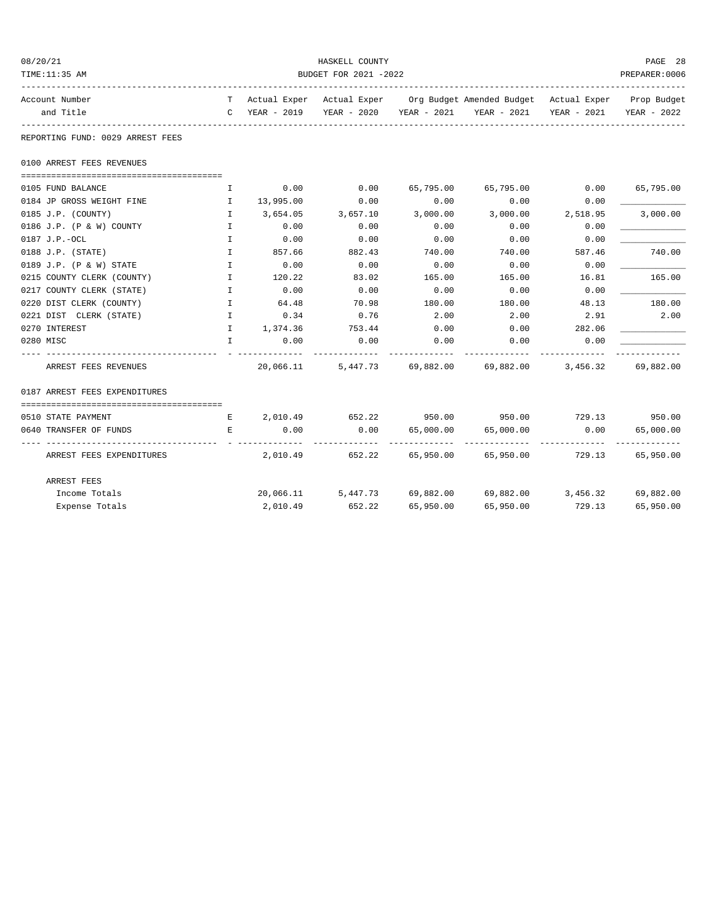| 08/20/21                         |                       |               | HASKELL COUNTY     |           |                                                                                |               | PAGE 28     |  |
|----------------------------------|-----------------------|---------------|--------------------|-----------|--------------------------------------------------------------------------------|---------------|-------------|--|
| TIME:11:35 AM                    | BUDGET FOR 2021 -2022 |               |                    |           |                                                                                |               |             |  |
| Account Number                   |                       |               |                    |           | T Actual Exper Actual Exper Org Budget Amended Budget Actual Exper Prop Budget |               |             |  |
| and Title                        | -----------------     | C YEAR - 2019 |                    |           | YEAR - 2020 YEAR - 2021 YEAR - 2021                                            | YEAR - 2021   | YEAR - 2022 |  |
| REPORTING FUND: 0029 ARREST FEES |                       |               |                    |           |                                                                                |               |             |  |
| 0100 ARREST FEES REVENUES        |                       |               |                    |           |                                                                                |               |             |  |
| 0105 FUND BALANCE                | $\mathbf{I}$          | 0.00          | 0.00               | 65,795.00 | 65,795.00                                                                      | 0.00          | 65,795.00   |  |
| 0184 JP GROSS WEIGHT FINE        | $\mathbf{I}$          | 13,995.00     | 0.00               | 0.00      | 0.00                                                                           | 0.00          |             |  |
| 0185 J.P. (COUNTY)               | $\mathbf{I}$          | 3,654.05      | 3,657.10           | 3,000.00  | 3,000.00                                                                       | 2,518.95      | 3,000.00    |  |
| 0186 J.P. (P & W) COUNTY         | $\mathbf{I}$          | 0.00          | 0.00               | 0.00      | 0.00                                                                           | 0.00          |             |  |
| 0187 J.P.-OCL                    | $\mathbf{I}$          | 0.00          | 0.00               | 0.00      | 0.00                                                                           | 0.00          |             |  |
| $0188$ J.P. (STATE)              | $\mathbf{I}$          | 857.66        | 882.43             | 740.00    | 740.00                                                                         | 587.46        | 740.00      |  |
| 0189 J.P. (P & W) STATE          | $\mathbf{I}$          | 0.00          | 0.00               | 0.00      | 0.00                                                                           | 0.00          |             |  |
| 0215 COUNTY CLERK (COUNTY)       | $\mathbf{I}$          | 120.22        | 83.02              | 165.00    | 165.00                                                                         | 16.81         | 165.00      |  |
| 0217 COUNTY CLERK (STATE)        | $\mathbf{I}$          | 0.00          | 0.00               | 0.00      | 0.00                                                                           | 0.00          |             |  |
| 0220 DIST CLERK (COUNTY)         | $\mathbf{I}$          | 64.48         | 70.98              | 180.00    | 180.00                                                                         | 48.13         | 180.00      |  |
| 0221 DIST CLERK (STATE)          | $\mathbf{I}$          | 0.34          | 0.76               | 2.00      | 2.00                                                                           | 2.91          | 2.00        |  |
| 0270 INTEREST                    | $\mathbf{I}$          | 1,374.36      | 753.44             | 0.00      | 0.00                                                                           | 282.06        |             |  |
| 0280 MISC                        | $\mathbf{T}$          | 0.00          | 0.00               | 0.00      | 0.00                                                                           | 0.00          |             |  |
| ARREST FEES REVENUES             |                       | 20,066.11     |                    |           | 5,447.73 69,882.00 69,882.00 3,456.32                                          |               | 69,882.00   |  |
| 0187 ARREST FEES EXPENDITURES    |                       |               |                    |           |                                                                                |               |             |  |
| 0510 STATE PAYMENT               | E                     | 2,010.49      | 652.22             |           | 950.00 950.00                                                                  | 729.13 950.00 |             |  |
| 0640 TRANSFER OF FUNDS           | $\mathbf{E}$          | 0.00          | 0.00               | 65,000.00 | 65,000.00                                                                      | 0.00          | 65,000.00   |  |
| ARREST FEES EXPENDITURES         |                       |               | 2,010.49 652.22    |           | 65,950.00 65,950.00 729.13                                                     |               | 65,950.00   |  |
| ARREST FEES                      |                       |               |                    |           |                                                                                |               |             |  |
| Income Totals                    |                       |               | 20,066.11 5,447.73 |           | 69,882.00 69,882.00 3,456.32 69,882.00                                         |               |             |  |
| Expense Totals                   |                       | 2,010.49      | 652.22             | 65,950.00 | 65,950.00                                                                      | 729.13        | 65,950.00   |  |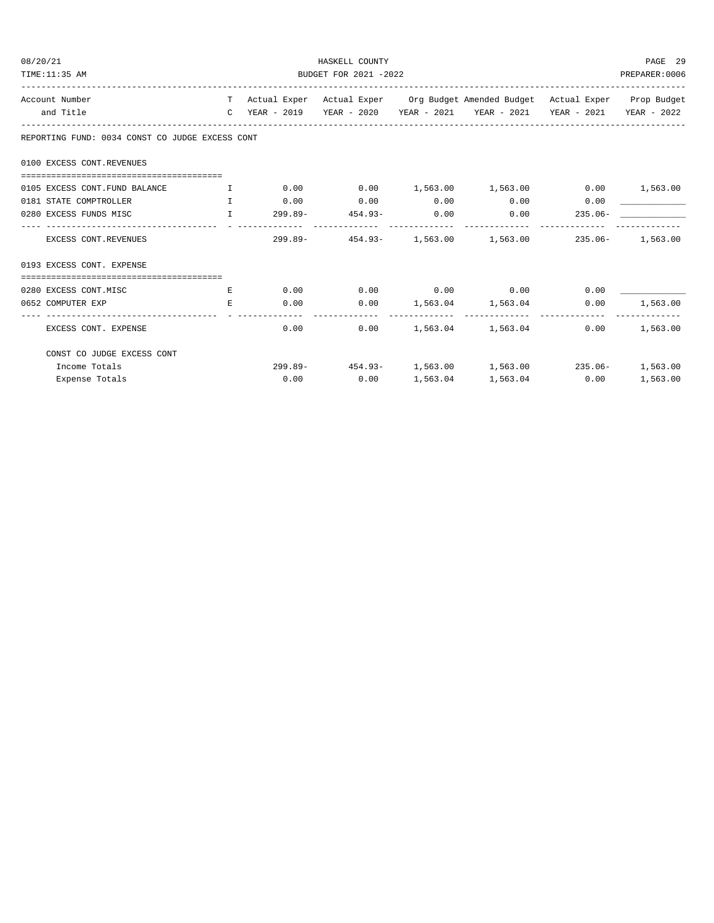| 08/20/21                                                                                                                                  | HASKELL COUNTY                        |             |              |               |                                                                                |                        |          |  |
|-------------------------------------------------------------------------------------------------------------------------------------------|---------------------------------------|-------------|--------------|---------------|--------------------------------------------------------------------------------|------------------------|----------|--|
| TIME:11:35 AM                                                                                                                             | BUDGET FOR 2021 -2022                 |             |              |               |                                                                                |                        |          |  |
| Account Number                                                                                                                            |                                       |             |              |               | T Actual Exper Actual Exper Org Budget Amended Budget Actual Exper Prop Budget |                        |          |  |
| and Title                                                                                                                                 |                                       |             |              |               | C YEAR - 2019 YEAR - 2020 YEAR - 2021 YEAR - 2021 YEAR - 2021 YEAR - 2022      |                        |          |  |
| REPORTING FUND: 0034 CONST CO JUDGE EXCESS CONT                                                                                           |                                       |             |              |               |                                                                                |                        |          |  |
| 0100 EXCESS CONT. REVENUES                                                                                                                |                                       |             |              |               |                                                                                |                        |          |  |
| 0105 EXCESS CONT. FUND BALANCE                                                                                                            | $\mathbf{I}$ . The state $\mathbf{I}$ |             |              |               | $0.00$ $0.00$ $1,563.00$ $1,563.00$ $0.00$ $1,563.00$                          |                        |          |  |
| 0181 STATE COMPTROLLER<br>the contract of the contract of the contract of the contract of the contract of the contract of the contract of |                                       | $0.00$ 0.00 |              | 0.00          | 0.00                                                                           | 0.00                   |          |  |
| $\mathbf{I}$ and $\mathbf{I}$ and $\mathbf{I}$<br>0280 EXCESS FUNDS MISC                                                                  |                                       | 299.89-     | $454.93-$    | 0.00          | 0.00                                                                           | $235.06-$              |          |  |
| EXCESS CONT.REVENUES                                                                                                                      |                                       | -------     |              | ------------- | ______________<br>299.89- 454.93- 1,563.00 1,563.00 235.06- 1,563.00           |                        |          |  |
| 0193 EXCESS CONT. EXPENSE                                                                                                                 |                                       |             |              |               |                                                                                |                        |          |  |
|                                                                                                                                           |                                       |             |              |               |                                                                                |                        |          |  |
| 0280 EXCESS CONT.MISC                                                                                                                     | E                                     |             |              |               | $0.00$ $0.00$ $0.00$ $0.00$ $0.00$                                             | 0.00                   |          |  |
| 0652 COMPUTER EXP                                                                                                                         | E.                                    | 0.00        |              |               | $0.00$ 1,563.04 1,563.04<br>------------------------------                     | 0.00<br>______________ | 1,563.00 |  |
| EXCESS CONT. EXPENSE                                                                                                                      |                                       | 0.00        | 0.00         |               | 1,563.04 1,563.04                                                              | 0.00                   | 1,563.00 |  |
| CONST CO JUDGE EXCESS CONT                                                                                                                |                                       |             |              |               |                                                                                |                        |          |  |
| Income Totals                                                                                                                             |                                       |             |              |               | 299.89- 454.93- 1,563.00 1,563.00 235.06- 1,563.00                             |                        |          |  |
| Expense Totals                                                                                                                            |                                       |             | 0.00<br>0.00 |               | 1,563.04 1,563.04 0.00                                                         |                        | 1,563.00 |  |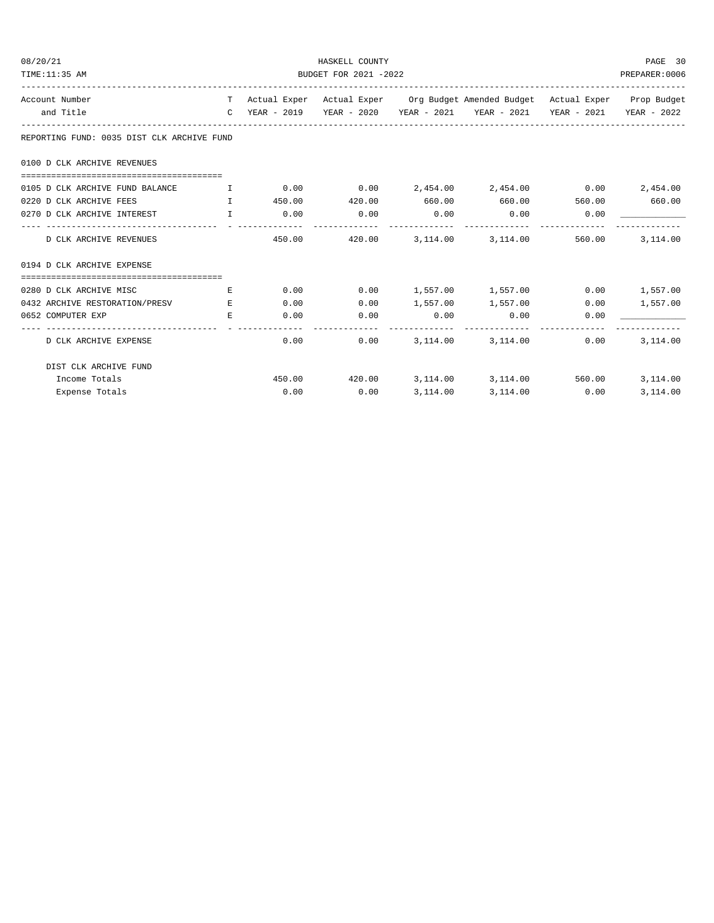| 08/20/21<br>TIME:11:35 AM                                                        | HASKELL COUNTY<br>BUDGET FOR 2021 -2022<br>PREPARER: 0006 |             |                   |                        |                                                                                          |      |          |  |
|----------------------------------------------------------------------------------|-----------------------------------------------------------|-------------|-------------------|------------------------|------------------------------------------------------------------------------------------|------|----------|--|
|                                                                                  |                                                           |             |                   |                        |                                                                                          |      |          |  |
| Account Number                                                                   |                                                           |             |                   |                        | T Actual Exper Actual Exper Org Budget Amended Budget Actual Exper Prop Budget           |      |          |  |
| and Title                                                                        |                                                           |             |                   |                        | C YEAR - 2019    YEAR - 2020    YEAR - 2021    YEAR - 2021    YEAR - 2021    YEAR - 2022 |      |          |  |
| REPORTING FUND: 0035 DIST CLK ARCHIVE FUND                                       |                                                           |             |                   |                        |                                                                                          |      |          |  |
| 0100 D CLK ARCHIVE REVENUES                                                      |                                                           |             |                   |                        |                                                                                          |      |          |  |
| 0105 D CLK ARCHIVE FUND BALANCE T 0.00 0.00 0.00 2,454.00 2,454.00 0.00 2,454.00 |                                                           |             |                   |                        |                                                                                          |      |          |  |
| $\mathbf{I}$ and $\mathbf{I}$ and $\mathbf{I}$<br>0220 D CLK ARCHIVE FEES        |                                                           |             |                   |                        | 450.00  420.00  660.00  660.00  560.00  660.00                                           |      |          |  |
| 0270 D CLK ARCHIVE INTEREST I                                                    |                                                           | $0.00$ 0.00 |                   | 0.00<br>-------------  | $0.00$ 0.00<br>-------------                                                             |      |          |  |
| D CLK ARCHIVE REVENUES                                                           |                                                           |             |                   |                        | 450.00 420.00 3.114.00 3.114.00 560.00                                                   |      | 3,114.00 |  |
| 0194 D CLK ARCHIVE EXPENSE                                                       |                                                           |             |                   |                        |                                                                                          |      |          |  |
| 0280 D CLK ARCHIVE MISC                                                          | E                                                         |             | 0.00              |                        | $0.00$ 1,557.00 1,557.00 0.00 1,557.00                                                   |      |          |  |
| 0432 ARCHIVE RESTORATION/PRESV E                                                 |                                                           | 0.00        | 0.00              |                        | 1,557.00 1,557.00                                                                        | 0.00 | 1,557.00 |  |
| 0652 COMPUTER EXP                                                                | E.                                                        |             | 0.00<br>0.00      | 0.00<br>-------------- | 0.00                                                                                     | 0.00 |          |  |
| D CLK ARCHIVE EXPENSE                                                            |                                                           |             | $0.00$ and $0.00$ |                        | $0.00$ $3,114.00$ $3,114.00$                                                             | 0.00 | 3,114.00 |  |
| DIST CLK ARCHIVE FUND                                                            |                                                           |             |                   |                        |                                                                                          |      |          |  |
| Income Totals                                                                    |                                                           |             |                   |                        | 450.00 420.00 3,114.00 3,114.00 560.00                                                   |      | 3,114.00 |  |
| Expense Totals                                                                   |                                                           | 0.00        | 0.00              | 3,114.00               | 3,114.00 0.00                                                                            |      | 3,114.00 |  |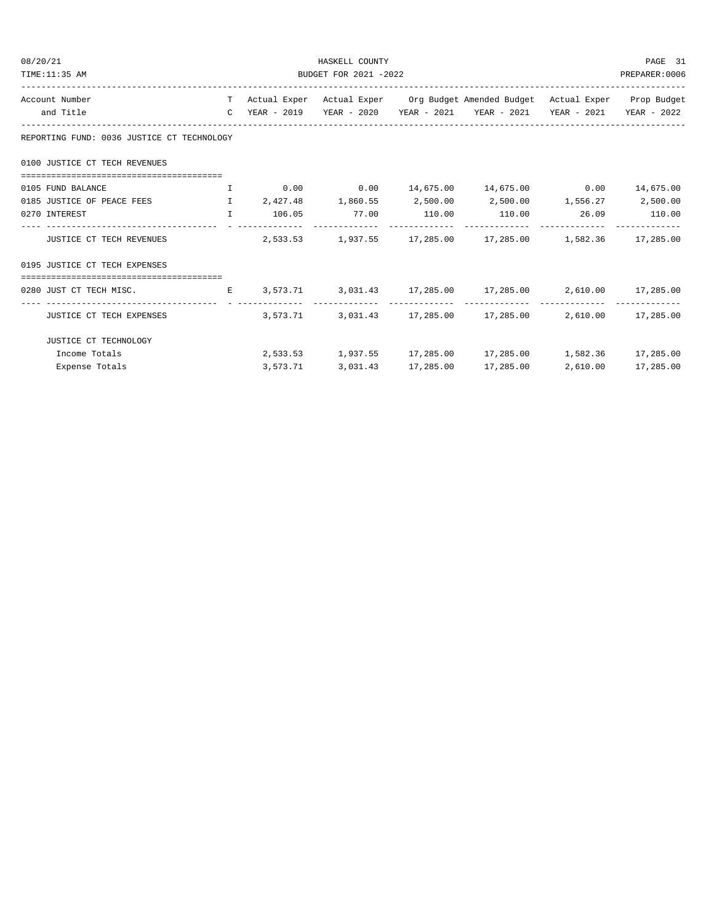| 08/20/21                                                                           |                       | HASKELL COUNTY |  |  |                                                                                                                                                                                       |  |  |  |  |
|------------------------------------------------------------------------------------|-----------------------|----------------|--|--|---------------------------------------------------------------------------------------------------------------------------------------------------------------------------------------|--|--|--|--|
| TIME:11:35 AM                                                                      | BUDGET FOR 2021 -2022 |                |  |  |                                                                                                                                                                                       |  |  |  |  |
| Account Number                                                                     |                       |                |  |  | T Actual Exper Actual Exper Org Budget Amended Budget Actual Exper Prop Budget                                                                                                        |  |  |  |  |
| and Title                                                                          |                       |                |  |  | C YEAR - 2019 YEAR - 2020 YEAR - 2021 YEAR - 2021 YEAR - 2021 YEAR - 2022                                                                                                             |  |  |  |  |
| REPORTING FUND: 0036 JUSTICE CT TECHNOLOGY                                         |                       |                |  |  |                                                                                                                                                                                       |  |  |  |  |
| 0100 JUSTICE CT TECH REVENUES                                                      |                       |                |  |  |                                                                                                                                                                                       |  |  |  |  |
| 0105 FUND BALANCE                                                                  |                       |                |  |  |                                                                                                                                                                                       |  |  |  |  |
| 0185 JUSTICE OF PEACE FEES                                                         |                       |                |  |  | $1,860.55$ $2,500.00$ $2,500.00$ $1,556.27$ $2,500.00$                                                                                                                                |  |  |  |  |
| 0270 INTEREST                                                                      |                       |                |  |  | $\qquad \qquad \, 1\qquad \quad \  \, 106.05 \qquad \qquad \quad \, 77.00 \qquad \qquad \, 110.00 \qquad \qquad \quad \, 110.00 \qquad \qquad \quad \, 26.09 \qquad \qquad \, 110.00$ |  |  |  |  |
| JUSTICE CT TECH REVENUES                                                           |                       |                |  |  | $2,533.53$ $1,937.55$ $17,285.00$ $17,285.00$ $1,582.36$ $17,285.00$                                                                                                                  |  |  |  |  |
| 0195 JUSTICE CT TECH EXPENSES                                                      |                       |                |  |  |                                                                                                                                                                                       |  |  |  |  |
|                                                                                    |                       |                |  |  |                                                                                                                                                                                       |  |  |  |  |
| 0280 JUST CT TECH MISC. B 3,573.71 3,031.43 17,285.00 17,285.00 2,610.00 17,285.00 |                       |                |  |  |                                                                                                                                                                                       |  |  |  |  |
| JUSTICE CT TECH EXPENSES                                                           |                       |                |  |  | $3,573.71$ $3,031.43$ $17,285.00$ $17,285.00$ $2,610.00$ $17,285.00$                                                                                                                  |  |  |  |  |
| JUSTICE CT TECHNOLOGY                                                              |                       |                |  |  |                                                                                                                                                                                       |  |  |  |  |
| Income Totals                                                                      |                       |                |  |  | $2,533.53$ $1,937.55$ $17,285.00$ $17,285.00$ $1,582.36$ $17,285.00$                                                                                                                  |  |  |  |  |
| Expense Totals                                                                     |                       |                |  |  | 3,573.71 3,031.43 17,285.00 17,285.00 2,610.00 17,285.00                                                                                                                              |  |  |  |  |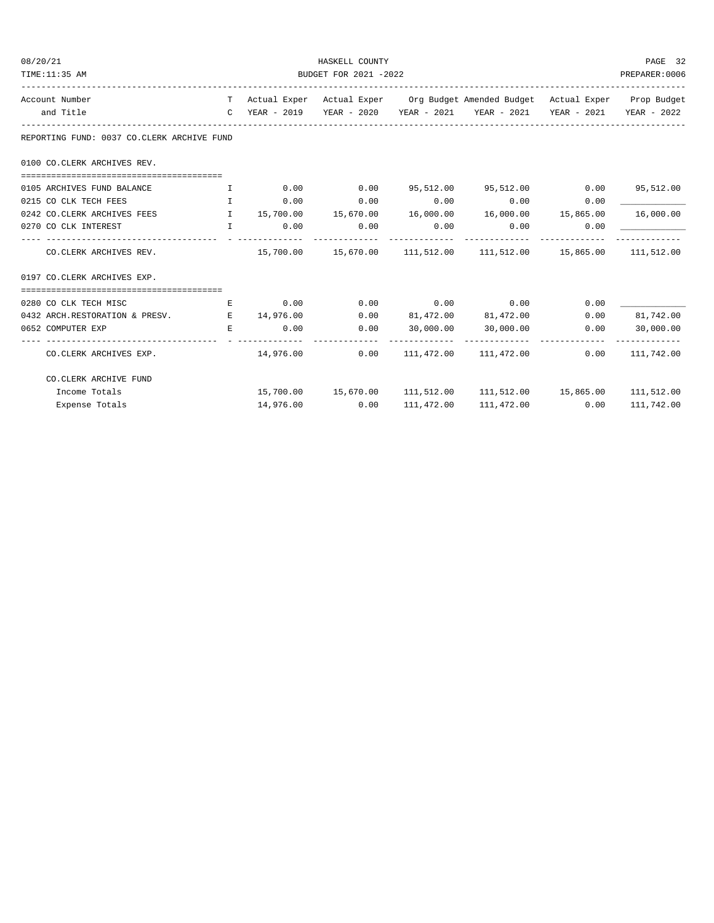| 08/20/21 |                                                                                                                                                                                                                                                        | HASKELL COUNTY<br>BUDGET FOR 2021 -2022        |             |                |      |                                                                                |      |                            |  |
|----------|--------------------------------------------------------------------------------------------------------------------------------------------------------------------------------------------------------------------------------------------------------|------------------------------------------------|-------------|----------------|------|--------------------------------------------------------------------------------|------|----------------------------|--|
|          | TIME:11:35 AM                                                                                                                                                                                                                                          |                                                |             |                |      |                                                                                |      |                            |  |
|          | Account Number                                                                                                                                                                                                                                         |                                                |             |                |      | T Actual Exper Actual Exper Org Budget Amended Budget Actual Exper Prop Budget |      |                            |  |
|          | and Title                                                                                                                                                                                                                                              |                                                |             |                |      | C YEAR - 2019 YEAR - 2020 YEAR - 2021 YEAR - 2021 YEAR - 2021 YEAR - 2022      |      |                            |  |
|          | REPORTING FUND: 0037 CO.CLERK ARCHIVE FUND                                                                                                                                                                                                             |                                                |             |                |      |                                                                                |      |                            |  |
|          | 0100 CO. CLERK ARCHIVES REV.                                                                                                                                                                                                                           |                                                |             |                |      |                                                                                |      |                            |  |
|          | 0105 ARCHIVES FUND BALANCE                                                                                                                                                                                                                             | $\mathbf{I}$ and $\mathbf{I}$ .                |             |                |      | $0.00$ $0.00$ $95,512.00$ $95,512.00$ $0.00$ $95,512.00$                       |      |                            |  |
|          | 0215 CO CLK TECH FEES                                                                                                                                                                                                                                  | $\mathbf{I}$ and $\mathbf{I}$ and $\mathbf{I}$ | 0.00        | 0.00           |      | $0.00$ 0.00                                                                    | 0.00 |                            |  |
|          | 0242 CO.CLERK ARCHIVES FEES TO THE 15,700.00 15,670.00 16,000.00 16,000.00 15,865.00 16,000.00                                                                                                                                                         |                                                |             |                |      |                                                                                |      |                            |  |
|          | 0270 CO CLK INTEREST<br>and the contract of the contract of the contract of the contract of the contract of the contract of the contract of the contract of the contract of the contract of the contract of the contract of the contract of the contra |                                                | $0.00$ 0.00 |                | 0.00 | 0.00                                                                           | 0.00 |                            |  |
|          | CO.CLERK ARCHIVES REV.                                                                                                                                                                                                                                 |                                                |             |                |      | $15,700.00$ $15,670.00$ $111,512.00$ $111,512.00$ $15,865.00$ $111,512.00$     |      |                            |  |
|          | 0197 CO.CLERK ARCHIVES EXP.                                                                                                                                                                                                                            |                                                |             |                |      |                                                                                |      |                            |  |
|          | 0280 CO CLK TECH MISC                                                                                                                                                                                                                                  | E                                              |             |                |      | $0.00$ $0.00$ $0.00$ $0.00$ $0.00$                                             | 0.00 |                            |  |
|          | 0432 ARCH.RESTORATION & PRESV. E 14,976.00                                                                                                                                                                                                             |                                                |             |                |      | $0.00$ $81,472.00$ $81,472.00$                                                 | 0.00 | 81,742.00                  |  |
|          | 0652 COMPUTER EXP                                                                                                                                                                                                                                      | E.                                             | 0.00        | 0.00           |      | 30,000.00 30,000.00                                                            | 0.00 | 30,000.00<br>------------- |  |
|          | CO.CLERK ARCHIVES EXP.                                                                                                                                                                                                                                 |                                                | 14,976.00   |                |      | $0.00$ $111,472.00$ $111,472.00$                                               |      | $0.00$ 111,742.00          |  |
|          | CO. CLERK ARCHIVE FUND                                                                                                                                                                                                                                 |                                                |             |                |      |                                                                                |      |                            |  |
|          | Income Totals                                                                                                                                                                                                                                          |                                                |             |                |      | 15,700.00  15,670.00  111,512.00  111,512.00  15,865.00  111,512.00            |      |                            |  |
|          | Expense Totals                                                                                                                                                                                                                                         |                                                |             | 14,976.00 0.00 |      | 111,472.00 111,472.00 0.00                                                     |      | 111,742.00                 |  |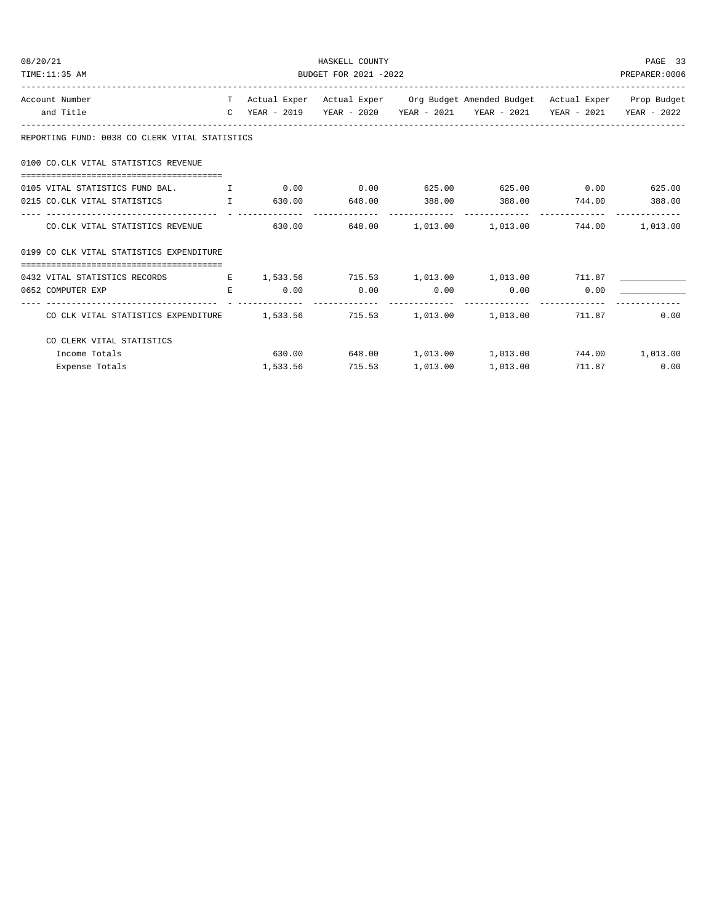| 08/20/21                                                                       | HASKELL COUNTY        |  |                 |  |                                                                                |        |      |  |
|--------------------------------------------------------------------------------|-----------------------|--|-----------------|--|--------------------------------------------------------------------------------|--------|------|--|
| TIME:11:35 AM                                                                  | BUDGET FOR 2021 -2022 |  |                 |  |                                                                                |        |      |  |
| Account Number                                                                 |                       |  |                 |  | T Actual Exper Actual Exper Org Budget Amended Budget Actual Exper Prop Budget |        |      |  |
| and Title                                                                      |                       |  |                 |  | C YEAR - 2019 YEAR - 2020 YEAR - 2021 YEAR - 2021 YEAR - 2021 YEAR - 2022      |        |      |  |
| REPORTING FUND: 0038 CO CLERK VITAL STATISTICS                                 |                       |  |                 |  |                                                                                |        |      |  |
| 0100 CO.CLK VITAL STATISTICS REVENUE                                           |                       |  |                 |  |                                                                                |        |      |  |
|                                                                                |                       |  |                 |  |                                                                                |        |      |  |
| 0215 CO.CLK VITAL STATISTICS $I$ 630.00 648.00 388.00 388.00 744.00 388.00     |                       |  |                 |  |                                                                                |        |      |  |
| CO.CLK VITAL STATISTICS REVENUE                                                |                       |  |                 |  | $630.00$ $648.00$ $1,013.00$ $1,013.00$ $744.00$ $1,013.00$                    |        |      |  |
| 0199 CO CLK VITAL STATISTICS EXPENDITURE                                       |                       |  |                 |  |                                                                                |        |      |  |
|                                                                                |                       |  |                 |  |                                                                                |        |      |  |
| 0432 VITAL STATISTICS RECORDS                                                  |                       |  |                 |  | E 1,533.56 715.53 1,013.00 1,013.00 711.87                                     |        |      |  |
| 0652 COMPUTER EXP                                                              | $E_{\rm c}$           |  |                 |  | $0.00$ $0.00$ $0.00$ $0.00$ $0.00$ $0.00$ $0.00$                               |        |      |  |
| CO CLK VITAL STATISTICS EXPENDITURE $1,533.56$ 715.53 1,013.00 1,013.00 711.87 |                       |  |                 |  |                                                                                |        | 0.00 |  |
| CO CLERK VITAL STATISTICS                                                      |                       |  |                 |  |                                                                                |        |      |  |
| Income Totals                                                                  |                       |  |                 |  | $630.00$ $648.00$ $1,013.00$ $1,013.00$ $744.00$ $1,013.00$                    |        |      |  |
| Expense Totals                                                                 |                       |  | 1,533.56 715.53 |  | 1,013.00 1,013.00                                                              | 711.87 | 0.00 |  |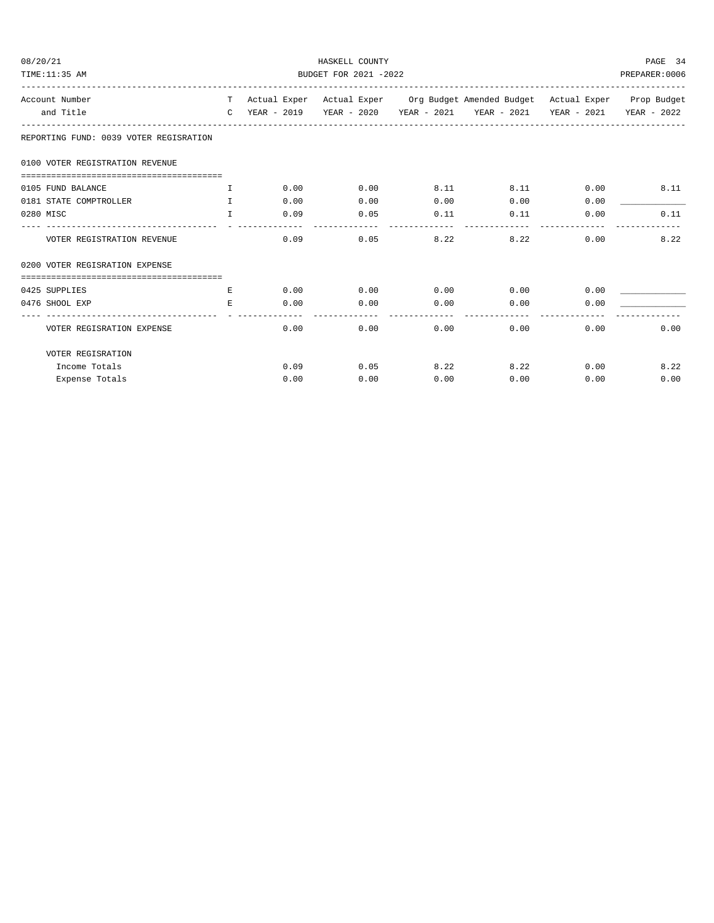| 08/20/21<br>TIME:11:35 AM                                   | HASKELL COUNTY<br>BUDGET FOR 2021 -2022 |      |                                                                                |      |                                                                           |      |      |  |
|-------------------------------------------------------------|-----------------------------------------|------|--------------------------------------------------------------------------------|------|---------------------------------------------------------------------------|------|------|--|
| Account Number                                              |                                         |      | T Actual Exper Actual Exper Org Budget Amended Budget Actual Exper Prop Budget |      |                                                                           |      |      |  |
| and Title                                                   |                                         |      |                                                                                |      | C YEAR - 2019 YEAR - 2020 YEAR - 2021 YEAR - 2021 YEAR - 2021 YEAR - 2022 |      |      |  |
| REPORTING FUND: 0039 VOTER REGISRATION                      |                                         |      |                                                                                |      |                                                                           |      |      |  |
| 0100 VOTER REGISTRATION REVENUE                             |                                         |      |                                                                                |      |                                                                           |      |      |  |
|                                                             |                                         |      |                                                                                |      |                                                                           |      |      |  |
| 0105 FUND BALANCE                                           | $\mathbf{I}$                            | 0.00 | 0.00                                                                           | 8.11 | 8.11                                                                      | 0.00 | 8.11 |  |
| 0181 STATE COMPTROLLER                                      | $\mathbf{T}$                            | 0.00 | 0.00                                                                           | 0.00 | 0.00                                                                      | 0.00 |      |  |
| 0280 MISC                                                   | T                                       | 0.09 | 0.05                                                                           | 0.11 | 0.11                                                                      | 0.00 | 0.11 |  |
| VOTER REGISTRATION REVENUE                                  |                                         | 0.09 | 0.05                                                                           | 8.22 | 8.22                                                                      | 0.00 | 8.22 |  |
| 0200 VOTER REGISRATION EXPENSE                              |                                         |      |                                                                                |      |                                                                           |      |      |  |
|                                                             |                                         |      |                                                                                |      |                                                                           |      |      |  |
| 0425 SUPPLIES                                               | E                                       | 0.00 | 0.00                                                                           | 0.00 | 0.00                                                                      | 0.00 |      |  |
| 0476 SHOOL EXP                                              | E.                                      | 0.00 | 0.00                                                                           | 0.00 | 0.00                                                                      | 0.00 |      |  |
| ______________________________<br>VOTER REGISRATION EXPENSE |                                         | 0.00 | 0.00                                                                           | 0.00 | 0.00                                                                      | 0.00 | 0.00 |  |
| VOTER REGISRATION                                           |                                         |      |                                                                                |      |                                                                           |      |      |  |
| Income Totals                                               |                                         | 0.09 | 0.05                                                                           | 8.22 | 8.22                                                                      | 0.00 | 8.22 |  |
| Expense Totals                                              |                                         | 0.00 | 0.00                                                                           | 0.00 | 0.00                                                                      | 0.00 | 0.00 |  |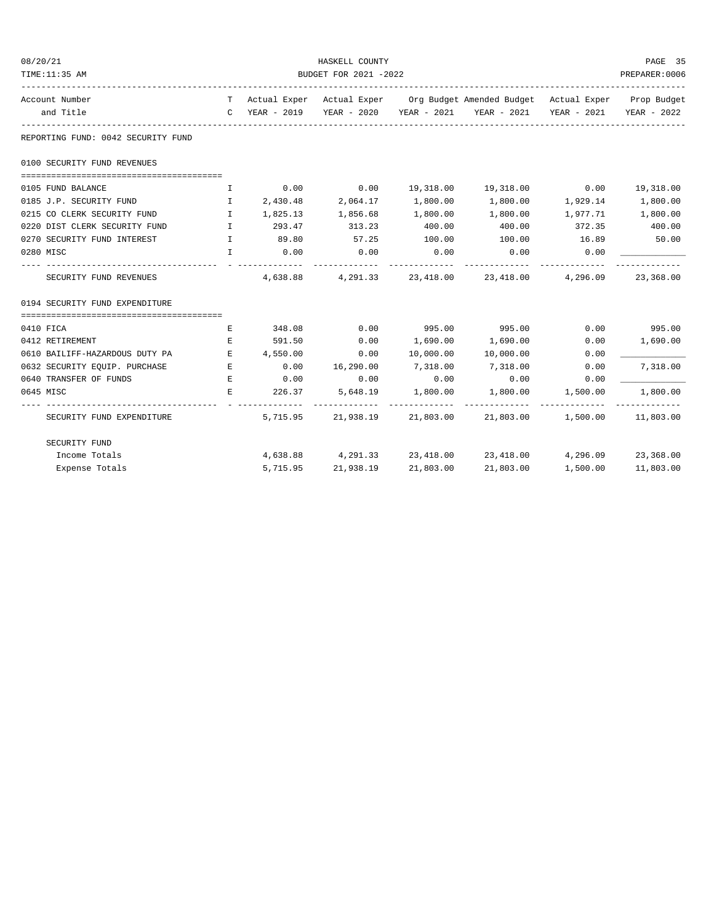| 08/20/21                           |                                                |           | HASKELL COUNTY     |           |                                                                                |          | PAGE 35                   |  |
|------------------------------------|------------------------------------------------|-----------|--------------------|-----------|--------------------------------------------------------------------------------|----------|---------------------------|--|
| TIME:11:35 AM                      | BUDGET FOR 2021 -2022                          |           |                    |           |                                                                                |          |                           |  |
| Account Number                     |                                                |           |                    |           | T Actual Exper Actual Exper Org Budget Amended Budget Actual Exper Prop Budget |          |                           |  |
| and Title                          |                                                |           |                    |           | C YEAR - 2019 YEAR - 2020 YEAR - 2021 YEAR - 2021                              |          | YEAR - 2021 YEAR - 2022   |  |
| REPORTING FUND: 0042 SECURITY FUND |                                                |           |                    |           |                                                                                |          |                           |  |
| 0100 SECURITY FUND REVENUES        |                                                |           |                    |           |                                                                                |          |                           |  |
| 0105 FUND BALANCE                  | I.                                             |           | $0.00$ 0.00        |           | 19,318.00  19,318.00  0.00                                                     |          | 19,318.00                 |  |
| 0185 J.P. SECURITY FUND            | $\mathbf{I}$                                   | 2,430.48  | 2,064.17           | 1,800.00  | 1,800.00                                                                       | 1,929.14 | 1,800.00                  |  |
| 0215 CO CLERK SECURITY FUND I      |                                                | 1,825.13  | 1,856.68           | 1,800.00  | 1,800.00                                                                       | 1,977.71 | 1,800.00                  |  |
| 0220 DIST CLERK SECURITY FUND      | $\mathbf{I}$ and $\mathbf{I}$ and $\mathbf{I}$ | 293.47    | 313.23             | 400.00    | 400.00                                                                         | 372.35   | 400.00                    |  |
| 0270 SECURITY FUND INTEREST        | $\mathbf{I}$                                   | 89.80     | 57.25              | 100.00    | 100.00                                                                         | 16.89    | 50.00                     |  |
| 0280 MISC                          | $\mathbf{L}$                                   | 0.00<br>. | 0.00               | 0.00      | 0.00                                                                           | 0.00     |                           |  |
| SECURITY FUND REVENUES             |                                                |           | 4,638.88 4,291.33  |           | 23,418.00 23,418.00 4,296.09                                                   |          | 23,368.00                 |  |
| 0194 SECURITY FUND EXPENDITURE     |                                                |           |                    |           |                                                                                |          |                           |  |
| 0410 FICA                          | E                                              | 348.08    | 0.00               | 995.00    | 995.00 0.00 995.00                                                             |          |                           |  |
| 0412 RETIREMENT                    | Е                                              | 591.50    | 0.00               | 1,690.00  | 1,690.00                                                                       | 0.00     | 1,690.00                  |  |
| 0610 BAILIFF-HAZARDOUS DUTY PA     | $E_{\rm c}$                                    | 4,550.00  | 0.00               | 10,000.00 | 10,000.00                                                                      | 0.00     |                           |  |
| 0632 SECURITY EQUIP. PURCHASE      | <b>Example 20</b>                              | 0.00      | 16,290.00          | 7,318.00  | 7,318.00                                                                       | 0.00     | 7,318.00                  |  |
| 0640 TRANSFER OF FUNDS             | E                                              | 0.00      | 0.00               | 0.00      | 0.00                                                                           | 0.00     |                           |  |
| 0645 MISC                          | Е                                              | 226.37    | 5,648.19           | 1,800.00  | 1,800.00                                                                       | 1,500.00 | 1,800.00<br>------------- |  |
| SECURITY FUND EXPENDITURE          |                                                |           | 5,715.95 21,938.19 |           | 21,803.00 21,803.00 1,500.00 11,803.00                                         |          |                           |  |
| SECURITY FUND                      |                                                |           |                    |           |                                                                                |          |                           |  |
| Income Totals                      |                                                |           |                    |           | 4,638.88 4,291.33 23,418.00 23,418.00 4,296.09 23,368.00                       |          |                           |  |
| Expense Totals                     |                                                |           | 5,715.95 21,938.19 | 21,803.00 | 21,803.00                                                                      | 1,500.00 | 11,803.00                 |  |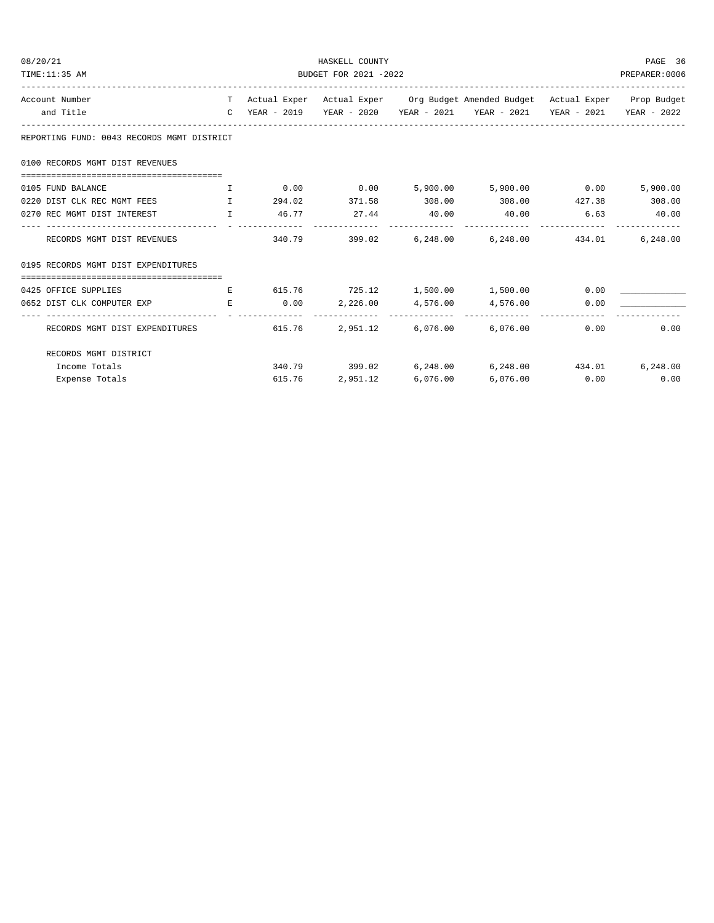| 08/20/21<br>TIME:11:35 AM                           | HASKELL COUNTY<br>BUDGET FOR 2021 -2022 |        |                                                                                |          |                                                                           |                 |          |  |
|-----------------------------------------------------|-----------------------------------------|--------|--------------------------------------------------------------------------------|----------|---------------------------------------------------------------------------|-----------------|----------|--|
| Account Number                                      |                                         |        | T Actual Exper Actual Exper Org Budget Amended Budget Actual Exper Prop Budget |          |                                                                           |                 |          |  |
| and Title                                           |                                         |        |                                                                                |          | C YEAR - 2019 YEAR - 2020 YEAR - 2021 YEAR - 2021 YEAR - 2021 YEAR - 2022 |                 |          |  |
| REPORTING FUND: 0043 RECORDS MGMT DISTRICT          |                                         |        |                                                                                |          |                                                                           |                 |          |  |
| 0100 RECORDS MGMT DIST REVENUES                     |                                         |        |                                                                                |          |                                                                           |                 |          |  |
|                                                     |                                         |        |                                                                                |          |                                                                           |                 |          |  |
| 0105 FUND BALANCE<br>$\mathbf{T}$ and $\mathbf{T}$  |                                         |        |                                                                                |          | $0.00$ $0.00$ $5,900.00$ $5,900.00$ $0.00$                                |                 | 5,900.00 |  |
| 0220 DIST CLK REC MGMT FEES THE THE                 |                                         |        |                                                                                |          | $294.02$ $371.58$ $308.00$ $308.00$ $427.38$ $308.00$                     |                 |          |  |
| 0270 REC MGMT DIST INTEREST THE T                   |                                         |        | 46.77 27.44 40.00                                                              |          | 40.00 6.63 40.00                                                          |                 |          |  |
| RECORDS MGMT DIST REVENUES 6.248.00 6.248.00 434.01 |                                         |        |                                                                                |          |                                                                           |                 | 6,248.00 |  |
| 0195 RECORDS MGMT DIST EXPENDITURES                 |                                         |        |                                                                                |          |                                                                           |                 |          |  |
| 0425 OFFICE SUPPLIES                                | E                                       |        |                                                                                |          | 615.76 725.12 1,500.00 1,500.00                                           | 0.00            |          |  |
| 0652 DIST CLK COMPUTER EXP                          | E                                       |        |                                                                                |          | $0.00$ $2,226.00$ $4,576.00$ $4,576.00$                                   | 0.00            |          |  |
| RECORDS MGMT DIST EXPENDITURES                      |                                         | 615.76 |                                                                                |          | 2,951.12 6,076.00 6,076.00                                                | 0.00            | 0.00     |  |
| RECORDS MGMT DISTRICT                               |                                         |        |                                                                                |          |                                                                           |                 |          |  |
| Income Totals                                       |                                         |        |                                                                                |          | $340.79$ $399.02$ $6,248.00$ $6,248.00$ $434.01$                          |                 | 6,248.00 |  |
| Expense Totals                                      |                                         | 615.76 | 2,951.12                                                                       | 6,076.00 |                                                                           | $6,076.00$ 0.00 | 0.00     |  |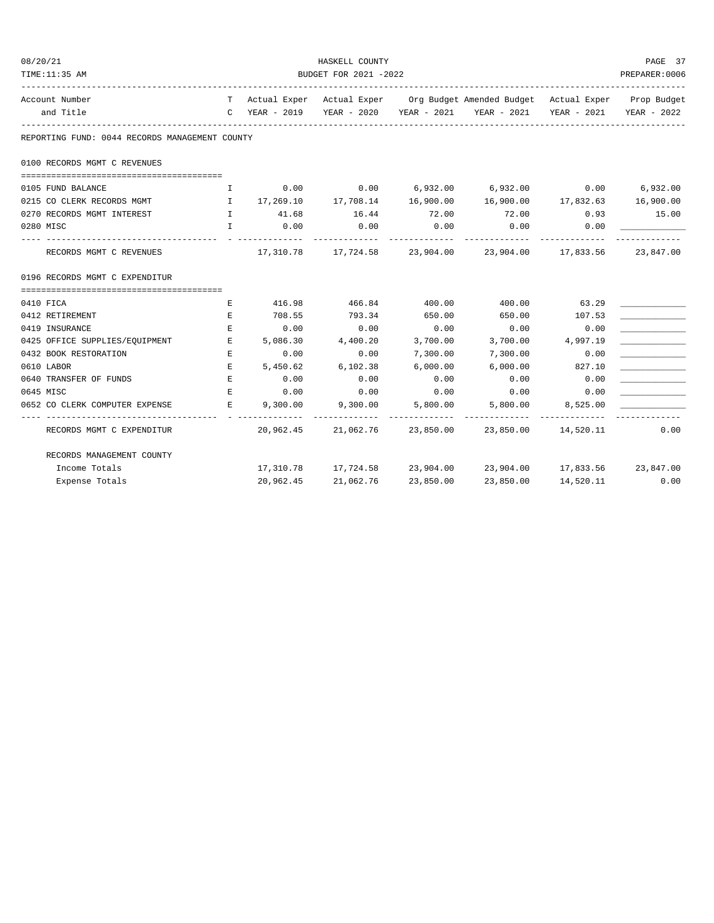| 08/20/21                                       |                                                                                                                 |           | HASKELL COUNTY              |             |                                                                                |                       | PAGE 37      |  |
|------------------------------------------------|-----------------------------------------------------------------------------------------------------------------|-----------|-----------------------------|-------------|--------------------------------------------------------------------------------|-----------------------|--------------|--|
| TIME:11:35 AM                                  | BUDGET FOR 2021 -2022                                                                                           |           |                             |             |                                                                                |                       |              |  |
| Account Number                                 |                                                                                                                 |           |                             |             | T Actual Exper Actual Exper Org Budget Amended Budget Actual Exper Prop Budget |                       |              |  |
| and Title                                      |                                                                                                                 |           |                             |             | C YEAR - 2019 YEAR - 2020 YEAR - 2021 YEAR - 2021 YEAR - 2021 YEAR - 2022      |                       |              |  |
| REPORTING FUND: 0044 RECORDS MANAGEMENT COUNTY |                                                                                                                 |           |                             |             |                                                                                |                       |              |  |
| 0100 RECORDS MGMT C REVENUES                   |                                                                                                                 |           |                             |             |                                                                                |                       |              |  |
| 0105 FUND BALANCE                              | I.                                                                                                              | 0.00      |                             |             | $0.00$ $6,932.00$ $6,932.00$ $0.00$ $6,932.00$                                 |                       |              |  |
| 0215 CO CLERK RECORDS MGMT                     | and the state of the state of the state of the state of the state of the state of the state of the state of the |           | 17,269.10 17,708.14         |             |                                                                                |                       |              |  |
| 0270 RECORDS MGMT INTEREST                     |                                                                                                                 | I 41.68   | 16.44                       | 72.00       | 72.00                                                                          |                       | $0.93$ 15.00 |  |
| 0280 MISC                                      | T                                                                                                               | 0.00      | 0.00                        | 0.00        | 0.00<br>. <u>.</u>                                                             | 0.00<br>------------- |              |  |
| RECORDS MGMT C REVENUES                        |                                                                                                                 |           |                             | ----------- | 17,310.78  17,724.58  23,904.00  23,904.00  17,833.56  23,847.00               |                       |              |  |
| 0196 RECORDS MGMT C EXPENDITUR                 |                                                                                                                 |           |                             |             |                                                                                |                       |              |  |
|                                                |                                                                                                                 |           |                             |             |                                                                                |                       |              |  |
| 0410 FICA                                      | Е                                                                                                               |           | 416.98 466.84 400.00        |             | 400.00                                                                         | 63.29                 |              |  |
| 0412 RETIREMENT                                | Е                                                                                                               | 708.55    | 793.34                      | 650.00      | 650.00                                                                         | 107.53                |              |  |
| 0419 INSURANCE                                 | Е                                                                                                               |           | $0.00$ $0.00$ $0.00$ $0.00$ |             | 0.00                                                                           | 0.00                  |              |  |
| 0425 OFFICE SUPPLIES/EQUIPMENT                 | <b>Example 20</b>                                                                                               |           | 5,086.30 4,400.20           | 3,700.00    |                                                                                | 3,700.00 4,997.19     |              |  |
| 0432 BOOK RESTORATION                          | E                                                                                                               | 0.00      | 0.00                        | 7,300.00    | 7,300.00                                                                       | 0.00                  |              |  |
| 0610 LABOR                                     | E.                                                                                                              | 5,450.62  | 6,102.38                    | 6,000.00    | 6,000.00                                                                       | 827.10                |              |  |
| 0640 TRANSFER OF FUNDS                         | E                                                                                                               | 0.00      | 0.00                        | 0.00        | 0.00                                                                           | 0.00                  |              |  |
| 0645 MISC                                      | E                                                                                                               | 0.00      | 0.00                        |             | $0.00$ 0.00                                                                    | 0.00                  |              |  |
| 0652 CO CLERK COMPUTER EXPENSE                 | <b>Example 20 Service Reserves</b>                                                                              | 9,300.00  | 9,300.00                    | 5,800.00    | 5,800.00                                                                       | 8,525.00              |              |  |
| RECORDS MGMT C EXPENDITUR                      |                                                                                                                 |           | 20,962.45 21,062.76         |             | 23,850.00 23,850.00 14,520.11 0.00                                             |                       |              |  |
| RECORDS MANAGEMENT COUNTY                      |                                                                                                                 |           |                             |             |                                                                                |                       |              |  |
| Income Totals                                  |                                                                                                                 |           |                             |             | 17,310.78 17,724.58 23,904.00 23,904.00 17,833.56 23,847.00                    |                       |              |  |
| Expense Totals                                 |                                                                                                                 | 20,962.45 | 21,062.76                   | 23,850.00   | 23,850.00                                                                      | 14,520.11             | 0.00         |  |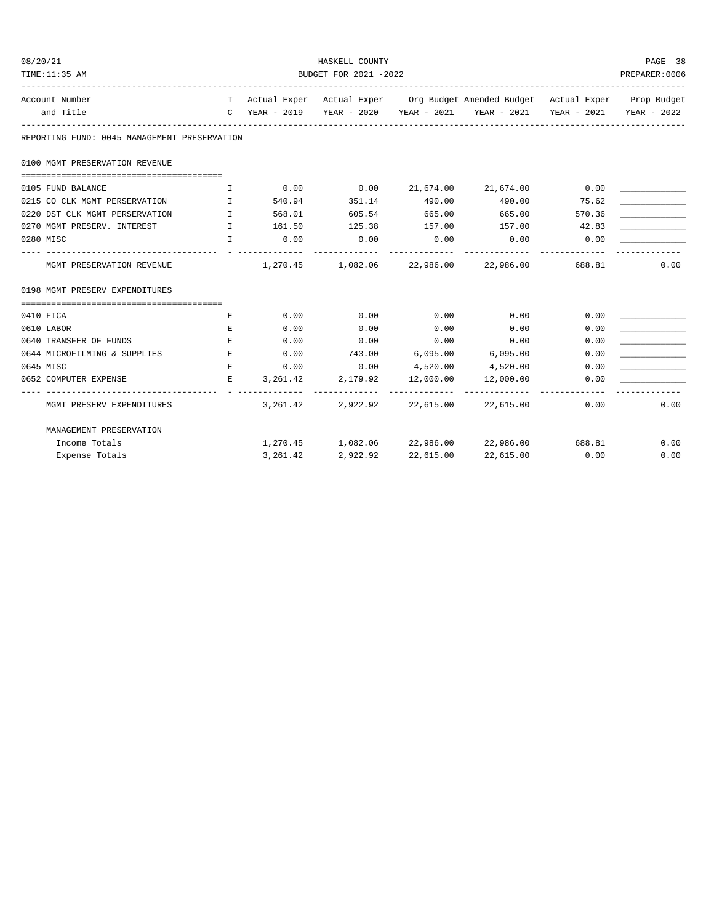| 08/20/21                                     |                               |          | HASKELL COUNTY        |           |                                                                                |        | PAGE 38       |
|----------------------------------------------|-------------------------------|----------|-----------------------|-----------|--------------------------------------------------------------------------------|--------|---------------|
| TIME:11:35 AM                                |                               |          | BUDGET FOR 2021 -2022 |           |                                                                                |        | PREPARER:0006 |
| Account Number                               |                               |          |                       |           | T Actual Exper Actual Exper Org Budget Amended Budget Actual Exper Prop Budget |        |               |
| and Title                                    |                               |          |                       |           | C YEAR - 2019 YEAR - 2020 YEAR - 2021 YEAR - 2021 YEAR - 2021 YEAR - 2022      |        |               |
| REPORTING FUND: 0045 MANAGEMENT PRESERVATION |                               |          |                       |           |                                                                                |        |               |
| 0100 MGMT PRESERVATION REVENUE               |                               |          |                       |           |                                                                                |        |               |
| 0105 FUND BALANCE                            | Ι.                            |          |                       |           | $0.00$ $0.00$ $21,674.00$ $21,674.00$ $0.00$                                   |        |               |
| 0215 CO CLK MGMT PERSERVATION I              |                               |          | 540.94 351.14 490.00  |           | 490.00                                                                         | 75.62  |               |
| 0220 DST CLK MGMT PERSERVATION               | $\mathbf{I}$ and $\mathbf{I}$ | 568.01   | 605.54 665.00         |           | 665.00                                                                         | 570.36 |               |
| 0270 MGMT PRESERV. INTEREST                  |                               |          |                       |           | 1 161.50 125.38 157.00 157.00 42.83                                            |        |               |
| 0280 MISC                                    | $\mathbf{I}$                  | 0.00     | 0.00                  | 0.00      | 0.00                                                                           | 0.00   |               |
| MGMT PRESERVATION REVENUE                    |                               |          |                       |           | $1,270.45$ $1,082.06$ $22,986.00$ $22,986.00$ $688.81$                         |        | 0.00          |
| 0198 MGMT PRESERV EXPENDITURES               |                               |          |                       |           |                                                                                |        |               |
|                                              |                               |          |                       |           |                                                                                |        |               |
| 0410 FICA                                    | E                             | 0.00     | 0.00                  | 0.00      | 0.00                                                                           | 0.00   |               |
| 0610 LABOR                                   | E                             | 0.00     | 0.00                  | 0.00      | 0.00                                                                           | 0.00   |               |
| 0640 TRANSFER OF FUNDS                       | E                             | 0.00     | 0.00                  | 0.00      | 0.00                                                                           | 0.00   |               |
| 0644 MICROFILMING & SUPPLIES                 | E                             |          | $0.00$ 743.00         |           | $6,095.00$ $6,095.00$                                                          | 0.00   |               |
| 0645 MISC                                    | E                             |          |                       |           | $0.00$ $0.00$ $4,520.00$ $4,520.00$                                            | 0.00   |               |
| 0652 COMPUTER EXPENSE                        | E                             | 3,261.42 | 2,179.92              | 12,000.00 | 12,000.00                                                                      | 0.00   |               |
| MGMT PRESERV EXPENDITURES                    |                               |          | -------------         |           | $3,261.42$ $2,922.92$ $22,615.00$ $22,615.00$                                  | 0.00   | 0.00          |
| MANAGEMENT PRESERVATION                      |                               |          |                       |           |                                                                                |        |               |
| Income Totals                                |                               |          |                       |           | $1,270.45$ $1,082.06$ $22,986.00$ $22,986.00$ $688.81$                         |        | 0.00          |
| Expense Totals                               |                               | 3,261.42 | 2,922.92              | 22,615.00 | 22,615.00                                                                      | 0.00   | 0.00          |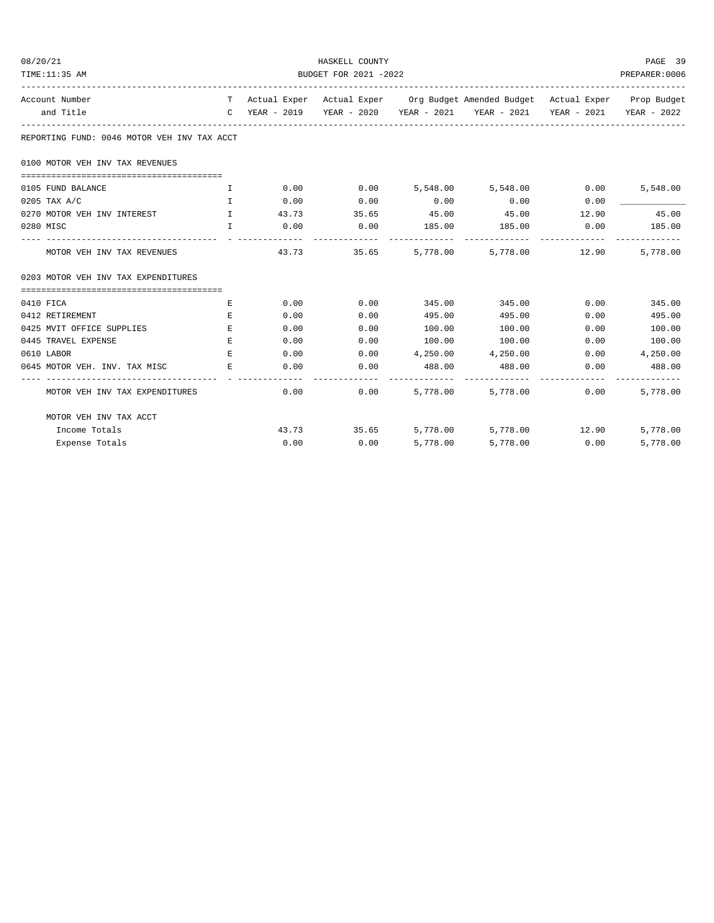| 08/20/21                                                             | HASKELL COUNTY        |             |             |        |                                                                                |      |                 |  |
|----------------------------------------------------------------------|-----------------------|-------------|-------------|--------|--------------------------------------------------------------------------------|------|-----------------|--|
| TIME:11:35 AM                                                        | BUDGET FOR 2021 -2022 |             |             |        |                                                                                |      |                 |  |
| Account Number                                                       |                       |             |             |        | T Actual Exper Actual Exper Org Budget Amended Budget Actual Exper Prop Budget |      |                 |  |
| and Title                                                            |                       |             |             |        | C YEAR - 2019 YEAR - 2020 YEAR - 2021 YEAR - 2021 YEAR - 2021 YEAR - 2022      |      |                 |  |
| REPORTING FUND: 0046 MOTOR VEH INV TAX ACCT                          |                       |             |             |        |                                                                                |      |                 |  |
| 0100 MOTOR VEH INV TAX REVENUES                                      |                       |             |             |        |                                                                                |      |                 |  |
| 0105 FUND BALANCE                                                    | $\mathbf{I}$          | 0.00        | 0.00        |        | 5,548.00 5,548.00 0.00                                                         |      | 5,548.00        |  |
| 0205 TAX A/C                                                         | $\mathbf{I}$          | 0.00        | 0.00        | 0.00   | 0.00                                                                           | 0.00 |                 |  |
| 0270 MOTOR VEH INV INTEREST<br>$\mathbf{I}$ . The state $\mathbf{I}$ |                       | 43.73 35.65 |             |        | 45.00 45.00 12.90                                                              |      | 45.00           |  |
| 0280 MISC                                                            | $\mathbf{I}$          |             | $0.00$ 0.00 | 185.00 | 185.00                                                                         | 0.00 | 185.00          |  |
| MOTOR VEH INV TAX REVENUES                                           |                       | 43.73       |             |        | 35.65 5,778.00 5,778.00 12.90                                                  |      | 5,778.00        |  |
| 0203 MOTOR VEH INV TAX EXPENDITURES                                  |                       |             |             |        |                                                                                |      |                 |  |
| 0410 FICA                                                            | E                     | 0.00        | 0.00        |        | 345.00 345.00                                                                  | 0.00 | 345.00          |  |
| 0412 RETIREMENT                                                      | Е                     | 0.00        | 0.00        | 495.00 | 495.00                                                                         | 0.00 | 495.00          |  |
| 0425 MVIT OFFICE SUPPLIES                                            | E.                    | 0.00        | 0.00        | 100.00 | 100.00                                                                         | 0.00 | 100.00          |  |
| 0445 TRAVEL EXPENSE                                                  | $E_{\rm{L}}$          | 0.00        | 0.00        | 100.00 | 100.00                                                                         | 0.00 | 100.00          |  |
| 0610 LABOR                                                           | $E_{\rm{L}}$          | 0.00        |             |        | $0.00$ $4,250.00$ $4,250.00$                                                   |      | $0.00$ 4,250.00 |  |
| 0645 MOTOR VEH. INV. TAX MISC                                        | E                     | 0.00        | 0.00        | 488.00 | 488.00<br>-------------- --------------                                        | 0.00 | 488.00          |  |
| MOTOR VEH INV TAX EXPENDITURES                                       |                       | 0.00        | 0.00        |        | 5,778.00 5,778.00                                                              | 0.00 | 5,778.00        |  |
| MOTOR VEH INV TAX ACCT                                               |                       |             |             |        |                                                                                |      |                 |  |
| Income Totals                                                        |                       |             |             |        | 43.73 35.65 5,778.00 5,778.00 12.90                                            |      | 5,778.00        |  |
| Expense Totals                                                       |                       | 0.00        | 0.00        |        | 5,778.00 5,778.00 0.00                                                         |      | 5,778.00        |  |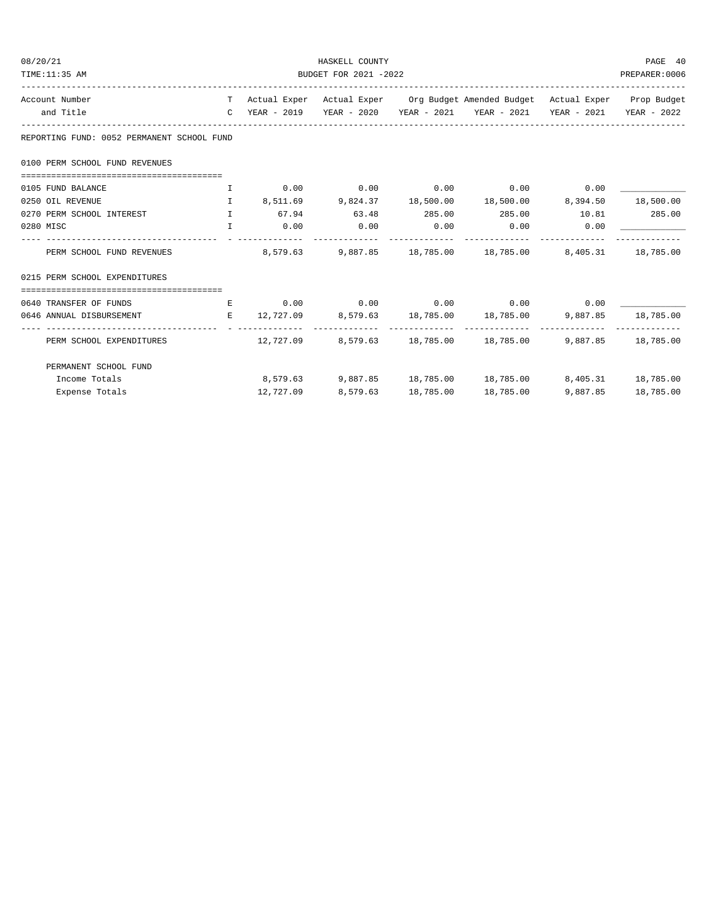| 08/20/21                                                                                                                                                                                                                     |                                     |           | HASKELL COUNTY              |           |                                                                                          |          | PAGE 40            |
|------------------------------------------------------------------------------------------------------------------------------------------------------------------------------------------------------------------------------|-------------------------------------|-----------|-----------------------------|-----------|------------------------------------------------------------------------------------------|----------|--------------------|
| TIME:11:35 AM                                                                                                                                                                                                                |                                     |           | BUDGET FOR 2021 -2022       |           |                                                                                          |          | PREPARER:0006      |
| Account Number                                                                                                                                                                                                               |                                     |           |                             |           | T Actual Exper Actual Exper Org Budget Amended Budget Actual Exper Prop Budget           |          |                    |
| and Title                                                                                                                                                                                                                    |                                     |           |                             |           | C YEAR - 2019    YEAR - 2020    YEAR - 2021    YEAR - 2021    YEAR - 2021    YEAR - 2022 |          |                    |
| REPORTING FUND: 0052 PERMANENT SCHOOL FUND                                                                                                                                                                                   |                                     |           |                             |           |                                                                                          |          |                    |
| 0100 PERM SCHOOL FUND REVENUES                                                                                                                                                                                               |                                     |           |                             |           |                                                                                          |          |                    |
| 0105 FUND BALANCE                                                                                                                                                                                                            |                                     |           |                             |           |                                                                                          |          |                    |
| $\qquad \qquad 1 \qquad \qquad 8\, , 511\, .69 \qquad \qquad 9\, , 824\, .37 \qquad \qquad 18\, , 500\, .00 \qquad \qquad 18\, , 500\, .00 \qquad \qquad 8\, , 394\, .50 \qquad \qquad 18\, , 500\, .00$<br>0250 OIL REVENUE |                                     |           |                             |           |                                                                                          |          |                    |
| 0270 PERM SCHOOL INTEREST                                                                                                                                                                                                    | $\mathbf{T}$                        |           |                             |           | $67.94$ $63.48$ $285.00$ $285.00$ $10.81$ $285.00$                                       |          |                    |
| 0280 MISC                                                                                                                                                                                                                    | <b>The Community of The Table 1</b> |           | $0.00$ $0.00$ $0.00$ $0.00$ |           | $0.00$ 0.00                                                                              |          |                    |
| PERM SCHOOL FUND REVENUES 6.0 CONTROL 8,579.63 9,887.85 18,785.00 18,785.00 8,405.31 18,785.00                                                                                                                               |                                     |           |                             |           |                                                                                          |          |                    |
| 0215 PERM SCHOOL EXPENDITURES                                                                                                                                                                                                |                                     |           |                             |           |                                                                                          |          |                    |
|                                                                                                                                                                                                                              |                                     |           |                             |           |                                                                                          |          |                    |
| 0640 TRANSFER OF FUNDS                                                                                                                                                                                                       |                                     |           |                             |           | $E$ 0.00 0.00 0.00 0.00 0.00 0.00                                                        |          |                    |
| 0646 ANNUAL DISBURSEMENT                                                                                                                                                                                                     |                                     |           |                             |           | E 12,727.09 8,579.63 18,785.00 18,785.00 9,887.85 18,785.00                              |          |                    |
| PERM SCHOOL EXPENDITURES                                                                                                                                                                                                     |                                     |           |                             |           | $12,727.09$ $8,579.63$ $18,785.00$ $18,785.00$                                           |          | 9,887.85 18,785.00 |
| PERMANENT SCHOOL FUND                                                                                                                                                                                                        |                                     |           |                             |           |                                                                                          |          |                    |
| Income Totals                                                                                                                                                                                                                |                                     |           |                             |           | $8,579.63$ $9,887.85$ $18,785.00$ $18,785.00$ $8,405.31$ $18,785.00$                     |          |                    |
| Expense Totals                                                                                                                                                                                                               |                                     | 12,727.09 | 8,579.63                    | 18,785.00 | 18,785.00                                                                                | 9,887.85 | 18,785.00          |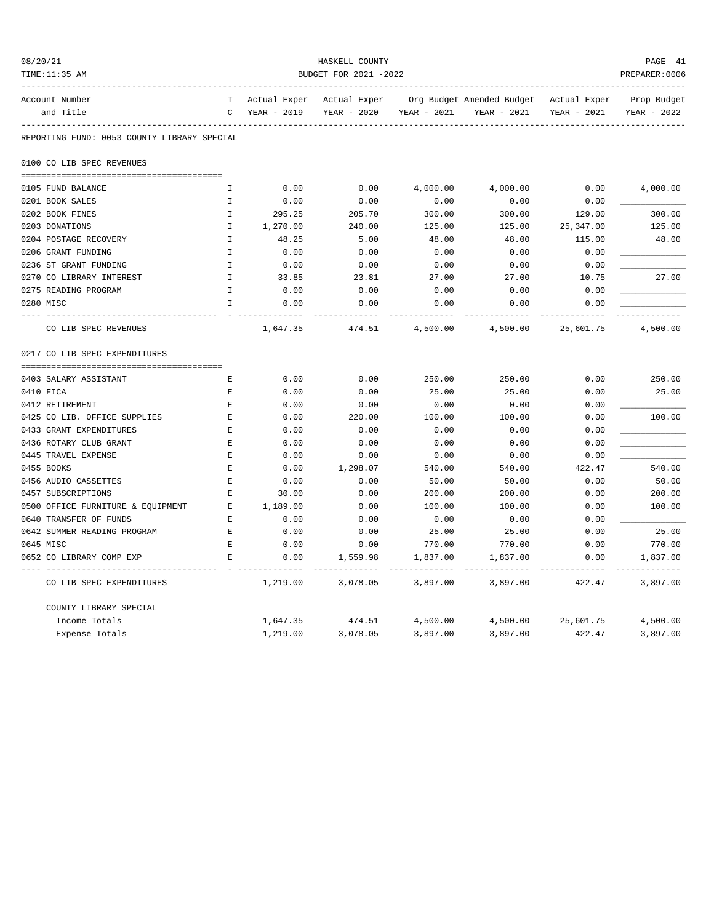| 08/20/21                                    |                       |                   | HASKELL COUNTY |                 |                           |                     | PAGE 41         |  |  |
|---------------------------------------------|-----------------------|-------------------|----------------|-----------------|---------------------------|---------------------|-----------------|--|--|
| TIME:11:35 AM                               | BUDGET FOR 2021 -2022 |                   |                |                 |                           |                     |                 |  |  |
| Account Number                              | T                     | Actual Exper      | Actual Exper   |                 | Org Budget Amended Budget | Actual Exper        | Prop Budget     |  |  |
| and Title                                   | C                     | YEAR - 2019       | YEAR - 2020    | YEAR - 2021     | YEAR - 2021               | YEAR - 2021         | YEAR - 2022     |  |  |
| REPORTING FUND: 0053 COUNTY LIBRARY SPECIAL |                       |                   |                |                 |                           |                     |                 |  |  |
| 0100 CO LIB SPEC REVENUES                   |                       |                   |                |                 |                           |                     |                 |  |  |
|                                             |                       |                   |                |                 |                           |                     |                 |  |  |
| 0105 FUND BALANCE                           | I                     | 0.00              | 0.00           | 4,000.00        | 4,000.00                  | 0.00                | 4,000.00        |  |  |
| 0201 BOOK SALES                             | I.                    | 0.00              | 0.00           | 0.00            | 0.00                      | 0.00                |                 |  |  |
| 0202 BOOK FINES                             | I.                    | 295.25            | 205.70         | 300.00          | 300.00                    | 129.00              | 300.00          |  |  |
| 0203 DONATIONS<br>0204 POSTAGE RECOVERY     | I.<br>$\mathbf{I}$    | 1,270.00<br>48.25 | 240.00<br>5.00 | 125.00<br>48.00 | 125.00<br>48.00           | 25,347.00<br>115.00 | 125.00<br>48.00 |  |  |
| 0206 GRANT FUNDING                          | I                     | 0.00              | 0.00           | 0.00            | 0.00                      | 0.00                |                 |  |  |
| 0236 ST GRANT FUNDING                       | $\mathbf I$           | 0.00              | 0.00           | 0.00            | 0.00                      | 0.00                |                 |  |  |
| 0270 CO LIBRARY INTEREST                    | $\mathbf I$           | 33.85             | 23.81          | 27.00           | 27.00                     | 10.75               | 27.00           |  |  |
| 0275 READING PROGRAM                        | I.                    | 0.00              | 0.00           | 0.00            | 0.00                      | 0.00                |                 |  |  |
| 0280 MISC                                   | $\mathbf{I}$          | 0.00              | 0.00           | 0.00            | 0.00                      | 0.00                |                 |  |  |
|                                             |                       |                   |                |                 |                           |                     |                 |  |  |
| CO LIB SPEC REVENUES                        |                       | 1,647.35          | 474.51         | 4,500.00        | 4,500.00                  | 25,601.75           | 4,500.00        |  |  |
| 0217 CO LIB SPEC EXPENDITURES               |                       |                   |                |                 |                           |                     |                 |  |  |
| 0403 SALARY ASSISTANT                       | Е                     | 0.00              | 0.00           | 250.00          | 250.00                    | 0.00                | 250.00          |  |  |
| 0410 FICA                                   | E                     | 0.00              | 0.00           | 25.00           | 25.00                     | 0.00                | 25.00           |  |  |
| 0412 RETIREMENT                             | $\mathbf E$           | 0.00              | 0.00           | 0.00            | 0.00                      | 0.00                |                 |  |  |
| 0425 CO LIB. OFFICE SUPPLIES                | E                     | 0.00              | 220.00         | 100.00          | 100.00                    | 0.00                | 100.00          |  |  |
| 0433 GRANT EXPENDITURES                     | Е                     | 0.00              | 0.00           | 0.00            | 0.00                      | 0.00                |                 |  |  |
| 0436 ROTARY CLUB GRANT                      | E                     | 0.00              | 0.00           | 0.00            | 0.00                      | 0.00                |                 |  |  |
| 0445 TRAVEL EXPENSE                         | E                     | 0.00              | 0.00           | 0.00            | 0.00                      | 0.00                |                 |  |  |
| 0455 BOOKS                                  | F.                    | 0.00              | 1,298.07       | 540.00          | 540.00                    | 422.47              | 540.00          |  |  |
| 0456 AUDIO CASSETTES                        | E                     | 0.00              | 0.00           | 50.00           | 50.00                     | 0.00                | 50.00           |  |  |
| 0457 SUBSCRIPTIONS                          | E                     | 30.00             | 0.00           | 200.00          | 200.00                    | 0.00                | 200.00          |  |  |
| 0500 OFFICE FURNITURE & EQUIPMENT           | Е                     | 1,189.00          | 0.00           | 100.00          | 100.00                    | 0.00                | 100.00          |  |  |
| 0640 TRANSFER OF FUNDS                      | E                     | 0.00              | 0.00           | 0.00            | 0.00                      | 0.00                |                 |  |  |
| 0642 SUMMER READING PROGRAM                 | E                     | 0.00              | 0.00           | 25.00           | 25.00                     | 0.00                | 25.00           |  |  |
| 0645 MISC                                   | $\mathbf E$           | 0.00              | 0.00           | 770.00          | 770.00                    | 0.00                | 770.00          |  |  |
| 0652 CO LIBRARY COMP EXP                    | E.                    | 0.00              | 1,559.98       | 1,837.00        | 1,837.00                  | 0.00                | 1,837.00        |  |  |
| CO LIB SPEC EXPENDITURES                    |                       | 1,219.00          | 3,078.05       | 3,897.00        | 3,897.00                  | 422.47              | 3,897.00        |  |  |
| COUNTY LIBRARY SPECIAL                      |                       |                   |                |                 |                           |                     |                 |  |  |
| Income Totals                               |                       | 1,647.35          | 474.51         | 4,500.00        | 4,500.00                  | 25,601.75           | 4,500.00        |  |  |
| Expense Totals                              |                       | 1,219.00          | 3,078.05       | 3,897.00        | 3,897.00                  | 422.47              | 3,897.00        |  |  |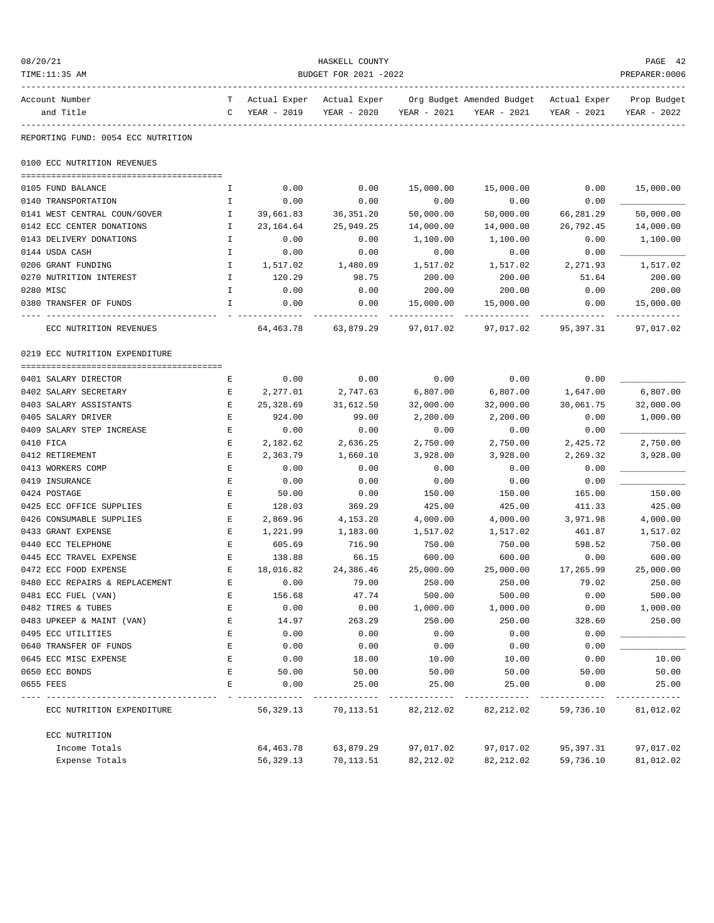| 08/20/21<br>TIME:11:35 AM          | HASKELL COUNTY<br>BUDGET FOR 2021 -2022 |                             |                             |             |                                          |                             |                            |  |
|------------------------------------|-----------------------------------------|-----------------------------|-----------------------------|-------------|------------------------------------------|-----------------------------|----------------------------|--|
| Account Number<br>and Title        | T<br>C                                  | Actual Exper<br>YEAR - 2019 | Actual Exper<br>YEAR - 2020 | YEAR - 2021 | Org Budget Amended Budget<br>YEAR - 2021 | Actual Exper<br>YEAR - 2021 | Prop Budget<br>YEAR - 2022 |  |
| REPORTING FUND: 0054 ECC NUTRITION |                                         |                             |                             |             |                                          |                             |                            |  |
| 0100 ECC NUTRITION REVENUES        |                                         |                             |                             |             |                                          |                             |                            |  |
|                                    |                                         |                             |                             |             |                                          |                             |                            |  |
| 0105 FUND BALANCE                  | Ι.                                      | 0.00                        | 0.00                        | 15,000.00   | 15,000.00                                | 0.00                        | 15,000.00                  |  |
| 0140 TRANSPORTATION                | I                                       | 0.00                        | 0.00                        | 0.00        | 0.00                                     | 0.00                        |                            |  |
| 0141 WEST CENTRAL COUN/GOVER       | I                                       | 39,661.83                   | 36, 351.20                  | 50,000.00   | 50,000.00                                | 66,281.29                   | 50,000.00                  |  |
| 0142 ECC CENTER DONATIONS          | I.                                      | 23,164.64                   | 25,949.25                   | 14,000.00   | 14,000.00                                | 26,792.45                   | 14,000.00                  |  |
| 0143 DELIVERY DONATIONS            | $\mathbbm{I}$                           | 0.00                        | 0.00                        | 1,100.00    | 1,100.00                                 | 0.00                        | 1,100.00                   |  |
| 0144 USDA CASH                     | I                                       | 0.00                        | 0.00                        | 0.00        | 0.00                                     | 0.00                        |                            |  |
| 0206 GRANT FUNDING                 | I                                       | 1,517.02                    | 1,480.09                    | 1,517.02    | 1,517.02                                 | 2,271.93                    | 1,517.02                   |  |
| 0270 NUTRITION INTEREST            | I                                       | 120.29                      | 98.75                       | 200.00      | 200.00                                   | 51.64                       | 200.00                     |  |
| 0280 MISC                          | I.                                      | 0.00                        | 0.00                        | 200.00      | 200.00                                   | 0.00                        | 200.00                     |  |
| 0380 TRANSFER OF FUNDS             | I                                       | 0.00                        | 0.00                        | 15,000.00   | 15,000.00                                | 0.00                        | 15,000.00                  |  |
| ECC NUTRITION REVENUES             |                                         | 64,463.78                   | 63,879.29                   | 97,017.02   | 97,017.02                                | 95,397.31                   | 97,017.02                  |  |
| 0219 ECC NUTRITION EXPENDITURE     |                                         |                             |                             |             |                                          |                             |                            |  |
| 0401 SALARY DIRECTOR               | Е                                       | 0.00                        | 0.00                        | 0.00        | 0.00                                     | 0.00                        |                            |  |
| 0402 SALARY SECRETARY              | Ε                                       | 2,277.01                    | 2,747.63                    | 6,807.00    | 6,807.00                                 | 1,647.00                    | 6,807.00                   |  |
| 0403 SALARY ASSISTANTS             | Е                                       | 25,328.69                   | 31,612.50                   | 32,000.00   | 32,000.00                                | 30,061.75                   | 32,000.00                  |  |
| 0405 SALARY DRIVER                 | Ε                                       | 924.00                      | 99.00                       | 2,200.00    | 2,200.00                                 | 0.00                        | 1,000.00                   |  |
| 0409 SALARY STEP INCREASE          | E                                       | 0.00                        | 0.00                        | 0.00        | 0.00                                     | 0.00                        |                            |  |
| 0410 FICA                          | Е                                       | 2,182.62                    | 2,636.25                    | 2,750.00    | 2,750.00                                 | 2,425.72                    | 2,750.00                   |  |
| 0412 RETIREMENT                    | Ε                                       | 2,363.79                    | 1,660.10                    | 3,928.00    | 3,928.00                                 | 2,269.32                    | 3,928.00                   |  |
| 0413 WORKERS COMP                  | Ε                                       | 0.00                        | 0.00                        | 0.00        | 0.00                                     | 0.00                        |                            |  |
| 0419 INSURANCE                     | Ε                                       | 0.00                        | 0.00                        | 0.00        | 0.00                                     | 0.00                        |                            |  |
| 0424 POSTAGE                       | E                                       | 50.00                       | 0.00                        | 150.00      | 150.00                                   | 165.00                      | 150.00                     |  |
| 0425 ECC OFFICE SUPPLIES           | Ε                                       | 128.03                      | 369.29                      | 425.00      | 425.00                                   | 411.33                      | 425.00                     |  |
| 0426 CONSUMABLE SUPPLIES           | Ε                                       | 2,869.96                    | 4,153.20                    | 4,000.00    | 4,000.00                                 | 3,971.98                    | 4,000.00                   |  |
| 0433 GRANT EXPENSE                 | Ε                                       | 1,221.99                    | 1,183.00                    | 1,517.02    | 1,517.02                                 | 461.87                      | 1,517.02                   |  |
| 0440 ECC TELEPHONE                 | Е                                       | 605.69                      | 716.90                      | 750.00      | 750.00                                   | 598.52                      | 750.00                     |  |
| 0445 ECC TRAVEL EXPENSE            | Ε                                       | 138.88                      | 66.15                       | 600.00      | 600.00                                   | 0.00                        | 600.00                     |  |
| 0472 ECC FOOD EXPENSE              | E                                       | 18,016.82                   | 24,386.46                   | 25,000.00   | 25,000.00                                | 17,265.99                   | 25,000.00                  |  |
| 0480 ECC REPAIRS & REPLACEMENT     | Ε                                       | 0.00                        | 79.00                       | 250.00      | 250.00                                   | 79.02                       | 250.00                     |  |
| 0481 ECC FUEL (VAN)                | E                                       | 156.68                      | 47.74                       | 500.00      | 500.00                                   | 0.00                        | 500.00                     |  |
| 0482 TIRES & TUBES                 | E                                       | 0.00                        | 0.00                        | 1,000.00    | 1,000.00                                 | 0.00                        | 1,000.00                   |  |
| 0483 UPKEEP & MAINT (VAN)          | E                                       | 14.97                       | 263.29                      | 250.00      | 250.00                                   | 328.60                      | 250.00                     |  |
| 0495 ECC UTILITIES                 | E                                       | 0.00                        | 0.00                        | 0.00        | 0.00                                     | 0.00                        |                            |  |
| 0640 TRANSFER OF FUNDS             | E                                       | 0.00                        | 0.00                        | 0.00        | 0.00                                     | 0.00                        |                            |  |
| 0645 ECC MISC EXPENSE              | E                                       | 0.00                        | 18.00                       | 10.00       | 10.00                                    | 0.00                        | 10.00                      |  |
| 0650 ECC BONDS                     | Ε                                       | 50.00                       | 50.00                       | 50.00       | 50.00                                    | 50.00                       | 50.00                      |  |
| 0655 FEES                          | E                                       | 0.00                        | 25.00                       | 25.00       | 25.00                                    | 0.00                        | 25.00                      |  |
| ECC NUTRITION EXPENDITURE          |                                         | 56, 329. 13                 | 70,113.51                   | 82, 212.02  | 82, 212.02                               | 59,736.10                   | 81,012.02                  |  |
| ECC NUTRITION                      |                                         |                             |                             |             |                                          |                             |                            |  |
| Income Totals                      |                                         | 64, 463. 78                 | 63,879.29                   | 97,017.02   | 97,017.02                                | 95,397.31                   | 97,017.02                  |  |
| Expense Totals                     |                                         | 56, 329. 13                 | 70,113.51                   | 82, 212.02  | 82, 212.02                               | 59,736.10                   | 81,012.02                  |  |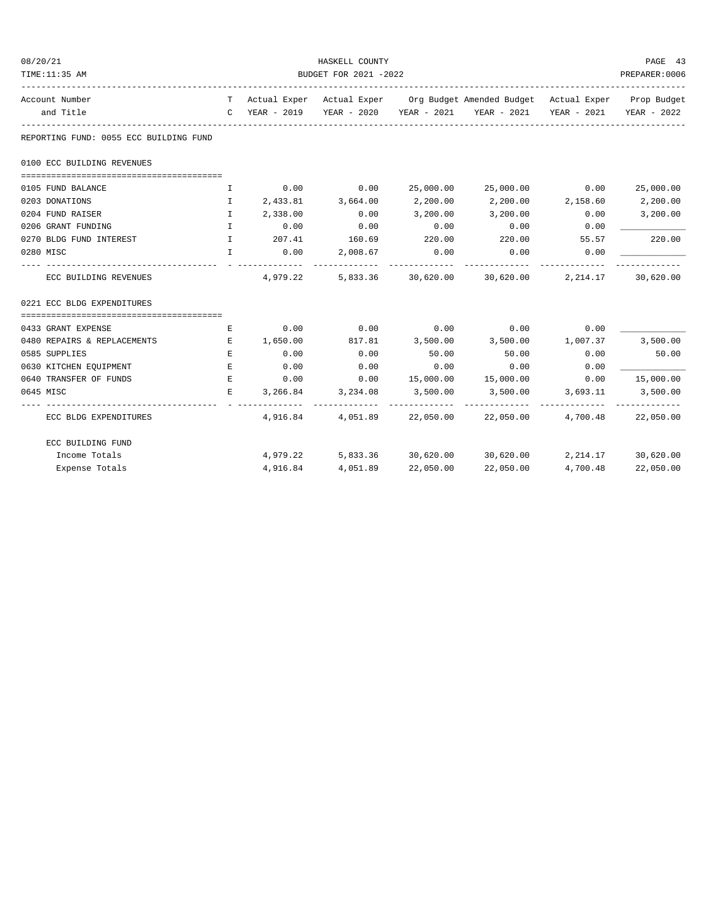| 08/20/21                               |                              |                       | HASKELL COUNTY    |                |                                                                                |          | PAGE 43                 |  |  |  |
|----------------------------------------|------------------------------|-----------------------|-------------------|----------------|--------------------------------------------------------------------------------|----------|-------------------------|--|--|--|
| TIME:11:35 AM                          |                              | BUDGET FOR 2021 -2022 |                   |                |                                                                                |          |                         |  |  |  |
| Account Number                         |                              |                       |                   |                | T Actual Exper Actual Exper Org Budget Amended Budget Actual Exper Prop Budget |          |                         |  |  |  |
| and Title                              |                              |                       |                   |                | C YEAR - 2019 YEAR - 2020 YEAR - 2021 YEAR - 2021                              |          | YEAR - 2021 YEAR - 2022 |  |  |  |
| REPORTING FUND: 0055 ECC BUILDING FUND |                              |                       |                   |                |                                                                                |          |                         |  |  |  |
| 0100 ECC BUILDING REVENUES             |                              |                       |                   |                |                                                                                |          |                         |  |  |  |
|                                        |                              |                       |                   |                |                                                                                |          |                         |  |  |  |
| 0105 FUND BALANCE                      | I                            |                       | $0.00$ 0.00       |                | 25,000.00 25,000.00 0.00                                                       |          | 25,000.00               |  |  |  |
| 0203 DONATIONS                         | Ι.                           |                       | 2,433.81 3,664.00 | 2,200.00       | 2,200.00 2,158.60                                                              |          | 2,200.00                |  |  |  |
| 0204 FUND RAISER                       | $\mathbf{I}$                 | 2,338.00              | 0.00              | 3,200.00       | 3,200.00                                                                       | 0.00     | 3,200.00                |  |  |  |
| 0206 GRANT FUNDING                     | $\mathbf{I}$                 | 0.00<br>207.41        | 0.00<br>160.69    | 0.00<br>220.00 | 0.00<br>220.00 55.57                                                           | 0.00     |                         |  |  |  |
| 0270 BLDG FUND INTEREST<br>0280 MISC   | $\mathbb{I}$<br>$\mathbf{I}$ | 0.00                  |                   |                |                                                                                |          | 220.00                  |  |  |  |
|                                        |                              | _______________       | 2,008.67          | 0.00           | 0.00<br>-----------                                                            | 0.00     |                         |  |  |  |
| ECC BUILDING REVENUES                  |                              | 4,979.22              |                   |                | 5,833.36 30,620.00 30,620.00 2,214.17                                          |          | 30,620.00               |  |  |  |
| 0221 ECC BLDG EXPENDITURES             |                              |                       |                   |                |                                                                                |          |                         |  |  |  |
| 0433 GRANT EXPENSE                     | Е                            | 0.00                  | 0.00              | 0.00           | $0.00$ 0.00                                                                    |          |                         |  |  |  |
| 0480 REPAIRS & REPLACEMENTS            | E                            | 1,650.00              | 817.81            | 3,500.00       | 3,500.00                                                                       | 1,007.37 | 3,500.00                |  |  |  |
| 0585 SUPPLIES                          | E                            | 0.00                  | 0.00              | 50.00          | 50.00                                                                          | 0.00     | 50.00                   |  |  |  |
| 0630 KITCHEN EQUIPMENT                 | $E_{\rm{L}}$                 | 0.00                  | 0.00              | 0.00           | 0.00                                                                           | 0.00     |                         |  |  |  |
| 0640 TRANSFER OF FUNDS                 | E                            | 0.00                  | 0.00              |                | 15,000.00   15,000.00                                                          | 0.00     | 15,000.00               |  |  |  |
| 0645 MISC                              | Е                            | 3,266.84              | 3,234.08          | 3,500.00       | 3,500.00                                                                       | 3,693.11 | 3,500.00                |  |  |  |
| ECC BLDG EXPENDITURES                  |                              |                       |                   |                | 4,916.84 4,051.89 22,050.00 22,050.00 4,700.48 22,050.00                       |          |                         |  |  |  |
| ECC BUILDING FUND                      |                              |                       |                   |                |                                                                                |          |                         |  |  |  |
| Income Totals                          |                              | 4,979.22              |                   |                | 5,833.36 30,620.00 30,620.00 2,214.17 30,620.00                                |          |                         |  |  |  |
| Expense Totals                         |                              | 4,916.84              | 4,051.89          | 22,050.00      | 22,050.00                                                                      | 4,700.48 | 22,050.00               |  |  |  |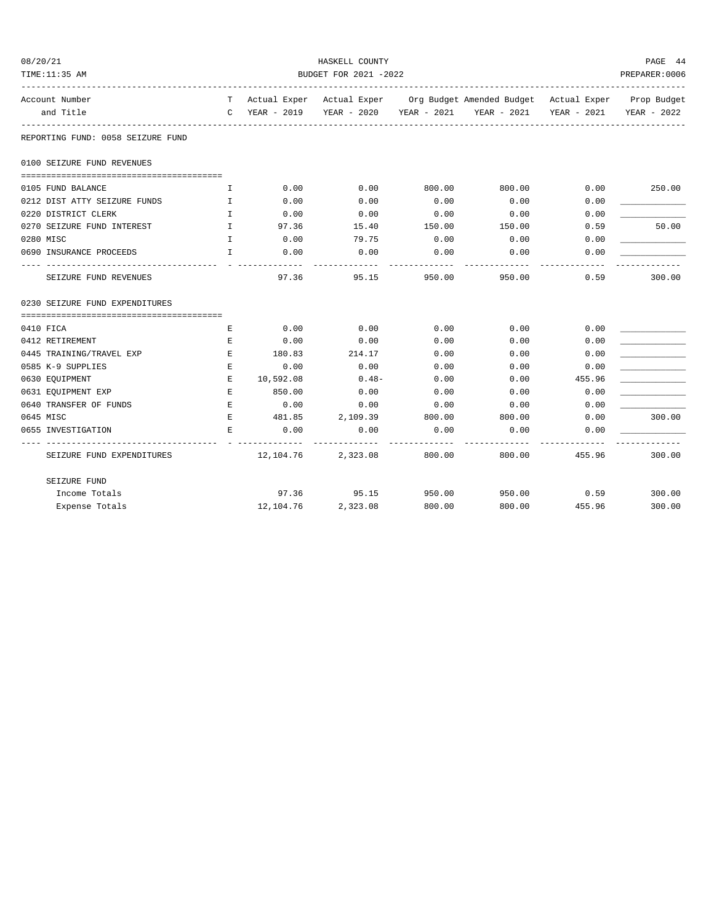| 08/20/21                          |                       |                     | HASKELL COUNTY       |        |                                                                                |             | PAGE 44     |  |  |
|-----------------------------------|-----------------------|---------------------|----------------------|--------|--------------------------------------------------------------------------------|-------------|-------------|--|--|
| TIME:11:35 AM                     | BUDGET FOR 2021 -2022 |                     |                      |        |                                                                                |             |             |  |  |
| Account Number                    |                       |                     |                      |        | T Actual Exper Actual Exper Org Budget Amended Budget Actual Exper Prop Budget |             |             |  |  |
| and Title                         |                       |                     |                      |        | C YEAR - 2019 YEAR - 2020 YEAR - 2021 YEAR - 2021                              | YEAR - 2021 | YEAR - 2022 |  |  |
| REPORTING FUND: 0058 SEIZURE FUND |                       |                     |                      |        |                                                                                |             |             |  |  |
| 0100 SEIZURE FUND REVENUES        |                       |                     |                      |        |                                                                                |             |             |  |  |
| 0105 FUND BALANCE                 | I.                    | 0.00                | 0.00                 | 800.00 | 800.00                                                                         | 0.00        | 250.00      |  |  |
| 0212 DIST ATTY SEIZURE FUNDS      | I                     | 0.00                | 0.00                 | 0.00   | 0.00                                                                           | 0.00        |             |  |  |
| 0220 DISTRICT CLERK               | I.                    | 0.00                | 0.00                 | 0.00   | 0.00                                                                           | 0.00        |             |  |  |
| 0270 SEIZURE FUND INTEREST        | $\mathbf{I}$          | 97.36               | 15.40                | 150.00 | 150.00                                                                         | 0.59        | 50.00       |  |  |
| 0280 MISC                         | $\mathbb{T}$          | 0.00                | 79.75                | 0.00   | 0.00                                                                           | 0.00        |             |  |  |
| 0690 INSURANCE PROCEEDS           | $\mathbf I$           | 0.00                | 0.00                 | 0.00   | 0.00                                                                           | 0.00        |             |  |  |
| SEIZURE FUND REVENUES             |                       | 97.36               | 95.15                | 950.00 | 950.00                                                                         | 0.59        | 300.00      |  |  |
| 0230 SEIZURE FUND EXPENDITURES    |                       |                     |                      |        |                                                                                |             |             |  |  |
| 0410 FICA                         | Е                     | 0.00                | 0.00                 | 0.00   | 0.00                                                                           | 0.00        |             |  |  |
| 0412 RETIREMENT                   | E                     | 0.00                | 0.00                 | 0.00   | 0.00                                                                           | 0.00        |             |  |  |
| 0445 TRAINING/TRAVEL EXP          | $\mathbf E$           | 180.83              | 214.17               | 0.00   | 0.00                                                                           | 0.00        |             |  |  |
| 0585 K-9 SUPPLIES                 | E                     | 0.00                | 0.00                 | 0.00   | 0.00                                                                           | 0.00        |             |  |  |
| 0630 EQUIPMENT                    | E.                    | 10,592.08           | $0.48 -$             | 0.00   | 0.00                                                                           | 455.96      |             |  |  |
| 0631 EQUIPMENT EXP                | E                     | 850.00              | 0.00                 | 0.00   | 0.00                                                                           | 0.00        |             |  |  |
| 0640 TRANSFER OF FUNDS            | E                     | 0.00                | 0.00                 | 0.00   | 0.00                                                                           | 0.00        |             |  |  |
| 0645 MISC                         | $\mathbf E$           | 481.85              | 2,109.39             | 800.00 | 800.00                                                                         | 0.00        | 300.00      |  |  |
| 0655 INVESTIGATION                | E                     | 0.00<br>----------- | 0.00                 | 0.00   | 0.00                                                                           | 0.00        |             |  |  |
| SEIZURE FUND EXPENDITURES         |                       |                     | $12,104.76$ 2,323.08 | 800.00 | 800.00                                                                         | 455.96      | 300.00      |  |  |
| SEIZURE FUND                      |                       |                     |                      |        |                                                                                |             |             |  |  |
| Income Totals                     |                       |                     | 97.36 95.15          | 950.00 |                                                                                | 950.00 0.59 | 300.00      |  |  |
| Expense Totals                    |                       | 12,104.76           | 2,323.08             | 800.00 | 800.00                                                                         | 455.96      | 300.00      |  |  |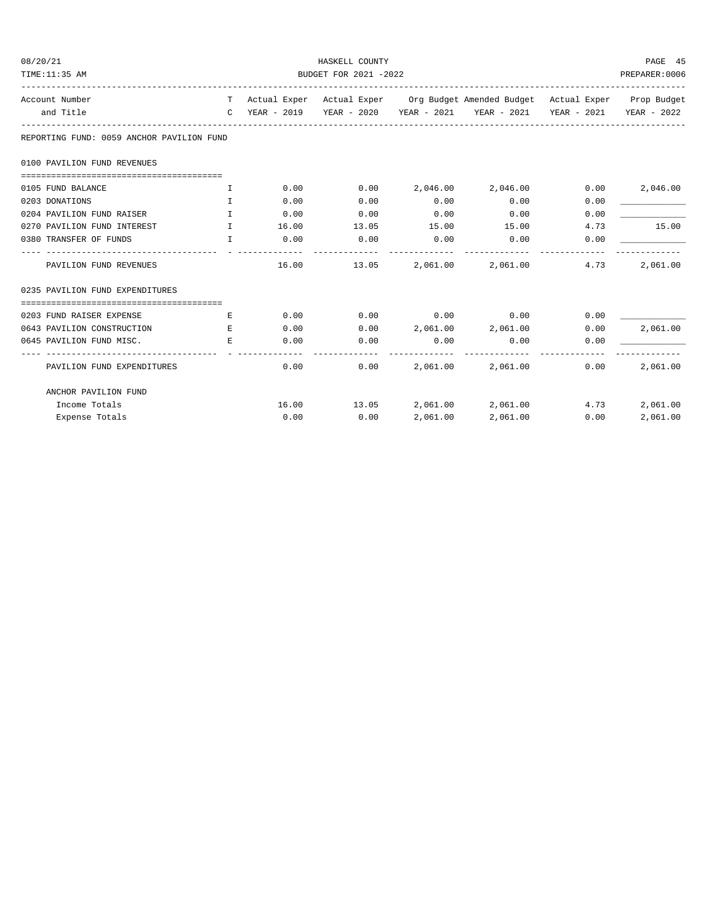| 08/20/21                                  |                                     |             |      | PAGE 45       |                                                                                |      |          |  |  |
|-------------------------------------------|-------------------------------------|-------------|------|---------------|--------------------------------------------------------------------------------|------|----------|--|--|
| TIME:11:35 AM                             | BUDGET FOR 2021 -2022               |             |      |               |                                                                                |      |          |  |  |
| Account Number                            |                                     |             |      |               | T Actual Exper Actual Exper Org Budget Amended Budget Actual Exper Prop Budget |      |          |  |  |
| and Title                                 |                                     |             |      |               | C YEAR - 2019 YEAR - 2020 YEAR - 2021 YEAR - 2021 YEAR - 2021 YEAR - 2022      |      |          |  |  |
| REPORTING FUND: 0059 ANCHOR PAVILION FUND |                                     |             |      |               |                                                                                |      |          |  |  |
| 0100 PAVILION FUND REVENUES               |                                     |             |      |               |                                                                                |      |          |  |  |
|                                           |                                     |             |      |               |                                                                                |      |          |  |  |
| 0105 FUND BALANCE                         | $\mathbb{T}$                        | 0.00        | 0.00 |               | 2,046.00 2,046.00                                                              | 0.00 | 2,046.00 |  |  |
| 0203 DONATIONS                            | $\mathbf{T}$                        | 0.00        | 0.00 | 0.00          | 0.00                                                                           | 0.00 |          |  |  |
| 0204 PAVILION FUND RAISER                 | $\mathbf{I}$                        | 0.00        | 0.00 | 0.00          | 0.00                                                                           | 0.00 |          |  |  |
| 0270 PAVILION FUND INTEREST               | <b>The Community of The Table T</b> | 16.00 13.05 |      | 15.00         | 15.00                                                                          | 4.73 | 15.00    |  |  |
| 0380 TRANSFER OF FUNDS                    | $\mathbb{I}$                        | 0.00        | 0.00 | 0.00          | 0.00                                                                           | 0.00 |          |  |  |
| PAVILION FUND REVENUES                    |                                     |             |      | ------------- | -------------------------------<br>16.00 13.05 2,061.00 2,061.00               | 4.73 | 2,061.00 |  |  |
| 0235 PAVILION FUND EXPENDITURES           |                                     |             |      |               |                                                                                |      |          |  |  |
| 0203 FUND RAISER EXPENSE                  | Е                                   |             |      |               | $0.00$ $0.00$ $0.00$ $0.00$ $0.00$                                             | 0.00 |          |  |  |
| 0643 PAVILION CONSTRUCTION                | E.                                  | 0.00        | 0.00 |               | 2,061.00 2,061.00                                                              | 0.00 | 2,061.00 |  |  |
| 0645 PAVILION FUND MISC.                  | E.                                  | 0.00        | 0.00 | 0.00          | 0.00                                                                           | 0.00 |          |  |  |
| PAVILION FUND EXPENDITURES                |                                     | 0.00        | 0.00 | 2,061.00      | 2,061.00                                                                       | 0.00 | 2,061.00 |  |  |
| ANCHOR PAVILION FUND                      |                                     |             |      |               |                                                                                |      |          |  |  |
| Income Totals                             |                                     |             |      |               | $16.00$ $13.05$ $2,061.00$ $2,061.00$                                          | 4.73 | 2,061.00 |  |  |
| Expense Totals                            |                                     | 0.00        | 0.00 | 2,061.00      | 2,061.00                                                                       | 0.00 | 2,061.00 |  |  |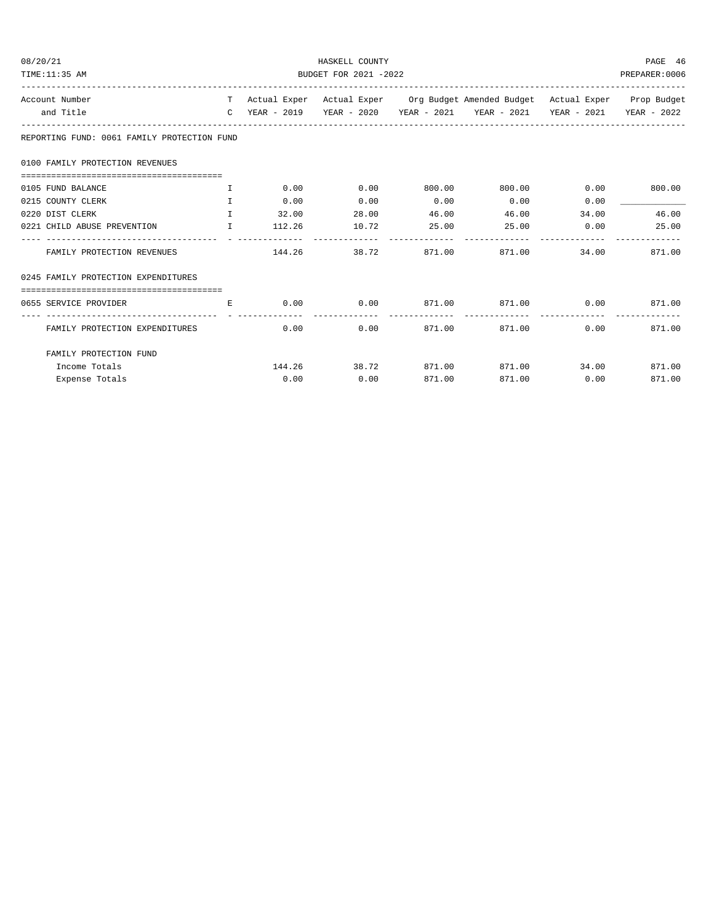| 08/20/21                                              | HASKELL COUNTY        |             |      |                |                                                                                |       |              |  |
|-------------------------------------------------------|-----------------------|-------------|------|----------------|--------------------------------------------------------------------------------|-------|--------------|--|
| TIME: 11:35 AM                                        | BUDGET FOR 2021 -2022 |             |      |                |                                                                                |       |              |  |
| Account Number                                        |                       |             |      |                | T Actual Exper Actual Exper Org Budget Amended Budget Actual Exper Prop Budget |       |              |  |
| and Title                                             |                       |             |      |                | C YEAR - 2019 YEAR - 2020 YEAR - 2021 YEAR - 2021 YEAR - 2021 YEAR - 2022      |       |              |  |
| REPORTING FUND: 0061 FAMILY PROTECTION FUND           |                       |             |      |                |                                                                                |       |              |  |
| 0100 FAMILY PROTECTION REVENUES                       |                       |             |      |                |                                                                                |       |              |  |
| 0105 FUND BALANCE                                     | $\mathbf{T}$          |             |      |                | $0.00$ $0.00$ $0.00$ $0.00$ $0.00$ $0.00$ $0.00$ $0.00$ $0.00$                 |       |              |  |
| 0215 COUNTY CLERK                                     | $\mathbf{T}$          | 0.00        | 0.00 | 0.00           | 0.00                                                                           | 0.00  |              |  |
| <b>The Contract of The Table 1</b><br>0220 DIST CLERK |                       | 32.00 28.00 |      | 46.00          | 46.00                                                                          | 34.00 | 46.00        |  |
| 0221 CHILD ABUSE PREVENTION $I$ 112.26 10.72          |                       |             |      | 25.00          | $25.00$ 0.00 25.00                                                             |       |              |  |
| FAMILY PROTECTION REVENUES                            |                       |             |      | -------------- | $144.26$ 38.72 871.00 871.00                                                   |       | 34.00 871.00 |  |
| 0245 FAMILY PROTECTION EXPENDITURES                   |                       |             |      |                |                                                                                |       |              |  |
| 0655 SERVICE PROVIDER                                 | E.                    |             |      |                | $0.00$ $0.00$ $871.00$ $871.00$ $0.00$ $871.00$                                |       |              |  |
| FAMILY PROTECTION EXPENDITURES                        |                       | 0.00        | 0.00 | -------------  | 871.00 871.00                                                                  | 0.00  | 871.00       |  |
| FAMILY PROTECTION FUND                                |                       |             |      |                |                                                                                |       |              |  |
| Income Totals                                         |                       |             |      |                | $144.26$ $38.72$ $871.00$ $871.00$ $34.00$ $871.00$                            |       |              |  |
| Expense Totals                                        |                       | 0.00        | 0.00 | 871.00         | 871.00                                                                         | 0.00  | 871.00       |  |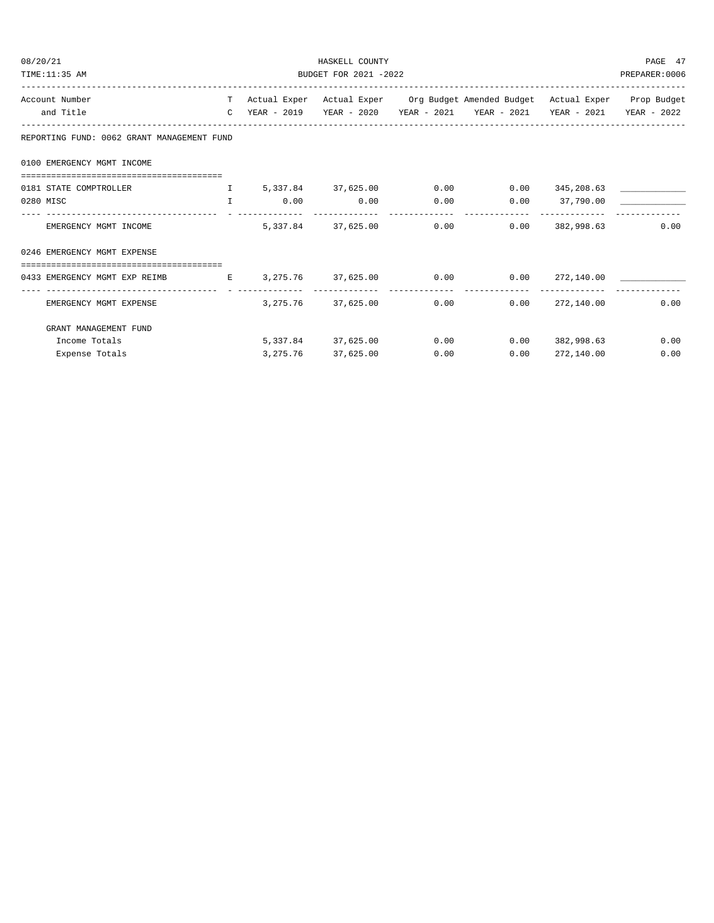| 08/20/21                                                                             | HASKELL COUNTY                                          |                      |      |                                                                                |            |      |  |  |
|--------------------------------------------------------------------------------------|---------------------------------------------------------|----------------------|------|--------------------------------------------------------------------------------|------------|------|--|--|
| TIME:11:35 AM                                                                        | BUDGET FOR 2021 -2022                                   |                      |      |                                                                                |            |      |  |  |
| Account Number                                                                       |                                                         |                      |      | T Actual Exper Actual Exper Org Budget Amended Budget Actual Exper Prop Budget |            |      |  |  |
| and Title                                                                            |                                                         |                      |      | C YEAR - 2019 YEAR - 2020 YEAR - 2021 YEAR - 2021 YEAR - 2021 YEAR - 2022      |            |      |  |  |
| REPORTING FUND: 0062 GRANT MANAGEMENT FUND                                           |                                                         |                      |      |                                                                                |            |      |  |  |
| 0100 EMERGENCY MGMT INCOME                                                           |                                                         |                      |      |                                                                                |            |      |  |  |
|                                                                                      |                                                         |                      |      |                                                                                |            |      |  |  |
| 0181 STATE COMPTROLLER THE S.337.84 37.625.00 0.00 0.00 345,208.63 ______________    |                                                         |                      |      |                                                                                |            |      |  |  |
| 0280 MISC                                                                            | $\qquad \qquad 1 \qquad \qquad 0.00 \qquad \qquad 0.00$ |                      |      | $0.00$ $0.00$ $37,790.00$                                                      |            |      |  |  |
| EMERGENCY MGMT INCOME                                                                |                                                         |                      |      | $5,337.84$ $37,625.00$ $0.00$ $0.00$ $382,998.63$                              |            | 0.00 |  |  |
| 0246 EMERGENCY MGMT EXPENSE                                                          |                                                         |                      |      |                                                                                |            |      |  |  |
| -------------------------------------                                                |                                                         |                      |      |                                                                                |            |      |  |  |
| 0433 EMERGENCY MGMT EXP REIMB $E = 3,275.76$ 37,625.00 $0.00$ 0.00 $272,140.00$ 0.00 |                                                         |                      |      |                                                                                |            |      |  |  |
| EMERGENCY MGMT EXPENSE                                                               |                                                         |                      |      | $3,275.76$ $37,625.00$ 0.00 0.00 272,140.00                                    |            | 0.00 |  |  |
| GRANT MANAGEMENT FUND                                                                |                                                         |                      |      |                                                                                |            |      |  |  |
| Income Totals                                                                        |                                                         |                      |      | $5,337.84$ $37,625.00$ 0.00 0.00                                               | 382,998.63 | 0.00 |  |  |
| Expense Totals                                                                       |                                                         | 3, 275.76 37, 625.00 | 0.00 | 0.00                                                                           | 272,140.00 | 0.00 |  |  |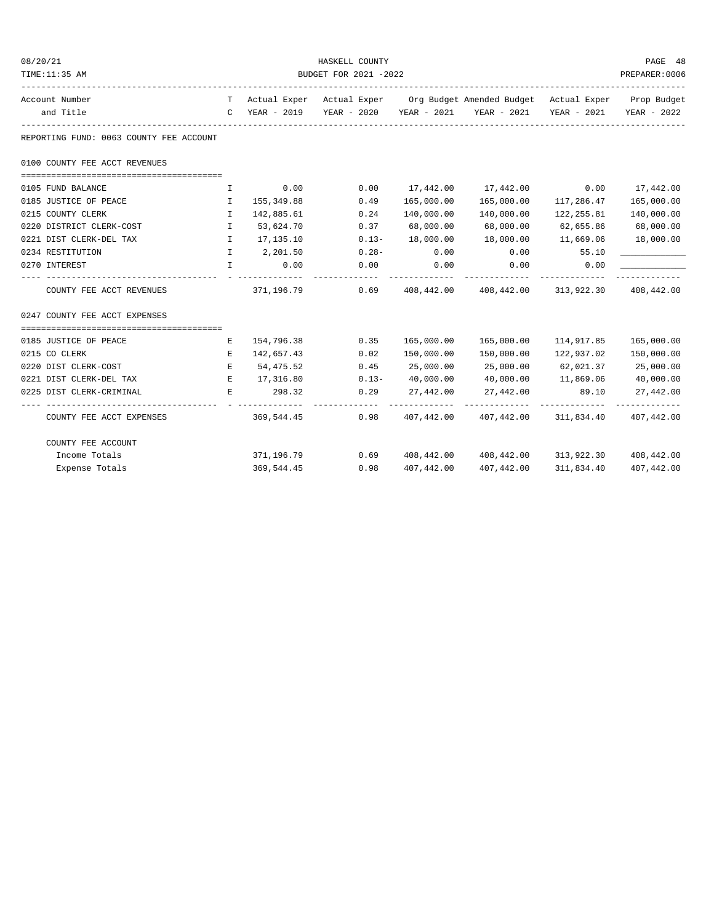| 08/20/21                                                                                |                       |            | HASKELL COUNTY    |            |                                                                                |                     | PAGE 48                   |  |
|-----------------------------------------------------------------------------------------|-----------------------|------------|-------------------|------------|--------------------------------------------------------------------------------|---------------------|---------------------------|--|
| TIME:11:35 AM                                                                           | BUDGET FOR 2021 -2022 |            |                   |            |                                                                                |                     |                           |  |
| Account Number                                                                          |                       |            |                   |            | T Actual Exper Actual Exper Org Budget Amended Budget Actual Exper Prop Budget |                     |                           |  |
| and Title                                                                               |                       |            |                   |            | C YEAR - 2019 YEAR - 2020 YEAR - 2021 YEAR - 2021                              |                     | YEAR - 2021   YEAR - 2022 |  |
| REPORTING FUND: 0063 COUNTY FEE ACCOUNT                                                 |                       |            |                   |            |                                                                                |                     |                           |  |
| 0100 COUNTY FEE ACCT REVENUES                                                           |                       |            |                   |            |                                                                                |                     |                           |  |
| 0105 FUND BALANCE                                                                       | $\mathbf{I}$          | 0.00       | 0.00              |            | $17,442.00$ $17,442.00$ $0.00$ $17,442.00$                                     |                     |                           |  |
| 0185 JUSTICE OF PEACE<br>. The contract of the contract $\mathbf I$ , and $\mathbf I$ , |                       | 155,349.88 | 0.49              | 165,000.00 | 165,000.00                                                                     | 117,286.47          | 165,000.00                |  |
| 0215 COUNTY CLERK                                                                       | $\mathbf{I}$          | 142,885.61 | 0.24              | 140,000.00 | 140,000.00                                                                     | 122,255.81          | 140,000.00                |  |
| 0220 DISTRICT CLERK-COST                                                                | $\mathbf{I}$          | 53,624.70  | 0.37              | 68,000.00  | 68,000.00                                                                      | 62,655.86           | 68,000.00                 |  |
| 0221 DIST CLERK-DEL TAX                                                                 | $\mathbb{I}$          | 17,135.10  | $0.13 -$          | 18,000.00  | 18,000.00                                                                      | 11,669.06           | 18,000.00                 |  |
| 0234 RESTITUTION                                                                        | $\mathbf{I}$          | 2,201.50   | $0.28 -$          | 0.00       | 0.00                                                                           | 55.10               |                           |  |
| 0270 INTEREST                                                                           | $\mathbf{I}$          | 0.00       | 0.00              | 0.00       | 0.00                                                                           | 0.00                |                           |  |
| COUNTY FEE ACCT REVENUES                                                                |                       |            | 371, 196. 79 0.69 |            | 408,442.00 408,442.00 313,922.30 408,442.00                                    |                     | -----------               |  |
| 0247 COUNTY FEE ACCT EXPENSES                                                           |                       |            |                   |            |                                                                                |                     |                           |  |
|                                                                                         |                       |            |                   |            |                                                                                |                     |                           |  |
| 0185 JUSTICE OF PEACE                                                                   | Е                     | 154,796.38 | 0.35              |            |                                                                                | 114,917.85          | 165,000.00                |  |
| 0215 CO CLERK                                                                           | E                     | 142,657.43 | 0.02              | 150,000.00 | 150,000.00                                                                     | 122,937.02          | 150,000.00                |  |
| 0220 DIST CLERK-COST                                                                    | E                     | 54,475.52  | 0.45              | 25,000.00  | 25,000.00                                                                      | 62,021.37           | 25,000.00                 |  |
| 0221 DIST CLERK-DEL TAX                                                                 | E                     | 17,316.80  | $0.13 -$          | 40,000.00  | 40,000.00                                                                      | 11,869.06 40,000.00 |                           |  |
| 0225 DIST CLERK-CRIMINAL                                                                | Е                     | 298.32     | 0.29              | 27,442.00  | 27,442.00                                                                      | 89.10               | 27,442.00                 |  |
| COUNTY FEE ACCT EXPENSES                                                                |                       | 369,544.45 |                   |            | $0.98$ $407,442.00$ $407,442.00$ $311,834.40$ $407,442.00$                     |                     |                           |  |
| COUNTY FEE ACCOUNT                                                                      |                       |            |                   |            |                                                                                |                     |                           |  |
| Income Totals                                                                           |                       | 371,196.79 |                   |            | $0.69$ $408,442.00$ $408,442.00$ $313,922.30$ $408,442.00$                     |                     |                           |  |
| Expense Totals                                                                          |                       | 369,544.45 | 0.98              | 407,442.00 | 407,442.00                                                                     |                     | 311,834.40 407,442.00     |  |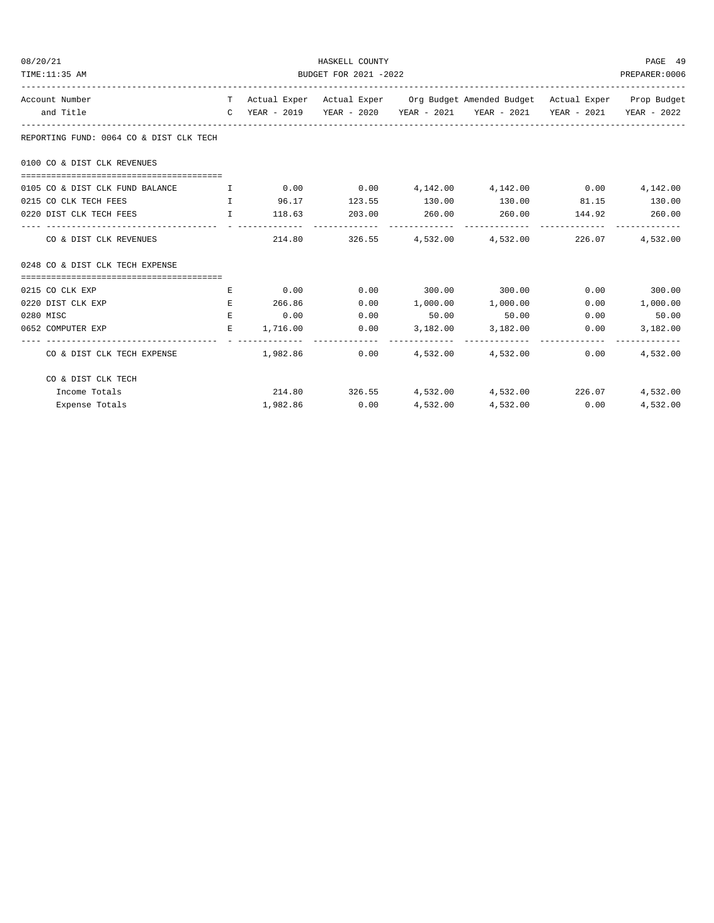| 08/20/21                                                   |                                       |          | HASKELL COUNTY                                                   |  |                                                                                |      | PAGE 49                   |  |
|------------------------------------------------------------|---------------------------------------|----------|------------------------------------------------------------------|--|--------------------------------------------------------------------------------|------|---------------------------|--|
| TIME:11:35 AM                                              | BUDGET FOR 2021 -2022                 |          |                                                                  |  |                                                                                |      |                           |  |
| Account Number                                             |                                       |          |                                                                  |  | T Actual Exper Actual Exper Org Budget Amended Budget Actual Exper Prop Budget |      |                           |  |
| and Title                                                  |                                       |          |                                                                  |  | C YEAR - 2019 YEAR - 2020 YEAR - 2021 YEAR - 2021 YEAR - 2021 YEAR - 2022      |      |                           |  |
| REPORTING FUND: 0064 CO & DIST CLK TECH                    |                                       |          |                                                                  |  |                                                                                |      |                           |  |
| 0100 CO & DIST CLK REVENUES                                |                                       |          |                                                                  |  |                                                                                |      |                           |  |
| 0105 CO & DIST CLK FUND BALANCE                            | $\mathbf{I}$ . The state $\mathbf{I}$ |          |                                                                  |  | $0.00$ $0.00$ $0.142.00$ $0.142.00$ $0.00$                                     |      | 4,142.00                  |  |
| 0215 CO CLK TECH FEES<br><b>The Community of The Terms</b> |                                       |          |                                                                  |  | 96.17 123.55 130.00 130.00 81.15 130.00                                        |      |                           |  |
| 0220 DIST CLK TECH FEES                                    |                                       |          | $\qquad \qquad 118.63 \qquad \qquad 203.00 \qquad \qquad 260.00$ |  | 260.00 144.92 260.00                                                           |      |                           |  |
| CO & DIST CLK REVENUES                                     |                                       |          |                                                                  |  | 214.80 326.55 4,532.00 4,532.00 226.07                                         |      | 4,532.00                  |  |
| 0248 CO & DIST CLK TECH EXPENSE                            |                                       |          |                                                                  |  |                                                                                |      |                           |  |
| 0215 CO CLK EXP                                            | E                                     | 0.00     |                                                                  |  | $0.00$ 300.00 300.00                                                           |      | $0.00$ 300.00             |  |
| 0220 DIST CLK EXP                                          | E.                                    | 266.86   | 0.00                                                             |  | $1,000.00$ $1,000.00$                                                          | 0.00 | 1,000.00                  |  |
| 0280 MISC                                                  | $E_{\rm{c}}$                          | 0.00     | 0.00                                                             |  | 50.00 50.00                                                                    |      | $0.00$ 50.00              |  |
| 0652 COMPUTER EXP                                          | E.                                    | 1,716.00 |                                                                  |  | $0.00$ $3,182.00$ $3,182.00$                                                   | 0.00 | 3,182.00                  |  |
| CO & DIST CLK TECH EXPENSE                                 |                                       | 1,982.86 |                                                                  |  | $0.00$ $4.532.00$ $4.532.00$                                                   | 0.00 | -------------<br>4,532.00 |  |
| CO & DIST CLK TECH                                         |                                       |          |                                                                  |  |                                                                                |      |                           |  |
| Income Totals                                              |                                       |          |                                                                  |  | 214.80 326.55 4,532.00 4,532.00 226.07                                         |      | 4,532.00                  |  |
| Expense Totals                                             |                                       |          | 1,982.86 0.00                                                    |  | 4,532.00 4,532.00 0.00                                                         |      | 4,532.00                  |  |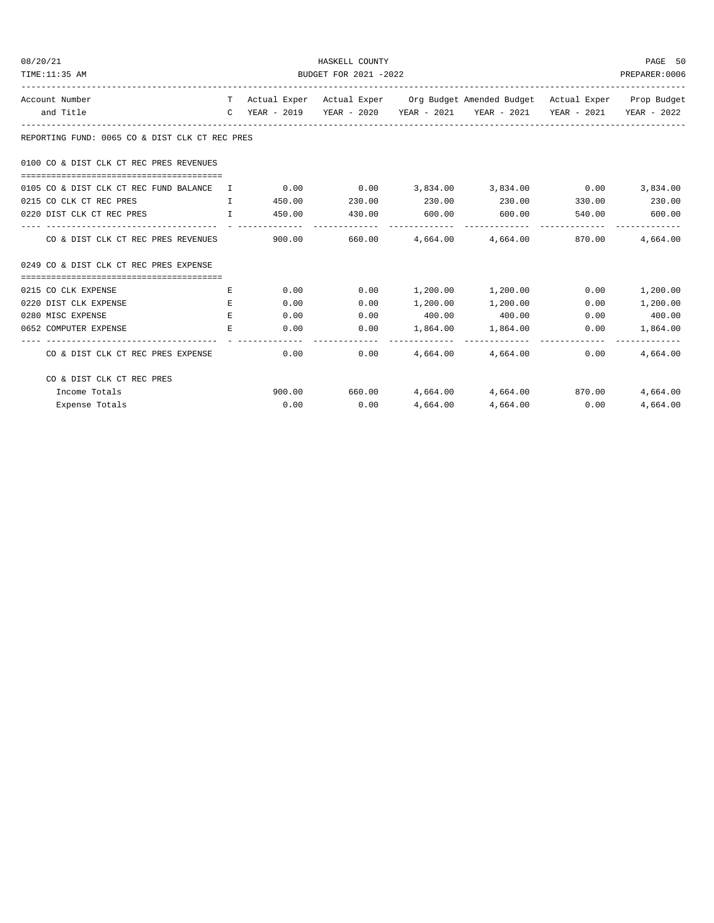| 08/20/21       |                                                                 |                       |               | HASKELL COUNTY         |  |                                                                                |      | PAGE 50                    |  |
|----------------|-----------------------------------------------------------------|-----------------------|---------------|------------------------|--|--------------------------------------------------------------------------------|------|----------------------------|--|
| TIME:11:35 AM  |                                                                 | BUDGET FOR 2021 -2022 |               |                        |  |                                                                                |      |                            |  |
| Account Number |                                                                 |                       |               |                        |  | T Actual Exper Actual Exper Org Budget Amended Budget Actual Exper Prop Budget |      |                            |  |
|                | and Title                                                       |                       |               |                        |  | C YEAR - 2019 YEAR - 2020 YEAR - 2021 YEAR - 2021 YEAR - 2021 YEAR - 2022      |      |                            |  |
|                | REPORTING FUND: 0065 CO & DIST CLK CT REC PRES                  |                       |               |                        |  |                                                                                |      |                            |  |
|                | 0100 CO & DIST CLK CT REC PRES REVENUES                         |                       |               |                        |  |                                                                                |      |                            |  |
|                | 0105 CO & DIST CLK CT REC FUND BALANCE I                        |                       |               |                        |  | $0.00$ $0.00$ $3,834.00$ $3,834.00$ $0.00$                                     |      | 3,834.00                   |  |
|                | 0215 CO CLK CT REC PRES<br><b>The Community of The Table 19</b> |                       | 450.00 230.00 |                        |  | $230.00$ $230.00$ $330.00$ $230.00$                                            |      |                            |  |
|                | 0220 DIST CLK CT REC PRES                                       |                       |               | T 450.00 430.00 600.00 |  | 600.00                                                                         |      | 540.00 600.00              |  |
|                | CO & DIST CLK CT REC PRES REVENUES                              |                       |               |                        |  | $900.00$ $660.00$ $4.664.00$ $4.664.00$ $870.00$                               |      | 4,664.00                   |  |
|                | 0249 CO & DIST CLK CT REC PRES EXPENSE                          |                       |               |                        |  |                                                                                |      |                            |  |
|                |                                                                 |                       |               |                        |  |                                                                                |      |                            |  |
|                | 0215 CO CLK EXPENSE                                             | Е                     | 0.00          |                        |  | $0.00$ 1,200.00 1,200.00                                                       | 0.00 | 1,200.00                   |  |
|                | 0220 DIST CLK EXPENSE                                           | E.                    | 0.00          | 0.00                   |  | $1,200.00$ $1,200.00$                                                          | 0.00 | 1,200.00                   |  |
|                | 0280 MISC EXPENSE                                               | E.                    | 0.00          | 0.00                   |  | 400.00 400.00                                                                  |      | $0.00$ 400.00              |  |
|                | 0652 COMPUTER EXPENSE                                           | Е                     |               | 0.00<br>0.00           |  | 1,864.00 1,864.00                                                              | 0.00 | 1,864.00<br>-------------- |  |
|                | CO & DIST CLK CT REC PRES EXPENSE                               |                       | 0.00          |                        |  | $0.00$ 4,664.00 4,664.00                                                       | 0.00 | 4,664.00                   |  |
|                | CO & DIST CLK CT REC PRES                                       |                       |               |                        |  |                                                                                |      |                            |  |
|                | Income Totals                                                   |                       |               |                        |  | $900.00$ 660.00 $4,664.00$ $4,664.00$ 870.00                                   |      | 4,664.00                   |  |
|                | Expense Totals                                                  |                       | 0.00          | 0.00                   |  | 4,664.00 4,664.00 0.00                                                         |      | 4,664.00                   |  |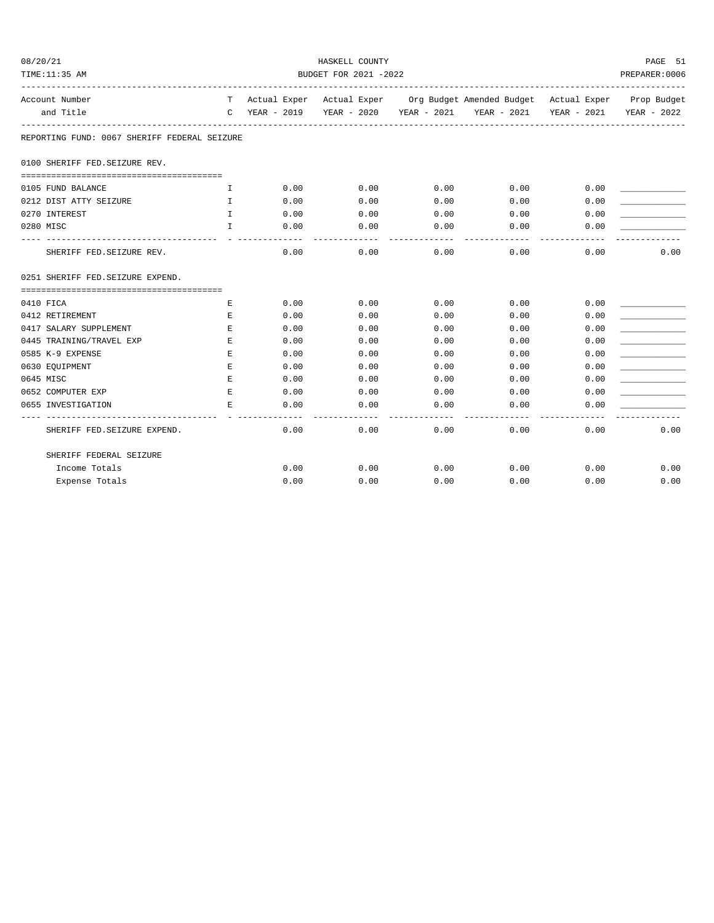| 08/20/21                                     | HASKELL COUNTY        |                                      |                    |                     |                                                                                |      |                         |  |  |
|----------------------------------------------|-----------------------|--------------------------------------|--------------------|---------------------|--------------------------------------------------------------------------------|------|-------------------------|--|--|
| TIME:11:35 AM                                | BUDGET FOR 2021 -2022 |                                      |                    |                     |                                                                                |      |                         |  |  |
| Account Number                               |                       |                                      |                    |                     | T Actual Exper Actual Exper Org Budget Amended Budget Actual Exper Prop Budget |      |                         |  |  |
| and Title                                    |                       |                                      |                    |                     | C YEAR - 2019 YEAR - 2020 YEAR - 2021 YEAR - 2021                              |      | YEAR - 2021 YEAR - 2022 |  |  |
| REPORTING FUND: 0067 SHERIFF FEDERAL SEIZURE |                       |                                      |                    |                     |                                                                                |      |                         |  |  |
| 0100 SHERIFF FED. SEIZURE REV.               |                       |                                      |                    |                     |                                                                                |      |                         |  |  |
| 0105 FUND BALANCE                            | Ι.                    | 0.00                                 | 0.00               | 0.00                | 0.00                                                                           | 0.00 |                         |  |  |
| 0212 DIST ATTY SEIZURE                       | $\mathbf{I}$          | 0.00                                 | 0.00               | 0.00                | 0.00                                                                           | 0.00 |                         |  |  |
| 0270 INTEREST                                | $\mathbf{I}$          | 0.00                                 | 0.00               | 0.00                | 0.00                                                                           | 0.00 |                         |  |  |
| 0280 MISC                                    | $\mathbf{I}$          | 0.00                                 | 0.00               | 0.00                | 0.00                                                                           | 0.00 |                         |  |  |
| SHERIFF FED. SEIZURE REV.                    |                       | 0.00                                 | 0.00               | -----------<br>0.00 | ------------<br>0.00                                                           | 0.00 | 0.00                    |  |  |
| 0251 SHERIFF FED. SEIZURE EXPEND.            |                       |                                      |                    |                     |                                                                                |      |                         |  |  |
|                                              |                       |                                      |                    |                     |                                                                                |      |                         |  |  |
| 0410 FICA                                    | E.                    | 0.00                                 | 0.00               | 0.00                | 0.00                                                                           | 0.00 |                         |  |  |
| 0412 RETIREMENT                              | Е                     | 0.00                                 | 0.00               | 0.00                | 0.00                                                                           | 0.00 |                         |  |  |
| 0417 SALARY SUPPLEMENT                       | $\mathbf E$           | 0.00                                 | 0.00               | 0.00                | 0.00                                                                           | 0.00 |                         |  |  |
| 0445 TRAINING/TRAVEL EXP                     | E.                    | 0.00                                 | 0.00               | 0.00                | 0.00                                                                           | 0.00 |                         |  |  |
| 0585 K-9 EXPENSE                             | E                     | 0.00                                 | 0.00               | 0.00                | 0.00                                                                           | 0.00 |                         |  |  |
| 0630 EQUIPMENT                               | E                     | 0.00                                 | 0.00               | 0.00                | 0.00                                                                           | 0.00 |                         |  |  |
| 0645 MISC                                    | E.                    | 0.00                                 | 0.00               | 0.00                | 0.00                                                                           | 0.00 |                         |  |  |
| 0652 COMPUTER EXP                            | $\mathbf E$           | 0.00                                 | 0.00               | 0.00                | 0.00                                                                           | 0.00 |                         |  |  |
| 0655 INVESTIGATION                           | $\mathbf E$           | 0.00<br>----------- - -------------- | 0.00<br>---------- | 0.00<br>----------- | 0.00                                                                           | 0.00 |                         |  |  |
| SHERIFF FED. SEIZURE EXPEND.                 |                       | 0.00                                 | 0.00               | 0.00                | 0.00                                                                           | 0.00 | 0.00                    |  |  |
| SHERIFF FEDERAL SEIZURE                      |                       |                                      |                    |                     |                                                                                |      |                         |  |  |
| Income Totals                                |                       | 0.00                                 | 0.00               | 0.00                | 0.00                                                                           | 0.00 | 0.00                    |  |  |
| Expense Totals                               |                       | 0.00                                 | 0.00               | 0.00                | 0.00                                                                           | 0.00 | 0.00                    |  |  |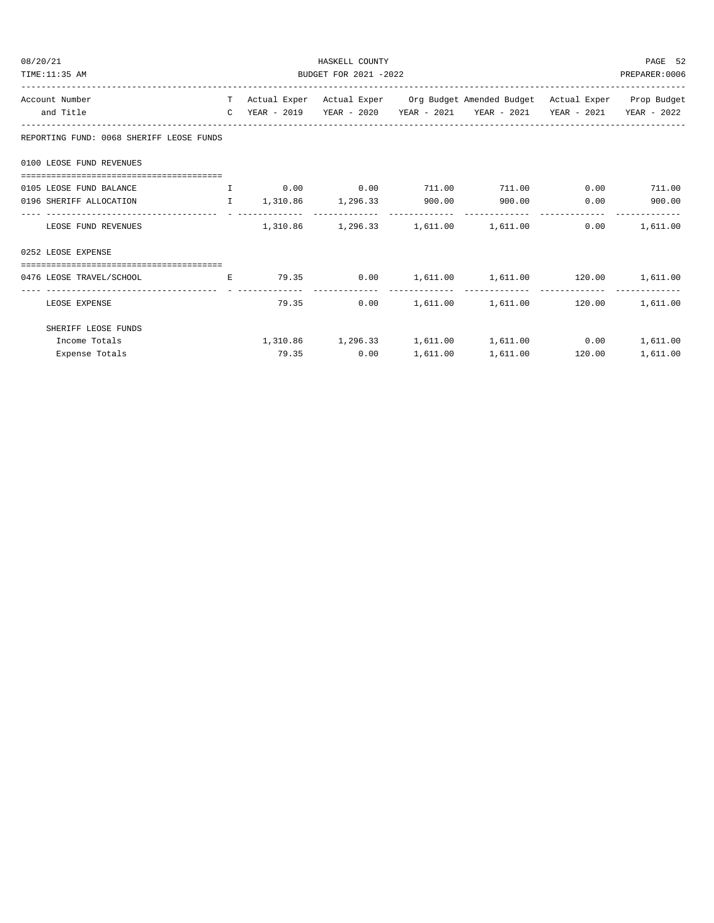| 08/20/21                                 | HASKELL COUNTY |                       |                                                                           |  |                                                                                |      | PAGE 52       |  |  |
|------------------------------------------|----------------|-----------------------|---------------------------------------------------------------------------|--|--------------------------------------------------------------------------------|------|---------------|--|--|
| TIME:11:35 AM                            |                | BUDGET FOR 2021 -2022 |                                                                           |  |                                                                                |      |               |  |  |
| Account Number                           |                |                       |                                                                           |  | T Actual Exper Actual Exper Org Budget Amended Budget Actual Exper Prop Budget |      |               |  |  |
| and Title                                |                |                       |                                                                           |  | C YEAR - 2019 YEAR - 2020 YEAR - 2021 YEAR - 2021 YEAR - 2021 YEAR - 2022      |      |               |  |  |
| REPORTING FUND: 0068 SHERIFF LEOSE FUNDS |                |                       |                                                                           |  |                                                                                |      |               |  |  |
| 0100 LEOSE FUND REVENUES                 |                |                       |                                                                           |  |                                                                                |      |               |  |  |
|                                          |                |                       |                                                                           |  |                                                                                |      |               |  |  |
| 0105 LEOSE FUND BALANCE                  |                |                       | $\qquad \qquad 1\qquad \qquad 0.00\qquad \qquad 0.00\qquad \qquad 711.00$ |  | 711.00                                                                         |      | $0.00$ 711.00 |  |  |
| 0196 SHERIFF ALLOCATION                  |                |                       | $1,310.86$ $1,296.33$ 900.00                                              |  | 900.00                                                                         | 0.00 | 900.00        |  |  |
| LEOSE FUND REVENUES                      |                |                       |                                                                           |  | $1,310.86$ $1,296.33$ $1,611.00$ $1,611.00$                                    | 0.00 | 1,611.00      |  |  |
| 0252 LEOSE EXPENSE                       |                |                       |                                                                           |  |                                                                                |      |               |  |  |
|                                          |                |                       |                                                                           |  |                                                                                |      |               |  |  |
| 0476 LEOSE TRAVEL/SCHOOL                 |                |                       |                                                                           |  | E 79.35 0.00 $1,611.00$ $1,611.00$ $120.00$ $1,611.00$                         |      |               |  |  |
| LEOSE EXPENSE                            |                |                       | 79.35                                                                     |  | $0.00$ 1,611.00 1,611.00 120.00                                                |      | 1,611.00      |  |  |
| SHERIFF LEOSE FUNDS                      |                |                       |                                                                           |  |                                                                                |      |               |  |  |
| Income Totals                            |                |                       |                                                                           |  | $1,310.86$ $1,296.33$ $1,611.00$ $1,611.00$ $0.00$                             |      | 1,611.00      |  |  |
| Expense Totals                           |                |                       | 79.35<br>0.00                                                             |  | 1,611.00    1,611.00    120.00                                                 |      | 1,611.00      |  |  |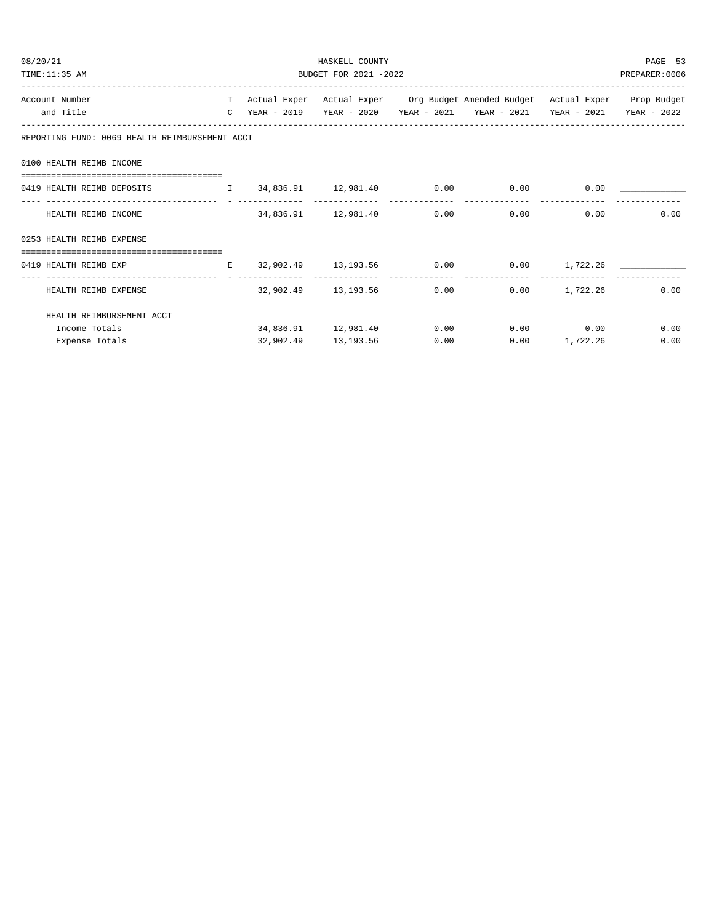| 08/20/21                                                                                                                     | HASKELL COUNTY        |                     |  |                                                                                                                                                                           |                 |      |  |  |
|------------------------------------------------------------------------------------------------------------------------------|-----------------------|---------------------|--|---------------------------------------------------------------------------------------------------------------------------------------------------------------------------|-----------------|------|--|--|
| TIME:11:35 AM                                                                                                                | BUDGET FOR 2021 -2022 |                     |  |                                                                                                                                                                           |                 |      |  |  |
| Account Number                                                                                                               |                       |                     |  | T Actual Exper Actual Exper Org Budget Amended Budget Actual Exper Prop Budget                                                                                            |                 |      |  |  |
| and Title                                                                                                                    |                       |                     |  | C YEAR - 2019    YEAR - 2020    YEAR - 2021    YEAR - 2021    YEAR - 2021    YEAR - 2022                                                                                  |                 |      |  |  |
| REPORTING FUND: 0069 HEALTH REIMBURSEMENT ACCT                                                                               |                       |                     |  |                                                                                                                                                                           |                 |      |  |  |
| 0100 HEALTH REIMB INCOME                                                                                                     |                       |                     |  |                                                                                                                                                                           |                 |      |  |  |
| 0419 HEALTH REIMB DEPOSITS                                                                                                   |                       |                     |  | $\mathbf{I} \qquad \mathbf{34.836.91} \qquad \mathbf{12.981.40} \qquad \mathbf{0.00} \qquad \qquad \mathbf{0.00} \qquad \qquad \mathbf{0.00} \qquad \qquad \mathbf{0.01}$ |                 |      |  |  |
| HEALTH REIMB INCOME                                                                                                          |                       |                     |  | $34,836.91$ 12,981.40 0.00 0.00 0.00 0.00 0.00                                                                                                                            |                 |      |  |  |
| 0253 HEALTH REIMB EXPENSE                                                                                                    |                       |                     |  |                                                                                                                                                                           |                 |      |  |  |
| 0419 HEALTH REIMB EXP                     E     32,902.49     13,193.56         0.00       0.00     1,722.26   _____________ |                       |                     |  |                                                                                                                                                                           |                 |      |  |  |
| HEALTH REIMB EXPENSE                                                                                                         |                       |                     |  | $32,902.49$ $13,193.56$ $0.00$ $0.00$ $1,722.26$ $0.00$                                                                                                                   |                 |      |  |  |
| HEALTH REIMBURSEMENT ACCT                                                                                                    |                       |                     |  |                                                                                                                                                                           |                 |      |  |  |
| Income Totals                                                                                                                |                       |                     |  | $34,836.91$ $12,981.40$ $0.00$ $0.00$ $0.00$                                                                                                                              |                 | 0.00 |  |  |
| Expense Totals                                                                                                               |                       | 32,902.49 13,193.56 |  | 0.00                                                                                                                                                                      | $0.00$ 1,722.26 | 0.00 |  |  |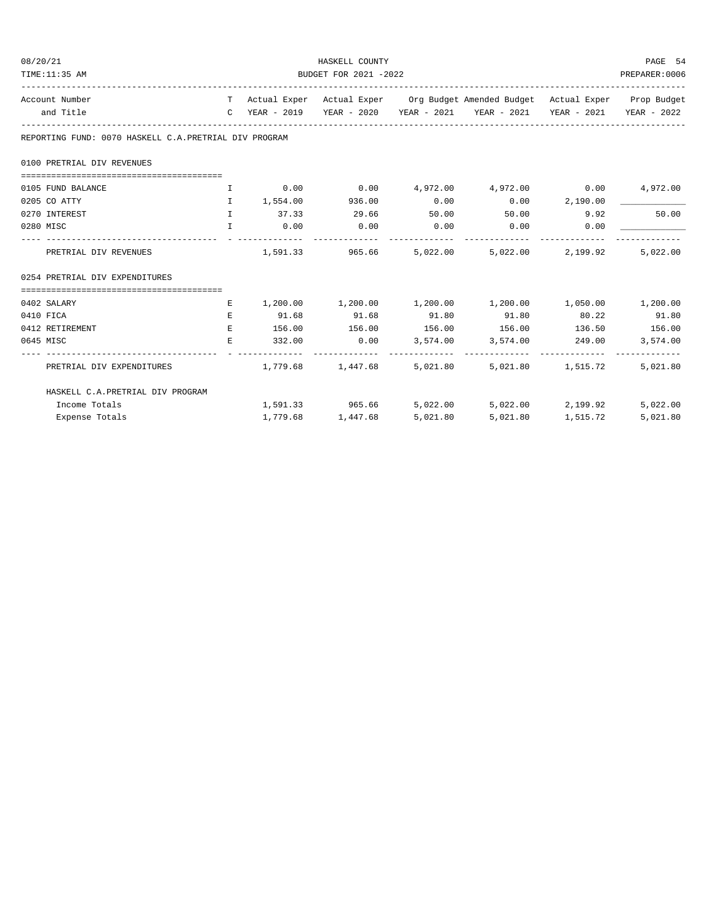| 08/20/21                                                               | HASKELL COUNTY<br>BUDGET FOR 2021 -2022 |                 |                   |                |                                                                                |          |          |  |  |
|------------------------------------------------------------------------|-----------------------------------------|-----------------|-------------------|----------------|--------------------------------------------------------------------------------|----------|----------|--|--|
| TIME:11:35 AM                                                          |                                         |                 |                   |                |                                                                                |          |          |  |  |
| Account Number                                                         |                                         |                 |                   |                | T Actual Exper Actual Exper Org Budget Amended Budget Actual Exper Prop Budget |          |          |  |  |
| and Title                                                              |                                         |                 |                   |                | C YEAR - 2019 YEAR - 2020 YEAR - 2021 YEAR - 2021 YEAR - 2021 YEAR - 2022      |          |          |  |  |
| REPORTING FUND: 0070 HASKELL C.A. PRETRIAL DIV PROGRAM                 |                                         |                 |                   |                |                                                                                |          |          |  |  |
| 0100 PRETRIAL DIV REVENUES                                             |                                         |                 |                   |                |                                                                                |          |          |  |  |
|                                                                        |                                         |                 |                   |                |                                                                                |          |          |  |  |
| 0105 FUND BALANCE                                                      | $\mathbf{I}$                            |                 |                   |                | $0.00$ $0.00$ $4.972.00$ $4.972.00$ $0.00$ $4.972.00$                          |          |          |  |  |
| 0205 CO ATTY                                                           | <b>The Terms</b>                        | 1,554.00 936.00 |                   | 0.00           | $0.00$ 2,190.00                                                                |          |          |  |  |
| 0270 INTEREST                                                          | $\top$                                  | 37.33 29.66     |                   |                | $50.00$ $50.00$ $9.92$                                                         |          | 50.00    |  |  |
| 0280 MISC                                                              | $\mathbf{I}$                            | $0.00$ 0.00     |                   | 0.00           | $0.00$ 0.00                                                                    |          |          |  |  |
|                                                                        |                                         |                 |                   | -------------- | -------------- --------------                                                  |          |          |  |  |
| PRETRIAL DIV REVENUES                                                  |                                         |                 |                   |                | $1,591.33$ $965.66$ $5,022.00$ $5,022.00$ $2,199.92$                           |          | 5,022.00 |  |  |
| 0254 PRETRIAL DIV EXPENDITURES                                         |                                         |                 |                   |                |                                                                                |          |          |  |  |
|                                                                        |                                         |                 |                   |                |                                                                                |          |          |  |  |
| 0402 SALARY                                                            | E                                       |                 |                   |                | $1,200.00$ $1,200.00$ $1,200.00$ $1,200.00$ $1,050.00$ $1,200.00$              |          |          |  |  |
| 0410 FICA                                                              | $E_{\rm c}$                             | 91.68           | 91.68             | 91.80          | 91.80                                                                          | 80.22    | 91.80    |  |  |
| 0412 RETIREMENT                                                        | E.                                      |                 |                   |                | 156.00    156.00    156.00    156.00    136.50    156.00                       |          |          |  |  |
| 0645 MISC                                                              | E.                                      |                 |                   |                | $332.00$ $0.00$ $3,574.00$ $3,574.00$ $249.00$                                 |          | 3,574.00 |  |  |
| PRETRIAL DIV EXPENDITURES 1,779.68 1,447.68 5,021.80 5,021.80 1,515.72 |                                         |                 |                   |                |                                                                                |          | 5,021.80 |  |  |
| HASKELL C.A. PRETRIAL DIV PROGRAM                                      |                                         |                 |                   |                |                                                                                |          |          |  |  |
| Income Totals                                                          |                                         |                 |                   |                | $1,591.33$ $965.66$ $5,022.00$ $5,022.00$ $2,199.92$                           |          | 5,022.00 |  |  |
| Expense Totals                                                         |                                         |                 | 1,779.68 1,447.68 | 5,021.80       | 5,021.80                                                                       | 1,515.72 | 5,021.80 |  |  |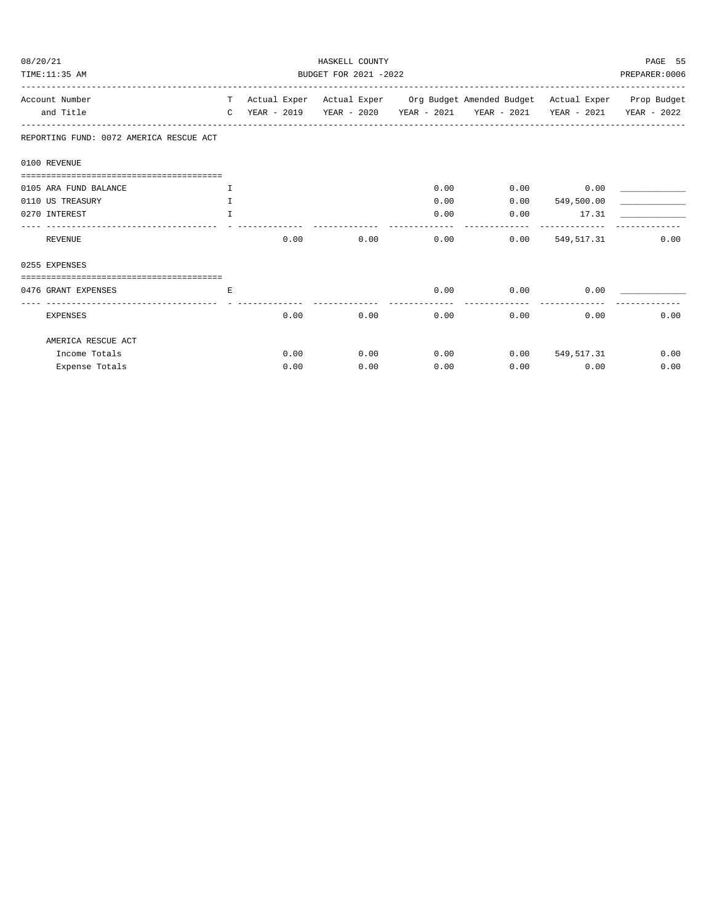| 08/20/21                                |    | HASKELL COUNTY<br>BUDGET FOR 2021 -2022 |      |            |                                                                                |              |      |  |  |
|-----------------------------------------|----|-----------------------------------------|------|------------|--------------------------------------------------------------------------------|--------------|------|--|--|
| TIME:11:35 AM                           |    |                                         |      |            |                                                                                |              |      |  |  |
| Account Number                          |    |                                         |      |            | T Actual Exper Actual Exper Org Budget Amended Budget Actual Exper Prop Budget |              |      |  |  |
| and Title                               |    |                                         |      |            | C YEAR - 2019 YEAR - 2020 YEAR - 2021 YEAR - 2021 YEAR - 2021 YEAR - 2022      |              |      |  |  |
| REPORTING FUND: 0072 AMERICA RESCUE ACT |    |                                         |      |            |                                                                                |              |      |  |  |
| 0100 REVENUE                            |    |                                         |      |            |                                                                                |              |      |  |  |
| 0105 ARA FUND BALANCE                   | Ι. |                                         |      | 0.00       | 0.00                                                                           | 0.00         |      |  |  |
| 0110 US TREASURY                        | T. |                                         |      | 0.00       | 0.00                                                                           | 549,500.00   |      |  |  |
| 0270 INTEREST                           | T. |                                         |      | 0.00       | 0.00                                                                           | 17.31        |      |  |  |
| REVENUE                                 |    | 0.00                                    | 0.00 | ---------- | 0.00<br>0.00                                                                   | 549,517.31   | 0.00 |  |  |
| 0255 EXPENSES                           |    |                                         |      |            |                                                                                |              |      |  |  |
|                                         |    |                                         |      |            |                                                                                |              |      |  |  |
| 0476 GRANT EXPENSES                     | E  |                                         |      | 0.00       | 0.00                                                                           | 0.00         |      |  |  |
| <b>EXPENSES</b>                         |    | 0.00                                    | 0.00 |            | 0.00                                                                           | 0.00<br>0.00 | 0.00 |  |  |
| AMERICA RESCUE ACT                      |    |                                         |      |            |                                                                                |              |      |  |  |
| Income Totals                           |    | 0.00                                    | 0.00 | 0.00       | 0.00                                                                           | 549, 517.31  | 0.00 |  |  |
| Expense Totals                          |    | 0.00                                    | 0.00 | 0.00       |                                                                                | 0.00<br>0.00 | 0.00 |  |  |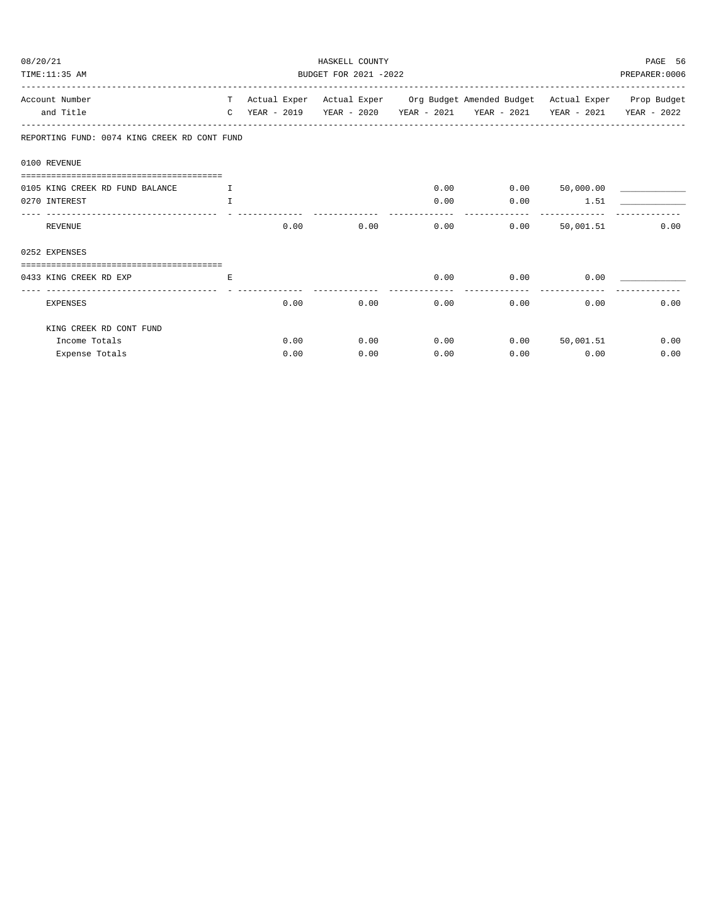| 08/20/21                                     |                               | PAGE 56 |      |      |                                                                                |                  |      |  |  |
|----------------------------------------------|-------------------------------|---------|------|------|--------------------------------------------------------------------------------|------------------|------|--|--|
| TIME:11:35 AM                                | BUDGET FOR 2021 -2022         |         |      |      |                                                                                |                  |      |  |  |
| Account Number                               |                               |         |      |      | T Actual Exper Actual Exper Org Budget Amended Budget Actual Exper Prop Budget |                  |      |  |  |
| and Title                                    |                               |         |      |      | C YEAR - 2019 YEAR - 2020 YEAR - 2021 YEAR - 2021 YEAR - 2021 YEAR - 2022      |                  |      |  |  |
| REPORTING FUND: 0074 KING CREEK RD CONT FUND |                               |         |      |      |                                                                                |                  |      |  |  |
| 0100 REVENUE                                 |                               |         |      |      |                                                                                |                  |      |  |  |
|                                              |                               |         |      |      |                                                                                |                  |      |  |  |
| 0105 KING CREEK RD FUND BALANCE              | $\mathbf{I}$ and $\mathbf{I}$ |         |      | 0.00 |                                                                                | $0.00$ 50,000.00 |      |  |  |
| 0270 INTEREST                                | $\mathbb{T}$                  |         |      | 0.00 |                                                                                | $0.00$ 1.51      |      |  |  |
| REVENUE                                      |                               | 0.00    | 0.00 | 0.00 | 0.00                                                                           | 50,001.51        | 0.00 |  |  |
| 0252 EXPENSES                                |                               |         |      |      |                                                                                |                  |      |  |  |
| ----------------------------------           |                               |         |      |      |                                                                                |                  |      |  |  |
| 0433 KING CREEK RD EXP                       | E.                            |         |      | 0.00 | 0.00                                                                           | 0.00             |      |  |  |
| EXPENSES                                     |                               | 0.00    | 0.00 | 0.00 | 0.00                                                                           | 0.00             | 0.00 |  |  |
| KING CREEK RD CONT FUND                      |                               |         |      |      |                                                                                |                  |      |  |  |
| Income Totals                                |                               | 0.00    | 0.00 | 0.00 |                                                                                | 0.00 50,001.51   | 0.00 |  |  |
| Expense Totals                               |                               | 0.00    | 0.00 | 0.00 | 0.00                                                                           | 0.00             | 0.00 |  |  |